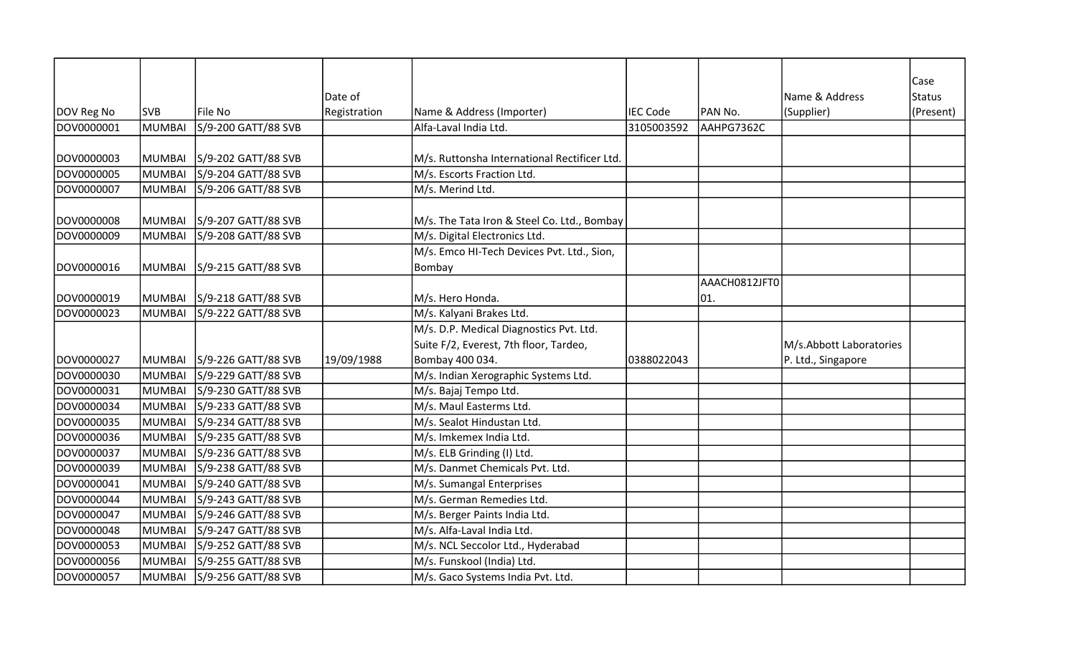|                   |               |                     |              |                                              |                 |               |                         | Case          |
|-------------------|---------------|---------------------|--------------|----------------------------------------------|-----------------|---------------|-------------------------|---------------|
|                   |               |                     | Date of      |                                              |                 |               | Name & Address          | <b>Status</b> |
| DOV Reg No        | <b>SVB</b>    | File No             | Registration | Name & Address (Importer)                    | <b>IEC Code</b> | PAN No.       | (Supplier)              | (Present)     |
| DOV0000001        | MUMBAI        | S/9-200 GATT/88 SVB |              | Alfa-Laval India Ltd.                        | 3105003592      | AAHPG7362C    |                         |               |
|                   |               |                     |              |                                              |                 |               |                         |               |
| DOV0000003        | <b>MUMBAI</b> | S/9-202 GATT/88 SVB |              | M/s. Ruttonsha International Rectificer Ltd. |                 |               |                         |               |
| <b>DOV0000005</b> | MUMBAI        | S/9-204 GATT/88 SVB |              | M/s. Escorts Fraction Ltd.                   |                 |               |                         |               |
| DOV0000007        | <b>MUMBAI</b> | S/9-206 GATT/88 SVB |              | M/s. Merind Ltd.                             |                 |               |                         |               |
|                   |               |                     |              |                                              |                 |               |                         |               |
| DOV0000008        | <b>MUMBAI</b> | S/9-207 GATT/88 SVB |              | M/s. The Tata Iron & Steel Co. Ltd., Bombay  |                 |               |                         |               |
| DOV0000009        | <b>MUMBAI</b> | S/9-208 GATT/88 SVB |              | M/s. Digital Electronics Ltd.                |                 |               |                         |               |
|                   |               |                     |              | M/s. Emco HI-Tech Devices Pvt. Ltd., Sion,   |                 |               |                         |               |
| DOV0000016        | <b>MUMBAI</b> | S/9-215 GATT/88 SVB |              | Bombay                                       |                 |               |                         |               |
|                   |               |                     |              |                                              |                 | AAACH0812JFT0 |                         |               |
| DOV0000019        | <b>MUMBAI</b> | S/9-218 GATT/88 SVB |              | M/s. Hero Honda.                             |                 | 01.           |                         |               |
| DOV0000023        | <b>MUMBAI</b> | S/9-222 GATT/88 SVB |              | M/s. Kalyani Brakes Ltd.                     |                 |               |                         |               |
|                   |               |                     |              | M/s. D.P. Medical Diagnostics Pvt. Ltd.      |                 |               |                         |               |
|                   |               |                     |              | Suite F/2, Everest, 7th floor, Tardeo,       |                 |               | M/s.Abbott Laboratories |               |
| DOV0000027        | MUMBAI        | S/9-226 GATT/88 SVB | 19/09/1988   | Bombay 400 034.                              | 0388022043      |               | P. Ltd., Singapore      |               |
| DOV0000030        | MUMBAI        | S/9-229 GATT/88 SVB |              | M/s. Indian Xerographic Systems Ltd.         |                 |               |                         |               |
| DOV0000031        | <b>MUMBAI</b> | S/9-230 GATT/88 SVB |              | M/s. Bajaj Tempo Ltd.                        |                 |               |                         |               |
| DOV0000034        | <b>MUMBAI</b> | S/9-233 GATT/88 SVB |              | M/s. Maul Easterms Ltd.                      |                 |               |                         |               |
| DOV0000035        | MUMBAI        | S/9-234 GATT/88 SVB |              | M/s. Sealot Hindustan Ltd.                   |                 |               |                         |               |
| DOV0000036        | <b>MUMBAI</b> | S/9-235 GATT/88 SVB |              | M/s. Imkemex India Ltd.                      |                 |               |                         |               |
| DOV0000037        | MUMBAI        | S/9-236 GATT/88 SVB |              | M/s. ELB Grinding (I) Ltd.                   |                 |               |                         |               |
| DOV0000039        | <b>MUMBAI</b> | S/9-238 GATT/88 SVB |              | M/s. Danmet Chemicals Pvt. Ltd.              |                 |               |                         |               |
| DOV0000041        | MUMBAI        | S/9-240 GATT/88 SVB |              | M/s. Sumangal Enterprises                    |                 |               |                         |               |
| DOV0000044        | <b>MUMBAI</b> | S/9-243 GATT/88 SVB |              | M/s. German Remedies Ltd.                    |                 |               |                         |               |
| DOV0000047        | <b>MUMBAI</b> | S/9-246 GATT/88 SVB |              | M/s. Berger Paints India Ltd.                |                 |               |                         |               |
| DOV0000048        | <b>MUMBAI</b> | S/9-247 GATT/88 SVB |              | M/s. Alfa-Laval India Ltd.                   |                 |               |                         |               |
| DOV0000053        | MUMBAI        | S/9-252 GATT/88 SVB |              | M/s. NCL Seccolor Ltd., Hyderabad            |                 |               |                         |               |
| DOV0000056        | MUMBAI        | S/9-255 GATT/88 SVB |              | M/s. Funskool (India) Ltd.                   |                 |               |                         |               |
| DOV0000057        | MUMBAI        | S/9-256 GATT/88 SVB |              | M/s. Gaco Systems India Pvt. Ltd.            |                 |               |                         |               |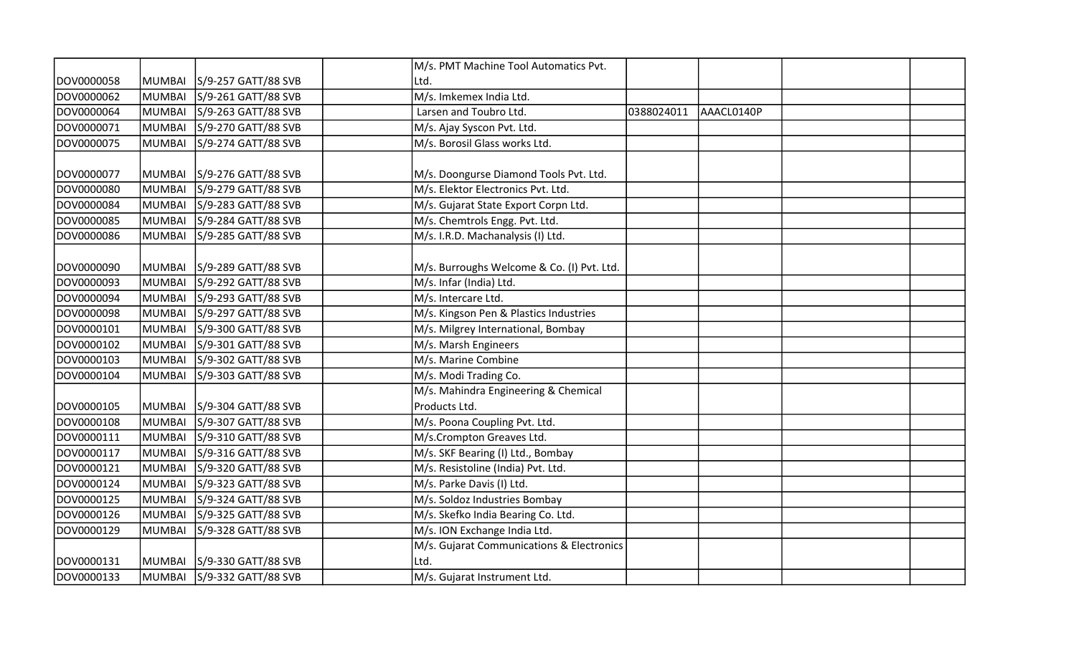|            |               |                            | M/s. PMT Machine Tool Automatics Pvt.      |            |            |  |
|------------|---------------|----------------------------|--------------------------------------------|------------|------------|--|
| DOV0000058 | <b>MUMBAI</b> | S/9-257 GATT/88 SVB        | Ltd.                                       |            |            |  |
| DOV0000062 | MUMBAI        | S/9-261 GATT/88 SVB        | M/s. Imkemex India Ltd.                    |            |            |  |
| DOV0000064 | MUMBAI        | S/9-263 GATT/88 SVB        | Larsen and Toubro Ltd.                     | 0388024011 | AAACL0140P |  |
| DOV0000071 | MUMBAI        | S/9-270 GATT/88 SVB        | M/s. Ajay Syscon Pvt. Ltd.                 |            |            |  |
| DOV0000075 | MUMBAI        | S/9-274 GATT/88 SVB        | M/s. Borosil Glass works Ltd.              |            |            |  |
|            |               |                            |                                            |            |            |  |
| DOV0000077 | MUMBAI        | S/9-276 GATT/88 SVB        | M/s. Doongurse Diamond Tools Pvt. Ltd.     |            |            |  |
| DOV0000080 | MUMBAI        | S/9-279 GATT/88 SVB        | M/s. Elektor Electronics Pvt. Ltd.         |            |            |  |
| DOV0000084 | MUMBAI        | S/9-283 GATT/88 SVB        | M/s. Gujarat State Export Corpn Ltd.       |            |            |  |
| DOV0000085 | MUMBAI        | S/9-284 GATT/88 SVB        | M/s. Chemtrols Engg. Pvt. Ltd.             |            |            |  |
| DOV0000086 | MUMBAI        | S/9-285 GATT/88 SVB        | M/s. I.R.D. Machanalysis (I) Ltd.          |            |            |  |
|            |               |                            |                                            |            |            |  |
| DOV0000090 | MUMBAI        | S/9-289 GATT/88 SVB        | M/s. Burroughs Welcome & Co. (I) Pvt. Ltd. |            |            |  |
| DOV0000093 | MUMBAI        | S/9-292 GATT/88 SVB        | M/s. Infar (India) Ltd.                    |            |            |  |
| DOV0000094 | MUMBAI        | S/9-293 GATT/88 SVB        | M/s. Intercare Ltd.                        |            |            |  |
| DOV0000098 | MUMBAI        | S/9-297 GATT/88 SVB        | M/s. Kingson Pen & Plastics Industries     |            |            |  |
| DOV0000101 | MUMBAI        | S/9-300 GATT/88 SVB        | M/s. Milgrey International, Bombay         |            |            |  |
| DOV0000102 | MUMBAI        | S/9-301 GATT/88 SVB        | M/s. Marsh Engineers                       |            |            |  |
| DOV0000103 | MUMBAI        | S/9-302 GATT/88 SVB        | M/s. Marine Combine                        |            |            |  |
| DOV0000104 | MUMBAI        | S/9-303 GATT/88 SVB        | M/s. Modi Trading Co.                      |            |            |  |
|            |               |                            | M/s. Mahindra Engineering & Chemical       |            |            |  |
| DOV0000105 | MUMBAI        | S/9-304 GATT/88 SVB        | Products Ltd.                              |            |            |  |
| DOV0000108 | MUMBAI        | S/9-307 GATT/88 SVB        | M/s. Poona Coupling Pvt. Ltd.              |            |            |  |
| DOV0000111 | MUMBAI        | S/9-310 GATT/88 SVB        | M/s.Crompton Greaves Ltd.                  |            |            |  |
| DOV0000117 | MUMBAI        | S/9-316 GATT/88 SVB        | M/s. SKF Bearing (I) Ltd., Bombay          |            |            |  |
| DOV0000121 | MUMBAI        | S/9-320 GATT/88 SVB        | M/s. Resistoline (India) Pvt. Ltd.         |            |            |  |
| DOV0000124 | MUMBAI        | S/9-323 GATT/88 SVB        | M/s. Parke Davis (I) Ltd.                  |            |            |  |
| DOV0000125 | MUMBAI        | S/9-324 GATT/88 SVB        | M/s. Soldoz Industries Bombay              |            |            |  |
| DOV0000126 | MUMBAI        | S/9-325 GATT/88 SVB        | M/s. Skefko India Bearing Co. Ltd.         |            |            |  |
| DOV0000129 | MUMBAI        | S/9-328 GATT/88 SVB        | M/s. ION Exchange India Ltd.               |            |            |  |
|            |               |                            | M/s. Gujarat Communications & Electronics  |            |            |  |
| DOV0000131 | MUMBAI        | S/9-330 GATT/88 SVB        | Ltd.                                       |            |            |  |
| DOV0000133 |               | MUMBAI S/9-332 GATT/88 SVB | M/s. Gujarat Instrument Ltd.               |            |            |  |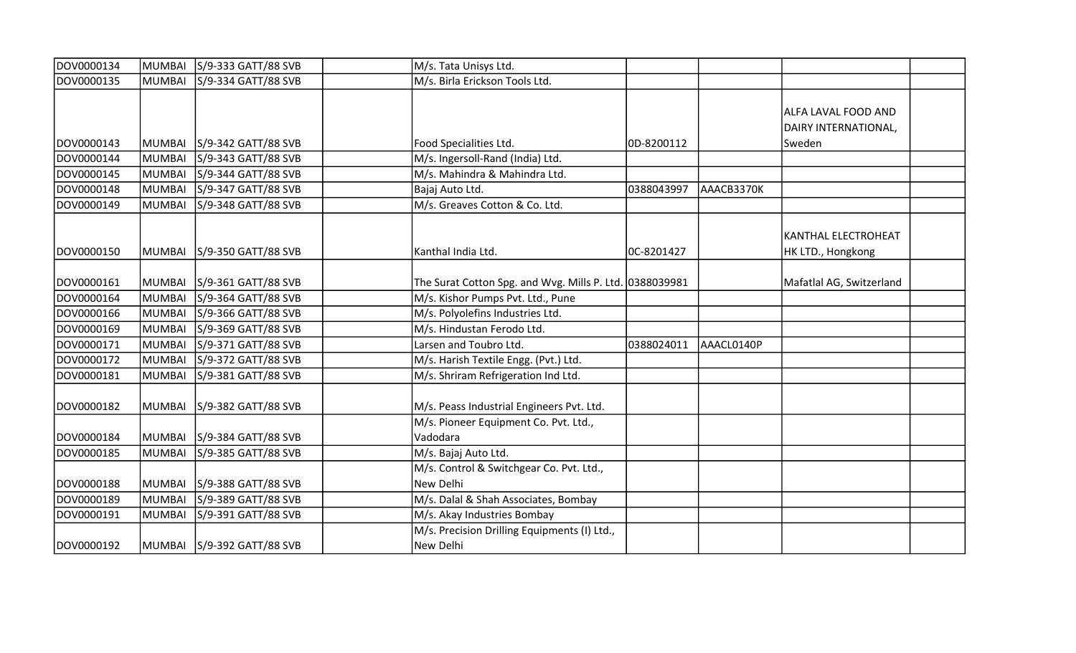| DOV0000134 | MUMBAI        | S/9-333 GATT/88 SVB        | M/s. Tata Unisys Ltd.                                     |            |            |                                             |  |
|------------|---------------|----------------------------|-----------------------------------------------------------|------------|------------|---------------------------------------------|--|
| DOV0000135 | <b>MUMBAI</b> | S/9-334 GATT/88 SVB        | M/s. Birla Erickson Tools Ltd.                            |            |            |                                             |  |
|            |               |                            |                                                           |            |            | ALFA LAVAL FOOD AND<br>DAIRY INTERNATIONAL, |  |
| DOV0000143 | <b>MUMBAI</b> | S/9-342 GATT/88 SVB        | Food Specialities Ltd.                                    | OD-8200112 |            | Sweden                                      |  |
| DOV0000144 | <b>MUMBAI</b> | S/9-343 GATT/88 SVB        | M/s. Ingersoll-Rand (India) Ltd.                          |            |            |                                             |  |
| DOV0000145 | <b>MUMBAI</b> | S/9-344 GATT/88 SVB        | M/s. Mahindra & Mahindra Ltd.                             |            |            |                                             |  |
| DOV0000148 | <b>MUMBAI</b> | S/9-347 GATT/88 SVB        | Bajaj Auto Ltd.                                           | 0388043997 | AAACB3370K |                                             |  |
| DOV0000149 | <b>MUMBAI</b> | S/9-348 GATT/88 SVB        | M/s. Greaves Cotton & Co. Ltd.                            |            |            |                                             |  |
| DOV0000150 | <b>MUMBAI</b> | S/9-350 GATT/88 SVB        | Kanthal India Ltd.                                        | OC-8201427 |            | KANTHAL ELECTROHEAT<br>HK LTD., Hongkong    |  |
| DOV0000161 | <b>MUMBAI</b> | S/9-361 GATT/88 SVB        | The Surat Cotton Spg. and Wvg. Mills P. Ltd. 0388039981   |            |            | Mafatlal AG, Switzerland                    |  |
| DOV0000164 | <b>MUMBAI</b> | S/9-364 GATT/88 SVB        | M/s. Kishor Pumps Pvt. Ltd., Pune                         |            |            |                                             |  |
| DOV0000166 | <b>MUMBAI</b> | S/9-366 GATT/88 SVB        | M/s. Polyolefins Industries Ltd.                          |            |            |                                             |  |
| DOV0000169 | <b>MUMBAI</b> | S/9-369 GATT/88 SVB        | M/s. Hindustan Ferodo Ltd.                                |            |            |                                             |  |
| DOV0000171 | <b>MUMBAI</b> | S/9-371 GATT/88 SVB        | Larsen and Toubro Ltd.                                    | 0388024011 | AAACL0140P |                                             |  |
| DOV0000172 | <b>MUMBAI</b> | S/9-372 GATT/88 SVB        | M/s. Harish Textile Engg. (Pvt.) Ltd.                     |            |            |                                             |  |
| DOV0000181 | <b>MUMBAI</b> | S/9-381 GATT/88 SVB        | M/s. Shriram Refrigeration Ind Ltd.                       |            |            |                                             |  |
| DOV0000182 | <b>MUMBAI</b> | S/9-382 GATT/88 SVB        | M/s. Peass Industrial Engineers Pvt. Ltd.                 |            |            |                                             |  |
| DOV0000184 | <b>MUMBAI</b> | S/9-384 GATT/88 SVB        | M/s. Pioneer Equipment Co. Pvt. Ltd.,<br>Vadodara         |            |            |                                             |  |
| DOV0000185 | <b>MUMBAI</b> | S/9-385 GATT/88 SVB        | M/s. Bajaj Auto Ltd.                                      |            |            |                                             |  |
| DOV0000188 | <b>MUMBAI</b> | S/9-388 GATT/88 SVB        | M/s. Control & Switchgear Co. Pvt. Ltd.,<br>New Delhi     |            |            |                                             |  |
| DOV0000189 | <b>MUMBAI</b> | S/9-389 GATT/88 SVB        | M/s. Dalal & Shah Associates, Bombay                      |            |            |                                             |  |
| DOV0000191 | <b>MUMBAI</b> | S/9-391 GATT/88 SVB        | M/s. Akay Industries Bombay                               |            |            |                                             |  |
| DOV0000192 |               | MUMBAI S/9-392 GATT/88 SVB | M/s. Precision Drilling Equipments (I) Ltd.,<br>New Delhi |            |            |                                             |  |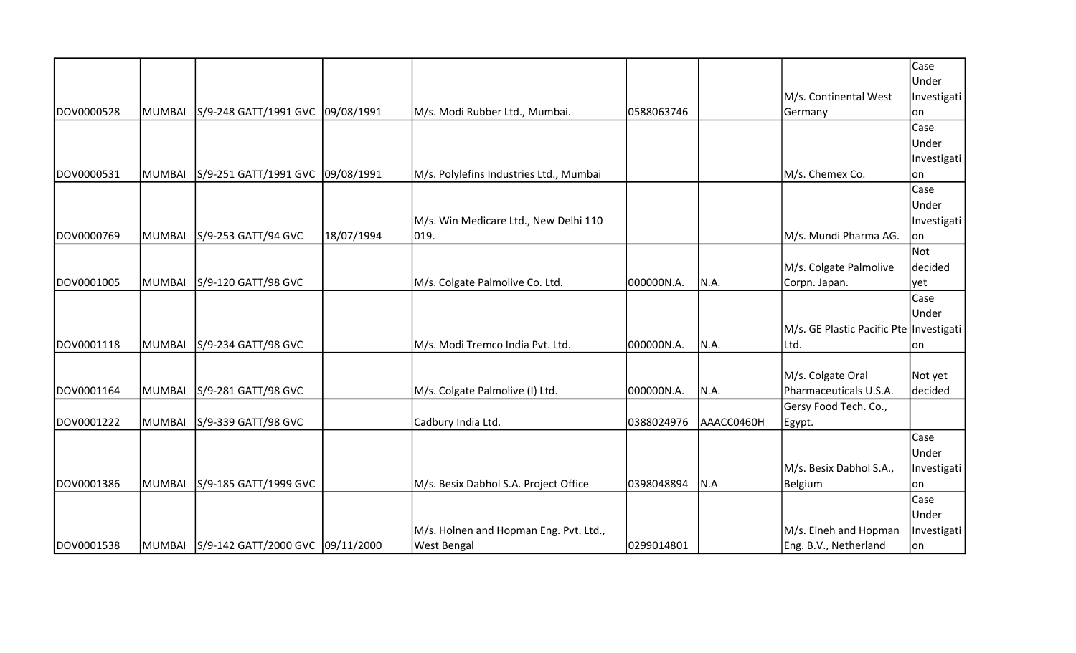|            |        |                                         |            |                                         |            |            |                                         | Case        |
|------------|--------|-----------------------------------------|------------|-----------------------------------------|------------|------------|-----------------------------------------|-------------|
|            |        |                                         |            |                                         |            |            |                                         | Under       |
|            |        |                                         |            |                                         |            |            | M/s. Continental West                   | Investigati |
| DOV0000528 | MUMBAI | S/9-248 GATT/1991 GVC 09/08/1991        |            | M/s. Modi Rubber Ltd., Mumbai.          | 0588063746 |            | Germany                                 | on          |
|            |        |                                         |            |                                         |            |            |                                         | Case        |
|            |        |                                         |            |                                         |            |            |                                         | Under       |
|            |        |                                         |            |                                         |            |            |                                         | Investigati |
| DOV0000531 | MUMBAI | S/9-251 GATT/1991 GVC 09/08/1991        |            | M/s. Polylefins Industries Ltd., Mumbai |            |            | M/s. Chemex Co.                         | on          |
|            |        |                                         |            |                                         |            |            |                                         | Case        |
|            |        |                                         |            |                                         |            |            |                                         | Under       |
|            |        |                                         |            | M/s. Win Medicare Ltd., New Delhi 110   |            |            |                                         | Investigati |
| DOV0000769 | MUMBAI | S/9-253 GATT/94 GVC                     | 18/07/1994 | 019.                                    |            |            | M/s. Mundi Pharma AG.                   | on          |
|            |        |                                         |            |                                         |            |            |                                         | Not         |
|            |        |                                         |            |                                         |            |            | M/s. Colgate Palmolive                  | decided     |
| DOV0001005 | MUMBAI | S/9-120 GATT/98 GVC                     |            | M/s. Colgate Palmolive Co. Ltd.         | 000000N.A. | N.A.       | Corpn. Japan.                           | yet         |
|            |        |                                         |            |                                         |            |            |                                         | Case        |
|            |        |                                         |            |                                         |            |            |                                         | Under       |
|            |        |                                         |            |                                         |            |            | M/s. GE Plastic Pacific Pte Investigati |             |
| DOV0001118 | MUMBAI | S/9-234 GATT/98 GVC                     |            | M/s. Modi Tremco India Pvt. Ltd.        | 000000N.A. | N.A.       | Ltd.                                    | on          |
|            |        |                                         |            |                                         |            |            |                                         |             |
|            |        |                                         |            |                                         |            |            | M/s. Colgate Oral                       | Not yet     |
| DOV0001164 | MUMBAI | S/9-281 GATT/98 GVC                     |            | M/s. Colgate Palmolive (I) Ltd.         | 000000N.A. | N.A.       | Pharmaceuticals U.S.A.                  | decided     |
|            |        |                                         |            |                                         |            |            | Gersy Food Tech. Co.,                   |             |
| DOV0001222 | MUMBAI | S/9-339 GATT/98 GVC                     |            | Cadbury India Ltd.                      | 0388024976 | AAACC0460H | Egypt.                                  |             |
|            |        |                                         |            |                                         |            |            |                                         | Case        |
|            |        |                                         |            |                                         |            |            |                                         | Under       |
|            |        |                                         |            |                                         |            |            | M/s. Besix Dabhol S.A.,                 | Investigati |
| DOV0001386 | MUMBAI | S/9-185 GATT/1999 GVC                   |            | M/s. Besix Dabhol S.A. Project Office   | 0398048894 | N.A        | <b>Belgium</b>                          | lon         |
|            |        |                                         |            |                                         |            |            |                                         | Case        |
|            |        |                                         |            |                                         |            |            |                                         | Under       |
|            |        |                                         |            | M/s. Holnen and Hopman Eng. Pvt. Ltd.,  |            |            | M/s. Eineh and Hopman                   | Investigati |
| DOV0001538 |        | MUMBAI S/9-142 GATT/2000 GVC 09/11/2000 |            | <b>West Bengal</b>                      | 0299014801 |            | Eng. B.V., Netherland                   | on          |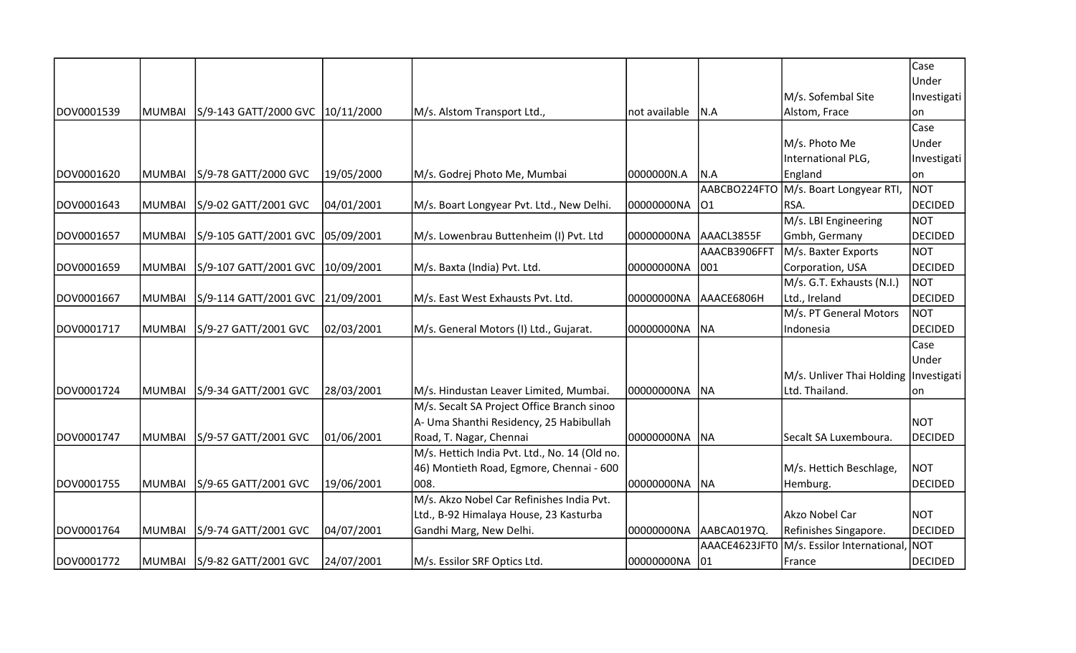|            |               |                                  |            |                                               |               |               |                                         | Case           |
|------------|---------------|----------------------------------|------------|-----------------------------------------------|---------------|---------------|-----------------------------------------|----------------|
|            |               |                                  |            |                                               |               |               |                                         | Under          |
|            |               |                                  |            |                                               |               |               | M/s. Sofembal Site                      | Investigati    |
| DOV0001539 | <b>MUMBAI</b> | S/9-143 GATT/2000 GVC 10/11/2000 |            | M/s. Alstom Transport Ltd.,                   | not available | N.A           | Alstom, Frace                           | on             |
|            |               |                                  |            |                                               |               |               |                                         | Case           |
|            |               |                                  |            |                                               |               |               | M/s. Photo Me                           | Under          |
|            |               |                                  |            |                                               |               |               | International PLG,                      | Investigati    |
| DOV0001620 | <b>MUMBAI</b> | S/9-78 GATT/2000 GVC             | 19/05/2000 | M/s. Godrej Photo Me, Mumbai                  | 0000000N.A    | N.A           | England                                 | on             |
|            |               |                                  |            |                                               |               | AABCBO224FTO  | M/s. Boart Longyear RTI,                | <b>NOT</b>     |
| DOV0001643 | <b>MUMBAI</b> | S/9-02 GATT/2001 GVC             | 04/01/2001 | M/s. Boart Longyear Pvt. Ltd., New Delhi.     | 00000000NA    | 01            | RSA.                                    | <b>DECIDED</b> |
|            |               |                                  |            |                                               |               |               | M/s. LBI Engineering                    | <b>NOT</b>     |
| DOV0001657 | <b>MUMBAI</b> | S/9-105 GATT/2001 GVC            | 05/09/2001 | M/s. Lowenbrau Buttenheim (I) Pvt. Ltd        | 00000000NA    | AAACL3855F    | Gmbh, Germany                           | <b>DECIDED</b> |
|            |               |                                  |            |                                               |               | AAACB3906FFT  | M/s. Baxter Exports                     | <b>NOT</b>     |
| DOV0001659 | <b>MUMBAI</b> | S/9-107 GATT/2001 GVC            | 10/09/2001 | M/s. Baxta (India) Pvt. Ltd.                  | 00000000NA    | 001           | Corporation, USA                        | <b>DECIDED</b> |
|            |               |                                  |            |                                               |               |               | M/s. G.T. Exhausts (N.I.)               | <b>NOT</b>     |
| DOV0001667 | <b>MUMBAI</b> | S/9-114 GATT/2001 GVC 21/09/2001 |            | M/s. East West Exhausts Pvt. Ltd.             | 00000000NA    | AAACE6806H    | Ltd., Ireland                           | <b>DECIDED</b> |
|            |               |                                  |            |                                               |               |               | M/s. PT General Motors                  | <b>NOT</b>     |
| DOV0001717 | <b>MUMBAI</b> | S/9-27 GATT/2001 GVC             | 02/03/2001 | M/s. General Motors (I) Ltd., Gujarat.        | 00000000NA    | <b>NA</b>     | Indonesia                               | <b>DECIDED</b> |
|            |               |                                  |            |                                               |               |               |                                         | Case           |
|            |               |                                  |            |                                               |               |               |                                         | Under          |
|            |               |                                  |            |                                               |               |               | M/s. Unliver Thai Holding   Investigati |                |
| DOV0001724 | <b>MUMBAI</b> | S/9-34 GATT/2001 GVC             | 28/03/2001 | M/s. Hindustan Leaver Limited, Mumbai.        | 00000000NA    | <b>NA</b>     | Ltd. Thailand.                          | on             |
|            |               |                                  |            | M/s. Secalt SA Project Office Branch sinoo    |               |               |                                         |                |
|            |               |                                  |            | A- Uma Shanthi Residency, 25 Habibullah       |               |               |                                         | <b>NOT</b>     |
| DOV0001747 | <b>MUMBAI</b> | S/9-57 GATT/2001 GVC             | 01/06/2001 | Road, T. Nagar, Chennai                       | 00000000NA    | <b>NA</b>     | Secalt SA Luxemboura.                   | <b>DECIDED</b> |
|            |               |                                  |            | M/s. Hettich India Pvt. Ltd., No. 14 (Old no. |               |               |                                         |                |
|            |               |                                  |            | 46) Montieth Road, Egmore, Chennai - 600      |               |               | M/s. Hettich Beschlage,                 | <b>NOT</b>     |
| DOV0001755 | <b>MUMBAI</b> | S/9-65 GATT/2001 GVC             | 19/06/2001 | 1008.                                         | 00000000NA    | <b>NA</b>     | Hemburg.                                | <b>DECIDED</b> |
|            |               |                                  |            | M/s. Akzo Nobel Car Refinishes India Pvt.     |               |               |                                         |                |
|            |               |                                  |            | Ltd., B-92 Himalaya House, 23 Kasturba        |               |               | Akzo Nobel Car                          | <b>NOT</b>     |
| DOV0001764 | <b>MUMBAI</b> | S/9-74 GATT/2001 GVC             | 04/07/2001 | Gandhi Marg, New Delhi.                       | 00000000NA    | AABCA0197Q.   | Refinishes Singapore.                   | <b>DECIDED</b> |
|            |               |                                  |            |                                               |               | AAACE4623JFT0 | M/s. Essilor International,             | <b>NOT</b>     |
| DOV0001772 |               | MUMBAI   S/9-82 GATT/2001 GVC    | 24/07/2001 | M/s. Essilor SRF Optics Ltd.                  | 00000000NA    | 01            | France                                  | <b>DECIDED</b> |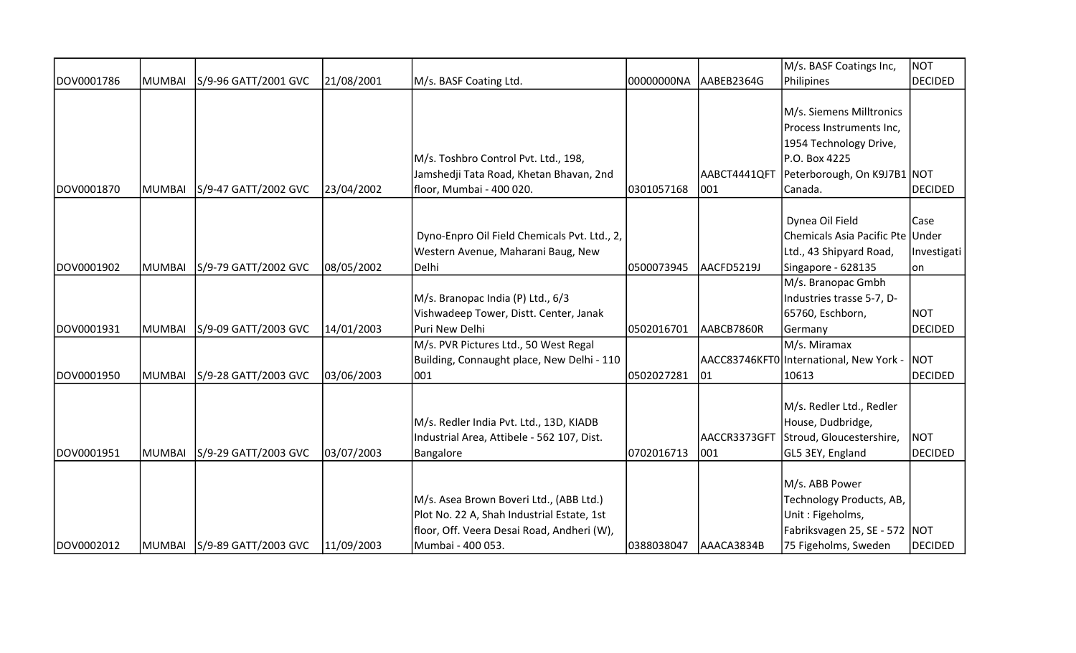|            |        |                               |            |                                              |            |              | M/s. BASF Coatings Inc,                 | <b>NOT</b>     |
|------------|--------|-------------------------------|------------|----------------------------------------------|------------|--------------|-----------------------------------------|----------------|
| DOV0001786 | MUMBAI | S/9-96 GATT/2001 GVC          | 21/08/2001 | M/s. BASF Coating Ltd.                       | 00000000NA | AABEB2364G   | Philipines                              | <b>DECIDED</b> |
|            |        |                               |            |                                              |            |              |                                         |                |
|            |        |                               |            |                                              |            |              | M/s. Siemens Milltronics                |                |
|            |        |                               |            |                                              |            |              | Process Instruments Inc,                |                |
|            |        |                               |            |                                              |            |              | 1954 Technology Drive,                  |                |
|            |        |                               |            | M/s. Toshbro Control Pvt. Ltd., 198,         |            |              | P.O. Box 4225                           |                |
|            |        |                               |            | Jamshedji Tata Road, Khetan Bhavan, 2nd      |            | AABCT4441QFT | Peterborough, On K9J7B1 NOT             |                |
| DOV0001870 | MUMBAI | S/9-47 GATT/2002 GVC          | 23/04/2002 | floor, Mumbai - 400 020.                     | 0301057168 | 001          | Canada.                                 | <b>DECIDED</b> |
|            |        |                               |            |                                              |            |              |                                         |                |
|            |        |                               |            |                                              |            |              | Dynea Oil Field                         | Case           |
|            |        |                               |            | Dyno-Enpro Oil Field Chemicals Pvt. Ltd., 2, |            |              | Chemicals Asia Pacific Pte              | Under          |
|            |        |                               |            | Western Avenue, Maharani Baug, New           |            |              | Ltd., 43 Shipyard Road,                 | Investigati    |
| DOV0001902 | MUMBAI | S/9-79 GATT/2002 GVC          | 08/05/2002 | Delhi                                        | 0500073945 | AACFD5219J   | Singapore - 628135                      | on             |
|            |        |                               |            |                                              |            |              | M/s. Branopac Gmbh                      |                |
|            |        |                               |            | M/s. Branopac India (P) Ltd., 6/3            |            |              | Industries trasse 5-7, D-               |                |
|            |        |                               |            | Vishwadeep Tower, Distt. Center, Janak       |            |              | 65760, Eschborn,                        | <b>NOT</b>     |
| DOV0001931 | MUMBAI | S/9-09 GATT/2003 GVC          | 14/01/2003 | Puri New Delhi                               | 0502016701 | AABCB7860R   | Germany                                 | <b>DECIDED</b> |
|            |        |                               |            | M/s. PVR Pictures Ltd., 50 West Regal        |            |              | M/s. Miramax                            |                |
|            |        |                               |            | Building, Connaught place, New Delhi - 110   |            |              | AACC83746KFT0 International, New York - | <b>NOT</b>     |
| DOV0001950 | MUMBAI | S/9-28 GATT/2003 GVC          | 03/06/2003 | 001                                          | 0502027281 | 01           | 10613                                   | <b>DECIDED</b> |
|            |        |                               |            |                                              |            |              |                                         |                |
|            |        |                               |            |                                              |            |              | M/s. Redler Ltd., Redler                |                |
|            |        |                               |            | M/s. Redler India Pvt. Ltd., 13D, KIADB      |            |              | House, Dudbridge,                       |                |
|            |        |                               |            | Industrial Area, Attibele - 562 107, Dist.   |            | AACCR3373GFT | Stroud, Gloucestershire,                | <b>NOT</b>     |
| DOV0001951 | MUMBAI | S/9-29 GATT/2003 GVC          | 03/07/2003 | Bangalore                                    | 0702016713 | 1001         | GL5 3EY, England                        | <b>DECIDED</b> |
|            |        |                               |            |                                              |            |              |                                         |                |
|            |        |                               |            |                                              |            |              | M/s. ABB Power                          |                |
|            |        |                               |            | M/s. Asea Brown Boveri Ltd., (ABB Ltd.)      |            |              | Technology Products, AB,                |                |
|            |        |                               |            | Plot No. 22 A, Shah Industrial Estate, 1st   |            |              | Unit: Figeholms,                        |                |
|            |        |                               |            | floor, Off. Veera Desai Road, Andheri (W),   |            |              | Fabriksvagen 25, SE - 572   NOT         |                |
| DOV0002012 |        | MUMBAI   S/9-89 GATT/2003 GVC | 11/09/2003 | Mumbai - 400 053.                            | 0388038047 | AAACA3834B   | 75 Figeholms, Sweden                    | <b>DECIDED</b> |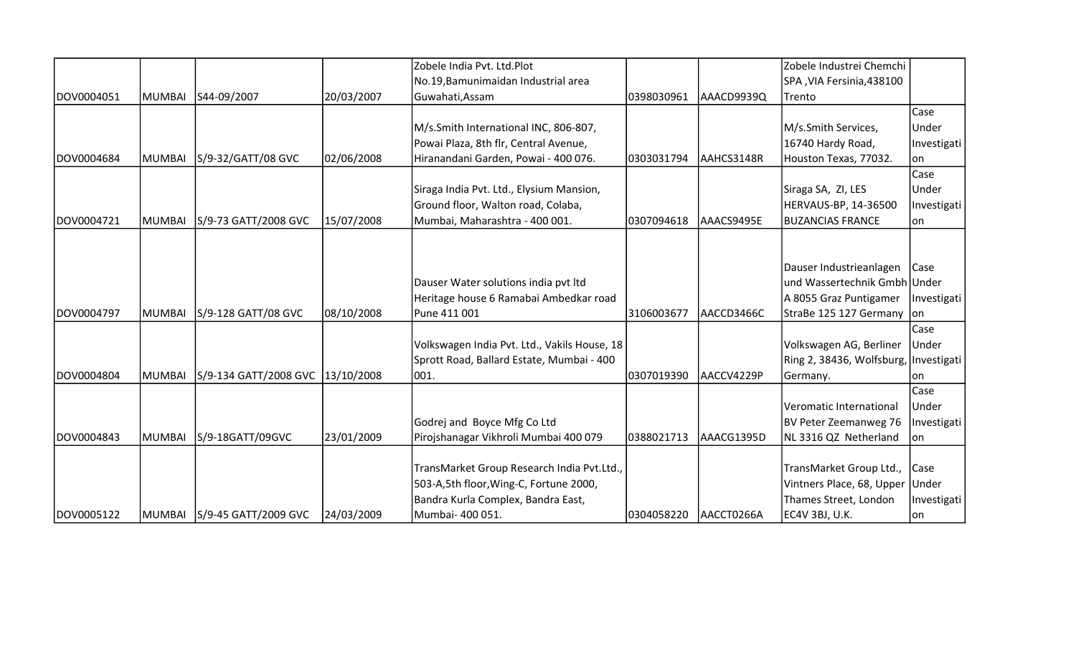|             |               |                                  |            | Zobele India Pvt. Ltd.Plot                   |            |            | Zobele Industrei Chemchi              |             |
|-------------|---------------|----------------------------------|------------|----------------------------------------------|------------|------------|---------------------------------------|-------------|
|             |               |                                  |            | No.19, Bamunimaidan Industrial area          |            |            | SPA, VIA Fersinia, 438100             |             |
| IDOV0004051 | MUMBAI        | S44-09/2007                      | 20/03/2007 | Guwahati, Assam                              | 0398030961 | AAACD9939Q | Trento                                |             |
|             |               |                                  |            |                                              |            |            |                                       | Case        |
|             |               |                                  |            | M/s.Smith International INC, 806-807,        |            |            | M/s.Smith Services,                   | Under       |
|             |               |                                  |            | Powai Plaza, 8th flr, Central Avenue,        |            |            | 16740 Hardy Road,                     | Investigati |
| DOV0004684  | MUMBAI        | S/9-32/GATT/08 GVC               | 02/06/2008 | Hiranandani Garden, Powai - 400 076.         | 0303031794 | AAHCS3148R | Houston Texas, 77032.                 | lon         |
|             |               |                                  |            |                                              |            |            |                                       | Case        |
|             |               |                                  |            | Siraga India Pvt. Ltd., Elysium Mansion,     |            |            | Siraga SA, ZI, LES                    | Under       |
|             |               |                                  |            | Ground floor, Walton road, Colaba,           |            |            | HERVAUS-BP, 14-36500                  | Investigati |
| DOV0004721  | <b>MUMBAI</b> | S/9-73 GATT/2008 GVC             | 15/07/2008 | Mumbai, Maharashtra - 400 001.               | 0307094618 | AAACS9495E | <b>BUZANCIAS FRANCE</b>               | lon         |
|             |               |                                  |            |                                              |            |            |                                       |             |
|             |               |                                  |            |                                              |            |            |                                       |             |
|             |               |                                  |            |                                              |            |            | Dauser Industrieanlagen   Case        |             |
|             |               |                                  |            | Dauser Water solutions india pvt Itd         |            |            | und Wassertechnik Gmbh Under          |             |
|             |               |                                  |            | Heritage house 6 Ramabai Ambedkar road       |            |            | A 8055 Graz Puntigamer   Investigati  |             |
| DOV0004797  | MUMBAI        | S/9-128 GATT/08 GVC              | 08/10/2008 | Pune 411 001                                 | 3106003677 | AACCD3466C | StraBe 125 127 Germany on             |             |
|             |               |                                  |            |                                              |            |            |                                       | Case        |
|             |               |                                  |            | Volkswagen India Pvt. Ltd., Vakils House, 18 |            |            | Volkswagen AG, Berliner               | Under       |
|             |               |                                  |            | Sprott Road, Ballard Estate, Mumbai - 400    |            |            | Ring 2, 38436, Wolfsburg, Investigati |             |
| DOV0004804  | MUMBAI        | S/9-134 GATT/2008 GVC 13/10/2008 |            | 001.                                         | 0307019390 | AACCV4229P | Germany.                              | lon         |
|             |               |                                  |            |                                              |            |            |                                       | Case        |
|             |               |                                  |            |                                              |            |            | Veromatic International               | Under       |
|             |               |                                  |            | Godrej and Boyce Mfg Co Ltd                  |            |            | BV Peter Zeemanweg 76                 | Investigati |
| DOV0004843  | <b>MUMBAI</b> | S/9-18GATT/09GVC                 | 23/01/2009 | Pirojshanagar Vikhroli Mumbai 400 079        | 0388021713 | AAACG1395D | NL 3316 QZ Netherland                 | on          |
|             |               |                                  |            |                                              |            |            |                                       |             |
|             |               |                                  |            | TransMarket Group Research India Pvt.Ltd.,   |            |            | TransMarket Group Ltd., Case          |             |
|             |               |                                  |            | 503-A,5th floor, Wing-C, Fortune 2000,       |            |            | Vintners Place, 68, Upper Under       |             |
|             |               |                                  |            | Bandra Kurla Complex, Bandra East,           |            |            | Thames Street, London                 | Investigati |
| DOV0005122  |               | MUMBAI   S/9-45 GATT/2009 GVC    | 24/03/2009 | Mumbai- 400 051.                             | 0304058220 | AACCT0266A | EC4V 3BJ, U.K.                        | on          |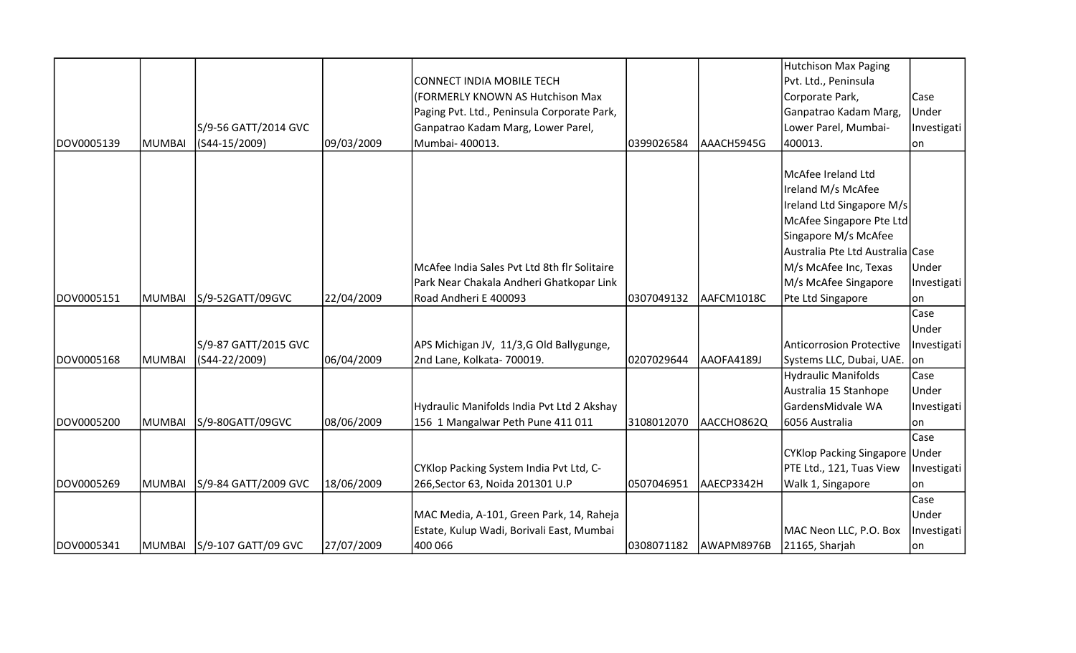|            |               |                            |            |                                              |            |            | <b>Hutchison Max Paging</b>      |             |
|------------|---------------|----------------------------|------------|----------------------------------------------|------------|------------|----------------------------------|-------------|
|            |               |                            |            | <b>CONNECT INDIA MOBILE TECH</b>             |            |            | Pvt. Ltd., Peninsula             |             |
|            |               |                            |            | (FORMERLY KNOWN AS Hutchison Max             |            |            | Corporate Park,                  | Case        |
|            |               |                            |            | Paging Pvt. Ltd., Peninsula Corporate Park,  |            |            | Ganpatrao Kadam Marg,            | Under       |
|            |               | S/9-56 GATT/2014 GVC       |            | Ganpatrao Kadam Marg, Lower Parel,           |            |            | Lower Parel, Mumbai-             | Investigati |
| DOV0005139 | MUMBAI        | (S44-15/2009)              | 09/03/2009 | Mumbai- 400013.                              | 0399026584 | AAACH5945G | 400013.                          | lon         |
|            |               |                            |            |                                              |            |            |                                  |             |
|            |               |                            |            |                                              |            |            | McAfee Ireland Ltd               |             |
|            |               |                            |            |                                              |            |            | Ireland M/s McAfee               |             |
|            |               |                            |            |                                              |            |            | Ireland Ltd Singapore M/s        |             |
|            |               |                            |            |                                              |            |            | McAfee Singapore Pte Ltd         |             |
|            |               |                            |            |                                              |            |            | Singapore M/s McAfee             |             |
|            |               |                            |            |                                              |            |            | Australia Pte Ltd Australia Case |             |
|            |               |                            |            | McAfee India Sales Pvt Ltd 8th flr Solitaire |            |            | M/s McAfee Inc, Texas            | Under       |
|            |               |                            |            | Park Near Chakala Andheri Ghatkopar Link     |            |            | M/s McAfee Singapore             | Investigati |
| DOV0005151 | <b>MUMBAI</b> | S/9-52GATT/09GVC           | 22/04/2009 | Road Andheri E 400093                        | 0307049132 | AAFCM1018C | Pte Ltd Singapore                | on          |
|            |               |                            |            |                                              |            |            |                                  | Case        |
|            |               |                            |            |                                              |            |            |                                  | Under       |
|            |               | S/9-87 GATT/2015 GVC       |            | APS Michigan JV, 11/3,G Old Ballygunge,      |            |            | <b>Anticorrosion Protective</b>  | Investigati |
| DOV0005168 | MUMBAI        | (S44-22/2009)              | 06/04/2009 | 2nd Lane, Kolkata- 700019.                   | 0207029644 | AAOFA4189J | Systems LLC, Dubai, UAE. on      |             |
|            |               |                            |            |                                              |            |            | Hydraulic Manifolds              | Case        |
|            |               |                            |            |                                              |            |            | Australia 15 Stanhope            | Under       |
|            |               |                            |            | Hydraulic Manifolds India Pvt Ltd 2 Akshay   |            |            | GardensMidvale WA                | Investigati |
| DOV0005200 | <b>MUMBAI</b> | S/9-80GATT/09GVC           | 08/06/2009 | 156 1 Mangalwar Peth Pune 411 011            | 3108012070 | AACCHO862Q | 6056 Australia                   | lon         |
|            |               |                            |            |                                              |            |            |                                  | Case        |
|            |               |                            |            |                                              |            |            | CYKlop Packing Singapore Under   |             |
|            |               |                            |            | CYKlop Packing System India Pvt Ltd, C-      |            |            | PTE Ltd., 121, Tuas View         | Investigati |
| DOV0005269 | <b>MUMBAI</b> | S/9-84 GATT/2009 GVC       | 18/06/2009 | 266, Sector 63, Noida 201301 U.P             | 0507046951 | AAECP3342H | Walk 1, Singapore                | lon         |
|            |               |                            |            |                                              |            |            |                                  | Case        |
|            |               |                            |            | MAC Media, A-101, Green Park, 14, Raheja     |            |            |                                  | Under       |
|            |               |                            |            | Estate, Kulup Wadi, Borivali East, Mumbai    |            |            | MAC Neon LLC, P.O. Box           | Investigati |
| DOV0005341 |               | MUMBAI S/9-107 GATT/09 GVC | 27/07/2009 | 400 066                                      | 0308071182 | AWAPM8976B | 21165, Sharjah                   | on          |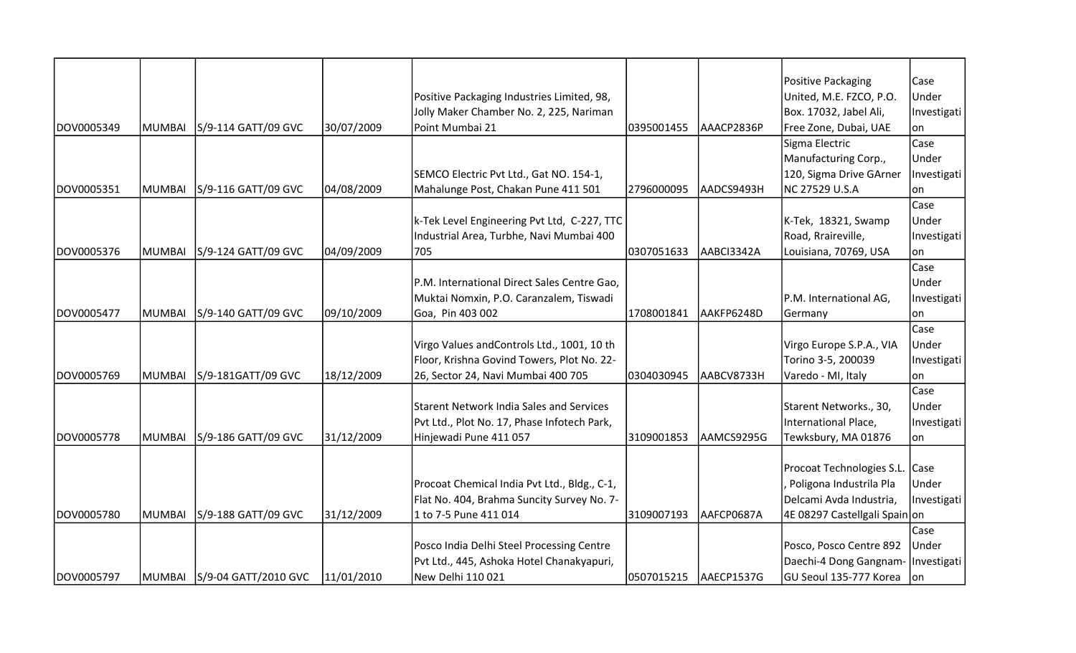|            |               |                               |            |                                                 |            |            | Positive Packaging             | Case        |
|------------|---------------|-------------------------------|------------|-------------------------------------------------|------------|------------|--------------------------------|-------------|
|            |               |                               |            | Positive Packaging Industries Limited, 98,      |            |            | United, M.E. FZCO, P.O.        | Under       |
|            |               |                               |            | Jolly Maker Chamber No. 2, 225, Nariman         |            |            | Box. 17032, Jabel Ali,         | Investigati |
| DOV0005349 | MUMBAI        | S/9-114 GATT/09 GVC           | 30/07/2009 | Point Mumbai 21                                 | 0395001455 | AAACP2836P | Free Zone, Dubai, UAE          | on          |
|            |               |                               |            |                                                 |            |            | Sigma Electric                 | Case        |
|            |               |                               |            |                                                 |            |            | Manufacturing Corp.,           | Under       |
|            |               |                               |            | SEMCO Electric Pvt Ltd., Gat NO. 154-1,         |            |            | 120, Sigma Drive GArner        | Investigati |
| DOV0005351 | <b>MUMBAI</b> | S/9-116 GATT/09 GVC           | 04/08/2009 | Mahalunge Post, Chakan Pune 411 501             | 2796000095 | AADCS9493H | NC 27529 U.S.A                 | on          |
|            |               |                               |            |                                                 |            |            |                                | Case        |
|            |               |                               |            | k-Tek Level Engineering Pvt Ltd, C-227, TTC     |            |            | K-Tek, 18321, Swamp            | Under       |
|            |               |                               |            | Industrial Area, Turbhe, Navi Mumbai 400        |            |            | Road, Rraireville,             | Investigati |
| DOV0005376 | MUMBAI        | S/9-124 GATT/09 GVC           | 04/09/2009 | 705                                             | 0307051633 | AABCI3342A | Louisiana, 70769, USA          | lon         |
|            |               |                               |            |                                                 |            |            |                                | Case        |
|            |               |                               |            | P.M. International Direct Sales Centre Gao,     |            |            |                                | Under       |
|            |               |                               |            | Muktai Nomxin, P.O. Caranzalem, Tiswadi         |            |            | P.M. International AG,         | Investigati |
| DOV0005477 | <b>MUMBAI</b> | S/9-140 GATT/09 GVC           | 09/10/2009 | Goa, Pin 403 002                                | 1708001841 | AAKFP6248D | Germany                        | lon         |
|            |               |                               |            |                                                 |            |            |                                | Case        |
|            |               |                               |            | Virgo Values andControls Ltd., 1001, 10 th      |            |            | Virgo Europe S.P.A., VIA       | Under       |
|            |               |                               |            | Floor, Krishna Govind Towers, Plot No. 22-      |            |            | Torino 3-5, 200039             | Investigati |
| DOV0005769 | <b>MUMBAI</b> | S/9-181GATT/09 GVC            | 18/12/2009 | 26, Sector 24, Navi Mumbai 400 705              | 0304030945 | AABCV8733H | Varedo - MI, Italy             | on          |
|            |               |                               |            |                                                 |            |            |                                | Case        |
|            |               |                               |            | <b>Starent Network India Sales and Services</b> |            |            | Starent Networks., 30,         | Under       |
|            |               |                               |            | Pvt Ltd., Plot No. 17, Phase Infotech Park,     |            |            | International Place,           | Investigati |
| DOV0005778 | <b>MUMBAI</b> | S/9-186 GATT/09 GVC           | 31/12/2009 | Hinjewadi Pune 411 057                          | 3109001853 | AAMCS9295G | Tewksbury, MA 01876            | lon         |
|            |               |                               |            |                                                 |            |            |                                |             |
|            |               |                               |            |                                                 |            |            | Procoat Technologies S.L. Case |             |
|            |               |                               |            | Procoat Chemical India Pvt Ltd., Bldg., C-1,    |            |            | Poligona Industrila Pla        | Under       |
|            |               |                               |            | Flat No. 404, Brahma Suncity Survey No. 7-      |            |            | Delcami Avda Industria,        | Investigati |
| DOV0005780 | MUMBAI        | S/9-188 GATT/09 GVC           | 31/12/2009 | 1 to 7-5 Pune 411 014                           | 3109007193 | AAFCP0687A | 4E 08297 Castellgali Spain on  |             |
|            |               |                               |            |                                                 |            |            |                                | Case        |
|            |               |                               |            | Posco India Delhi Steel Processing Centre       |            |            | Posco, Posco Centre 892        | Under       |
|            |               |                               |            | Pvt Ltd., 445, Ashoka Hotel Chanakyapuri,       |            |            | Daechi-4 Dong Gangnam-         | Investigati |
| DOV0005797 |               | MUMBAI   S/9-04 GATT/2010 GVC | 11/01/2010 | New Delhi 110 021                               | 0507015215 | AAECP1537G | GU Seoul 135-777 Korea   on    |             |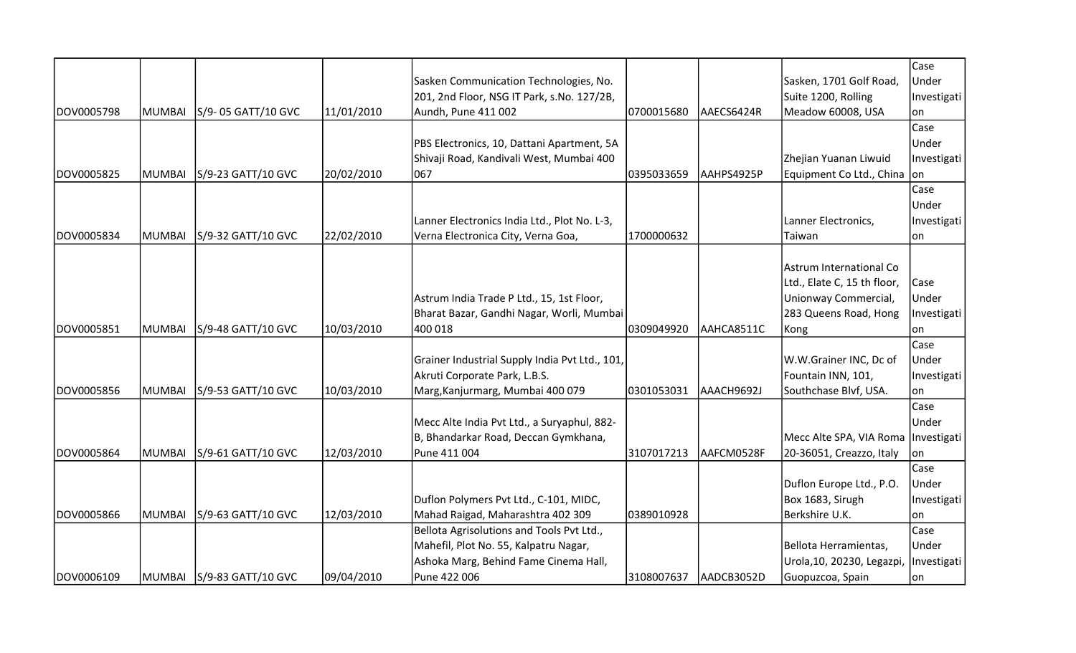|            |               |                           |            |                                                |            |            |                                       | Case        |
|------------|---------------|---------------------------|------------|------------------------------------------------|------------|------------|---------------------------------------|-------------|
|            |               |                           |            | Sasken Communication Technologies, No.         |            |            | Sasken, 1701 Golf Road,               | Under       |
|            |               |                           |            | 201, 2nd Floor, NSG IT Park, s.No. 127/2B,     |            |            | Suite 1200, Rolling                   | Investigati |
| DOV0005798 | MUMBAI        | S/9-05 GATT/10 GVC        | 11/01/2010 | Aundh, Pune 411 002                            | 0700015680 | AAECS6424R | Meadow 60008, USA                     | on          |
|            |               |                           |            |                                                |            |            |                                       | Case        |
|            |               |                           |            | PBS Electronics, 10, Dattani Apartment, 5A     |            |            |                                       | Under       |
|            |               |                           |            | Shivaji Road, Kandivali West, Mumbai 400       |            |            | Zhejian Yuanan Liwuid                 | Investigati |
| DOV0005825 | MUMBAI        | S/9-23 GATT/10 GVC        | 20/02/2010 | 067                                            | 0395033659 | AAHPS4925P | Equipment Co Ltd., China on           |             |
|            |               |                           |            |                                                |            |            |                                       | Case        |
|            |               |                           |            |                                                |            |            |                                       | Under       |
|            |               |                           |            | Lanner Electronics India Ltd., Plot No. L-3,   |            |            | Lanner Electronics,                   | Investigati |
| DOV0005834 | MUMBAI        | S/9-32 GATT/10 GVC        | 22/02/2010 | Verna Electronica City, Verna Goa,             | 1700000632 |            | Taiwan                                | on          |
|            |               |                           |            |                                                |            |            |                                       |             |
|            |               |                           |            |                                                |            |            | Astrum International Co               |             |
|            |               |                           |            |                                                |            |            | Ltd., Elate C, 15 th floor,           | Case        |
|            |               |                           |            | Astrum India Trade P Ltd., 15, 1st Floor,      |            |            | Unionway Commercial,                  | Under       |
|            |               |                           |            | Bharat Bazar, Gandhi Nagar, Worli, Mumbai      |            |            | 283 Queens Road, Hong                 | Investigati |
| DOV0005851 | <b>MUMBAI</b> | S/9-48 GATT/10 GVC        | 10/03/2010 | 400 018                                        | 0309049920 | AAHCA8511C | Kong                                  | on          |
|            |               |                           |            |                                                |            |            |                                       | Case        |
|            |               |                           |            | Grainer Industrial Supply India Pvt Ltd., 101, |            |            | W.W.Grainer INC, Dc of                | Under       |
|            |               |                           |            | Akruti Corporate Park, L.B.S.                  |            |            | Fountain INN, 101,                    | Investigati |
| DOV0005856 | MUMBAI        | S/9-53 GATT/10 GVC        | 10/03/2010 | Marg, Kanjurmarg, Mumbai 400 079               | 0301053031 | AAACH9692J | Southchase Blvf, USA.                 | lon         |
|            |               |                           |            |                                                |            |            |                                       | Case        |
|            |               |                           |            | Mecc Alte India Pvt Ltd., a Suryaphul, 882-    |            |            |                                       | Under       |
|            |               |                           |            | B, Bhandarkar Road, Deccan Gymkhana,           |            |            | Mecc Alte SPA, VIA Roma   Investigati |             |
| DOV0005864 | <b>MUMBAI</b> | S/9-61 GATT/10 GVC        | 12/03/2010 | Pune 411 004                                   | 3107017213 | AAFCM0528F | 20-36051, Creazzo, Italy              | on          |
|            |               |                           |            |                                                |            |            |                                       | Case        |
|            |               |                           |            |                                                |            |            | Duflon Europe Ltd., P.O.              | Under       |
|            |               |                           |            | Duflon Polymers Pvt Ltd., C-101, MIDC,         |            |            | Box 1683, Sirugh                      | Investigati |
| DOV0005866 | MUMBAI        | S/9-63 GATT/10 GVC        | 12/03/2010 | Mahad Raigad, Maharashtra 402 309              | 0389010928 |            | Berkshire U.K.                        | on          |
|            |               |                           |            | Bellota Agrisolutions and Tools Pvt Ltd.,      |            |            |                                       | Case        |
|            |               |                           |            | Mahefil, Plot No. 55, Kalpatru Nagar,          |            |            | Bellota Herramientas,                 | Under       |
|            |               |                           |            | Ashoka Marg, Behind Fame Cinema Hall,          |            |            | Urola, 10, 20230, Legazpi,            | Investigati |
| DOV0006109 |               | MUMBAI S/9-83 GATT/10 GVC | 09/04/2010 | Pune 422 006                                   | 3108007637 | AADCB3052D | Guopuzcoa, Spain                      | lon.        |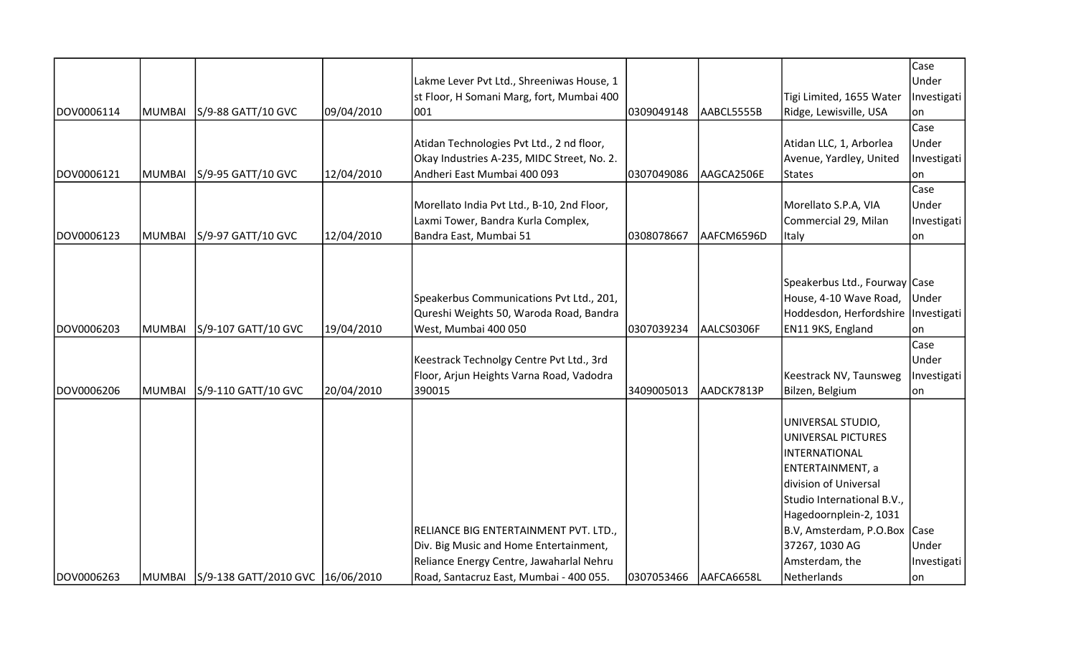|            |        |                                         |            |                                                                                        |            |            |                                       | Case<br>Under |
|------------|--------|-----------------------------------------|------------|----------------------------------------------------------------------------------------|------------|------------|---------------------------------------|---------------|
|            |        |                                         |            | Lakme Lever Pvt Ltd., Shreeniwas House, 1<br>st Floor, H Somani Marg, fort, Mumbai 400 |            |            | Tigi Limited, 1655 Water              | Investigati   |
| DOV0006114 | MUMBAI | S/9-88 GATT/10 GVC                      | 09/04/2010 | 001                                                                                    | 0309049148 | AABCL5555B | Ridge, Lewisville, USA                | on            |
|            |        |                                         |            |                                                                                        |            |            |                                       | Case          |
|            |        |                                         |            | Atidan Technologies Pvt Ltd., 2 nd floor,                                              |            |            | Atidan LLC, 1, Arborlea               | Under         |
|            |        |                                         |            | Okay Industries A-235, MIDC Street, No. 2.                                             |            |            | Avenue, Yardley, United               | Investigati   |
| DOV0006121 | MUMBAI | S/9-95 GATT/10 GVC                      | 12/04/2010 | Andheri East Mumbai 400 093                                                            | 0307049086 | AAGCA2506E | <b>States</b>                         | on            |
|            |        |                                         |            |                                                                                        |            |            |                                       | Case          |
|            |        |                                         |            | Morellato India Pvt Ltd., B-10, 2nd Floor,                                             |            |            | Morellato S.P.A, VIA                  | Under         |
|            |        |                                         |            | Laxmi Tower, Bandra Kurla Complex,                                                     |            |            | Commercial 29, Milan                  | Investigati   |
| DOV0006123 | MUMBAI | S/9-97 GATT/10 GVC                      | 12/04/2010 | Bandra East, Mumbai 51                                                                 | 0308078667 | AAFCM6596D | Italy                                 | lon           |
|            |        |                                         |            |                                                                                        |            |            |                                       |               |
|            |        |                                         |            |                                                                                        |            |            |                                       |               |
|            |        |                                         |            |                                                                                        |            |            | Speakerbus Ltd., Fourway Case         |               |
|            |        |                                         |            | Speakerbus Communications Pvt Ltd., 201,                                               |            |            | House, 4-10 Wave Road,                | Under         |
|            |        |                                         |            | Qureshi Weights 50, Waroda Road, Bandra                                                |            |            | Hoddesdon, Herfordshire   Investigati |               |
| DOV0006203 | MUMBAI | S/9-107 GATT/10 GVC                     | 19/04/2010 | West, Mumbai 400 050                                                                   | 0307039234 | AALCS0306F | EN11 9KS, England                     | lon           |
|            |        |                                         |            |                                                                                        |            |            |                                       | Case          |
|            |        |                                         |            | Keestrack Technolgy Centre Pvt Ltd., 3rd                                               |            |            |                                       | Under         |
|            |        |                                         |            | Floor, Arjun Heights Varna Road, Vadodra                                               |            |            | Keestrack NV, Taunsweg                | Investigati   |
| DOV0006206 | MUMBAI | S/9-110 GATT/10 GVC                     | 20/04/2010 | 390015                                                                                 | 3409005013 | AADCK7813P | Bilzen, Belgium                       | lon           |
|            |        |                                         |            |                                                                                        |            |            | UNIVERSAL STUDIO,                     |               |
|            |        |                                         |            |                                                                                        |            |            | UNIVERSAL PICTURES                    |               |
|            |        |                                         |            |                                                                                        |            |            | <b>INTERNATIONAL</b>                  |               |
|            |        |                                         |            |                                                                                        |            |            | ENTERTAINMENT, a                      |               |
|            |        |                                         |            |                                                                                        |            |            | division of Universal                 |               |
|            |        |                                         |            |                                                                                        |            |            | Studio International B.V.,            |               |
|            |        |                                         |            |                                                                                        |            |            | Hagedoornplein-2, 1031                |               |
|            |        |                                         |            | RELIANCE BIG ENTERTAINMENT PVT. LTD.,                                                  |            |            | B.V, Amsterdam, P.O.Box Case          |               |
|            |        |                                         |            | Div. Big Music and Home Entertainment,                                                 |            |            | 37267, 1030 AG                        | Under         |
|            |        |                                         |            | Reliance Energy Centre, Jawaharlal Nehru                                               |            |            | Amsterdam, the                        | Investigati   |
| DOV0006263 |        | MUMBAI S/9-138 GATT/2010 GVC 16/06/2010 |            | Road, Santacruz East, Mumbai - 400 055.                                                | 0307053466 | AAFCA6658L | Netherlands                           | on            |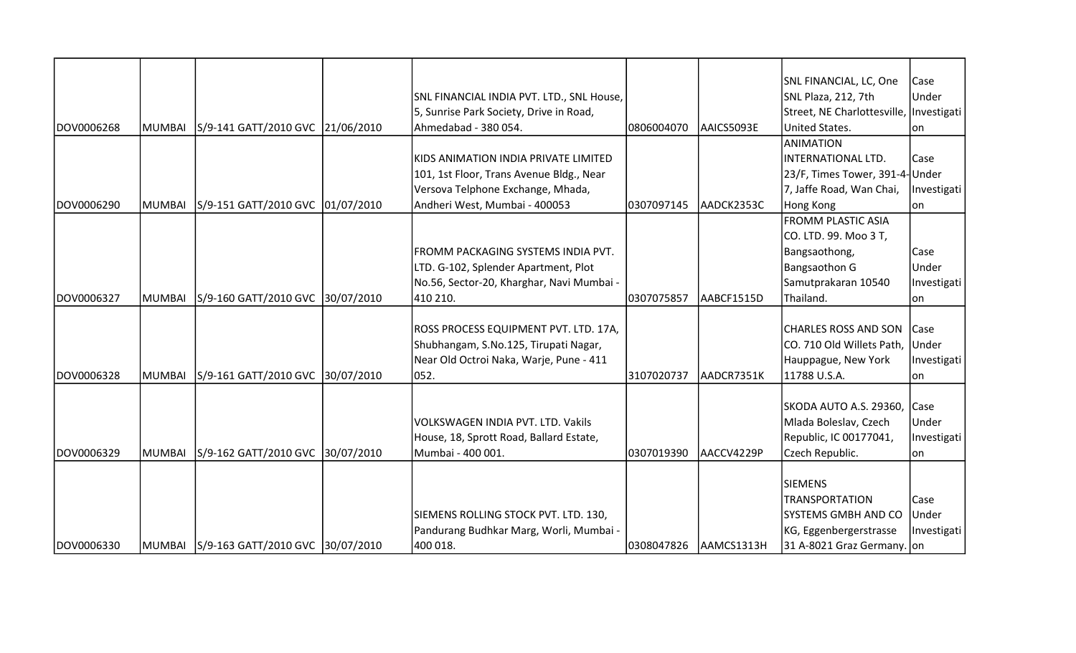|            |        |                                             |                                           |            |            | SNL FINANCIAL, LC, One                  | Case        |
|------------|--------|---------------------------------------------|-------------------------------------------|------------|------------|-----------------------------------------|-------------|
|            |        |                                             | SNL FINANCIAL INDIA PVT. LTD., SNL House, |            |            | SNL Plaza, 212, 7th                     | Under       |
|            |        |                                             | 5, Sunrise Park Society, Drive in Road,   |            |            | Street, NE Charlottesville, Investigati |             |
| DOV0006268 | MUMBAI | S/9-141 GATT/2010 GVC 21/06/2010            | Ahmedabad - 380 054.                      | 0806004070 | AAICS5093E | United States.                          | lon         |
|            |        |                                             |                                           |            |            | ANIMATION                               |             |
|            |        |                                             | KIDS ANIMATION INDIA PRIVATE LIMITED      |            |            | INTERNATIONAL LTD.                      | lCase       |
|            |        |                                             | 101, 1st Floor, Trans Avenue Bldg., Near  |            |            | 23/F, Times Tower, 391-4- Under         |             |
|            |        |                                             | Versova Telphone Exchange, Mhada,         |            |            | 7, Jaffe Road, Wan Chai,                | Investigati |
| DOV0006290 |        | MUMBAI   S/9-151 GATT/2010 GVC   01/07/2010 | Andheri West, Mumbai - 400053             | 0307097145 | AADCK2353C | Hong Kong                               | lon         |
|            |        |                                             |                                           |            |            | <b>FROMM PLASTIC ASIA</b>               |             |
|            |        |                                             |                                           |            |            | CO. LTD. 99. Moo 3 T,                   |             |
|            |        |                                             | FROMM PACKAGING SYSTEMS INDIA PVT.        |            |            | Bangsaothong,                           | Case        |
|            |        |                                             | LTD. G-102, Splender Apartment, Plot      |            |            | Bangsaothon G                           | Under       |
|            |        |                                             | No.56, Sector-20, Kharghar, Navi Mumbai - |            |            | Samutprakaran 10540                     | Investigati |
| DOV0006327 |        | MUMBAI S/9-160 GATT/2010 GVC 30/07/2010     | 410 210.                                  | 0307075857 | AABCF1515D | Thailand.                               | lon         |
|            |        |                                             |                                           |            |            |                                         |             |
|            |        |                                             | ROSS PROCESS EQUIPMENT PVT. LTD. 17A,     |            |            | <b>CHARLES ROSS AND SON</b>             | <b>Case</b> |
|            |        |                                             | Shubhangam, S.No.125, Tirupati Nagar,     |            |            | CO. 710 Old Willets Path, Under         |             |
|            |        |                                             | Near Old Octroi Naka, Warje, Pune - 411   |            |            | Hauppague, New York                     | Investigati |
| DOV0006328 | MUMBAI | S/9-161 GATT/2010 GVC 30/07/2010            | 052.                                      | 3107020737 | AADCR7351K | 11788 U.S.A.                            | lon         |
|            |        |                                             |                                           |            |            |                                         |             |
|            |        |                                             |                                           |            |            | SKODA AUTO A.S. 29360,                  | Case        |
|            |        |                                             | VOLKSWAGEN INDIA PVT. LTD. Vakils         |            |            | Mlada Boleslav, Czech                   | Under       |
|            |        |                                             | House, 18, Sprott Road, Ballard Estate,   |            |            | Republic, IC 00177041,                  | Investigati |
| DOV0006329 | MUMBAI | S/9-162 GATT/2010 GVC 30/07/2010            | Mumbai - 400 001.                         | 0307019390 | AACCV4229P | Czech Republic.                         | lon         |
|            |        |                                             |                                           |            |            |                                         |             |
|            |        |                                             |                                           |            |            | <b>SIEMENS</b>                          |             |
|            |        |                                             |                                           |            |            | <b>TRANSPORTATION</b>                   | Case        |
|            |        |                                             | SIEMENS ROLLING STOCK PVT. LTD. 130,      |            |            | SYSTEMS GMBH AND CO                     | Under       |
|            |        |                                             | Pandurang Budhkar Marg, Worli, Mumbai -   |            |            | KG, Eggenbergerstrasse                  | Investigati |
| DOV0006330 |        | MUMBAI S/9-163 GATT/2010 GVC 30/07/2010     | 400 018.                                  | 0308047826 | AAMCS1313H | 31 A-8021 Graz Germany. on              |             |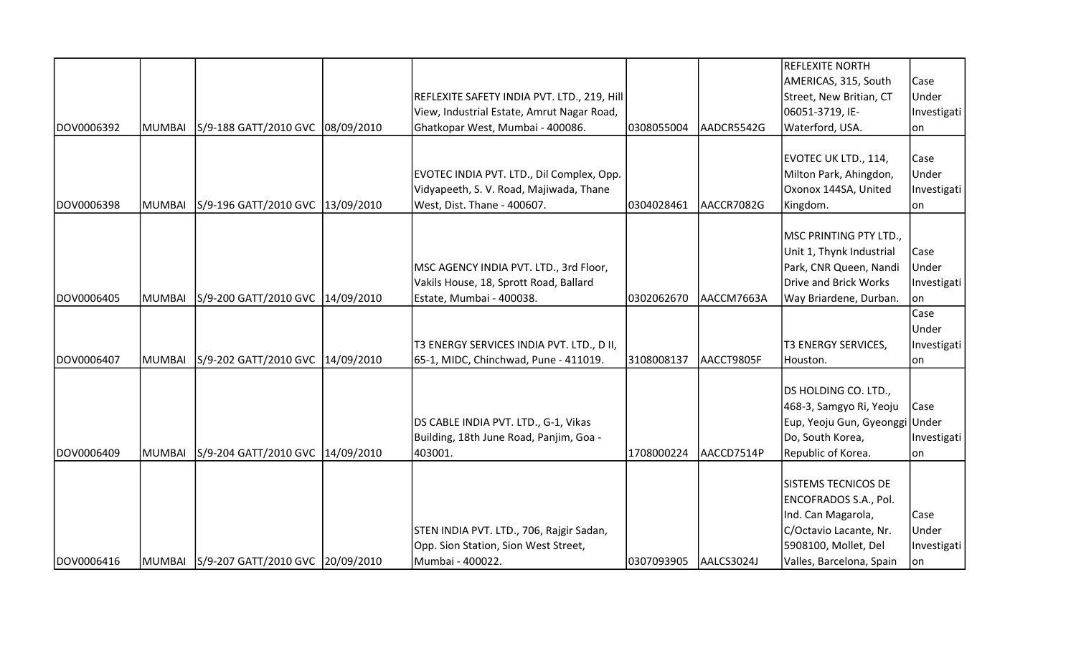|            |               |                                         |                                             |            |            | <b>REFLEXITE NORTH</b>         |             |
|------------|---------------|-----------------------------------------|---------------------------------------------|------------|------------|--------------------------------|-------------|
|            |               |                                         |                                             |            |            | AMERICAS, 315, South           | Case        |
|            |               |                                         | REFLEXITE SAFETY INDIA PVT. LTD., 219, Hill |            |            | Street, New Britian, CT        | Under       |
|            |               |                                         | View, Industrial Estate, Amrut Nagar Road,  |            |            | 06051-3719, IE-                | Investigati |
| DOV0006392 | <b>MUMBAI</b> | S/9-188 GATT/2010 GVC 08/09/2010        | Ghatkopar West, Mumbai - 400086.            | 0308055004 | AADCR5542G | Waterford, USA.                | on          |
|            |               |                                         |                                             |            |            |                                |             |
|            |               |                                         |                                             |            |            | EVOTEC UK LTD., 114,           | Case        |
|            |               |                                         | EVOTEC INDIA PVT. LTD., Dil Complex, Opp.   |            |            | Milton Park, Ahingdon,         | Under       |
|            |               |                                         | Vidyapeeth, S. V. Road, Majiwada, Thane     |            |            | Oxonox 144SA, United           | Investigati |
| DOV0006398 | MUMBAI        | S/9-196 GATT/2010 GVC 13/09/2010        | West, Dist. Thane - 400607.                 | 0304028461 | AACCR7082G | Kingdom.                       | on          |
|            |               |                                         |                                             |            |            |                                |             |
|            |               |                                         |                                             |            |            | MSC PRINTING PTY LTD.,         |             |
|            |               |                                         |                                             |            |            | Unit 1, Thynk Industrial       | Case        |
|            |               |                                         | MSC AGENCY INDIA PVT. LTD., 3rd Floor,      |            |            | Park, CNR Queen, Nandi         | Under       |
|            |               |                                         | Vakils House, 18, Sprott Road, Ballard      |            |            | Drive and Brick Works          | Investigati |
| DOV0006405 | <b>MUMBAI</b> | S/9-200 GATT/2010 GVC  14/09/2010       | Estate, Mumbai - 400038.                    | 0302062670 | AACCM7663A | Way Briardene, Durban.         | lon         |
|            |               |                                         |                                             |            |            |                                | Case        |
|            |               |                                         |                                             |            |            |                                | Under       |
|            |               |                                         | T3 ENERGY SERVICES INDIA PVT. LTD., D II,   |            |            | <b>T3 ENERGY SERVICES,</b>     | Investigati |
| DOV0006407 | <b>MUMBAI</b> | S/9-202 GATT/2010 GVC 14/09/2010        | 65-1, MIDC, Chinchwad, Pune - 411019.       | 3108008137 | AACCT9805F | Houston.                       | on          |
|            |               |                                         |                                             |            |            |                                |             |
|            |               |                                         |                                             |            |            | DS HOLDING CO. LTD.,           |             |
|            |               |                                         |                                             |            |            | 468-3, Samgyo Ri, Yeoju        | Case        |
|            |               |                                         | DS CABLE INDIA PVT. LTD., G-1, Vikas        |            |            | Eup, Yeoju Gun, Gyeonggi Under |             |
| DOV0006409 |               |                                         | Building, 18th June Road, Panjim, Goa -     | 1708000224 | AACCD7514P | Do, South Korea,               | Investigati |
|            | MUMBAI        | S/9-204 GATT/2010 GVC 14/09/2010        | 403001.                                     |            |            | Republic of Korea.             | on          |
|            |               |                                         |                                             |            |            | <b>SISTEMS TECNICOS DE</b>     |             |
|            |               |                                         |                                             |            |            | ENCOFRADOS S.A., Pol.          |             |
|            |               |                                         |                                             |            |            | Ind. Can Magarola,             | Case        |
|            |               |                                         | STEN INDIA PVT. LTD., 706, Rajgir Sadan,    |            |            | C/Octavio Lacante, Nr.         | Under       |
|            |               |                                         | Opp. Sion Station, Sion West Street,        |            |            | 5908100, Mollet, Del           | Investigati |
| DOV0006416 |               | MUMBAI S/9-207 GATT/2010 GVC 20/09/2010 | Mumbai - 400022.                            | 0307093905 | AALCS3024J | Valles, Barcelona, Spain       | lon         |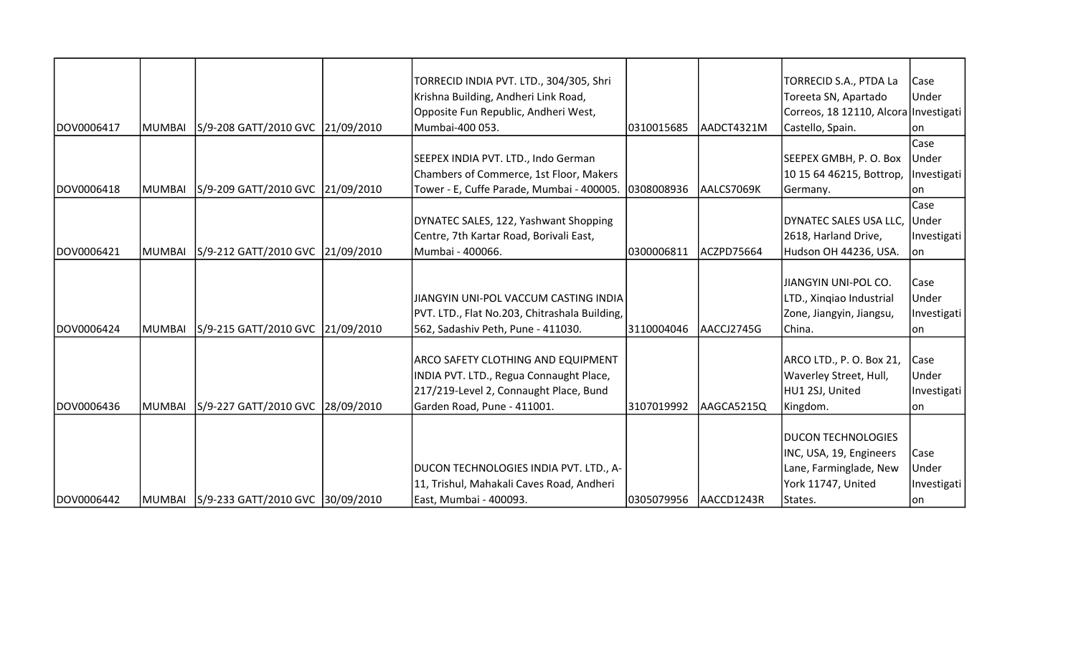|            |         |                                         | TORRECID INDIA PVT. LTD., 304/305, Shri       |            |            | TORRECID S.A., PTDA La                | Case        |
|------------|---------|-----------------------------------------|-----------------------------------------------|------------|------------|---------------------------------------|-------------|
|            |         |                                         | Krishna Building, Andheri Link Road,          |            |            | Toreeta SN, Apartado                  | Under       |
|            |         |                                         | Opposite Fun Republic, Andheri West,          |            |            | Correos, 18 12110, Alcora Investigati |             |
| DOV0006417 | MUMBAI  | S/9-208 GATT/2010 GVC 21/09/2010        | Mumbai-400 053.                               | 0310015685 | AADCT4321M | Castello, Spain.                      | lon         |
|            |         |                                         |                                               |            |            |                                       | Case        |
|            |         |                                         | SEEPEX INDIA PVT. LTD., Indo German           |            |            | SEEPEX GMBH, P. O. Box                | Under       |
|            |         |                                         | Chambers of Commerce, 1st Floor, Makers       |            |            | 10 15 64 46215, Bottrop,              | Investigati |
| DOV0006418 |         | MUMBAI S/9-209 GATT/2010 GVC 21/09/2010 | Tower - E, Cuffe Parade, Mumbai - 400005      | 0308008936 | AALCS7069K | Germany.                              | lon         |
|            |         |                                         |                                               |            |            |                                       | Case        |
|            |         |                                         | DYNATEC SALES, 122, Yashwant Shopping         |            |            | DYNATEC SALES USA LLC,                | Under       |
|            |         |                                         | Centre, 7th Kartar Road, Borivali East,       |            |            | 2618, Harland Drive,                  | Investigati |
| DOV0006421 | MUMBAI  | S/9-212 GATT/2010 GVC 21/09/2010        | Mumbai - 400066.                              | 0300006811 | ACZPD75664 | Hudson OH 44236, USA.                 | on          |
|            |         |                                         |                                               |            |            |                                       |             |
|            |         |                                         |                                               |            |            | JIANGYIN UNI-POL CO.                  | Case        |
|            |         |                                         | JIANGYIN UNI-POL VACCUM CASTING INDIA         |            |            | LTD., Xinqiao Industrial              | Under       |
|            |         |                                         | PVT. LTD., Flat No.203, Chitrashala Building, |            |            | Zone, Jiangyin, Jiangsu,              | Investigati |
| DOV0006424 | IMUMBAI | S/9-215 GATT/2010 GVC 21/09/2010        | 562, Sadashiv Peth, Pune - 411030.            | 3110004046 | AACCJ2745G | IChina.                               | lon         |
|            |         |                                         |                                               |            |            |                                       |             |
|            |         |                                         | <b>ARCO SAFETY CLOTHING AND EQUIPMENT</b>     |            |            | ARCO LTD., P. O. Box 21,              | Case        |
|            |         |                                         | INDIA PVT. LTD., Regua Connaught Place,       |            |            | Waverley Street, Hull,                | Under       |
|            |         |                                         | 217/219-Level 2, Connaught Place, Bund        |            |            | HU1 2SJ, United                       | Investigati |
| DOV0006436 |         | MUMBAI S/9-227 GATT/2010 GVC 28/09/2010 | Garden Road, Pune - 411001.                   | 3107019992 | AAGCA5215Q | Kingdom.                              | lon         |
|            |         |                                         |                                               |            |            |                                       |             |
|            |         |                                         |                                               |            |            | <b>DUCON TECHNOLOGIES</b>             |             |
|            |         |                                         |                                               |            |            | INC, USA, 19, Engineers               | Case        |
|            |         |                                         | DUCON TECHNOLOGIES INDIA PVT. LTD., A-        |            |            | Lane, Farminglade, New                | Under       |
|            |         |                                         | 11, Trishul, Mahakali Caves Road, Andheri     |            |            | York 11747, United                    | Investigati |
| DOV0006442 |         | MUMBAI S/9-233 GATT/2010 GVC 30/09/2010 | East, Mumbai - 400093.                        | 0305079956 | AACCD1243R | States.                               | on          |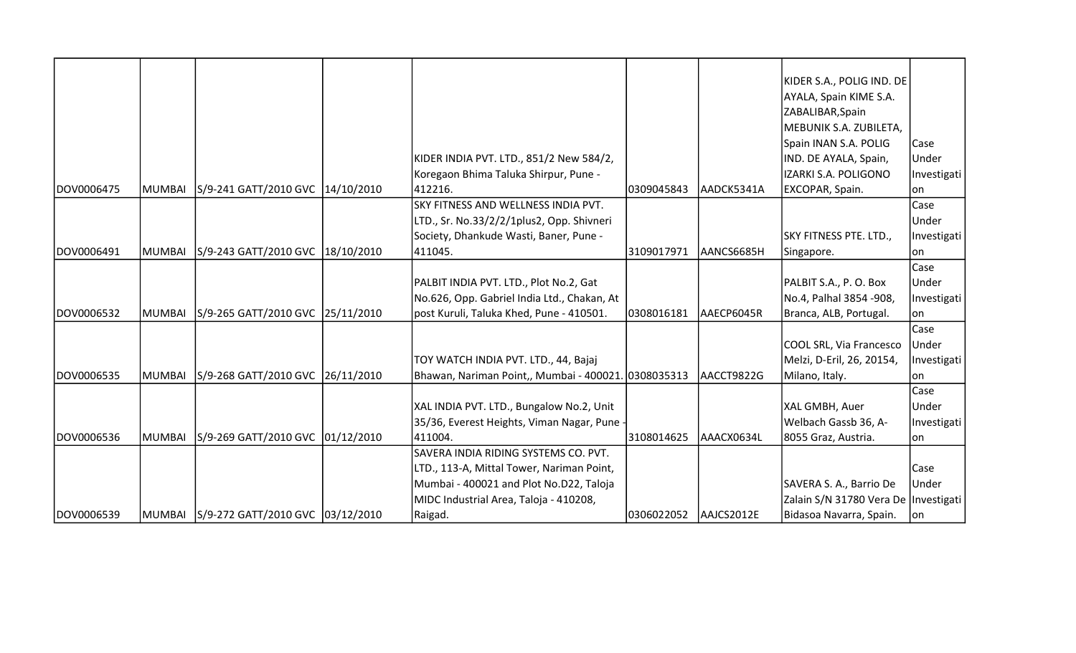|            |               |                                           |                                             |              |            | KIDER S.A., POLIG IND. DE            |             |
|------------|---------------|-------------------------------------------|---------------------------------------------|--------------|------------|--------------------------------------|-------------|
|            |               |                                           |                                             |              |            | AYALA, Spain KIME S.A.               |             |
|            |               |                                           |                                             |              |            | ZABALIBAR, Spain                     |             |
|            |               |                                           |                                             |              |            | MEBUNIK S.A. ZUBILETA,               |             |
|            |               |                                           |                                             |              |            |                                      |             |
|            |               |                                           |                                             |              |            | Spain INAN S.A. POLIG                | Case        |
|            |               |                                           | KIDER INDIA PVT. LTD., 851/2 New 584/2,     |              |            | IND. DE AYALA, Spain,                | Under       |
|            |               |                                           | Koregaon Bhima Taluka Shirpur, Pune -       |              |            | IZARKI S.A. POLIGONO                 | Investigati |
| DOV0006475 | MUMBAI        | S/9-241 GATT/2010 GVC 14/10/2010          | 412216.                                     | 0309045843   | AADCK5341A | EXCOPAR, Spain.                      | on          |
|            |               |                                           | SKY FITNESS AND WELLNESS INDIA PVT.         |              |            |                                      | Case        |
|            |               |                                           | LTD., Sr. No.33/2/2/1plus2, Opp. Shivneri   |              |            |                                      | Under       |
|            |               |                                           | Society, Dhankude Wasti, Baner, Pune -      |              |            | SKY FITNESS PTE. LTD.,               | Investigati |
| DOV0006491 | MUMBAI        | S/9-243 GATT/2010 GVC 18/10/2010          | 411045.                                     | 3109017971   | AANCS6685H | Singapore.                           | lon.        |
|            |               |                                           |                                             |              |            |                                      | Case        |
|            |               |                                           | PALBIT INDIA PVT. LTD., Plot No.2, Gat      |              |            | PALBIT S.A., P. O. Box               | Under       |
|            |               |                                           | No.626, Opp. Gabriel India Ltd., Chakan, At |              |            | No.4, Palhal 3854 -908,              | Investigati |
| DOV0006532 | MUMBAI        | S/9-265 GATT/2010 GVC 25/11/2010          | post Kuruli, Taluka Khed, Pune - 410501.    | 0308016181   | AAECP6045R | Branca, ALB, Portugal.               | lon         |
|            |               |                                           |                                             |              |            |                                      | Case        |
|            |               |                                           |                                             |              |            | COOL SRL, Via Francesco              | Under       |
|            |               |                                           | TOY WATCH INDIA PVT. LTD., 44, Bajaj        |              |            | Melzi, D-Eril, 26, 20154,            | Investigati |
| DOV0006535 | <b>MUMBAI</b> | S/9-268 GATT/2010 GVC 26/11/2010          | Bhawan, Nariman Point,, Mumbai - 400021     | . 0308035313 | AACCT9822G | Milano, Italy.                       | lon         |
|            |               |                                           |                                             |              |            |                                      | Case        |
|            |               |                                           | XAL INDIA PVT. LTD., Bungalow No.2, Unit    |              |            | XAL GMBH, Auer                       | Under       |
|            |               |                                           | 35/36, Everest Heights, Viman Nagar, Pune - |              |            | Welbach Gassb 36, A-                 | Investigati |
| DOV0006536 | <b>MUMBAI</b> | S/9-269 GATT/2010 GVC 01/12/2010          | 411004.                                     | 3108014625   | AAACX0634L | 8055 Graz, Austria.                  | lon         |
|            |               |                                           | SAVERA INDIA RIDING SYSTEMS CO. PVT.        |              |            |                                      |             |
|            |               |                                           | LTD., 113-A, Mittal Tower, Nariman Point,   |              |            |                                      | Case        |
|            |               |                                           | Mumbai - 400021 and Plot No.D22, Taloja     |              |            | SAVERA S. A., Barrio De              | Under       |
|            |               |                                           | MIDC Industrial Area, Taloja - 410208,      |              |            | Zalain S/N 31780 Vera De Investigati |             |
| DOV0006539 |               | MUMBAI  S/9-272 GATT/2010 GVC  03/12/2010 | Raigad.                                     | 0306022052   | AAJCS2012E | Bidasoa Navarra, Spain.              | on          |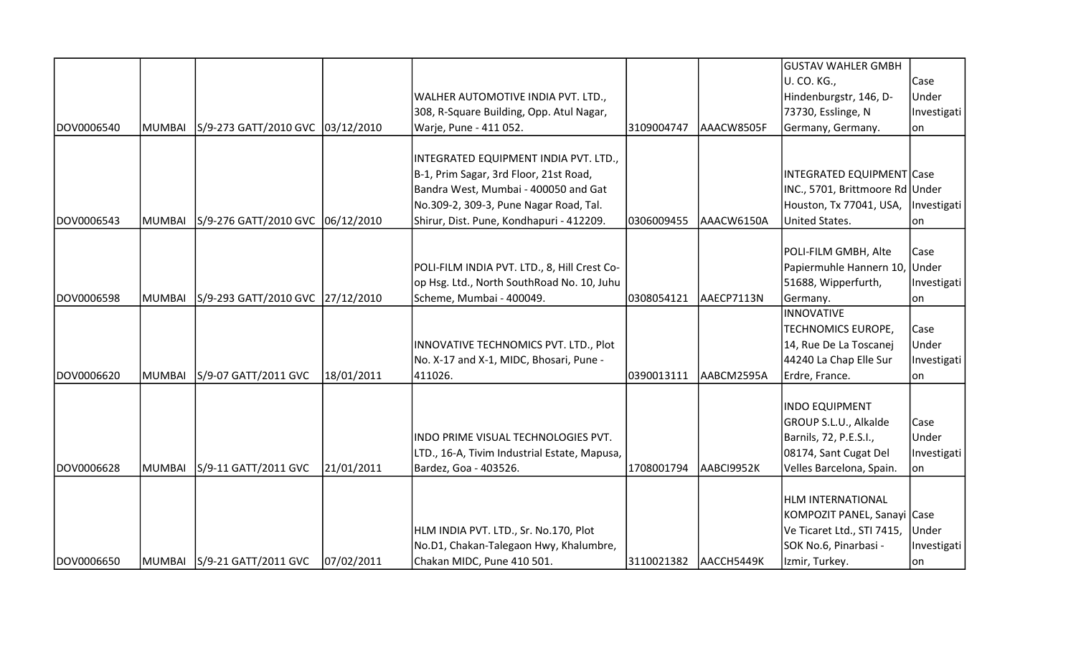|            |               |                                  |            |                                              |            |            | <b>GUSTAV WAHLER GMBH</b>            |             |
|------------|---------------|----------------------------------|------------|----------------------------------------------|------------|------------|--------------------------------------|-------------|
|            |               |                                  |            |                                              |            |            | U. CO. KG.,                          | Case        |
|            |               |                                  |            | WALHER AUTOMOTIVE INDIA PVT. LTD.,           |            |            | Hindenburgstr, 146, D-               | Under       |
|            |               |                                  |            | 308, R-Square Building, Opp. Atul Nagar,     |            |            | 73730, Esslinge, N                   | Investigati |
| DOV0006540 | <b>MUMBAI</b> | S/9-273 GATT/2010 GVC 03/12/2010 |            | Warje, Pune - 411 052.                       | 3109004747 | AAACW8505F | Germany, Germany.                    | lon         |
|            |               |                                  |            | INTEGRATED EQUIPMENT INDIA PVT. LTD.,        |            |            |                                      |             |
|            |               |                                  |            | B-1, Prim Sagar, 3rd Floor, 21st Road,       |            |            | INTEGRATED EQUIPMENT Case            |             |
|            |               |                                  |            | Bandra West, Mumbai - 400050 and Gat         |            |            | INC., 5701, Brittmoore Rd Under      |             |
|            |               |                                  |            | No.309-2, 309-3, Pune Nagar Road, Tal.       |            |            | Houston, Tx 77041, USA,  Investigati |             |
| DOV0006543 | <b>MUMBAI</b> | S/9-276 GATT/2010 GVC 06/12/2010 |            | Shirur, Dist. Pune, Kondhapuri - 412209.     | 0306009455 | AAACW6150A | United States.                       | on          |
|            |               |                                  |            |                                              |            |            | POLI-FILM GMBH, Alte                 | Case        |
|            |               |                                  |            | POLI-FILM INDIA PVT. LTD., 8, Hill Crest Co- |            |            | Papiermuhle Hannern 10, Under        |             |
|            |               |                                  |            | op Hsg. Ltd., North SouthRoad No. 10, Juhu   |            |            | 51688, Wipperfurth,                  | Investigati |
| DOV0006598 | <b>MUMBAI</b> | S/9-293 GATT/2010 GVC 27/12/2010 |            | Scheme, Mumbai - 400049.                     | 0308054121 | AAECP7113N | Germany.                             | lon         |
|            |               |                                  |            |                                              |            |            | <b>INNOVATIVE</b>                    |             |
|            |               |                                  |            |                                              |            |            | TECHNOMICS EUROPE,                   | Case        |
|            |               |                                  |            | INNOVATIVE TECHNOMICS PVT. LTD., Plot        |            |            | 14, Rue De La Toscanej               | Under       |
|            |               |                                  |            | No. X-17 and X-1, MIDC, Bhosari, Pune -      |            |            | 44240 La Chap Elle Sur               | Investigati |
| DOV0006620 | <b>MUMBAI</b> | S/9-07 GATT/2011 GVC             | 18/01/2011 | 411026.                                      | 0390013111 | AABCM2595A | Erdre, France.                       | lon         |
|            |               |                                  |            |                                              |            |            | <b>INDO EQUIPMENT</b>                |             |
|            |               |                                  |            |                                              |            |            | GROUP S.L.U., Alkalde                | Case        |
|            |               |                                  |            | INDO PRIME VISUAL TECHNOLOGIES PVT.          |            |            | Barnils, 72, P.E.S.I.,               | Under       |
|            |               |                                  |            | LTD., 16-A, Tivim Industrial Estate, Mapusa, |            |            | 08174, Sant Cugat Del                | Investigati |
| DOV0006628 | <b>MUMBAI</b> | S/9-11 GATT/2011 GVC             | 21/01/2011 | Bardez, Goa - 403526.                        | 1708001794 | AABCI9952K | Velles Barcelona, Spain.             | lon         |
|            |               |                                  |            |                                              |            |            | <b>HLM INTERNATIONAL</b>             |             |
|            |               |                                  |            |                                              |            |            | KOMPOZIT PANEL, Sanayi Case          |             |
|            |               |                                  |            | HLM INDIA PVT. LTD., Sr. No.170, Plot        |            |            | Ve Ticaret Ltd., STI 7415,           | Under       |
|            |               |                                  |            | No.D1, Chakan-Talegaon Hwy, Khalumbre,       |            |            | SOK No.6, Pinarbasi -                | Investigati |
| DOV0006650 |               | MUMBAI   S/9-21 GATT/2011 GVC    | 07/02/2011 | Chakan MIDC, Pune 410 501.                   | 3110021382 | AACCH5449K | Izmir, Turkey.                       | on          |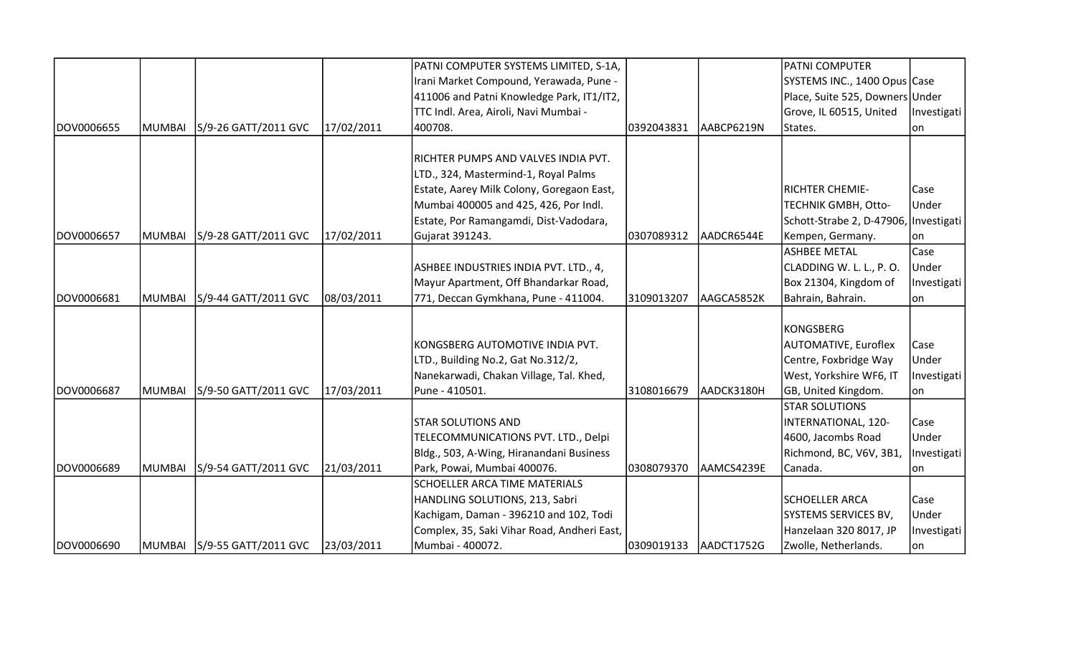|            |               |                             |            | PATNI COMPUTER SYSTEMS LIMITED, S-1A,       |            |            | <b>PATNI COMPUTER</b>                 |             |
|------------|---------------|-----------------------------|------------|---------------------------------------------|------------|------------|---------------------------------------|-------------|
|            |               |                             |            | Irani Market Compound, Yerawada, Pune -     |            |            | SYSTEMS INC., 1400 Opus Case          |             |
|            |               |                             |            | 411006 and Patni Knowledge Park, IT1/IT2,   |            |            | Place, Suite 525, Downers Under       |             |
|            |               |                             |            | TTC Indl. Area, Airoli, Navi Mumbai -       |            |            | Grove, IL 60515, United               | Investigati |
| DOV0006655 | MUMBAI        | S/9-26 GATT/2011 GVC        | 17/02/2011 | 400708.                                     | 0392043831 | AABCP6219N | States.                               | on          |
|            |               |                             |            |                                             |            |            |                                       |             |
|            |               |                             |            | RICHTER PUMPS AND VALVES INDIA PVT.         |            |            |                                       |             |
|            |               |                             |            | LTD., 324, Mastermind-1, Royal Palms        |            |            |                                       |             |
|            |               |                             |            | Estate, Aarey Milk Colony, Goregaon East,   |            |            | <b>RICHTER CHEMIE-</b>                | Case        |
|            |               |                             |            | Mumbai 400005 and 425, 426, Por Indl.       |            |            | TECHNIK GMBH, Otto-                   | Under       |
|            |               |                             |            | Estate, Por Ramangamdi, Dist-Vadodara,      |            |            | Schott-Strabe 2, D-47906, Investigati |             |
| DOV0006657 | MUMBAI        | S/9-28 GATT/2011 GVC        | 17/02/2011 | Gujarat 391243.                             | 0307089312 | AADCR6544E | Kempen, Germany.                      | lon         |
|            |               |                             |            |                                             |            |            | <b>ASHBEE METAL</b>                   | Case        |
|            |               |                             |            | ASHBEE INDUSTRIES INDIA PVT. LTD., 4,       |            |            | CLADDING W. L. L., P. O.              | Under       |
|            |               |                             |            | Mayur Apartment, Off Bhandarkar Road,       |            |            | Box 21304, Kingdom of                 | Investigati |
| DOV0006681 | <b>MUMBAI</b> | S/9-44 GATT/2011 GVC        | 08/03/2011 | 771, Deccan Gymkhana, Pune - 411004.        | 3109013207 | AAGCA5852K | Bahrain, Bahrain.                     | on          |
|            |               |                             |            |                                             |            |            |                                       |             |
|            |               |                             |            |                                             |            |            | KONGSBERG                             |             |
|            |               |                             |            | KONGSBERG AUTOMOTIVE INDIA PVT.             |            |            | <b>AUTOMATIVE, Euroflex</b>           | Case        |
|            |               |                             |            | LTD., Building No.2, Gat No.312/2,          |            |            | Centre, Foxbridge Way                 | Under       |
|            |               |                             |            | Nanekarwadi, Chakan Village, Tal. Khed,     |            |            | West, Yorkshire WF6, IT               | Investigati |
| DOV0006687 | <b>MUMBAI</b> | S/9-50 GATT/2011 GVC        | 17/03/2011 | Pune - 410501.                              | 3108016679 | AADCK3180H | GB, United Kingdom.                   | on          |
|            |               |                             |            |                                             |            |            | <b>STAR SOLUTIONS</b>                 |             |
|            |               |                             |            | <b>STAR SOLUTIONS AND</b>                   |            |            | INTERNATIONAL, 120-                   | Case        |
|            |               |                             |            | TELECOMMUNICATIONS PVT. LTD., Delpi         |            |            | 4600, Jacombs Road                    | Under       |
|            |               |                             |            | Bldg., 503, A-Wing, Hiranandani Business    |            |            | Richmond, BC, V6V, 3B1,               | Investigati |
| DOV0006689 | MUMBAI        | S/9-54 GATT/2011 GVC        | 21/03/2011 | Park, Powai, Mumbai 400076.                 | 0308079370 | AAMCS4239E | Canada.                               | on          |
|            |               |                             |            | SCHOELLER ARCA TIME MATERIALS               |            |            |                                       |             |
|            |               |                             |            | HANDLING SOLUTIONS, 213, Sabri              |            |            | <b>SCHOELLER ARCA</b>                 | Case        |
|            |               |                             |            | Kachigam, Daman - 396210 and 102, Todi      |            |            | SYSTEMS SERVICES BV,                  | Under       |
|            |               |                             |            | Complex, 35, Saki Vihar Road, Andheri East, |            |            | Hanzelaan 320 8017, JP                | Investigati |
| DOV0006690 |               | MUMBAI S/9-55 GATT/2011 GVC | 23/03/2011 | Mumbai - 400072.                            | 0309019133 | AADCT1752G | Zwolle, Netherlands.                  | on          |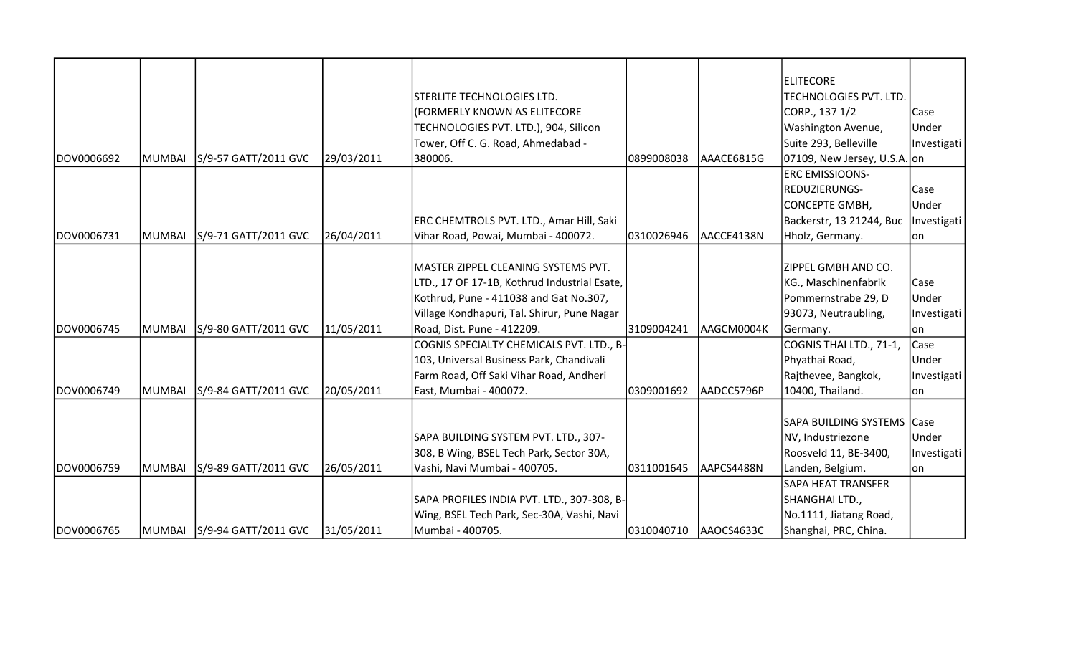|            |        |                             |            |                                              |            |            | <b>ELITECORE</b>             |             |
|------------|--------|-----------------------------|------------|----------------------------------------------|------------|------------|------------------------------|-------------|
|            |        |                             |            | STERLITE TECHNOLOGIES LTD.                   |            |            | TECHNOLOGIES PVT. LTD.       |             |
|            |        |                             |            | (FORMERLY KNOWN AS ELITECORE                 |            |            | CORP., 137 1/2               | Case        |
|            |        |                             |            | TECHNOLOGIES PVT. LTD.), 904, Silicon        |            |            | Washington Avenue,           | Under       |
|            |        |                             |            | Tower, Off C. G. Road, Ahmedabad -           |            |            | Suite 293, Belleville        | Investigati |
| DOV0006692 | MUMBAI | S/9-57 GATT/2011 GVC        | 29/03/2011 | 380006.                                      | 0899008038 | AAACE6815G | 07109, New Jersey, U.S.A. on |             |
|            |        |                             |            |                                              |            |            | <b>ERC EMISSIOONS-</b>       |             |
|            |        |                             |            |                                              |            |            | REDUZIERUNGS-                | Case        |
|            |        |                             |            |                                              |            |            | <b>CONCEPTE GMBH,</b>        | Under       |
|            |        |                             |            | ERC CHEMTROLS PVT. LTD., Amar Hill, Saki     |            |            | Backerstr, 13 21244, Buc     | Investigati |
| DOV0006731 | MUMBAI | S/9-71 GATT/2011 GVC        | 26/04/2011 | Vihar Road, Powai, Mumbai - 400072.          | 0310026946 | AACCE4138N | Hholz, Germany.              | lon         |
|            |        |                             |            |                                              |            |            |                              |             |
|            |        |                             |            | MASTER ZIPPEL CLEANING SYSTEMS PVT.          |            |            | ZIPPEL GMBH AND CO.          |             |
|            |        |                             |            | LTD., 17 OF 17-1B, Kothrud Industrial Esate, |            |            | KG., Maschinenfabrik         | Case        |
|            |        |                             |            | Kothrud, Pune - 411038 and Gat No.307,       |            |            | Pommernstrabe 29, D          | Under       |
|            |        |                             |            | Village Kondhapuri, Tal. Shirur, Pune Nagar  |            |            | 93073, Neutraubling,         | Investigati |
| DOV0006745 | MUMBAI | S/9-80 GATT/2011 GVC        | 11/05/2011 | Road, Dist. Pune - 412209.                   | 3109004241 | AAGCM0004K | Germany.                     | lon         |
|            |        |                             |            | COGNIS SPECIALTY CHEMICALS PVT. LTD., B-     |            |            | COGNIS THAI LTD., 71-1,      | Case        |
|            |        |                             |            | 103, Universal Business Park, Chandivali     |            |            | Phyathai Road,               | Under       |
|            |        |                             |            | Farm Road, Off Saki Vihar Road, Andheri      |            |            | Rajthevee, Bangkok,          | Investigati |
| DOV0006749 | MUMBAI | S/9-84 GATT/2011 GVC        | 20/05/2011 | East, Mumbai - 400072.                       | 0309001692 | AADCC5796P | 10400, Thailand.             | lon         |
|            |        |                             |            |                                              |            |            |                              |             |
|            |        |                             |            |                                              |            |            | SAPA BUILDING SYSTEMS Case   |             |
|            |        |                             |            | SAPA BUILDING SYSTEM PVT. LTD., 307-         |            |            | NV, Industriezone            | Under       |
|            |        |                             |            | 308, B Wing, BSEL Tech Park, Sector 30A,     |            |            | Roosveld 11, BE-3400,        | Investigati |
| DOV0006759 | MUMBAI | S/9-89 GATT/2011 GVC        | 26/05/2011 | Vashi, Navi Mumbai - 400705.                 | 0311001645 | AAPCS4488N | Landen, Belgium.             | lon         |
|            |        |                             |            |                                              |            |            | SAPA HEAT TRANSFER           |             |
|            |        |                             |            | SAPA PROFILES INDIA PVT. LTD., 307-308, B-   |            |            | SHANGHAI LTD.,               |             |
|            |        |                             |            | Wing, BSEL Tech Park, Sec-30A, Vashi, Navi   |            |            | No.1111, Jiatang Road,       |             |
| DOV0006765 |        | MUMBAI S/9-94 GATT/2011 GVC | 31/05/2011 | Mumbai - 400705.                             | 0310040710 | AAOCS4633C | Shanghai, PRC, China.        |             |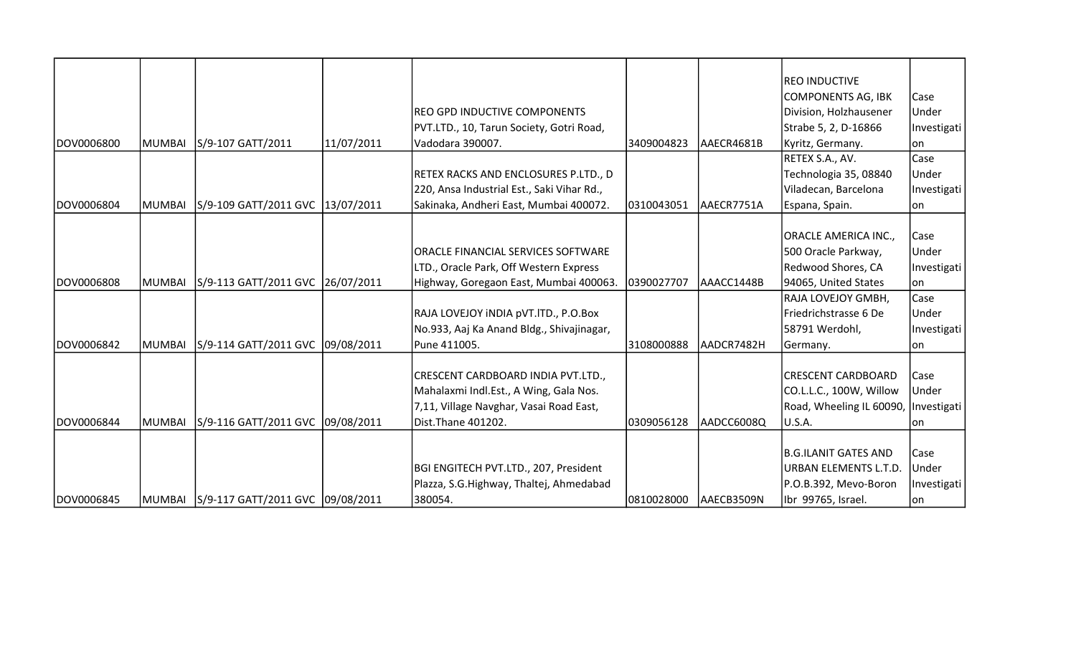|            |               |                                         |            |                                            |            |            | <b>REO INDUCTIVE</b>                 |             |
|------------|---------------|-----------------------------------------|------------|--------------------------------------------|------------|------------|--------------------------------------|-------------|
|            |               |                                         |            |                                            |            |            | COMPONENTS AG, IBK                   | Case        |
|            |               |                                         |            | REO GPD INDUCTIVE COMPONENTS               |            |            | Division, Holzhausener               | Under       |
|            |               |                                         |            | PVT.LTD., 10, Tarun Society, Gotri Road,   |            |            | Strabe 5, 2, D-16866                 | Investigati |
| DOV0006800 | MUMBAI        | S/9-107 GATT/2011                       | 11/07/2011 | Vadodara 390007.                           | 3409004823 | AAECR4681B | Kyritz, Germany.                     | lon         |
|            |               |                                         |            |                                            |            |            | RETEX S.A., AV.                      | Case        |
|            |               |                                         |            | RETEX RACKS AND ENCLOSURES P.LTD., D       |            |            | Technologia 35, 08840                | Under       |
|            |               |                                         |            | 220, Ansa Industrial Est., Saki Vihar Rd., |            |            | Viladecan, Barcelona                 | Investigati |
| DOV0006804 | <b>MUMBAI</b> | S/9-109 GATT/2011 GVC 13/07/2011        |            | Sakinaka, Andheri East, Mumbai 400072.     | 0310043051 | AAECR7751A | Espana, Spain.                       | lon         |
|            |               |                                         |            |                                            |            |            |                                      |             |
|            |               |                                         |            |                                            |            |            | ORACLE AMERICA INC.,                 | Case        |
|            |               |                                         |            | ORACLE FINANCIAL SERVICES SOFTWARE         |            |            | 500 Oracle Parkway,                  | Under       |
|            |               |                                         |            | LTD., Oracle Park, Off Western Express     |            |            | Redwood Shores, CA                   | Investigati |
| DOV0006808 | MUMBAI        | S/9-113 GATT/2011 GVC 26/07/2011        |            | Highway, Goregaon East, Mumbai 400063.     | 0390027707 | AAACC1448B | 94065, United States                 | on          |
|            |               |                                         |            |                                            |            |            | RAJA LOVEJOY GMBH,                   | Case        |
|            |               |                                         |            | RAJA LOVEJOY INDIA pVT. ITD., P.O.Box      |            |            | Friedrichstrasse 6 De                | Under       |
|            |               |                                         |            | No.933, Aaj Ka Anand Bldg., Shivajinagar,  |            |            | 58791 Werdohl,                       | Investigati |
| DOV0006842 | MUMBAI        | S/9-114 GATT/2011 GVC 09/08/2011        |            | Pune 411005.                               | 3108000888 | AADCR7482H | Germany.                             | lon         |
|            |               |                                         |            |                                            |            |            |                                      |             |
|            |               |                                         |            | CRESCENT CARDBOARD INDIA PVT.LTD.,         |            |            | <b>CRESCENT CARDBOARD</b>            | Case        |
|            |               |                                         |            | Mahalaxmi Indl.Est., A Wing, Gala Nos.     |            |            | CO.L.L.C., 100W, Willow              | Under       |
|            |               |                                         |            | 7,11, Village Navghar, Vasai Road East,    |            |            | Road, Wheeling IL 60090, Investigati |             |
| DOV0006844 | MUMBAI        | S/9-116 GATT/2011 GVC 09/08/2011        |            | Dist. Thane 401202.                        | 0309056128 | AADCC6008Q | U.S.A.                               | 1on         |
|            |               |                                         |            |                                            |            |            |                                      |             |
|            |               |                                         |            |                                            |            |            | <b>B.G.ILANIT GATES AND</b>          | Case        |
|            |               |                                         |            | BGI ENGITECH PVT.LTD., 207, President      |            |            | URBAN ELEMENTS L.T.D.                | Under       |
|            |               |                                         |            | Plazza, S.G.Highway, Thaltej, Ahmedabad    |            |            | P.O.B.392, Mevo-Boron                | Investigati |
| DOV0006845 |               | MUMBAI S/9-117 GATT/2011 GVC 09/08/2011 |            | 380054.                                    | 0810028000 | AAECB3509N | Ibr 99765, Israel.                   | lon         |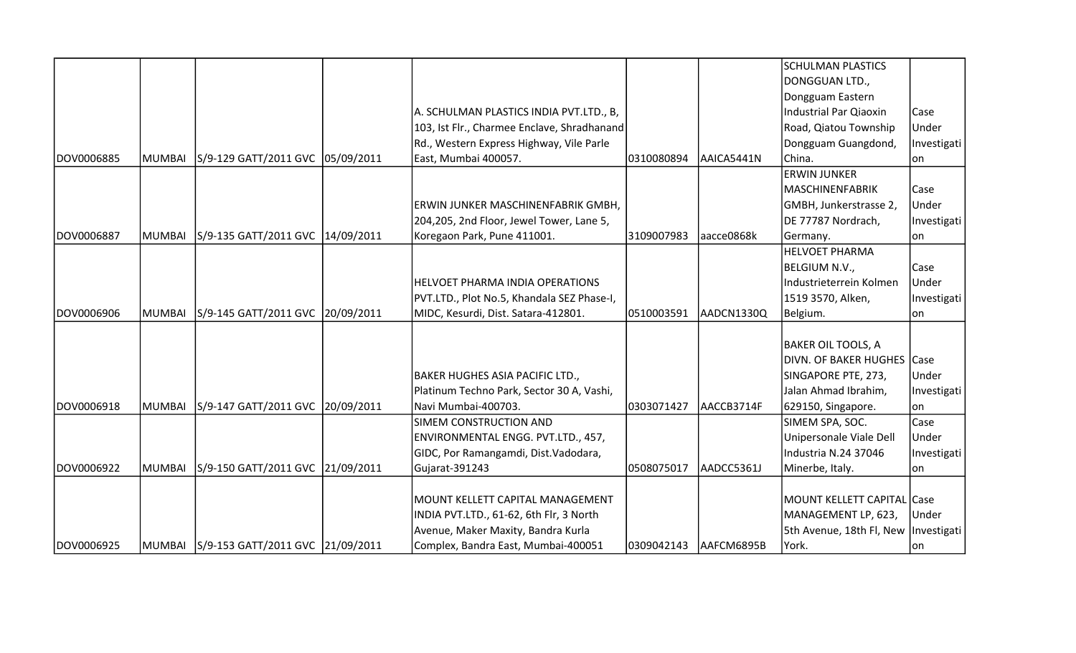|             |        |                                    |                                             |            |             | <b>SCHULMAN PLASTICS</b>               |             |
|-------------|--------|------------------------------------|---------------------------------------------|------------|-------------|----------------------------------------|-------------|
|             |        |                                    |                                             |            |             | DONGGUAN LTD.,                         |             |
|             |        |                                    |                                             |            |             | Dongguam Eastern                       |             |
|             |        |                                    | A. SCHULMAN PLASTICS INDIA PVT.LTD., B,     |            |             | <b>Industrial Par Qiaoxin</b>          | Case        |
|             |        |                                    | 103, Ist Flr., Charmee Enclave, Shradhanand |            |             | Road, Qiatou Township                  | Under       |
|             |        |                                    | Rd., Western Express Highway, Vile Parle    |            |             | Dongguam Guangdond,                    | Investigati |
| IDOV0006885 | MUMBAI | S/9-129 GATT/2011 GVC  05/09/2011  | East, Mumbai 400057.                        | 0310080894 | AAICA5441N  | China.                                 | lon         |
|             |        |                                    |                                             |            |             | <b>ERWIN JUNKER</b>                    |             |
|             |        |                                    |                                             |            |             | <b>MASCHINENFABRIK</b>                 | Case        |
|             |        |                                    | ERWIN JUNKER MASCHINENFABRIK GMBH,          |            |             | GMBH, Junkerstrasse 2,                 | Under       |
|             |        |                                    | 204,205, 2nd Floor, Jewel Tower, Lane 5,    |            |             | DE 77787 Nordrach,                     | Investigati |
| IDOV0006887 | MUMBAI | S/9-135 GATT/2011 GVC   14/09/2011 | Koregaon Park, Pune 411001.                 | 3109007983 | laacce0868k | Germany.                               | lon         |
|             |        |                                    |                                             |            |             | <b>HELVOET PHARMA</b>                  |             |
|             |        |                                    |                                             |            |             | BELGIUM N.V.,                          | Case        |
|             |        |                                    | <b>HELVOET PHARMA INDIA OPERATIONS</b>      |            |             | Industrieterrein Kolmen                | Under       |
|             |        |                                    | PVT.LTD., Plot No.5, Khandala SEZ Phase-I,  |            |             | 1519 3570, Alken,                      | Investigati |
| DOV0006906  | MUMBAI | S/9-145 GATT/2011 GVC 20/09/2011   | MIDC, Kesurdi, Dist. Satara-412801.         | 0510003591 | AADCN1330Q  | Belgium.                               | on          |
|             |        |                                    |                                             |            |             |                                        |             |
|             |        |                                    |                                             |            |             | <b>BAKER OIL TOOLS, A</b>              |             |
|             |        |                                    |                                             |            |             | DIVN. OF BAKER HUGHES Case             |             |
|             |        |                                    | BAKER HUGHES ASIA PACIFIC LTD.,             |            |             | SINGAPORE PTE, 273,                    | Under       |
|             |        |                                    | Platinum Techno Park, Sector 30 A, Vashi,   |            |             | Jalan Ahmad Ibrahim,                   | Investigati |
| DOV0006918  | MUMBAI | S/9-147 GATT/2011 GVC 20/09/2011   | Navi Mumbai-400703.                         | 0303071427 | AACCB3714F  | 629150, Singapore.                     | on          |
|             |        |                                    | SIMEM CONSTRUCTION AND                      |            |             | SIMEM SPA, SOC.                        | Case        |
|             |        |                                    | ENVIRONMENTAL ENGG. PVT.LTD., 457,          |            |             | Unipersonale Viale Dell                | Under       |
|             |        |                                    | GIDC, Por Ramangamdi, Dist. Vadodara,       |            |             | Industria N.24 37046                   | Investigati |
| DOV0006922  | MUMBAI | S/9-150 GATT/2011 GVC 21/09/2011   | Gujarat-391243                              | 0508075017 | AADCC5361J  | Minerbe, Italy.                        | on          |
|             |        |                                    |                                             |            |             |                                        |             |
|             |        |                                    | MOUNT KELLETT CAPITAL MANAGEMENT            |            |             | MOUNT KELLETT CAPITAL Case             |             |
|             |        |                                    | INDIA PVT.LTD., 61-62, 6th Flr, 3 North     |            |             | MANAGEMENT LP, 623,                    | Under       |
|             |        |                                    | Avenue, Maker Maxity, Bandra Kurla          |            |             | 5th Avenue, 18th Fl, New   Investigati |             |
| DOV0006925  |        |                                    | Complex, Bandra East, Mumbai-400051         | 0309042143 | AAFCM6895B  | York.                                  | lon         |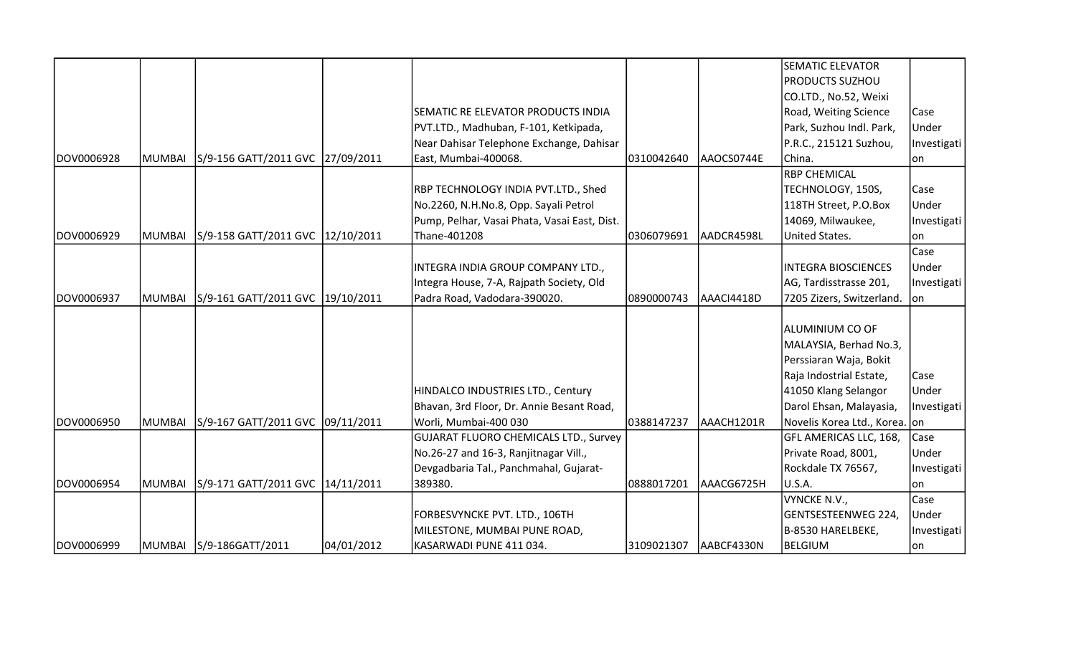|            |               |                                   |            |                                              |            |            | <b>SEMATIC ELEVATOR</b>       |             |
|------------|---------------|-----------------------------------|------------|----------------------------------------------|------------|------------|-------------------------------|-------------|
|            |               |                                   |            |                                              |            |            | <b>PRODUCTS SUZHOU</b>        |             |
|            |               |                                   |            |                                              |            |            | CO.LTD., No.52, Weixi         |             |
|            |               |                                   |            | SEMATIC RE ELEVATOR PRODUCTS INDIA           |            |            | Road, Weiting Science         | Case        |
|            |               |                                   |            | PVT.LTD., Madhuban, F-101, Ketkipada,        |            |            | Park, Suzhou Indl. Park,      | Under       |
|            |               |                                   |            | Near Dahisar Telephone Exchange, Dahisar     |            |            | P.R.C., 215121 Suzhou,        | Investigati |
| DOV0006928 | <b>MUMBAI</b> | S/9-156 GATT/2011 GVC 27/09/2011  |            | East, Mumbai-400068.                         | 0310042640 | AAOCS0744E | China.                        | lon         |
|            |               |                                   |            |                                              |            |            | <b>RBP CHEMICAL</b>           |             |
|            |               |                                   |            | RBP TECHNOLOGY INDIA PVT.LTD., Shed          |            |            | TECHNOLOGY, 150S,             | Case        |
|            |               |                                   |            | No.2260, N.H.No.8, Opp. Sayali Petrol        |            |            | 118TH Street, P.O.Box         | Under       |
|            |               |                                   |            | Pump, Pelhar, Vasai Phata, Vasai East, Dist. |            |            | 14069, Milwaukee,             | Investigati |
| DOV0006929 | <b>MUMBAI</b> | S/9-158 GATT/2011 GVC 12/10/2011  |            | Thane-401208                                 | 0306079691 | AADCR4598L | United States.                | on          |
|            |               |                                   |            |                                              |            |            |                               | Case        |
|            |               |                                   |            | INTEGRA INDIA GROUP COMPANY LTD.,            |            |            | <b>INTEGRA BIOSCIENCES</b>    | Under       |
|            |               |                                   |            | Integra House, 7-A, Rajpath Society, Old     |            |            | AG, Tardisstrasse 201,        | Investigati |
| DOV0006937 | <b>MUMBAI</b> | S/9-161 GATT/2011 GVC 19/10/2011  |            | Padra Road, Vadodara-390020.                 | 0890000743 | AAACI4418D | 7205 Zizers, Switzerland.     | on          |
|            |               |                                   |            |                                              |            |            |                               |             |
|            |               |                                   |            |                                              |            |            | ALUMINIUM CO OF               |             |
|            |               |                                   |            |                                              |            |            | MALAYSIA, Berhad No.3,        |             |
|            |               |                                   |            |                                              |            |            | Perssiaran Waja, Bokit        |             |
|            |               |                                   |            |                                              |            |            | Raja Indostrial Estate,       | Case        |
|            |               |                                   |            | HINDALCO INDUSTRIES LTD., Century            |            |            | 41050 Klang Selangor          | Under       |
|            |               |                                   |            | Bhavan, 3rd Floor, Dr. Annie Besant Road,    |            |            | Darol Ehsan, Malayasia,       | Investigati |
| DOV0006950 | <b>MUMBAI</b> | S/9-167 GATT/2011 GVC 09/11/2011  |            | Worli, Mumbai-400 030                        | 0388147237 | AAACH1201R | Novelis Korea Ltd., Korea. on |             |
|            |               |                                   |            | <b>GUJARAT FLUORO CHEMICALS LTD., Survey</b> |            |            | GFL AMERICAS LLC, 168,        | Case        |
|            |               |                                   |            | No.26-27 and 16-3, Ranjitnagar Vill.,        |            |            | Private Road, 8001,           | Under       |
|            |               |                                   |            | Devgadbaria Tal., Panchmahal, Gujarat-       |            |            | Rockdale TX 76567,            | Investigati |
| DOV0006954 | <b>MUMBAI</b> | S/9-171 GATT/2011 GVC  14/11/2011 |            | 389380.                                      | 0888017201 | AAACG6725H | U.S.A.                        | lon         |
|            |               |                                   |            |                                              |            |            | VYNCKE N.V.,                  | Case        |
|            |               |                                   |            | FORBESVYNCKE PVT. LTD., 106TH                |            |            | GENTSESTEENWEG 224,           | Under       |
|            |               |                                   |            | MILESTONE, MUMBAI PUNE ROAD,                 |            |            | B-8530 HARELBEKE,             | Investigati |
| DOV0006999 |               | MUMBAI S/9-186GATT/2011           | 04/01/2012 | KASARWADI PUNE 411 034.                      | 3109021307 | AABCF4330N | <b>BELGIUM</b>                | lon         |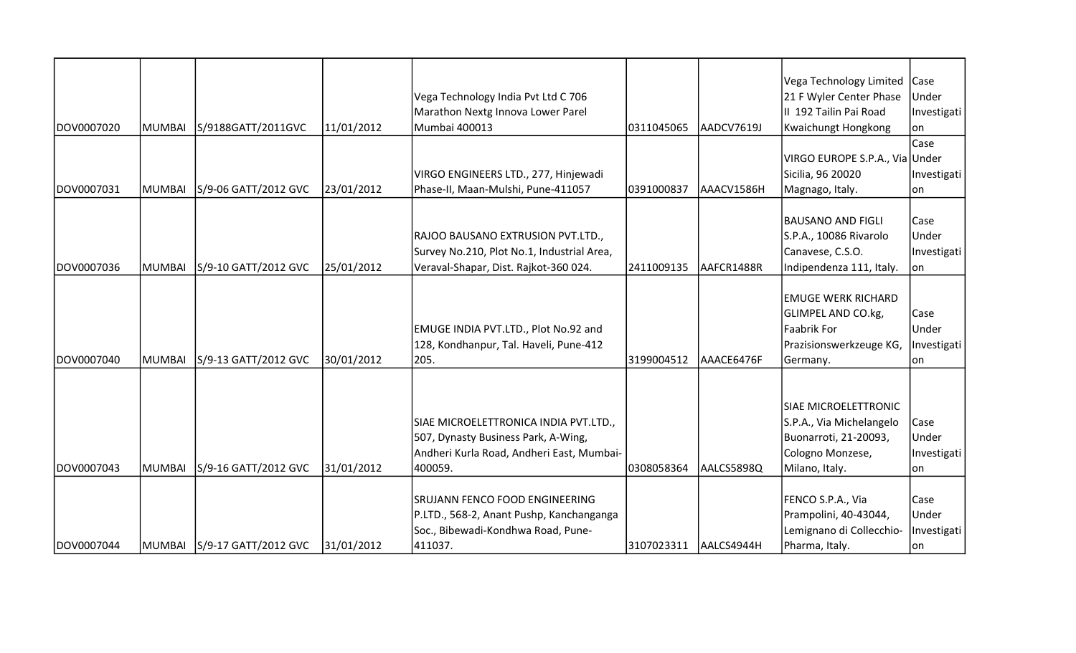|            |        |                             |            |                                            |            |            | Vega Technology Limited        | Case         |
|------------|--------|-----------------------------|------------|--------------------------------------------|------------|------------|--------------------------------|--------------|
|            |        |                             |            | Vega Technology India Pvt Ltd C 706        |            |            | 21 F Wyler Center Phase        | Under        |
|            |        |                             |            | Marathon Nextg Innova Lower Parel          |            |            | II 192 Tailin Pai Road         | Investigati  |
| DOV0007020 | MUMBAI | S/9188GATT/2011GVC          | 11/01/2012 | Mumbai 400013                              | 0311045065 | AADCV7619J | <b>Kwaichungt Hongkong</b>     | lon          |
|            |        |                             |            |                                            |            |            |                                | Case         |
|            |        |                             |            |                                            |            |            | VIRGO EUROPE S.P.A., Via Under |              |
|            |        |                             |            | VIRGO ENGINEERS LTD., 277, Hinjewadi       |            |            | Sicilia, 96 20020              | Investigati  |
| DOV0007031 | MUMBAI | S/9-06 GATT/2012 GVC        | 23/01/2012 | Phase-II, Maan-Mulshi, Pune-411057         | 0391000837 | AAACV1586H | Magnago, Italy.                | lon          |
|            |        |                             |            |                                            |            |            |                                |              |
|            |        |                             |            |                                            |            |            | <b>BAUSANO AND FIGLI</b>       | Case         |
|            |        |                             |            | RAJOO BAUSANO EXTRUSION PVT.LTD.,          |            |            | S.P.A., 10086 Rivarolo         | Under        |
|            |        |                             |            | Survey No.210, Plot No.1, Industrial Area, |            |            | Canavese, C.S.O.               | Investigati  |
| DOV0007036 | MUMBAI | S/9-10 GATT/2012 GVC        | 25/01/2012 | Veraval-Shapar, Dist. Rajkot-360 024.      | 2411009135 | AAFCR1488R | Indipendenza 111, Italy.       | on           |
|            |        |                             |            |                                            |            |            |                                |              |
|            |        |                             |            |                                            |            |            | <b>EMUGE WERK RICHARD</b>      |              |
|            |        |                             |            |                                            |            |            | <b>GLIMPEL AND CO.kg,</b>      | Case         |
|            |        |                             |            | EMUGE INDIA PVT.LTD., Plot No.92 and       |            |            | <b>Faabrik For</b>             | Under        |
|            |        |                             |            | 128, Kondhanpur, Tal. Haveli, Pune-412     |            |            | Prazisionswerkzeuge KG,        | Investigati  |
| DOV0007040 | MUMBAI | S/9-13 GATT/2012 GVC        | 30/01/2012 | 205.                                       | 3199004512 | AAACE6476F | Germany.                       | lon          |
|            |        |                             |            |                                            |            |            |                                |              |
|            |        |                             |            |                                            |            |            | SIAE MICROELETTRONIC           |              |
|            |        |                             |            | SIAE MICROELETTRONICA INDIA PVT.LTD.,      |            |            | S.P.A., Via Michelangelo       | Case         |
|            |        |                             |            | 507, Dynasty Business Park, A-Wing,        |            |            | Buonarroti, 21-20093,          | Under        |
|            |        |                             |            | Andheri Kurla Road, Andheri East, Mumbai-  |            |            | Cologno Monzese,               | Investigati  |
| DOV0007043 | MUMBAI | S/9-16 GATT/2012 GVC        | 31/01/2012 | 400059.                                    | 0308058364 | AALCS5898Q | Milano, Italy.                 | lon          |
|            |        |                             |            |                                            |            |            |                                |              |
|            |        |                             |            | <b>SRUJANN FENCO FOOD ENGINEERING</b>      |            |            | FENCO S.P.A., Via              | Case         |
|            |        |                             |            | P.LTD., 568-2, Anant Pushp, Kanchanganga   |            |            | Prampolini, 40-43044,          | <b>Under</b> |
|            |        |                             |            | Soc., Bibewadi-Kondhwa Road, Pune-         |            |            | Lemignano di Collecchio-       | Investigati  |
| DOV0007044 |        | MUMBAI S/9-17 GATT/2012 GVC | 31/01/2012 | 411037.                                    | 3107023311 | AALCS4944H | Pharma, Italy.                 | lon          |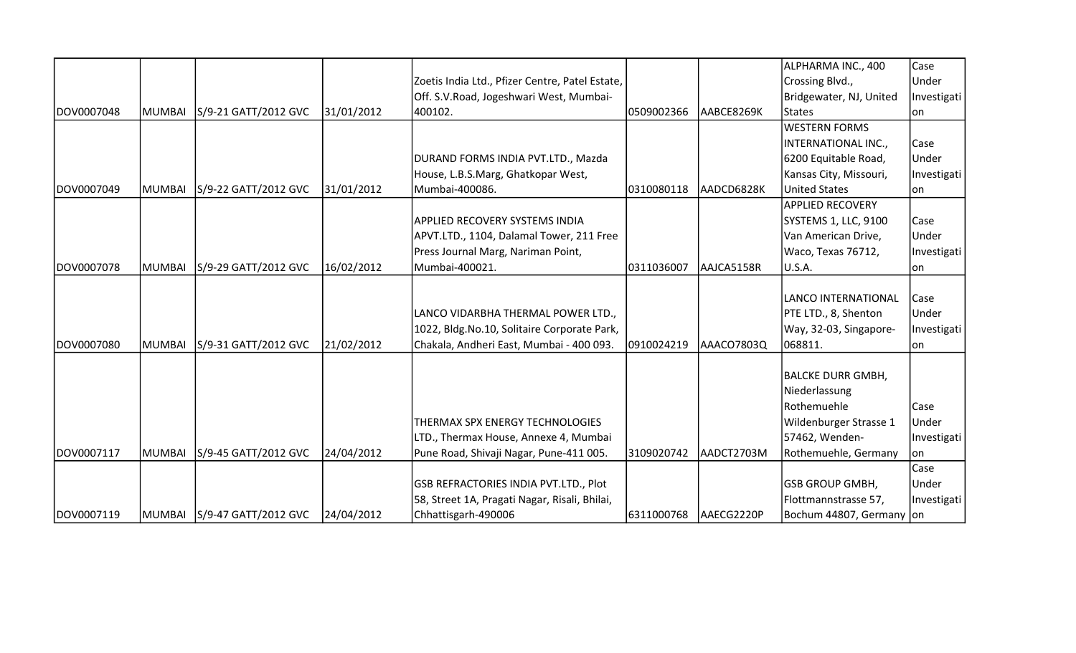|            |        |                             |            |                                                 |            |            | ALPHARMA INC., 400       | Case        |
|------------|--------|-----------------------------|------------|-------------------------------------------------|------------|------------|--------------------------|-------------|
|            |        |                             |            | Zoetis India Ltd., Pfizer Centre, Patel Estate, |            |            | Crossing Blvd.,          | Under       |
|            |        |                             |            | Off. S.V. Road, Jogeshwari West, Mumbai-        |            |            | Bridgewater, NJ, United  | Investigati |
| DOV0007048 | MUMBAI | S/9-21 GATT/2012 GVC        | 31/01/2012 | 400102.                                         | 0509002366 | AABCE8269K | States                   | lon         |
|            |        |                             |            |                                                 |            |            | <b>WESTERN FORMS</b>     |             |
|            |        |                             |            |                                                 |            |            | INTERNATIONAL INC.,      | Case        |
|            |        |                             |            | DURAND FORMS INDIA PVT.LTD., Mazda              |            |            | 6200 Equitable Road,     | Under       |
|            |        |                             |            | House, L.B.S.Marg, Ghatkopar West,              |            |            | Kansas City, Missouri,   | Investigati |
| DOV0007049 | MUMBAI | S/9-22 GATT/2012 GVC        | 31/01/2012 | Mumbai-400086.                                  | 0310080118 | AADCD6828K | United States            | lon         |
|            |        |                             |            |                                                 |            |            | <b>APPLIED RECOVERY</b>  |             |
|            |        |                             |            | APPLIED RECOVERY SYSTEMS INDIA                  |            |            | SYSTEMS 1, LLC, 9100     | Case        |
|            |        |                             |            | APVT.LTD., 1104, Dalamal Tower, 211 Free        |            |            | Van American Drive,      | Under       |
|            |        |                             |            | Press Journal Marg, Nariman Point,              |            |            | Waco, Texas 76712,       | Investigati |
| DOV0007078 | MUMBAI | S/9-29 GATT/2012 GVC        | 16/02/2012 | Mumbai-400021.                                  | 0311036007 | AAJCA5158R | U.S.A.                   | on          |
|            |        |                             |            |                                                 |            |            |                          |             |
|            |        |                             |            |                                                 |            |            | LANCO INTERNATIONAL      | Case        |
|            |        |                             |            | LANCO VIDARBHA THERMAL POWER LTD.,              |            |            | PTE LTD., 8, Shenton     | Under       |
|            |        |                             |            | 1022, Bldg. No. 10, Solitaire Corporate Park,   |            |            | Way, 32-03, Singapore-   | Investigati |
| DOV0007080 | MUMBAI | S/9-31 GATT/2012 GVC        | 21/02/2012 | Chakala, Andheri East, Mumbai - 400 093.        | 0910024219 | AAACO7803Q | 068811.                  | lon.        |
|            |        |                             |            |                                                 |            |            |                          |             |
|            |        |                             |            |                                                 |            |            | BALCKE DURR GMBH,        |             |
|            |        |                             |            |                                                 |            |            | Niederlassung            |             |
|            |        |                             |            |                                                 |            |            | Rothemuehle              | <b>Case</b> |
|            |        |                             |            | THERMAX SPX ENERGY TECHNOLOGIES                 |            |            | Wildenburger Strasse 1   | Under       |
|            |        |                             |            | LTD., Thermax House, Annexe 4, Mumbai           |            |            | 57462, Wenden-           | Investigati |
| DOV0007117 | MUMBAI | S/9-45 GATT/2012 GVC        | 24/04/2012 | Pune Road, Shivaji Nagar, Pune-411 005.         | 3109020742 | AADCT2703M | Rothemuehle, Germany     | on          |
|            |        |                             |            |                                                 |            |            |                          | Case        |
|            |        |                             |            | <b>GSB REFRACTORIES INDIA PVT.LTD., Plot</b>    |            |            | <b>GSB GROUP GMBH,</b>   | Under       |
|            |        |                             |            | 58, Street 1A, Pragati Nagar, Risali, Bhilai,   |            |            | Flottmannstrasse 57,     | Investigati |
| DOV0007119 |        | MUMBAI S/9-47 GATT/2012 GVC | 24/04/2012 | Chhattisgarh-490006                             | 6311000768 | AAECG2220P | Bochum 44807, Germany on |             |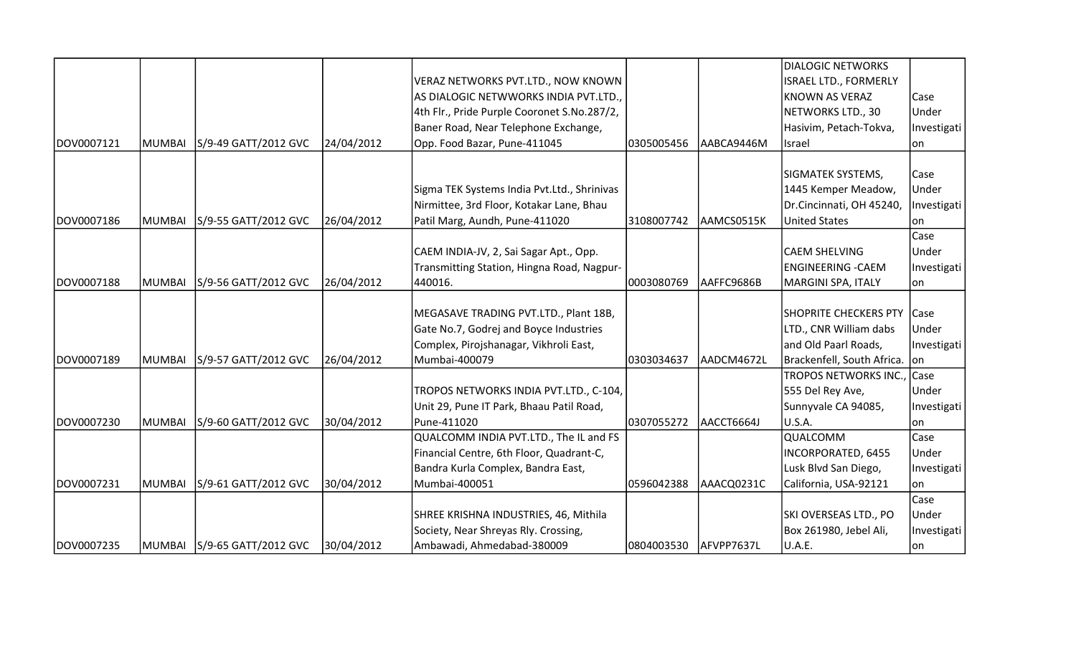|            |               |                              |            |                                             |            |            | <b>DIALOGIC NETWORKS</b>      |             |
|------------|---------------|------------------------------|------------|---------------------------------------------|------------|------------|-------------------------------|-------------|
|            |               |                              |            | VERAZ NETWORKS PVT.LTD., NOW KNOWN          |            |            | ISRAEL LTD., FORMERLY         |             |
|            |               |                              |            | AS DIALOGIC NETWWORKS INDIA PVT.LTD.,       |            |            | KNOWN AS VERAZ                | Case        |
|            |               |                              |            | 4th Flr., Pride Purple Cooronet S.No.287/2, |            |            | NETWORKS LTD., 30             | Under       |
|            |               |                              |            | Baner Road, Near Telephone Exchange,        |            |            | Hasivim, Petach-Tokva,        | Investigati |
| DOV0007121 | <b>MUMBAI</b> | S/9-49 GATT/2012 GVC         | 24/04/2012 | Opp. Food Bazar, Pune-411045                | 0305005456 | AABCA9446M | <b>Israel</b>                 | lon.        |
|            |               |                              |            |                                             |            |            |                               |             |
|            |               |                              |            |                                             |            |            | SIGMATEK SYSTEMS,             | Case        |
|            |               |                              |            | Sigma TEK Systems India Pvt.Ltd., Shrinivas |            |            | 1445 Kemper Meadow,           | Under       |
|            |               |                              |            | Nirmittee, 3rd Floor, Kotakar Lane, Bhau    |            |            | Dr.Cincinnati, OH 45240,      | Investigati |
| DOV0007186 | <b>MUMBAI</b> | S/9-55 GATT/2012 GVC         | 26/04/2012 | Patil Marg, Aundh, Pune-411020              | 3108007742 | AAMCS0515K | <b>United States</b>          | lon         |
|            |               |                              |            |                                             |            |            |                               | Case        |
|            |               |                              |            | CAEM INDIA-JV, 2, Sai Sagar Apt., Opp.      |            |            | <b>CAEM SHELVING</b>          | Under       |
|            |               |                              |            | Transmitting Station, Hingna Road, Nagpur-  |            |            | <b>ENGINEERING -CAEM</b>      | Investigati |
| DOV0007188 | <b>MUMBAI</b> | S/9-56 GATT/2012 GVC         | 26/04/2012 | 440016.                                     | 0003080769 | AAFFC9686B | MARGINI SPA, ITALY            | on          |
|            |               |                              |            |                                             |            |            |                               |             |
|            |               |                              |            | MEGASAVE TRADING PVT.LTD., Plant 18B,       |            |            | <b>SHOPRITE CHECKERS PTY</b>  | <b>Case</b> |
|            |               |                              |            | Gate No.7, Godrej and Boyce Industries      |            |            | LTD., CNR William dabs        | Under       |
|            |               |                              |            | Complex, Pirojshanagar, Vikhroli East,      |            |            | and Old Paarl Roads,          | Investigati |
| DOV0007189 | <b>MUMBAI</b> | S/9-57 GATT/2012 GVC         | 26/04/2012 | Mumbai-400079                               | 0303034637 | AADCM4672L | Brackenfell, South Africa. on |             |
|            |               |                              |            |                                             |            |            | TROPOS NETWORKS INC., Case    |             |
|            |               |                              |            | TROPOS NETWORKS INDIA PVT.LTD., C-104,      |            |            | 555 Del Rey Ave,              | Under       |
|            |               |                              |            | Unit 29, Pune IT Park, Bhaau Patil Road,    |            |            | Sunnyvale CA 94085,           | Investigati |
| DOV0007230 | <b>MUMBAI</b> | S/9-60 GATT/2012 GVC         | 30/04/2012 | Pune-411020                                 | 0307055272 | AACCT6664J | U.S.A.                        | on          |
|            |               |                              |            | QUALCOMM INDIA PVT.LTD., The IL and FS      |            |            | QUALCOMM                      | Case        |
|            |               |                              |            | Financial Centre, 6th Floor, Quadrant-C,    |            |            | INCORPORATED, 6455            | Under       |
|            |               |                              |            | Bandra Kurla Complex, Bandra East,          |            |            | Lusk Blvd San Diego,          | Investigati |
| DOV0007231 | <b>MUMBAI</b> | S/9-61 GATT/2012 GVC         | 30/04/2012 | Mumbai-400051                               | 0596042388 | AAACQ0231C | California, USA-92121         | lon         |
|            |               |                              |            |                                             |            |            |                               | Case        |
|            |               |                              |            | SHREE KRISHNA INDUSTRIES, 46, Mithila       |            |            | SKI OVERSEAS LTD., PO         | Under       |
|            |               |                              |            | Society, Near Shreyas Rly. Crossing,        |            |            | Box 261980, Jebel Ali,        | Investigati |
| DOV0007235 |               | MUMBAI  S/9-65 GATT/2012 GVC | 30/04/2012 | Ambawadi, Ahmedabad-380009                  | 0804003530 | AFVPP7637L | U.A.E.                        | lon         |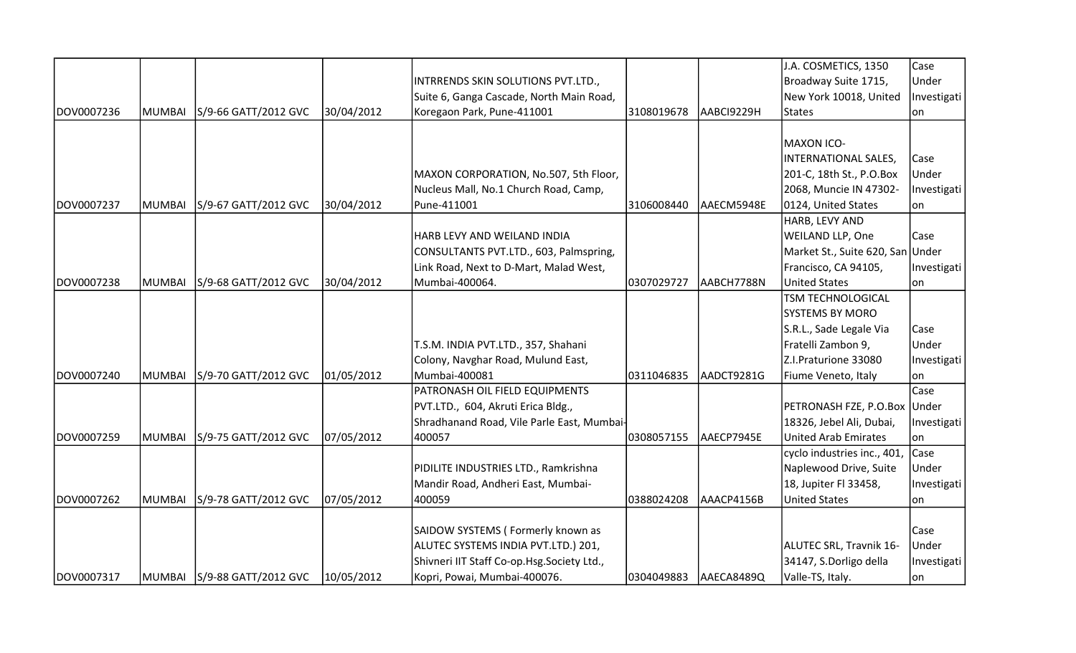|            |               |                             |            |                                            |            |            | J.A. COSMETICS, 1350             | Case        |
|------------|---------------|-----------------------------|------------|--------------------------------------------|------------|------------|----------------------------------|-------------|
|            |               |                             |            | INTRRENDS SKIN SOLUTIONS PVT.LTD.,         |            |            | Broadway Suite 1715,             | Under       |
|            |               |                             |            | Suite 6, Ganga Cascade, North Main Road,   |            |            | New York 10018, United           | Investigati |
| DOV0007236 | <b>MUMBAI</b> | S/9-66 GATT/2012 GVC        | 30/04/2012 | Koregaon Park, Pune-411001                 | 3108019678 | AABCI9229H | States                           | lon.        |
|            |               |                             |            |                                            |            |            |                                  |             |
|            |               |                             |            |                                            |            |            | <b>MAXON ICO-</b>                |             |
|            |               |                             |            |                                            |            |            | INTERNATIONAL SALES,             | Case        |
|            |               |                             |            | MAXON CORPORATION, No.507, 5th Floor,      |            |            | 201-C, 18th St., P.O.Box         | Under       |
|            |               |                             |            | Nucleus Mall, No.1 Church Road, Camp,      |            |            | 2068, Muncie IN 47302-           | Investigati |
| DOV0007237 | <b>MUMBAI</b> | S/9-67 GATT/2012 GVC        | 30/04/2012 | Pune-411001                                | 3106008440 | AAECM5948E | 0124, United States              | lon         |
|            |               |                             |            |                                            |            |            | HARB, LEVY AND                   |             |
|            |               |                             |            | HARB LEVY AND WEILAND INDIA                |            |            | WEILAND LLP, One                 | Case        |
|            |               |                             |            | CONSULTANTS PVT.LTD., 603, Palmspring,     |            |            | Market St., Suite 620, San Under |             |
|            |               |                             |            | Link Road, Next to D-Mart, Malad West,     |            |            | Francisco, CA 94105,             | Investigati |
| DOV0007238 | <b>MUMBAI</b> | S/9-68 GATT/2012 GVC        | 30/04/2012 | Mumbai-400064.                             | 0307029727 | AABCH7788N | <b>United States</b>             | lon         |
|            |               |                             |            |                                            |            |            | <b>TSM TECHNOLOGICAL</b>         |             |
|            |               |                             |            |                                            |            |            | <b>SYSTEMS BY MORO</b>           |             |
|            |               |                             |            |                                            |            |            | S.R.L., Sade Legale Via          | Case        |
|            |               |                             |            | T.S.M. INDIA PVT.LTD., 357, Shahani        |            |            | Fratelli Zambon 9,               | Under       |
|            |               |                             |            | Colony, Navghar Road, Mulund East,         |            |            | Z.I.Praturione 33080             | Investigati |
| DOV0007240 | <b>MUMBAI</b> | S/9-70 GATT/2012 GVC        | 01/05/2012 | Mumbai-400081                              | 0311046835 | AADCT9281G | Fiume Veneto, Italy              | on          |
|            |               |                             |            | PATRONASH OIL FIELD EQUIPMENTS             |            |            |                                  | Case        |
|            |               |                             |            | PVT.LTD., 604, Akruti Erica Bldg.,         |            |            | PETRONASH FZE, P.O.Box Under     |             |
|            |               |                             |            | Shradhanand Road, Vile Parle East, Mumbai- |            |            | 18326, Jebel Ali, Dubai,         | Investigati |
| DOV0007259 | <b>MUMBAI</b> | S/9-75 GATT/2012 GVC        | 07/05/2012 | 400057                                     | 0308057155 | AAECP7945E | <b>United Arab Emirates</b>      | lon         |
|            |               |                             |            |                                            |            |            | cyclo industries inc., 401,      | Case        |
|            |               |                             |            | PIDILITE INDUSTRIES LTD., Ramkrishna       |            |            | Naplewood Drive, Suite           | Under       |
|            |               |                             |            | Mandir Road, Andheri East, Mumbai-         |            |            | 18, Jupiter Fl 33458,            | Investigati |
| DOV0007262 | <b>MUMBAI</b> | S/9-78 GATT/2012 GVC        | 07/05/2012 | 400059                                     | 0388024208 | AAACP4156B | <b>United States</b>             | lon         |
|            |               |                             |            |                                            |            |            |                                  |             |
|            |               |                             |            | SAIDOW SYSTEMS (Formerly known as          |            |            |                                  | Case        |
|            |               |                             |            | ALUTEC SYSTEMS INDIA PVT.LTD.) 201,        |            |            | ALUTEC SRL, Travnik 16-          | Under       |
|            |               |                             |            | Shivneri IIT Staff Co-op.Hsg.Society Ltd., |            |            | 34147, S.Dorligo della           | Investigati |
| DOV0007317 |               | MUMBAI S/9-88 GATT/2012 GVC | 10/05/2012 | Kopri, Powai, Mumbai-400076.               | 0304049883 | AAECA8489Q | Valle-TS, Italy.                 | on          |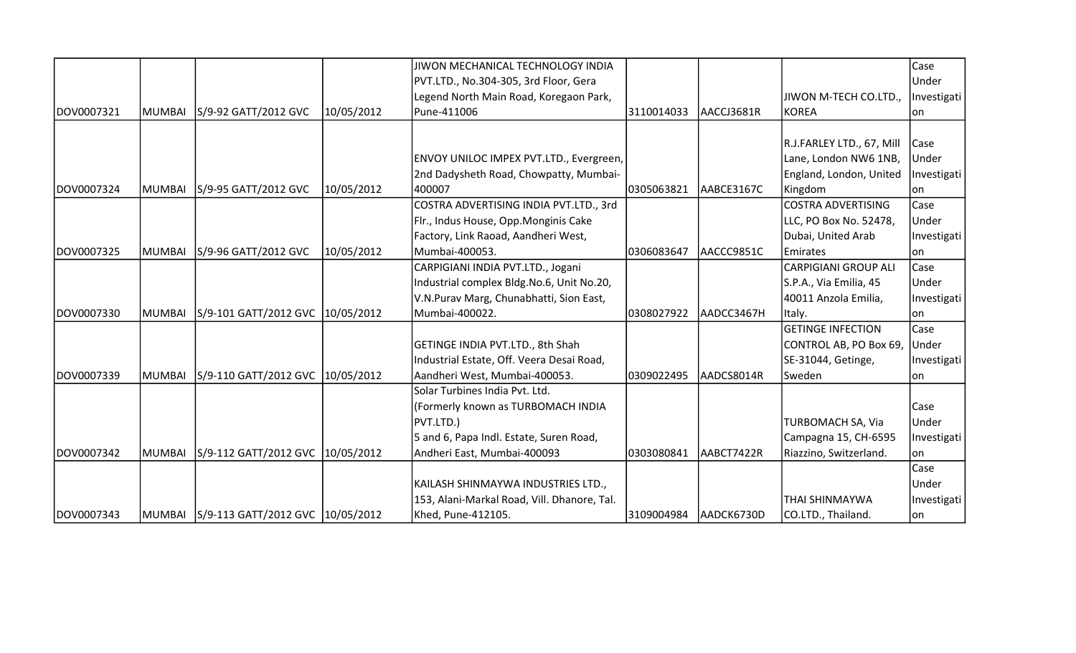|            |               |                                         |            | JIWON MECHANICAL TECHNOLOGY INDIA           |                       |            |                             | Case        |
|------------|---------------|-----------------------------------------|------------|---------------------------------------------|-----------------------|------------|-----------------------------|-------------|
|            |               |                                         |            | PVT.LTD., No.304-305, 3rd Floor, Gera       |                       |            |                             | Under       |
|            |               |                                         |            | Legend North Main Road, Koregaon Park,      |                       |            | JIWON M-TECH CO.LTD.,       | Investigati |
| DOV0007321 | <b>MUMBAI</b> | S/9-92 GATT/2012 GVC                    | 10/05/2012 | Pune-411006                                 | 3110014033            | AACCJ3681R | KOREA                       | lon         |
|            |               |                                         |            |                                             |                       |            |                             |             |
|            |               |                                         |            |                                             |                       |            | R.J.FARLEY LTD., 67, Mill   | Case        |
|            |               |                                         |            | ENVOY UNILOC IMPEX PVT.LTD., Evergreen,     |                       |            | Lane, London NW6 1NB,       | Under       |
|            |               |                                         |            | 2nd Dadysheth Road, Chowpatty, Mumbai-      |                       |            | England, London, United     | Investigati |
| DOV0007324 | MUMBAI        | S/9-95 GATT/2012 GVC                    | 10/05/2012 | 400007                                      | 0305063821            | AABCE3167C | Kingdom                     | lon         |
|            |               |                                         |            | COSTRA ADVERTISING INDIA PVT.LTD., 3rd      |                       |            | <b>COSTRA ADVERTISING</b>   | Case        |
|            |               |                                         |            | Fir., Indus House, Opp.Monginis Cake        |                       |            | LLC, PO Box No. 52478,      | Under       |
|            |               |                                         |            | Factory, Link Raoad, Aandheri West,         |                       |            | Dubai, United Arab          | Investigati |
| DOV0007325 | IMUMBAI       | S/9-96 GATT/2012 GVC                    | 10/05/2012 | l Mumbai-400053.                            | 0306083647            | AACCC9851C | Emirates                    | lon         |
|            |               |                                         |            | CARPIGIANI INDIA PVT.LTD., Jogani           |                       |            | <b>CARPIGIANI GROUP ALI</b> | Case        |
|            |               |                                         |            | Industrial complex Bldg.No.6, Unit No.20,   |                       |            | S.P.A., Via Emilia, 45      | Under       |
|            |               |                                         |            | V.N.Purav Marg, Chunabhatti, Sion East,     |                       |            | 40011 Anzola Emilia,        | Investigati |
| DOV0007330 | MUMBAI        | S/9-101 GATT/2012 GVC 10/05/2012        |            | Mumbai-400022.                              | 0308027922            | AADCC3467H | Italy.                      | lon         |
|            |               |                                         |            |                                             |                       |            | <b>GETINGE INFECTION</b>    | Case        |
|            |               |                                         |            | GETINGE INDIA PVT.LTD., 8th Shah            |                       |            | CONTROL AB, PO Box 69,      | Under       |
|            |               |                                         |            | Industrial Estate, Off. Veera Desai Road,   |                       |            | SE-31044, Getinge,          | Investigati |
| DOV0007339 | MUMBAI        | S/9-110 GATT/2012 GVC 10/05/2012        |            | Aandheri West, Mumbai-400053.               | 0309022495            | AADCS8014R | Sweden                      | lon         |
|            |               |                                         |            | Solar Turbines India Pvt. Ltd.              |                       |            |                             |             |
|            |               |                                         |            | (Formerly known as TURBOMACH INDIA          |                       |            |                             | Case        |
|            |               |                                         |            | PVT.LTD.)                                   |                       |            | TURBOMACH SA, Via           | Under       |
|            |               |                                         |            | 5 and 6, Papa Indl. Estate, Suren Road,     |                       |            | Campagna 15, CH-6595        | Investigati |
| DOV0007342 | MUMBAI        | S/9-112 GATT/2012 GVC 10/05/2012        |            | Andheri East, Mumbai-400093                 | 0303080841            | AABCT7422R | Riazzino, Switzerland.      | lon.        |
|            |               |                                         |            |                                             |                       |            |                             | Case        |
|            |               |                                         |            | KAILASH SHINMAYWA INDUSTRIES LTD.,          |                       |            |                             | Under       |
|            |               |                                         |            | 153, Alani-Markal Road, Vill. Dhanore, Tal. |                       |            | <b>THAI SHINMAYWA</b>       | Investigati |
| DOV0007343 |               | MUMBAI S/9-113 GATT/2012 GVC 10/05/2012 |            | Khed, Pune-412105.                          | 3109004984 AADCK6730D |            | CO.LTD., Thailand.          | on          |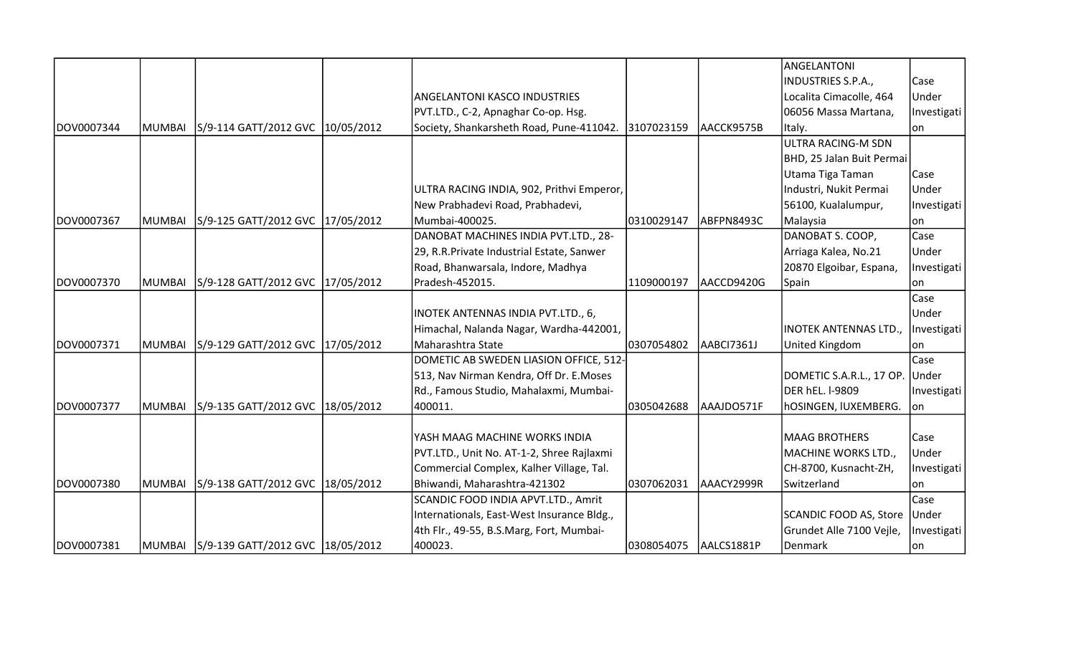|            |               |                                         |                                            |            |            | ANGELANTONI                       |             |
|------------|---------------|-----------------------------------------|--------------------------------------------|------------|------------|-----------------------------------|-------------|
|            |               |                                         |                                            |            |            | INDUSTRIES S.P.A.,                | Case        |
|            |               |                                         | <b>ANGELANTONI KASCO INDUSTRIES</b>        |            |            | Localita Cimacolle, 464           | Under       |
|            |               |                                         | PVT.LTD., C-2, Apnaghar Co-op. Hsg.        |            |            | 06056 Massa Martana,              | Investigati |
| DOV0007344 | <b>MUMBAI</b> | S/9-114 GATT/2012 GVC 10/05/2012        | Society, Shankarsheth Road, Pune-411042.   | 3107023159 | AACCK9575B | Italy.                            | lon         |
|            |               |                                         |                                            |            |            | ULTRA RACING-M SDN                |             |
|            |               |                                         |                                            |            |            | BHD, 25 Jalan Buit Permai         |             |
|            |               |                                         |                                            |            |            | Utama Tiga Taman                  | Case        |
|            |               |                                         | ULTRA RACING INDIA, 902, Prithvi Emperor,  |            |            | Industri, Nukit Permai            | Under       |
|            |               |                                         | New Prabhadevi Road, Prabhadevi,           |            |            | 56100, Kualalumpur,               | Investigati |
| DOV0007367 | <b>MUMBAI</b> | S/9-125 GATT/2012 GVC 17/05/2012        | Mumbai-400025.                             | 0310029147 | ABFPN8493C | Malaysia                          | on          |
|            |               |                                         | DANOBAT MACHINES INDIA PVT.LTD., 28-       |            |            | DANOBAT S. COOP,                  | Case        |
|            |               |                                         | 29, R.R. Private Industrial Estate, Sanwer |            |            | Arriaga Kalea, No.21              | Under       |
|            |               |                                         | Road, Bhanwarsala, Indore, Madhya          |            |            | 20870 Elgoibar, Espana,           | Investigati |
| DOV0007370 | <b>MUMBAI</b> | S/9-128 GATT/2012 GVC 17/05/2012        | Pradesh-452015.                            | 1109000197 | AACCD9420G | Spain                             | lon         |
|            |               |                                         |                                            |            |            |                                   | Case        |
|            |               |                                         | <b>INOTEK ANTENNAS INDIA PVT.LTD., 6,</b>  |            |            |                                   | Under       |
|            |               |                                         | Himachal, Nalanda Nagar, Wardha-442001,    |            |            | INOTEK ANTENNAS LTD., Investigati |             |
| DOV0007371 | MUMBAI        | S/9-129 GATT/2012 GVC 17/05/2012        | Maharashtra State                          | 0307054802 | AABCI7361J | United Kingdom                    | lon.        |
|            |               |                                         | DOMETIC AB SWEDEN LIASION OFFICE, 512-     |            |            |                                   | Case        |
|            |               |                                         | 513, Nav Nirman Kendra, Off Dr. E.Moses    |            |            | DOMETIC S.A.R.L., 17 OP.          | Under       |
|            |               |                                         | Rd., Famous Studio, Mahalaxmi, Mumbai-     |            |            | DER hEL. I-9809                   | Investigati |
| DOV0007377 | <b>MUMBAI</b> | S/9-135 GATT/2012 GVC 18/05/2012        | 400011.                                    | 0305042688 | AAAJDO571F | hOSINGEN, IUXEMBERG.              | lon         |
|            |               |                                         |                                            |            |            |                                   |             |
|            |               |                                         | YASH MAAG MACHINE WORKS INDIA              |            |            | <b>MAAG BROTHERS</b>              | Case        |
|            |               |                                         | PVT.LTD., Unit No. AT-1-2, Shree Rajlaxmi  |            |            | MACHINE WORKS LTD.,               | Under       |
|            |               |                                         | Commercial Complex, Kalher Village, Tal.   |            |            | CH-8700, Kusnacht-ZH,             | Investigati |
| DOV0007380 | <b>MUMBAI</b> | S/9-138 GATT/2012 GVC 18/05/2012        | Bhiwandi, Maharashtra-421302               | 0307062031 | AAACY2999R | Switzerland                       | lon         |
|            |               |                                         | SCANDIC FOOD INDIA APVT.LTD., Amrit        |            |            |                                   | Case        |
|            |               |                                         | Internationals, East-West Insurance Bldg., |            |            | <b>SCANDIC FOOD AS, Store</b>     | Under       |
|            |               |                                         | 4th Flr., 49-55, B.S.Marg, Fort, Mumbai-   |            |            | Grundet Alle 7100 Vejle,          | Investigati |
| DOV0007381 |               | MUMBAI S/9-139 GATT/2012 GVC 18/05/2012 | 400023.                                    | 0308054075 | AALCS1881P | Denmark                           | lon         |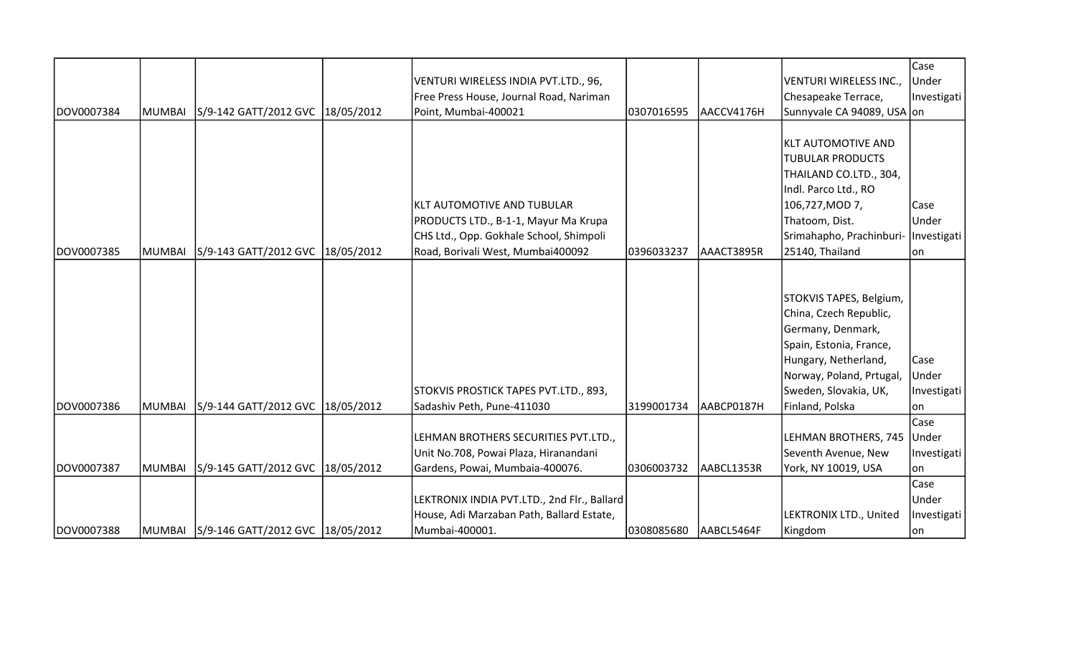|            |               |                                         |                                             |            |            |                                      | Case        |
|------------|---------------|-----------------------------------------|---------------------------------------------|------------|------------|--------------------------------------|-------------|
|            |               |                                         | VENTURI WIRELESS INDIA PVT.LTD., 96,        |            |            | VENTURI WIRELESS INC.,               | Under       |
|            |               |                                         | Free Press House, Journal Road, Nariman     |            |            | Chesapeake Terrace,                  | Investigati |
| DOV0007384 | <b>MUMBAI</b> | S/9-142 GATT/2012 GVC 18/05/2012        | Point, Mumbai-400021                        | 0307016595 | AACCV4176H | Sunnyvale CA 94089, USA on           |             |
|            |               |                                         |                                             |            |            |                                      |             |
|            |               |                                         |                                             |            |            | KLT AUTOMOTIVE AND                   |             |
|            |               |                                         |                                             |            |            | <b>TUBULAR PRODUCTS</b>              |             |
|            |               |                                         |                                             |            |            | THAILAND CO.LTD., 304,               |             |
|            |               |                                         |                                             |            |            | Indl. Parco Ltd., RO                 |             |
|            |               |                                         | KLT AUTOMOTIVE AND TUBULAR                  |            |            | 106,727, MOD 7,                      | Case        |
|            |               |                                         | PRODUCTS LTD., B-1-1, Mayur Ma Krupa        |            |            | Thatoom, Dist.                       | Under       |
|            |               |                                         | CHS Ltd., Opp. Gokhale School, Shimpoli     |            |            | Srimahapho, Prachinburi- Investigati |             |
| DOV0007385 | <b>MUMBAI</b> | S/9-143 GATT/2012 GVC  18/05/2012       | Road, Borivali West, Mumbai400092           | 0396033237 | AAACT3895R | 25140, Thailand                      | lon.        |
|            |               |                                         |                                             |            |            |                                      |             |
|            |               |                                         |                                             |            |            |                                      |             |
|            |               |                                         |                                             |            |            | STOKVIS TAPES, Belgium,              |             |
|            |               |                                         |                                             |            |            | China, Czech Republic,               |             |
|            |               |                                         |                                             |            |            | Germany, Denmark,                    |             |
|            |               |                                         |                                             |            |            | Spain, Estonia, France,              |             |
|            |               |                                         |                                             |            |            | Hungary, Netherland,                 | Case        |
|            |               |                                         |                                             |            |            | Norway, Poland, Prtugal,             | Under       |
|            |               |                                         | STOKVIS PROSTICK TAPES PVT.LTD., 893,       |            |            | Sweden, Slovakia, UK,                | Investigati |
| DOV0007386 | <b>MUMBAI</b> | S/9-144 GATT/2012 GVC  18/05/2012       | Sadashiv Peth, Pune-411030                  | 3199001734 | AABCP0187H | Finland, Polska                      | lon         |
|            |               |                                         |                                             |            |            |                                      | Case        |
|            |               |                                         | LEHMAN BROTHERS SECURITIES PVT.LTD.,        |            |            | LEHMAN BROTHERS, 745 Under           |             |
|            |               |                                         | Unit No.708, Powai Plaza, Hiranandani       |            |            | Seventh Avenue, New                  | Investigati |
| DOV0007387 | <b>MUMBAI</b> | S/9-145 GATT/2012 GVC 18/05/2012        | Gardens, Powai, Mumbaia-400076.             | 0306003732 | AABCL1353R | York, NY 10019, USA                  | lon         |
|            |               |                                         |                                             |            |            |                                      | Case        |
|            |               |                                         | LEKTRONIX INDIA PVT.LTD., 2nd Flr., Ballard |            |            |                                      | Under       |
|            |               |                                         | House, Adi Marzaban Path, Ballard Estate,   |            |            | LEKTRONIX LTD., United               | Investigati |
| DOV0007388 |               | MUMBAI S/9-146 GATT/2012 GVC 18/05/2012 | Mumbai-400001.                              | 0308085680 | AABCL5464F | Kingdom                              | on          |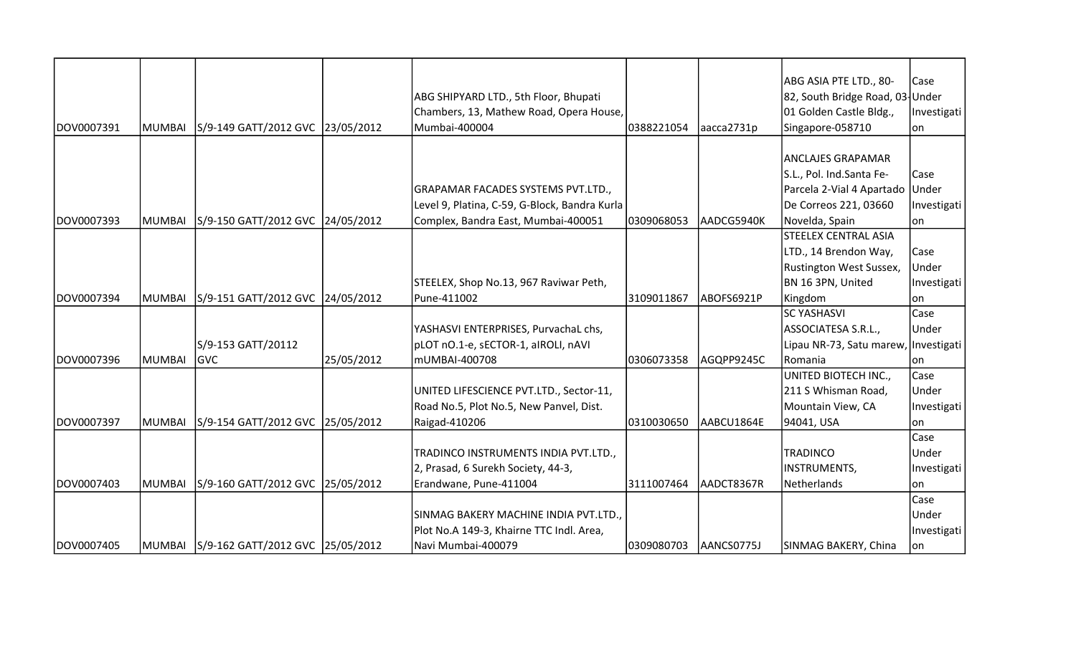|             |               |                                         |            |                                               |            |            | ABG ASIA PTE LTD., 80-               | Case        |
|-------------|---------------|-----------------------------------------|------------|-----------------------------------------------|------------|------------|--------------------------------------|-------------|
|             |               |                                         |            | ABG SHIPYARD LTD., 5th Floor, Bhupati         |            |            | 82, South Bridge Road, 03 Under      |             |
|             |               |                                         |            | Chambers, 13, Mathew Road, Opera House,       |            |            | 01 Golden Castle Bldg.,              | Investigati |
| DOV0007391  | MUMBAI        | S/9-149 GATT/2012 GVC 23/05/2012        |            | Mumbai-400004                                 | 0388221054 | aacca2731p | Singapore-058710                     | on          |
|             |               |                                         |            |                                               |            |            |                                      |             |
|             |               |                                         |            |                                               |            |            | ANCLAJES GRAPAMAR                    |             |
|             |               |                                         |            |                                               |            |            | S.L., Pol. Ind.Santa Fe-             | Case        |
|             |               |                                         |            | GRAPAMAR FACADES SYSTEMS PVT.LTD.,            |            |            | Parcela 2-Vial 4 Apartado Under      |             |
|             |               |                                         |            | Level 9, Platina, C-59, G-Block, Bandra Kurla |            |            | De Correos 221, 03660                | Investigati |
| DOV0007393  | MUMBAI        | S/9-150 GATT/2012 GVC 24/05/2012        |            | Complex, Bandra East, Mumbai-400051           | 0309068053 | AADCG5940K | Novelda, Spain                       | on          |
|             |               |                                         |            |                                               |            |            | <b>STEELEX CENTRAL ASIA</b>          |             |
|             |               |                                         |            |                                               |            |            | LTD., 14 Brendon Way,                | Case        |
|             |               |                                         |            |                                               |            |            | <b>Rustington West Sussex,</b>       | Under       |
|             |               |                                         |            | STEELEX, Shop No.13, 967 Raviwar Peth,        |            |            | BN 16 3PN, United                    | Investigati |
| IDOV0007394 | <b>MUMBAI</b> | S/9-151 GATT/2012 GVC 24/05/2012        |            | Pune-411002                                   | 3109011867 | ABOFS6921P | Kingdom                              | lon         |
|             |               |                                         |            |                                               |            |            | <b>SC YASHASVI</b>                   | Case        |
|             |               |                                         |            | YASHASVI ENTERPRISES, PurvachaL chs,          |            |            | ASSOCIATESA S.R.L.,                  | Under       |
|             |               | S/9-153 GATT/20112                      |            | pLOT nO.1-e, sECTOR-1, aIROLI, nAVI           |            |            | Lipau NR-73, Satu marew, Investigati |             |
| DOV0007396  | MUMBAI        | <b>GVC</b>                              | 25/05/2012 | mUMBAI-400708                                 | 0306073358 | AGQPP9245C | Romania                              | on          |
|             |               |                                         |            |                                               |            |            | UNITED BIOTECH INC.,                 | Case        |
|             |               |                                         |            | UNITED LIFESCIENCE PVT.LTD., Sector-11,       |            |            | 211 S Whisman Road,                  | Under       |
|             |               |                                         |            | Road No.5, Plot No.5, New Panvel, Dist.       |            |            | Mountain View, CA                    | Investigati |
| DOV0007397  | MUMBAI        | S/9-154 GATT/2012 GVC 25/05/2012        |            | Raigad-410206                                 | 0310030650 | AABCU1864E | 94041, USA                           | lon         |
|             |               |                                         |            |                                               |            |            |                                      | Case        |
|             |               |                                         |            | TRADINCO INSTRUMENTS INDIA PVT.LTD.,          |            |            | <b>TRADINCO</b>                      | Under       |
|             |               |                                         |            | 2, Prasad, 6 Surekh Society, 44-3,            |            |            | INSTRUMENTS,                         | Investigati |
| DOV0007403  | MUMBAI        | S/9-160 GATT/2012 GVC 25/05/2012        |            | Erandwane, Pune-411004                        | 3111007464 | AADCT8367R | Netherlands                          | lon         |
|             |               |                                         |            |                                               |            |            |                                      | Case        |
|             |               |                                         |            | SINMAG BAKERY MACHINE INDIA PVT.LTD.,         |            |            |                                      | Under       |
|             |               |                                         |            | Plot No.A 149-3, Khairne TTC Indl. Area,      |            |            |                                      | Investigati |
| DOV0007405  |               | MUMBAI S/9-162 GATT/2012 GVC 25/05/2012 |            | Navi Mumbai-400079                            | 0309080703 | AANCS0775J | SINMAG BAKERY, China                 | lon         |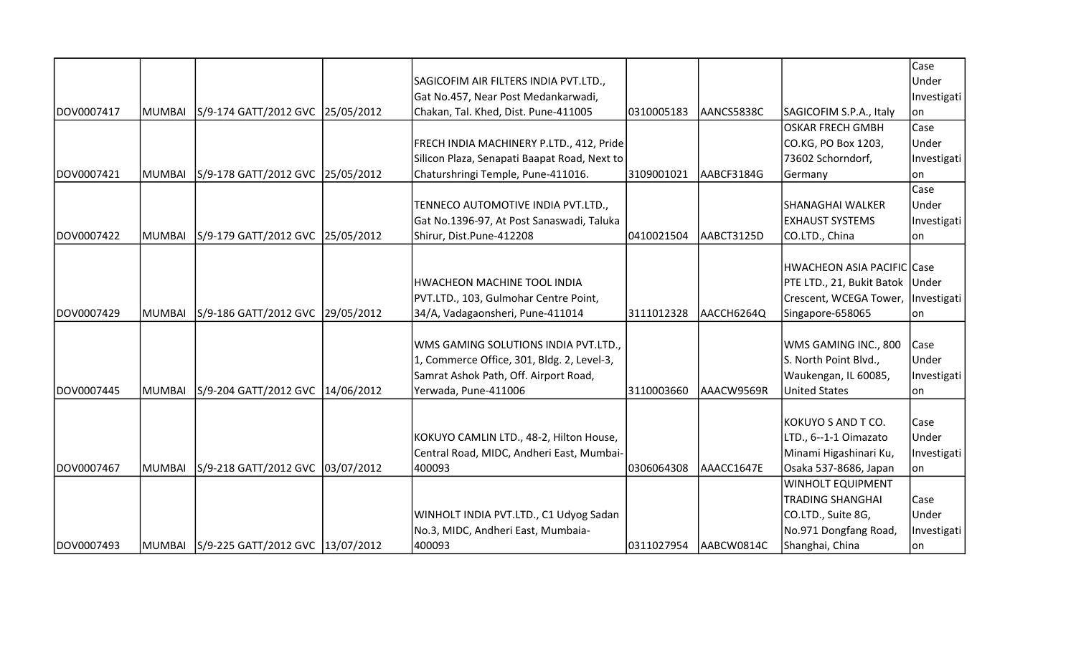|            |        |                                         |                                              |            |            |                                      | Case        |
|------------|--------|-----------------------------------------|----------------------------------------------|------------|------------|--------------------------------------|-------------|
|            |        |                                         | SAGICOFIM AIR FILTERS INDIA PVT.LTD.,        |            |            |                                      | Under       |
|            |        |                                         | Gat No.457, Near Post Medankarwadi,          |            |            |                                      | Investigati |
| DOV0007417 | MUMBAI | S/9-174 GATT/2012 GVC 25/05/2012        | Chakan, Tal. Khed, Dist. Pune-411005         | 0310005183 | AANCS5838C | SAGICOFIM S.P.A., Italy              | on          |
|            |        |                                         |                                              |            |            | OSKAR FRECH GMBH                     | Case        |
|            |        |                                         | FRECH INDIA MACHINERY P.LTD., 412, Pride     |            |            | CO.KG, PO Box 1203,                  | Under       |
|            |        |                                         | Silicon Plaza, Senapati Baapat Road, Next to |            |            | 73602 Schorndorf,                    | Investigati |
| DOV0007421 | MUMBAI | S/9-178 GATT/2012 GVC 25/05/2012        | Chaturshringi Temple, Pune-411016.           | 3109001021 | AABCF3184G | Germany                              | lon         |
|            |        |                                         |                                              |            |            |                                      | Case        |
|            |        |                                         | TENNECO AUTOMOTIVE INDIA PVT.LTD.,           |            |            | SHANAGHAI WALKER                     | Under       |
|            |        |                                         | Gat No.1396-97, At Post Sanaswadi, Taluka    |            |            | <b>EXHAUST SYSTEMS</b>               | Investigati |
| DOV0007422 | MUMBAI | S/9-179 GATT/2012 GVC 25/05/2012        | Shirur, Dist.Pune-412208                     | 0410021504 | AABCT3125D | CO.LTD., China                       | on          |
|            |        |                                         |                                              |            |            |                                      |             |
|            |        |                                         |                                              |            |            | HWACHEON ASIA PACIFIC Case           |             |
|            |        |                                         | HWACHEON MACHINE TOOL INDIA                  |            |            | PTE LTD., 21, Bukit Batok Under      |             |
|            |        |                                         | PVT.LTD., 103, Gulmohar Centre Point,        |            |            | Crescent, WCEGA Tower,   Investigati |             |
| DOV0007429 | MUMBAI | S/9-186 GATT/2012 GVC 29/05/2012        | 34/A, Vadagaonsheri, Pune-411014             | 3111012328 | AACCH6264Q | Singapore-658065                     | on          |
|            |        |                                         |                                              |            |            |                                      |             |
|            |        |                                         | WMS GAMING SOLUTIONS INDIA PVT.LTD.,         |            |            | WMS GAMING INC., 800                 | Case        |
|            |        |                                         | 1, Commerce Office, 301, Bldg. 2, Level-3,   |            |            | S. North Point Blvd.,                | Under       |
|            |        |                                         | Samrat Ashok Path, Off. Airport Road,        |            |            | Waukengan, IL 60085,                 | Investigati |
| DOV0007445 | MUMBAI | S/9-204 GATT/2012 GVC 14/06/2012        | Yerwada, Pune-411006                         | 3110003660 | AAACW9569R | <b>United States</b>                 | lon.        |
|            |        |                                         |                                              |            |            |                                      |             |
|            |        |                                         |                                              |            |            | KOKUYO S AND T CO.                   | Case        |
|            |        |                                         | KOKUYO CAMLIN LTD., 48-2, Hilton House,      |            |            | LTD., 6--1-1 Oimazato                | Under       |
|            |        |                                         | Central Road, MIDC, Andheri East, Mumbai-    |            |            | Minami Higashinari Ku,               | Investigati |
| DOV0007467 | MUMBAI | S/9-218 GATT/2012 GVC 03/07/2012        | 400093                                       | 0306064308 | AAACC1647E | Osaka 537-8686, Japan                | on          |
|            |        |                                         |                                              |            |            | WINHOLT EQUIPMENT                    |             |
|            |        |                                         |                                              |            |            | <b>TRADING SHANGHAI</b>              | Case        |
|            |        |                                         | WINHOLT INDIA PVT.LTD., C1 Udyog Sadan       |            |            | CO.LTD., Suite 8G,                   | Under       |
|            |        |                                         | No.3, MIDC, Andheri East, Mumbaia-           |            |            | No.971 Dongfang Road,                | Investigati |
| DOV0007493 |        | MUMBAI S/9-225 GATT/2012 GVC 13/07/2012 | 400093                                       | 0311027954 | AABCW0814C | Shanghai, China                      | on          |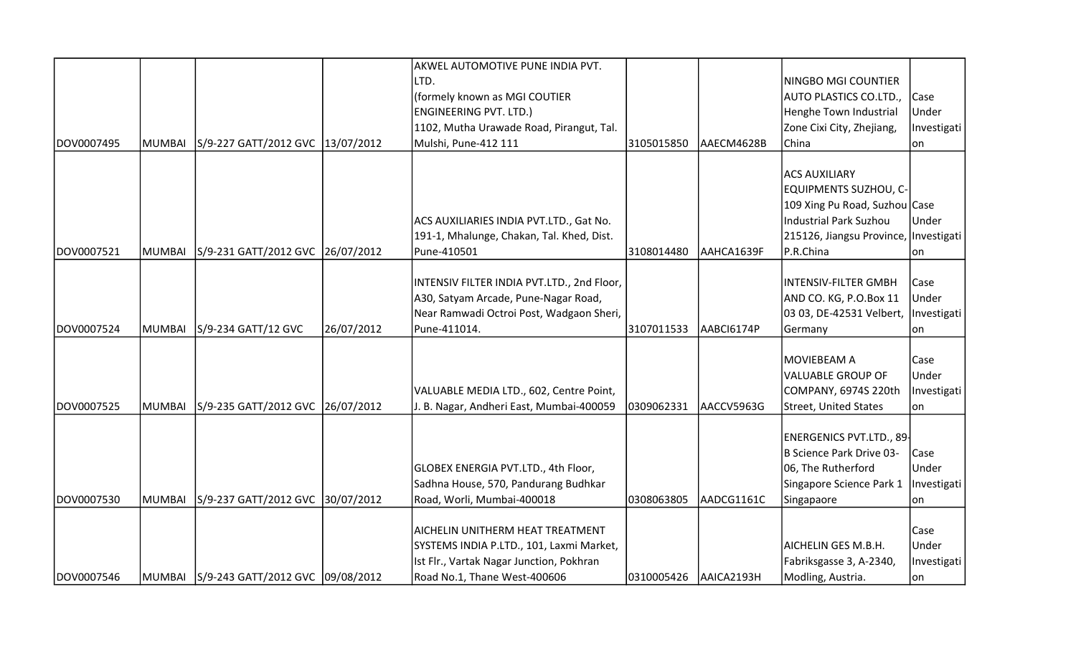|            |        |                                         |            | AKWEL AUTOMOTIVE PUNE INDIA PVT.           |            |            |                                       |             |
|------------|--------|-----------------------------------------|------------|--------------------------------------------|------------|------------|---------------------------------------|-------------|
|            |        |                                         |            | LTD.                                       |            |            | NINGBO MGI COUNTIER                   |             |
|            |        |                                         |            | (formely known as MGI COUTIER              |            |            | AUTO PLASTICS CO.LTD.,                | Case        |
|            |        |                                         |            | <b>ENGINEERING PVT. LTD.)</b>              |            |            | Henghe Town Industrial                | Under       |
|            |        |                                         |            | 1102, Mutha Urawade Road, Pirangut, Tal.   |            |            | Zone Cixi City, Zhejiang,             | Investigati |
| DOV0007495 | MUMBAI | S/9-227 GATT/2012 GVC 13/07/2012        |            | Mulshi, Pune-412 111                       | 3105015850 | AAECM4628B | China                                 | lon         |
|            |        |                                         |            |                                            |            |            |                                       |             |
|            |        |                                         |            |                                            |            |            | <b>ACS AUXILIARY</b>                  |             |
|            |        |                                         |            |                                            |            |            | EQUIPMENTS SUZHOU, C-                 |             |
|            |        |                                         |            |                                            |            |            | 109 Xing Pu Road, Suzhou Case         |             |
|            |        |                                         |            | ACS AUXILIARIES INDIA PVT.LTD., Gat No.    |            |            | <b>Industrial Park Suzhou</b>         | Under       |
|            |        |                                         |            | 191-1, Mhalunge, Chakan, Tal. Khed, Dist.  |            |            | 215126, Jiangsu Province, Investigati |             |
| DOV0007521 | MUMBAI | S/9-231 GATT/2012 GVC 26/07/2012        |            | Pune-410501                                | 3108014480 | AAHCA1639F | P.R.China                             | lon         |
|            |        |                                         |            |                                            |            |            |                                       |             |
|            |        |                                         |            | INTENSIV FILTER INDIA PVT.LTD., 2nd Floor, |            |            | <b>INTENSIV-FILTER GMBH</b>           | Case        |
|            |        |                                         |            | A30, Satyam Arcade, Pune-Nagar Road,       |            |            | AND CO. KG, P.O.Box 11                | Under       |
|            |        |                                         |            | Near Ramwadi Octroi Post, Wadgaon Sheri,   |            |            | 03 03, DE-42531 Velbert,              | Investigati |
| DOV0007524 | MUMBAI | S/9-234 GATT/12 GVC                     | 26/07/2012 | Pune-411014.                               | 3107011533 | AABCI6174P | Germany                               | lon         |
|            |        |                                         |            |                                            |            |            |                                       |             |
|            |        |                                         |            |                                            |            |            | <b>MOVIEBEAM A</b>                    | Case        |
|            |        |                                         |            |                                            |            |            | <b>VALUABLE GROUP OF</b>              | Under       |
|            |        |                                         |            | VALUABLE MEDIA LTD., 602, Centre Point,    |            |            | COMPANY, 6974S 220th                  | Investigati |
| DOV0007525 | MUMBAI | S/9-235 GATT/2012 GVC                   | 26/07/2012 | J. B. Nagar, Andheri East, Mumbai-400059   | 0309062331 | AACCV5963G | <b>Street, United States</b>          | on          |
|            |        |                                         |            |                                            |            |            |                                       |             |
|            |        |                                         |            |                                            |            |            | ENERGENICS PVT.LTD., 89               |             |
|            |        |                                         |            |                                            |            |            | <b>B Science Park Drive 03-</b>       | Case        |
|            |        |                                         |            | GLOBEX ENERGIA PVT.LTD., 4th Floor,        |            |            | 06, The Rutherford                    | Under       |
|            |        |                                         |            | Sadhna House, 570, Pandurang Budhkar       |            |            | Singapore Science Park 1              | Investigati |
| DOV0007530 | MUMBAI | S/9-237 GATT/2012 GVC 30/07/2012        |            | Road, Worli, Mumbai-400018                 | 0308063805 | AADCG1161C | Singapaore                            | lon         |
|            |        |                                         |            |                                            |            |            |                                       |             |
|            |        |                                         |            | AICHELIN UNITHERM HEAT TREATMENT           |            |            |                                       | Case        |
|            |        |                                         |            | SYSTEMS INDIA P.LTD., 101, Laxmi Market,   |            |            | AICHELIN GES M.B.H.                   | Under       |
|            |        |                                         |            | Ist Flr., Vartak Nagar Junction, Pokhran   |            |            | Fabriksgasse 3, A-2340,               | Investigati |
| DOV0007546 |        | MUMBAI S/9-243 GATT/2012 GVC 09/08/2012 |            | Road No.1, Thane West-400606               | 0310005426 | AAICA2193H | Modling, Austria.                     | on          |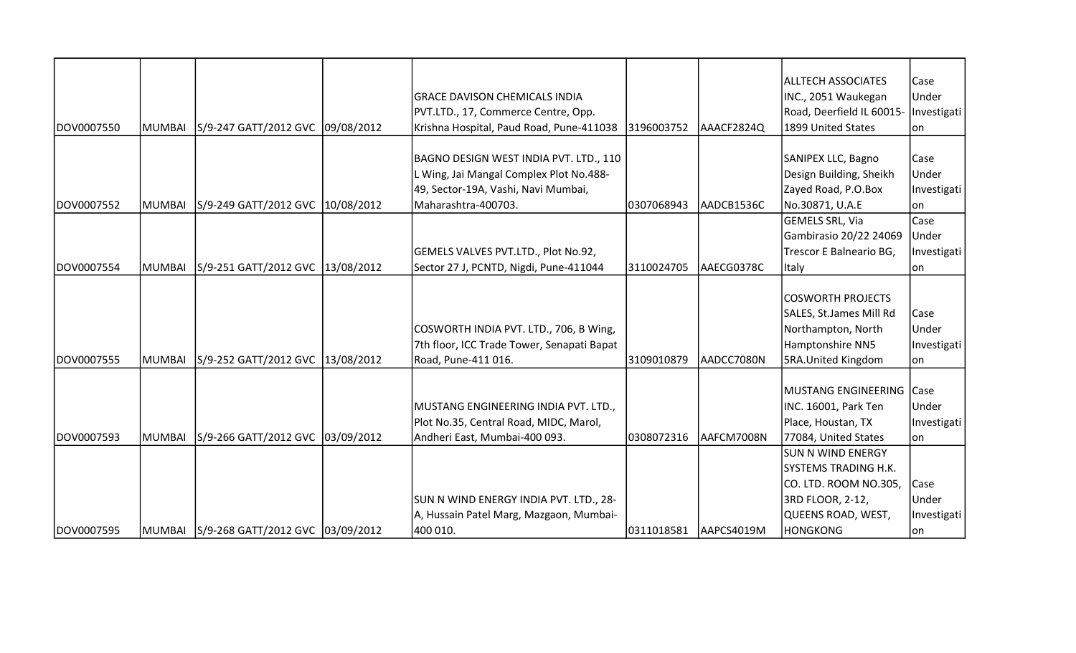|            |        |                                  |                                            |            |            | <b>ALLTECH ASSOCIATES</b>   | Case        |
|------------|--------|----------------------------------|--------------------------------------------|------------|------------|-----------------------------|-------------|
|            |        |                                  | <b>GRACE DAVISON CHEMICALS INDIA</b>       |            |            | INC., 2051 Waukegan         | Under       |
|            |        |                                  | PVT.LTD., 17, Commerce Centre, Opp.        |            |            | Road, Deerfield IL 60015-   | Investigati |
| DOV0007550 | MUMBAI | S/9-247 GATT/2012 GVC 09/08/2012 | Krishna Hospital, Paud Road, Pune-411038   | 3196003752 | AAACF2824Q | 1899 United States          | lon         |
|            |        |                                  |                                            |            |            |                             |             |
|            |        |                                  | BAGNO DESIGN WEST INDIA PVT. LTD., 110     |            |            | SANIPEX LLC, Bagno          | Case        |
|            |        |                                  | L Wing, Jai Mangal Complex Plot No.488-    |            |            | Design Building, Sheikh     | Under       |
|            |        |                                  | 49, Sector-19A, Vashi, Navi Mumbai,        |            |            | Zayed Road, P.O.Box         | Investigati |
| DOV0007552 | MUMBAI | S/9-249 GATT/2012 GVC 10/08/2012 | Maharashtra-400703.                        | 0307068943 | AADCB1536C | No.30871, U.A.E             | lon         |
|            |        |                                  |                                            |            |            | <b>GEMELS SRL, Via</b>      | Case        |
|            |        |                                  |                                            |            |            | Gambirasio 20/22 24069      | Under       |
|            |        |                                  | GEMELS VALVES PVT.LTD., Plot No.92,        |            |            | Trescor E Balneario BG,     | Investigati |
| DOV0007554 | MUMBAI | S/9-251 GATT/2012 GVC 13/08/2012 | Sector 27 J, PCNTD, Nigdi, Pune-411044     | 3110024705 | AAECG0378C | <b>Italy</b>                | on          |
|            |        |                                  |                                            |            |            |                             |             |
|            |        |                                  |                                            |            |            | <b>COSWORTH PROJECTS</b>    |             |
|            |        |                                  |                                            |            |            | SALES, St.James Mill Rd     | Case        |
|            |        |                                  | COSWORTH INDIA PVT. LTD., 706, B Wing,     |            |            | Northampton, North          | Under       |
|            |        |                                  | 7th floor, ICC Trade Tower, Senapati Bapat |            |            | Hamptonshire NN5            | Investigati |
| DOV0007555 | MUMBAI | S/9-252 GATT/2012 GVC 13/08/2012 | Road, Pune-411 016.                        | 3109010879 | AADCC7080N | <b>5RA.United Kingdom</b>   | on          |
|            |        |                                  |                                            |            |            |                             |             |
|            |        |                                  |                                            |            |            | MUSTANG ENGINEERING Case    |             |
|            |        |                                  | MUSTANG ENGINEERING INDIA PVT. LTD.,       |            |            | INC. 16001, Park Ten        | Under       |
|            |        |                                  | Plot No.35, Central Road, MIDC, Marol,     |            |            | Place, Houstan, TX          | Investigati |
| DOV0007593 | MUMBAI | S/9-266 GATT/2012 GVC 03/09/2012 | Andheri East, Mumbai-400 093.              | 0308072316 | AAFCM7008N | 77084, United States        | lon         |
|            |        |                                  |                                            |            |            | <b>SUN N WIND ENERGY</b>    |             |
|            |        |                                  |                                            |            |            | <b>SYSTEMS TRADING H.K.</b> |             |
|            |        |                                  |                                            |            |            | CO. LTD. ROOM NO.305,       | Case        |
|            |        |                                  | SUN N WIND ENERGY INDIA PVT. LTD., 28-     |            |            | 3RD FLOOR, 2-12,            | Under       |
|            |        |                                  | A, Hussain Patel Marg, Mazgaon, Mumbai-    |            |            | QUEENS ROAD, WEST,          | Investigati |
| DOV0007595 |        |                                  | 400 010.                                   | 0311018581 | AAPCS4019M | <b>HONGKONG</b>             | on          |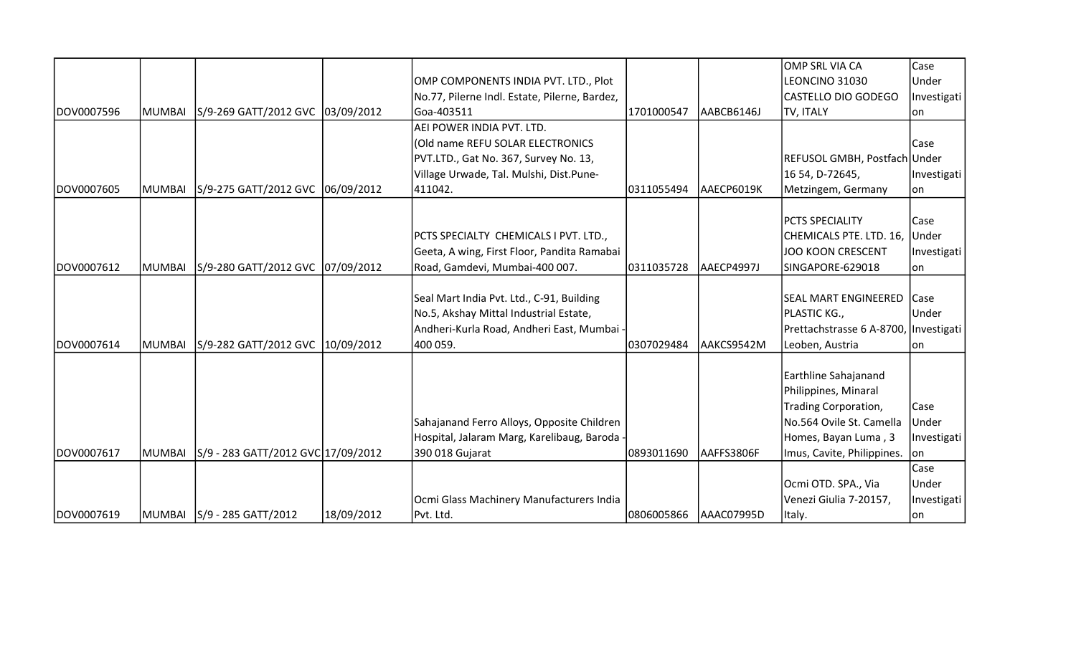|            |               |                                    |            |                                               |             |            | OMP SRL VIA CA                        | Case        |
|------------|---------------|------------------------------------|------------|-----------------------------------------------|-------------|------------|---------------------------------------|-------------|
|            |               |                                    |            | OMP COMPONENTS INDIA PVT. LTD., Plot          |             |            | LEONCINO 31030                        | Under       |
|            |               |                                    |            | No.77, Pilerne Indl. Estate, Pilerne, Bardez, |             |            | <b>CASTELLO DIO GODEGO</b>            | Investigati |
| DOV0007596 | <b>MUMBAI</b> | S/9-269 GATT/2012 GVC 03/09/2012   |            | Goa-403511                                    | 1701000547  | AABCB6146J | TV, ITALY                             | lon         |
|            |               |                                    |            | AEI POWER INDIA PVT. LTD.                     |             |            |                                       |             |
|            |               |                                    |            | (Old name REFU SOLAR ELECTRONICS              |             |            |                                       | Case        |
|            |               |                                    |            | PVT.LTD., Gat No. 367, Survey No. 13,         |             |            | REFUSOL GMBH, Postfach Under          |             |
|            |               |                                    |            | Village Urwade, Tal. Mulshi, Dist.Pune-       |             |            | 16 54, D-72645,                       | Investigati |
| DOV0007605 | MUMBAI        | S/9-275 GATT/2012 GVC 06/09/2012   |            | 411042.                                       | 0311055494  | AAECP6019K | Metzingem, Germany                    | on          |
|            |               |                                    |            |                                               |             |            |                                       |             |
|            |               |                                    |            |                                               |             |            | <b>PCTS SPECIALITY</b>                | Case        |
|            |               |                                    |            | PCTS SPECIALTY CHEMICALS I PVT. LTD.,         |             |            | CHEMICALS PTE. LTD. 16, Under         |             |
|            |               |                                    |            | Geeta, A wing, First Floor, Pandita Ramabai   |             |            | JOO KOON CRESCENT                     | Investigati |
| DOV0007612 | MUMBAI        | S/9-280 GATT/2012 GVC 07/09/2012   |            | Road, Gamdevi, Mumbai-400 007.                | 0311035728  | AAECP4997J | SINGAPORE-629018                      | on          |
|            |               |                                    |            |                                               |             |            |                                       |             |
|            |               |                                    |            | Seal Mart India Pvt. Ltd., C-91, Building     |             |            | SEAL MART ENGINEERED Case             |             |
|            |               |                                    |            | No.5, Akshay Mittal Industrial Estate,        |             |            | PLASTIC KG.,                          | Under       |
|            |               |                                    |            | Andheri-Kurla Road, Andheri East, Mumbai      |             |            | Prettachstrasse 6 A-8700, Investigati |             |
| DOV0007614 | MUMBAI        | S/9-282 GATT/2012 GVC 10/09/2012   |            | 400 059.                                      | 10307029484 | AAKCS9542M | Leoben, Austria                       | lon         |
|            |               |                                    |            |                                               |             |            |                                       |             |
|            |               |                                    |            |                                               |             |            | Earthline Sahajanand                  |             |
|            |               |                                    |            |                                               |             |            | Philippines, Minaral                  |             |
|            |               |                                    |            |                                               |             |            | Trading Corporation,                  | Case        |
|            |               |                                    |            | Sahajanand Ferro Alloys, Opposite Children    |             |            | No.564 Ovile St. Camella              | Under       |
|            |               |                                    |            | Hospital, Jalaram Marg, Karelibaug, Baroda -  |             |            | Homes, Bayan Luma, 3                  | Investigati |
| DOV0007617 | MUMBAI        | S/9 - 283 GATT/2012 GVC 17/09/2012 |            | 390 018 Gujarat                               | 0893011690  | AAFFS3806F | Imus, Cavite, Philippines.            | lon         |
|            |               |                                    |            |                                               |             |            |                                       | Case        |
|            |               |                                    |            |                                               |             |            | Ocmi OTD. SPA., Via                   | Under       |
|            |               |                                    |            | Ocmi Glass Machinery Manufacturers India      |             |            | Venezi Giulia 7-20157,                | Investigati |
| DOV0007619 |               | MUMBAI S/9 - 285 GATT/2012         | 18/09/2012 | Pvt. Ltd.                                     | 0806005866  | AAAC07995D | Italy.                                | on          |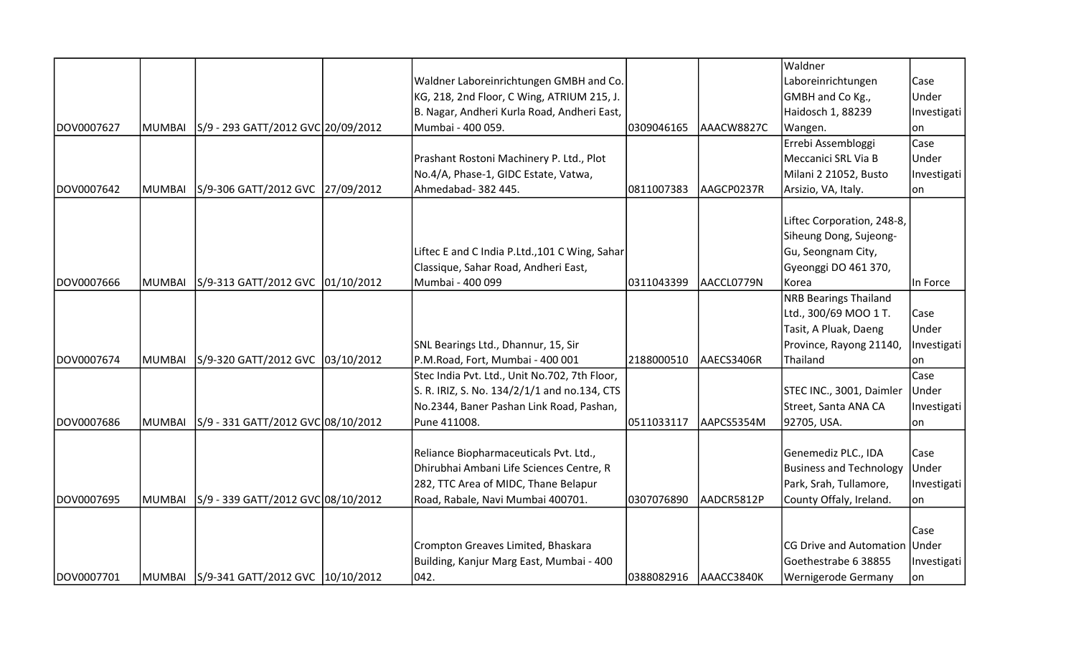|            |        |                                         |                                                |            |            | Waldner                        |             |
|------------|--------|-----------------------------------------|------------------------------------------------|------------|------------|--------------------------------|-------------|
|            |        |                                         | Waldner Laboreinrichtungen GMBH and Co.        |            |            | Laboreinrichtungen             | Case        |
|            |        |                                         | KG, 218, 2nd Floor, C Wing, ATRIUM 215, J.     |            |            | GMBH and Co Kg.,               | Under       |
|            |        |                                         | B. Nagar, Andheri Kurla Road, Andheri East,    |            |            | Haidosch 1, 88239              | Investigati |
| DOV0007627 | MUMBAI | S/9 - 293 GATT/2012 GVC 20/09/2012      | Mumbai - 400 059.                              | 0309046165 | AAACW8827C | Wangen.                        | on          |
|            |        |                                         |                                                |            |            | Errebi Assembloggi             | Case        |
|            |        |                                         | Prashant Rostoni Machinery P. Ltd., Plot       |            |            | Meccanici SRL Via B            | Under       |
|            |        |                                         | No.4/A, Phase-1, GIDC Estate, Vatwa,           |            |            | Milani 2 21052, Busto          | Investigati |
| DOV0007642 | MUMBAI | S/9-306 GATT/2012 GVC 27/09/2012        | Ahmedabad- 382 445.                            | 0811007383 | AAGCP0237R | Arsizio, VA, Italy.            | on          |
|            |        |                                         |                                                |            |            | Liftec Corporation, 248-8,     |             |
|            |        |                                         |                                                |            |            | Siheung Dong, Sujeong-         |             |
|            |        |                                         | Liftec E and C India P.Ltd., 101 C Wing, Sahar |            |            | Gu, Seongnam City,             |             |
|            |        |                                         | Classique, Sahar Road, Andheri East,           |            |            | Gyeonggi DO 461 370,           |             |
| DOV0007666 | MUMBAI | S/9-313 GATT/2012 GVC 01/10/2012        | Mumbai - 400 099                               | 0311043399 | AACCL0779N | Korea                          | In Force    |
|            |        |                                         |                                                |            |            | <b>NRB Bearings Thailand</b>   |             |
|            |        |                                         |                                                |            |            | Ltd., 300/69 MOO 1 T.          | Case        |
|            |        |                                         |                                                |            |            | Tasit, A Pluak, Daeng          | Under       |
|            |        |                                         | SNL Bearings Ltd., Dhannur, 15, Sir            |            |            | Province, Rayong 21140,        |             |
| DOV0007674 | MUMBAI | S/9-320 GATT/2012 GVC 03/10/2012        | P.M.Road, Fort, Mumbai - 400 001               | 2188000510 | AAECS3406R | Thailand                       | Investigati |
|            |        |                                         | Stec India Pvt. Ltd., Unit No.702, 7th Floor,  |            |            |                                | on<br>Case  |
|            |        |                                         | S. R. IRIZ, S. No. 134/2/1/1 and no.134, CTS   |            |            | STEC INC., 3001, Daimler       | Under       |
|            |        |                                         | No.2344, Baner Pashan Link Road, Pashan,       |            |            | Street, Santa ANA CA           | Investigati |
| DOV0007686 | MUMBAI | S/9 - 331 GATT/2012 GVC 08/10/2012      | Pune 411008.                                   | 0511033117 | AAPCS5354M | 92705, USA.                    |             |
|            |        |                                         |                                                |            |            |                                | on          |
|            |        |                                         | Reliance Biopharmaceuticals Pvt. Ltd.,         |            |            | Genemediz PLC., IDA            | Case        |
|            |        |                                         | Dhirubhai Ambani Life Sciences Centre, R       |            |            | <b>Business and Technology</b> | Under       |
|            |        |                                         | 282, TTC Area of MIDC, Thane Belapur           |            |            | Park, Srah, Tullamore,         | Investigati |
| DOV0007695 | MUMBAI | S/9 - 339 GATT/2012 GVC 08/10/2012      | Road, Rabale, Navi Mumbai 400701.              | 0307076890 | AADCR5812P | County Offaly, Ireland.        | on          |
|            |        |                                         |                                                |            |            |                                |             |
|            |        |                                         |                                                |            |            |                                | Case        |
|            |        |                                         | Crompton Greaves Limited, Bhaskara             |            |            | <b>CG Drive and Automation</b> | Under       |
|            |        |                                         | Building, Kanjur Marg East, Mumbai - 400       |            |            | Goethestrabe 6 38855           | Investigati |
| DOV0007701 |        | MUMBAI S/9-341 GATT/2012 GVC 10/10/2012 | 042.                                           | 0388082916 | AAACC3840K | Wernigerode Germany            | lon.        |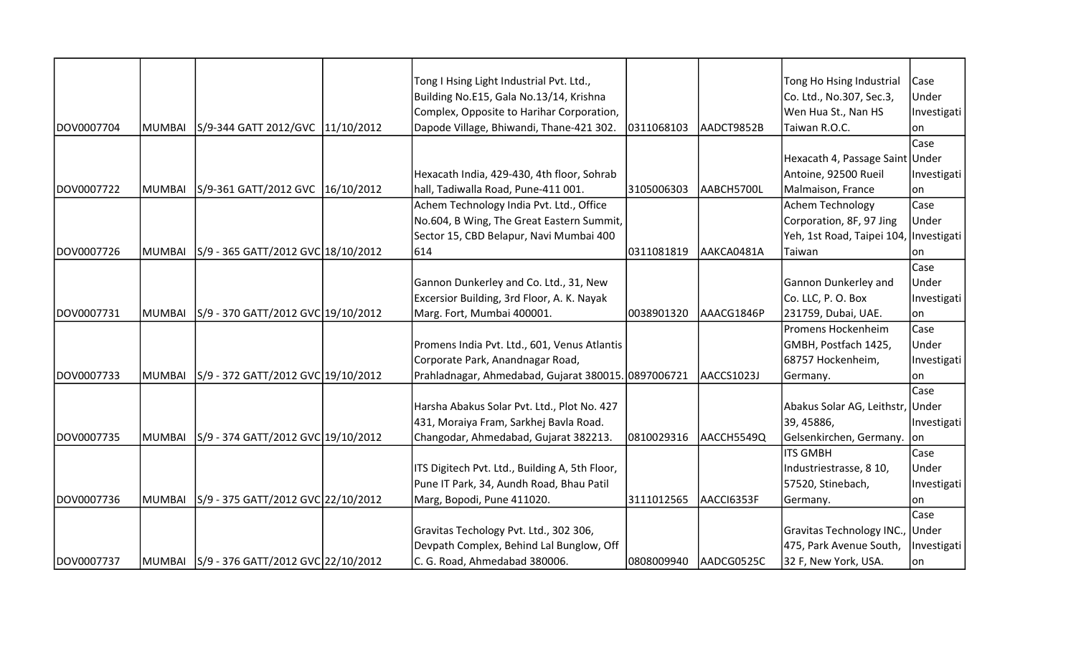|            |               |                                             | Tong I Hsing Light Industrial Pvt. Ltd.,            |            |            | Tong Ho Hsing Industrial         | Case        |
|------------|---------------|---------------------------------------------|-----------------------------------------------------|------------|------------|----------------------------------|-------------|
|            |               |                                             | Building No.E15, Gala No.13/14, Krishna             |            |            | Co. Ltd., No.307, Sec.3,         | Under       |
|            |               |                                             | Complex, Opposite to Harihar Corporation,           |            |            | Wen Hua St., Nan HS              | Investigati |
| DOV0007704 | <b>MUMBAI</b> | S/9-344 GATT 2012/GVC 11/10/2012            | Dapode Village, Bhiwandi, Thane-421 302.            | 0311068103 | AADCT9852B | Taiwan R.O.C.                    | lon         |
|            |               |                                             |                                                     |            |            |                                  | Case        |
|            |               |                                             |                                                     |            |            | Hexacath 4, Passage Saint Under  |             |
|            |               |                                             | Hexacath India, 429-430, 4th floor, Sohrab          |            |            | Antoine, 92500 Rueil             | Investigati |
| DOV0007722 | MUMBAI        | S/9-361 GATT/2012 GVC 16/10/2012            | hall, Tadiwalla Road, Pune-411 001.                 | 3105006303 | AABCH5700L | Malmaison, France                | lon         |
|            |               |                                             | Achem Technology India Pvt. Ltd., Office            |            |            | <b>Achem Technology</b>          | Case        |
|            |               |                                             | No.604, B Wing, The Great Eastern Summit,           |            |            | Corporation, 8F, 97 Jing         | Under       |
|            |               |                                             | Sector 15, CBD Belapur, Navi Mumbai 400             |            |            | Yeh, 1st Road, Taipei 104,       | Investigati |
| DOV0007726 | <b>MUMBAI</b> | S/9 - 365 GATT/2012 GVC 18/10/2012          | 614                                                 | 0311081819 | AAKCA0481A | Taiwan                           | lon         |
|            |               |                                             |                                                     |            |            |                                  | Case        |
|            |               |                                             | Gannon Dunkerley and Co. Ltd., 31, New              |            |            | Gannon Dunkerley and             | Under       |
|            |               |                                             | Excersior Building, 3rd Floor, A. K. Nayak          |            |            | Co. LLC, P. O. Box               | Investigati |
| DOV0007731 | MUMBAI        | S/9 - 370 GATT/2012 GVC 19/10/2012          | Marg. Fort, Mumbai 400001.                          | 0038901320 | AAACG1846P | 231759, Dubai, UAE.              | lon         |
|            |               |                                             |                                                     |            |            | Promens Hockenheim               | Case        |
|            |               |                                             | Promens India Pvt. Ltd., 601, Venus Atlantis        |            |            | GMBH, Postfach 1425,             | Under       |
|            |               |                                             | Corporate Park, Anandnagar Road,                    |            |            | 68757 Hockenheim,                | Investigati |
| DOV0007733 | <b>MUMBAI</b> | S/9 - 372 GATT/2012 GVC 19/10/2012          | Prahladnagar, Ahmedabad, Gujarat 380015. 0897006721 |            | AACCS1023J | Germany.                         | on          |
|            |               |                                             |                                                     |            |            |                                  | Case        |
|            |               |                                             | Harsha Abakus Solar Pvt. Ltd., Plot No. 427         |            |            | Abakus Solar AG, Leithstr, Under |             |
|            |               |                                             | 431, Moraiya Fram, Sarkhej Bavla Road.              |            |            | 39, 45886,                       | Investigati |
| DOV0007735 | <b>MUMBAI</b> | S/9 - 374 GATT/2012 GVC 19/10/2012          | Changodar, Ahmedabad, Gujarat 382213.               | 0810029316 | AACCH5549Q | Gelsenkirchen, Germany.          | on          |
|            |               |                                             |                                                     |            |            | <b>ITS GMBH</b>                  | Case        |
|            |               |                                             | ITS Digitech Pvt. Ltd., Building A, 5th Floor,      |            |            | Industriestrasse, 8 10,          | Under       |
|            |               |                                             | Pune IT Park, 34, Aundh Road, Bhau Patil            |            |            | 57520, Stinebach,                | Investigati |
| DOV0007736 | <b>MUMBAI</b> | S/9 - 375 GATT/2012 GVC 22/10/2012          | Marg, Bopodi, Pune 411020.                          | 3111012565 | AACCI6353F | Germany.                         | on          |
|            |               |                                             |                                                     |            |            |                                  | Case        |
|            |               |                                             | Gravitas Techology Pvt. Ltd., 302 306,              |            |            | Gravitas Technology INC.,        | Under       |
|            |               |                                             | Devpath Complex, Behind Lal Bunglow, Off            |            |            | 475, Park Avenue South,          | Investigati |
| DOV0007737 |               | MUMBAI   S/9 - 376 GATT/2012 GVC 22/10/2012 | C. G. Road, Ahmedabad 380006.                       | 0808009940 | AADCG0525C | 32 F, New York, USA.             | on          |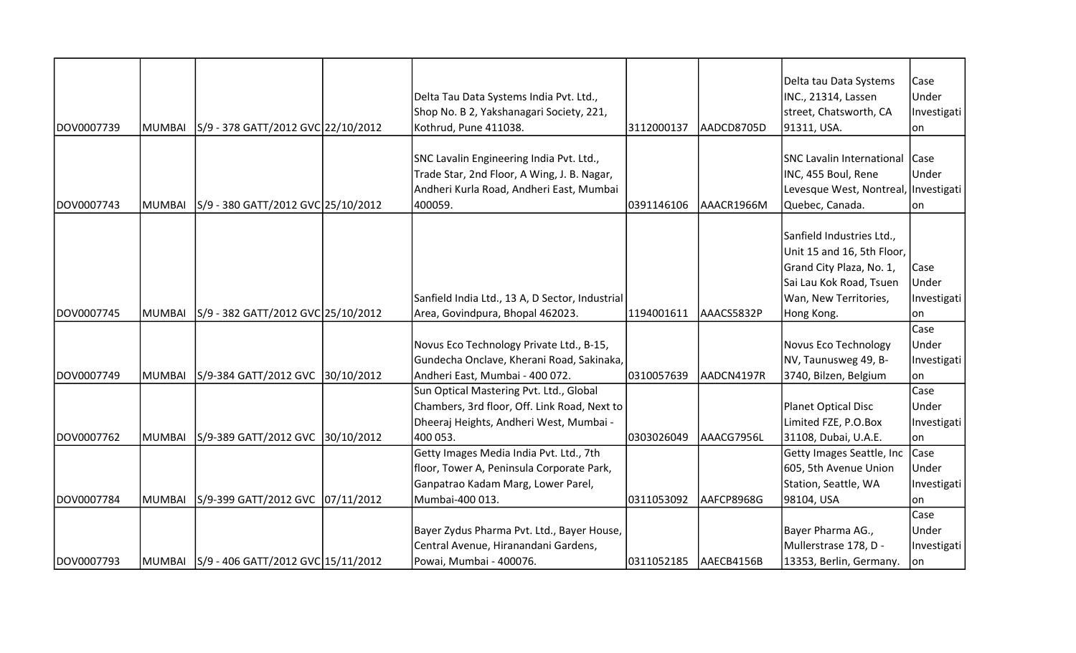|            |        |                                           |                                                 |            |            | Delta tau Data Systems                 | Case        |
|------------|--------|-------------------------------------------|-------------------------------------------------|------------|------------|----------------------------------------|-------------|
|            |        |                                           | Delta Tau Data Systems India Pvt. Ltd.,         |            |            | INC., 21314, Lassen                    | Under       |
|            |        |                                           | Shop No. B 2, Yakshanagari Society, 221,        |            |            | street, Chatsworth, CA                 | Investigati |
| DOV0007739 | MUMBAI | S/9 - 378 GATT/2012 GVC 22/10/2012        | Kothrud, Pune 411038.                           | 3112000137 | AADCD8705D | 91311, USA.                            | lon         |
|            |        |                                           |                                                 |            |            |                                        |             |
|            |        |                                           | SNC Lavalin Engineering India Pvt. Ltd.,        |            |            | SNC Lavalin International              | Case        |
|            |        |                                           | Trade Star, 2nd Floor, A Wing, J. B. Nagar,     |            |            | INC, 455 Boul, Rene                    | Under       |
|            |        |                                           | Andheri Kurla Road, Andheri East, Mumbai        |            |            | Levesque West, Nontreal,   Investigati |             |
| DOV0007743 | MUMBAI | S/9 - 380 GATT/2012 GVC 25/10/2012        | 400059.                                         | 0391146106 | AAACR1966M | Quebec, Canada.                        | on          |
|            |        |                                           |                                                 |            |            |                                        |             |
|            |        |                                           |                                                 |            |            | Sanfield Industries Ltd.,              |             |
|            |        |                                           |                                                 |            |            | Unit 15 and 16, 5th Floor,             |             |
|            |        |                                           |                                                 |            |            | Grand City Plaza, No. 1,               | Case        |
|            |        |                                           |                                                 |            |            | Sai Lau Kok Road, Tsuen                | Under       |
|            |        |                                           | Sanfield India Ltd., 13 A, D Sector, Industrial |            |            | Wan, New Territories,                  | Investigati |
| DOV0007745 | MUMBAI | S/9 - 382 GATT/2012 GVC 25/10/2012        | Area, Govindpura, Bhopal 462023.                | 1194001611 | AAACS5832P | Hong Kong.                             | lon.        |
|            |        |                                           |                                                 |            |            |                                        | Case        |
|            |        |                                           | Novus Eco Technology Private Ltd., B-15,        |            |            | Novus Eco Technology                   | Under       |
|            |        |                                           | Gundecha Onclave, Kherani Road, Sakinaka,       |            |            | NV, Taunusweg 49, B-                   | Investigati |
| DOV0007749 | MUMBAI | S/9-384 GATT/2012 GVC 30/10/2012          | Andheri East, Mumbai - 400 072.                 | 0310057639 | AADCN4197R | 3740, Bilzen, Belgium                  | lon.        |
|            |        |                                           | Sun Optical Mastering Pvt. Ltd., Global         |            |            |                                        | Case        |
|            |        |                                           | Chambers, 3rd floor, Off. Link Road, Next to    |            |            | Planet Optical Disc                    | Under       |
|            |        |                                           | Dheeraj Heights, Andheri West, Mumbai -         |            |            | Limited FZE, P.O.Box                   | Investigati |
| DOV0007762 | MUMBAI | S/9-389 GATT/2012 GVC 30/10/2012          | 400 053.                                        | 0303026049 | AAACG7956L | 31108, Dubai, U.A.E.                   | lon         |
|            |        |                                           | Getty Images Media India Pvt. Ltd., 7th         |            |            | Getty Images Seattle, Inc              | <b>Case</b> |
|            |        |                                           | floor, Tower A, Peninsula Corporate Park,       |            |            | 605, 5th Avenue Union                  | Under       |
|            |        |                                           | Ganpatrao Kadam Marg, Lower Parel,              |            |            | Station, Seattle, WA                   | Investigati |
| DOV0007784 | MUMBAI | S/9-399 GATT/2012 GVC 07/11/2012          | Mumbai-400 013.                                 | 0311053092 | AAFCP8968G | 98104, USA                             | on          |
|            |        |                                           |                                                 |            |            |                                        | Case        |
|            |        |                                           | Bayer Zydus Pharma Pvt. Ltd., Bayer House,      |            |            | Bayer Pharma AG.,                      | Under       |
|            |        |                                           | Central Avenue, Hiranandani Gardens,            |            |            | Mullerstrase 178, D -                  | Investigati |
| DOV0007793 |        | MUMBAI 5/9 - 406 GATT/2012 GVC 15/11/2012 | Powai, Mumbai - 400076.                         | 0311052185 | AAECB4156B | 13353, Berlin, Germany.                | lon         |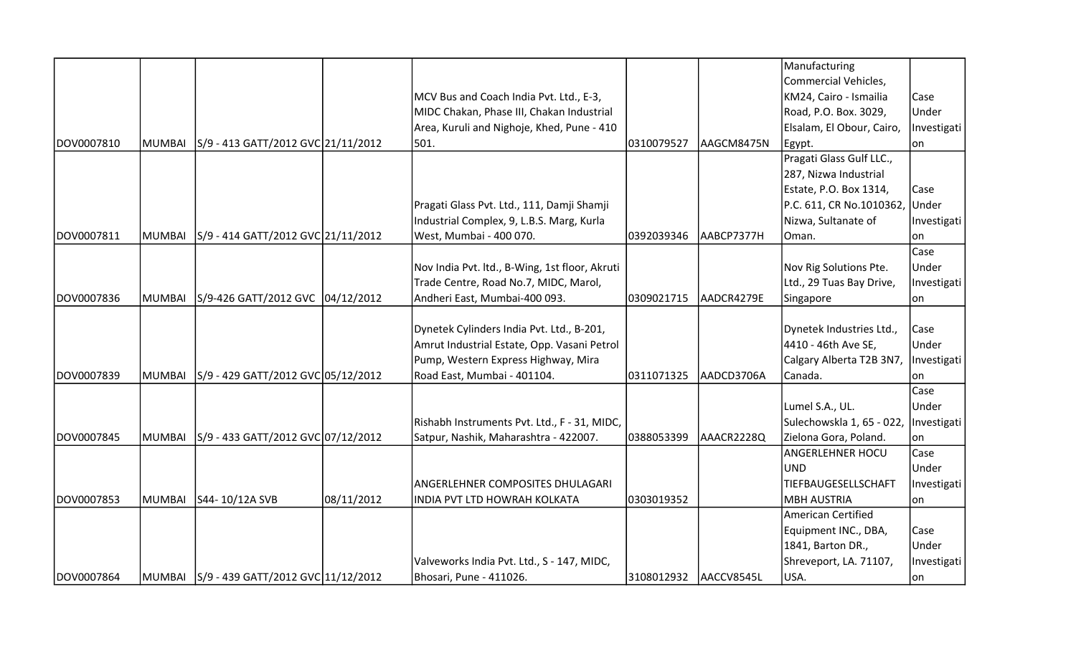|            |         |                                           |            |                                                |            |            | Manufacturing             |             |
|------------|---------|-------------------------------------------|------------|------------------------------------------------|------------|------------|---------------------------|-------------|
|            |         |                                           |            |                                                |            |            | Commercial Vehicles,      |             |
|            |         |                                           |            | MCV Bus and Coach India Pvt. Ltd., E-3,        |            |            | KM24, Cairo - Ismailia    | Case        |
|            |         |                                           |            | MIDC Chakan, Phase III, Chakan Industrial      |            |            | Road, P.O. Box. 3029,     | Under       |
|            |         |                                           |            | Area, Kuruli and Nighoje, Khed, Pune - 410     |            |            | Elsalam, El Obour, Cairo, | Investigati |
| DOV0007810 | MUMBAI  | S/9 - 413 GATT/2012 GVC 21/11/2012        |            | 501.                                           | 0310079527 | AAGCM8475N | Egypt.                    | lon         |
|            |         |                                           |            |                                                |            |            | Pragati Glass Gulf LLC.,  |             |
|            |         |                                           |            |                                                |            |            | 287, Nizwa Industrial     |             |
|            |         |                                           |            |                                                |            |            | Estate, P.O. Box 1314,    | Case        |
|            |         |                                           |            | Pragati Glass Pvt. Ltd., 111, Damji Shamji     |            |            | P.C. 611, CR No.1010362,  | Under       |
|            |         |                                           |            | Industrial Complex, 9, L.B.S. Marg, Kurla      |            |            | Nizwa, Sultanate of       | Investigati |
| DOV0007811 | IMUMBAI | S/9 - 414 GATT/2012 GVC 21/11/2012        |            | West, Mumbai - 400 070.                        | 0392039346 | AABCP7377H | Oman.                     | lon         |
|            |         |                                           |            |                                                |            |            |                           | Case        |
|            |         |                                           |            | Nov India Pvt. ltd., B-Wing, 1st floor, Akruti |            |            | Nov Rig Solutions Pte.    | Under       |
|            |         |                                           |            | Trade Centre, Road No.7, MIDC, Marol,          |            |            | Ltd., 29 Tuas Bay Drive,  | Investigati |
| DOV0007836 | MUMBAI  | S/9-426 GATT/2012 GVC 04/12/2012          |            | Andheri East, Mumbai-400 093.                  | 0309021715 | AADCR4279E | Singapore                 | lon         |
|            |         |                                           |            |                                                |            |            |                           |             |
|            |         |                                           |            | Dynetek Cylinders India Pvt. Ltd., B-201,      |            |            | Dynetek Industries Ltd.,  | Case        |
|            |         |                                           |            | Amrut Industrial Estate, Opp. Vasani Petrol    |            |            | 4410 - 46th Ave SE,       | Under       |
|            |         |                                           |            | Pump, Western Express Highway, Mira            |            |            | Calgary Alberta T2B 3N7,  | Investigati |
| DOV0007839 | MUMBAI  | S/9 - 429 GATT/2012 GVC 05/12/2012        |            | Road East, Mumbai - 401104.                    | 0311071325 | AADCD3706A | Canada.                   | lon         |
|            |         |                                           |            |                                                |            |            |                           | Case        |
|            |         |                                           |            |                                                |            |            | Lumel S.A., UL.           | Under       |
|            |         |                                           |            | Rishabh Instruments Pvt. Ltd., F - 31, MIDC,   |            |            | Sulechowskla 1, 65 - 022, | Investigati |
| DOV0007845 | MUMBAI  | S/9 - 433 GATT/2012 GVC 07/12/2012        |            | Satpur, Nashik, Maharashtra - 422007.          | 0388053399 | AAACR2228Q | Zielona Gora, Poland.     | on          |
|            |         |                                           |            |                                                |            |            | <b>ANGERLEHNER HOCU</b>   | Case        |
|            |         |                                           |            |                                                |            |            | <b>UND</b>                | Under       |
|            |         |                                           |            | <b>ANGERLEHNER COMPOSITES DHULAGARI</b>        |            |            | TIEFBAUGESELLSCHAFT       | Investigati |
| DOV0007853 | MUMBAI  | S44-10/12A SVB                            | 08/11/2012 | INDIA PVT LTD HOWRAH KOLKATA                   | 0303019352 |            | <b>MBH AUSTRIA</b>        | lon         |
|            |         |                                           |            |                                                |            |            | American Certified        |             |
|            |         |                                           |            |                                                |            |            | Equipment INC., DBA,      | Case        |
|            |         |                                           |            |                                                |            |            | 1841, Barton DR.,         | Under       |
|            |         |                                           |            | Valveworks India Pvt. Ltd., S - 147, MIDC,     |            |            | Shreveport, LA. 71107,    | Investigati |
| DOV0007864 |         | MUMBAI S/9 - 439 GATT/2012 GVC 11/12/2012 |            | Bhosari, Pune - 411026.                        | 3108012932 | AACCV8545L | USA.                      | on          |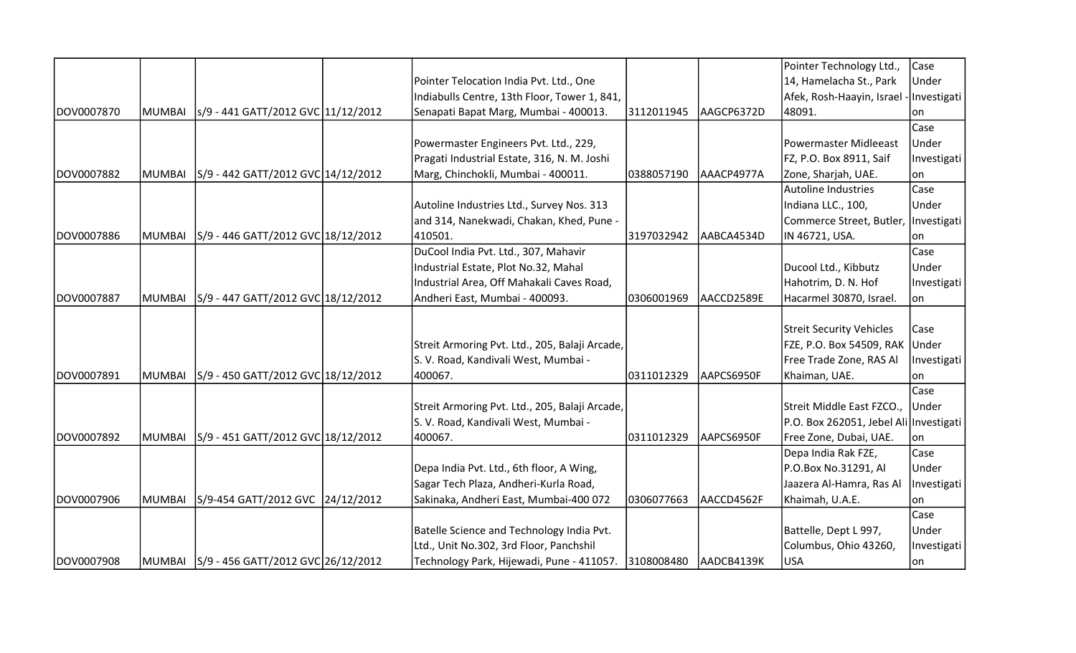|             |               |                                             |                                                |            |            | Pointer Technology Ltd.,                | Case        |
|-------------|---------------|---------------------------------------------|------------------------------------------------|------------|------------|-----------------------------------------|-------------|
|             |               |                                             | Pointer Telocation India Pvt. Ltd., One        |            |            | 14, Hamelacha St., Park                 | Under       |
|             |               |                                             | Indiabulls Centre, 13th Floor, Tower 1, 841,   |            |            | Afek, Rosh-Haayin, Israel - Investigati |             |
| DOV0007870  | <b>MUMBAI</b> | s/9 - 441 GATT/2012 GVC 11/12/2012          | Senapati Bapat Marg, Mumbai - 400013.          | 3112011945 | AAGCP6372D | 48091.                                  | on          |
|             |               |                                             |                                                |            |            |                                         | Case        |
|             |               |                                             | Powermaster Engineers Pvt. Ltd., 229,          |            |            | Powermaster Midleeast                   | Under       |
|             |               |                                             | Pragati Industrial Estate, 316, N. M. Joshi    |            |            | FZ, P.O. Box 8911, Saif                 | Investigati |
| DOV0007882  | <b>MUMBAI</b> | S/9 - 442 GATT/2012 GVC 14/12/2012          | Marg, Chinchokli, Mumbai - 400011.             | 0388057190 | AAACP4977A | Zone, Sharjah, UAE.                     | on          |
|             |               |                                             |                                                |            |            | <b>Autoline Industries</b>              | Case        |
|             |               |                                             | Autoline Industries Ltd., Survey Nos. 313      |            |            | Indiana LLC., 100,                      | Under       |
|             |               |                                             | and 314, Nanekwadi, Chakan, Khed, Pune -       |            |            | Commerce Street, Butler,   Investigati  |             |
| DOV0007886  | <b>MUMBAI</b> | S/9 - 446 GATT/2012 GVC 18/12/2012          | 410501.                                        | 3197032942 | AABCA4534D | IN 46721, USA.                          | lon.        |
|             |               |                                             | DuCool India Pvt. Ltd., 307, Mahavir           |            |            |                                         | Case        |
|             |               |                                             | Industrial Estate, Plot No.32, Mahal           |            |            | Ducool Ltd., Kibbutz                    | Under       |
|             |               |                                             | Industrial Area, Off Mahakali Caves Road,      |            |            | Hahotrim, D. N. Hof                     | Investigati |
| DOV0007887  | <b>MUMBAI</b> | S/9 - 447 GATT/2012 GVC 18/12/2012          | Andheri East, Mumbai - 400093.                 | 0306001969 | AACCD2589E | Hacarmel 30870, Israel.                 | lon         |
|             |               |                                             |                                                |            |            |                                         |             |
|             |               |                                             |                                                |            |            | <b>Streit Security Vehicles</b>         | Case        |
|             |               |                                             | Streit Armoring Pvt. Ltd., 205, Balaji Arcade, |            |            | FZE, P.O. Box 54509, RAK Under          |             |
|             |               |                                             | S. V. Road, Kandivali West, Mumbai -           |            |            | Free Trade Zone, RAS Al                 | Investigati |
| IDOV0007891 | <b>MUMBAI</b> | S/9 - 450 GATT/2012 GVC 18/12/2012          | 400067.                                        | 0311012329 | AAPCS6950F | Khaiman, UAE.                           | lon         |
|             |               |                                             |                                                |            |            |                                         | Case        |
|             |               |                                             | Streit Armoring Pvt. Ltd., 205, Balaji Arcade, |            |            | Streit Middle East FZCO., Under         |             |
|             |               |                                             | S. V. Road, Kandivali West, Mumbai -           |            |            | P.O. Box 262051, Jebel Ali Investigati  |             |
| DOV0007892  | <b>MUMBAI</b> | S/9 - 451 GATT/2012 GVC 18/12/2012          | 400067.                                        | 0311012329 | AAPCS6950F | Free Zone, Dubai, UAE.                  | lon         |
|             |               |                                             |                                                |            |            | Depa India Rak FZE,                     | Case        |
|             |               |                                             | Depa India Pvt. Ltd., 6th floor, A Wing,       |            |            | P.O.Box No.31291, Al                    | Under       |
|             |               |                                             | Sagar Tech Plaza, Andheri-Kurla Road,          |            |            | Jaazera Al-Hamra, Ras Al                | Investigati |
| DOV0007906  | <b>MUMBAI</b> | S/9-454 GATT/2012 GVC 24/12/2012            | Sakinaka, Andheri East, Mumbai-400 072         | 0306077663 | AACCD4562F | Khaimah, U.A.E.                         | lon         |
|             |               |                                             |                                                |            |            |                                         | Case        |
|             |               |                                             | Batelle Science and Technology India Pvt.      |            |            | Battelle, Dept L 997,                   | Under       |
|             |               |                                             | Ltd., Unit No.302, 3rd Floor, Panchshil        |            |            | Columbus, Ohio 43260,                   | Investigati |
| DOV0007908  |               | MUMBAI   S/9 - 456 GATT/2012 GVC 26/12/2012 | Technology Park, Hijewadi, Pune - 411057.      | 3108008480 | AADCB4139K | USA                                     | on          |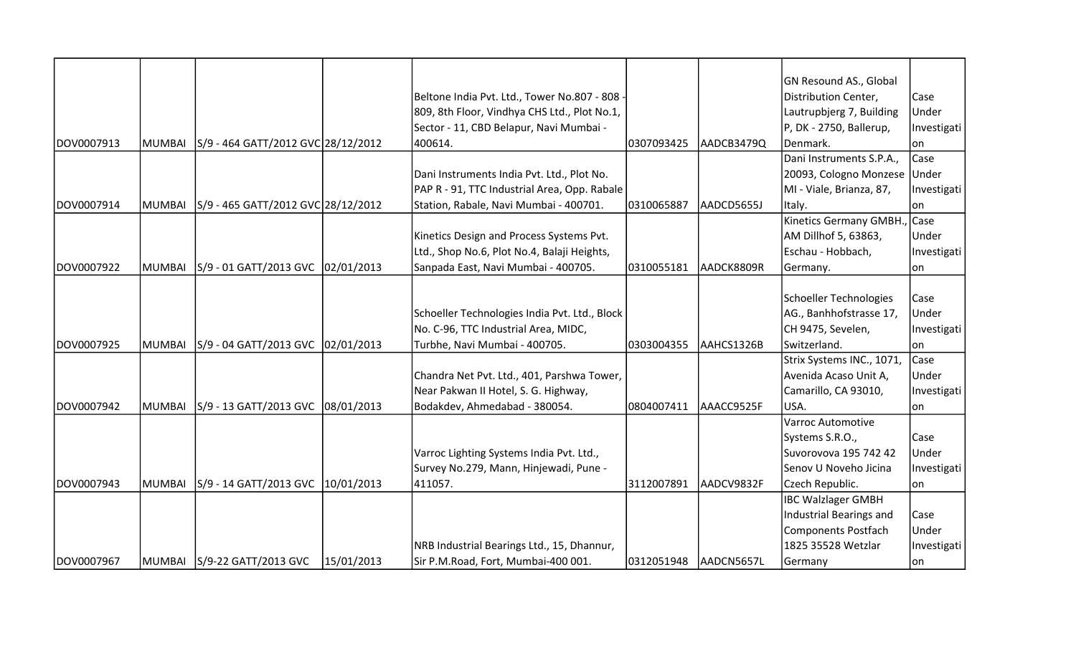|            |               |                                           |            |                                               |            |            | GN Resound AS., Global       |             |
|------------|---------------|-------------------------------------------|------------|-----------------------------------------------|------------|------------|------------------------------|-------------|
|            |               |                                           |            | Beltone India Pvt. Ltd., Tower No.807 - 808 - |            |            | Distribution Center,         | Case        |
|            |               |                                           |            | 809, 8th Floor, Vindhya CHS Ltd., Plot No.1,  |            |            | Lautrupbjerg 7, Building     | Under       |
|            |               |                                           |            | Sector - 11, CBD Belapur, Navi Mumbai -       |            |            | P, DK - 2750, Ballerup,      | Investigati |
| DOV0007913 | <b>MUMBAI</b> | S/9 - 464 GATT/2012 GVC 28/12/2012        |            | 400614.                                       | 0307093425 | AADCB3479Q | Denmark.                     | lon         |
|            |               |                                           |            |                                               |            |            | Dani Instruments S.P.A.,     | Case        |
|            |               |                                           |            | Dani Instruments India Pvt. Ltd., Plot No.    |            |            | 20093, Cologno Monzese Under |             |
|            |               |                                           |            | PAP R - 91, TTC Industrial Area, Opp. Rabale  |            |            | MI - Viale, Brianza, 87,     | Investigati |
| DOV0007914 |               | MUMBAI S/9 - 465 GATT/2012 GVC 28/12/2012 |            | Station, Rabale, Navi Mumbai - 400701.        | 0310065887 | AADCD5655J | Italy.                       | lon         |
|            |               |                                           |            |                                               |            |            | Kinetics Germany GMBH., Case |             |
|            |               |                                           |            | Kinetics Design and Process Systems Pvt.      |            |            | AM Dillhof 5, 63863,         | Under       |
|            |               |                                           |            | Ltd., Shop No.6, Plot No.4, Balaji Heights,   |            |            | Eschau - Hobbach,            | Investigati |
| DOV0007922 | MUMBAI        | S/9 - 01 GATT/2013 GVC 02/01/2013         |            | Sanpada East, Navi Mumbai - 400705.           | 0310055181 | AADCK8809R | Germany.                     | on          |
|            |               |                                           |            |                                               |            |            |                              |             |
|            |               |                                           |            |                                               |            |            | Schoeller Technologies       | Case        |
|            |               |                                           |            | Schoeller Technologies India Pvt. Ltd., Block |            |            | AG., Banhhofstrasse 17,      | Under       |
|            |               |                                           |            | No. C-96, TTC Industrial Area, MIDC,          |            |            | CH 9475, Sevelen,            | Investigati |
| DOV0007925 | MUMBAI        | S/9 - 04 GATT/2013 GVC 02/01/2013         |            | Turbhe, Navi Mumbai - 400705.                 | 0303004355 | AAHCS1326B | Switzerland.                 | lon         |
|            |               |                                           |            |                                               |            |            | Strix Systems INC., 1071,    | Case        |
|            |               |                                           |            | Chandra Net Pvt. Ltd., 401, Parshwa Tower,    |            |            | Avenida Acaso Unit A,        | Under       |
|            |               |                                           |            | Near Pakwan II Hotel, S. G. Highway,          |            |            | Camarillo, CA 93010,         | Investigati |
| DOV0007942 | <b>MUMBAI</b> | S/9 - 13 GATT/2013 GVC 08/01/2013         |            | Bodakdev, Ahmedabad - 380054.                 | 0804007411 | AAACC9525F | USA.                         | on          |
|            |               |                                           |            |                                               |            |            | Varroc Automotive            |             |
|            |               |                                           |            |                                               |            |            | Systems S.R.O.,              | Case        |
|            |               |                                           |            | Varroc Lighting Systems India Pvt. Ltd.,      |            |            | Suvorovova 195 742 42        | Under       |
|            |               |                                           |            | Survey No.279, Mann, Hinjewadi, Pune -        |            |            | Senov U Noveho Jicina        | Investigati |
| DOV0007943 | MUMBAI        | S/9 - 14 GATT/2013 GVC 10/01/2013         |            | 411057.                                       | 3112007891 | AADCV9832F | Czech Republic.              | on          |
|            |               |                                           |            |                                               |            |            | <b>IBC Walzlager GMBH</b>    |             |
|            |               |                                           |            |                                               |            |            | Industrial Bearings and      | Case        |
|            |               |                                           |            |                                               |            |            | Components Postfach          | Under       |
|            |               |                                           |            | NRB Industrial Bearings Ltd., 15, Dhannur,    |            |            | 1825 35528 Wetzlar           | Investigati |
| DOV0007967 |               | MUMBAI S/9-22 GATT/2013 GVC               | 15/01/2013 | Sir P.M.Road, Fort, Mumbai-400 001.           | 0312051948 | AADCN5657L | Germany                      | on          |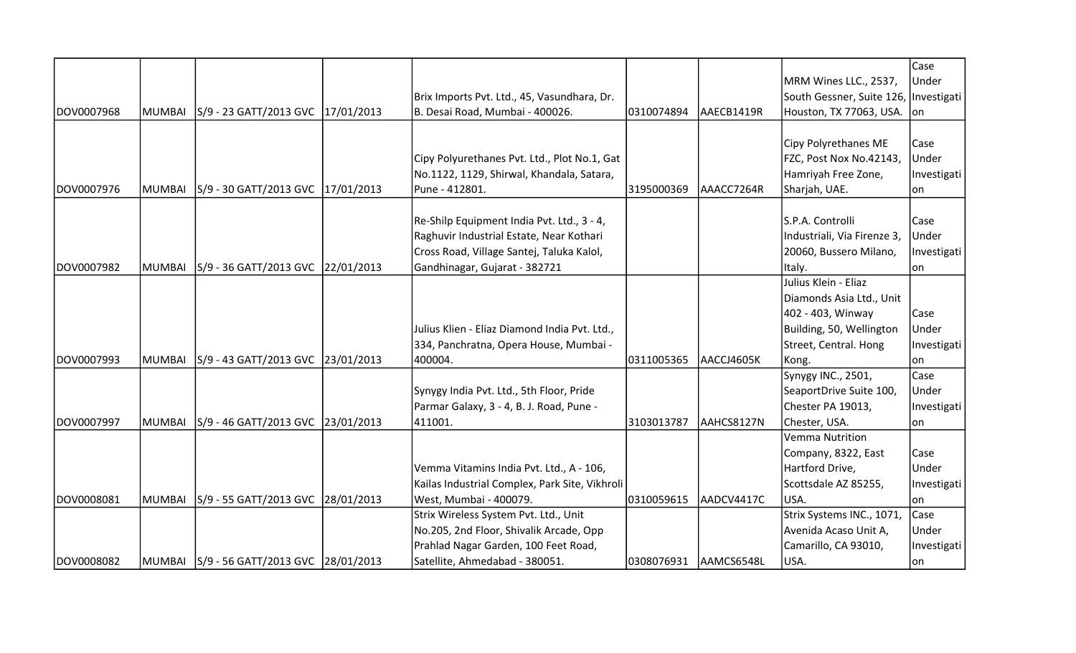|            |               |                                            |                                                |                       |            |                                       | Case        |
|------------|---------------|--------------------------------------------|------------------------------------------------|-----------------------|------------|---------------------------------------|-------------|
|            |               |                                            |                                                |                       |            | MRM Wines LLC., 2537,                 | Under       |
|            |               |                                            | Brix Imports Pvt. Ltd., 45, Vasundhara, Dr.    |                       |            | South Gessner, Suite 126, Investigati |             |
| DOV0007968 | <b>MUMBAI</b> | S/9 - 23 GATT/2013 GVC  17/01/2013         | B. Desai Road, Mumbai - 400026.                | 0310074894            | AAECB1419R | Houston, TX 77063, USA. on            |             |
|            |               |                                            |                                                |                       |            |                                       |             |
|            |               |                                            |                                                |                       |            | Cipy Polyrethanes ME                  | Case        |
|            |               |                                            | Cipy Polyurethanes Pvt. Ltd., Plot No.1, Gat   |                       |            | FZC, Post Nox No.42143,               | Under       |
|            |               |                                            | No.1122, 1129, Shirwal, Khandala, Satara,      |                       |            | Hamriyah Free Zone,                   | Investigati |
| DOV0007976 | <b>MUMBAI</b> | S/9 - 30 GATT/2013 GVC   17/01/2013        | Pune - 412801.                                 | 3195000369            | AAACC7264R | Sharjah, UAE.                         | lon.        |
|            |               |                                            |                                                |                       |            |                                       |             |
|            |               |                                            | Re-Shilp Equipment India Pvt. Ltd., 3 - 4,     |                       |            | S.P.A. Controlli                      | Case        |
|            |               |                                            | Raghuvir Industrial Estate, Near Kothari       |                       |            | Industriali, Via Firenze 3,           | Under       |
|            |               |                                            | Cross Road, Village Santej, Taluka Kalol,      |                       |            | 20060, Bussero Milano,                | Investigati |
| DOV0007982 | <b>MUMBAI</b> | S/9 - 36 GATT/2013 GVC 22/01/2013          | Gandhinagar, Gujarat - 382721                  |                       |            | Italy.                                | on          |
|            |               |                                            |                                                |                       |            | Julius Klein - Eliaz                  |             |
|            |               |                                            |                                                |                       |            | Diamonds Asia Ltd., Unit              |             |
|            |               |                                            |                                                |                       |            | 402 - 403, Winway                     | Case        |
|            |               |                                            | Julius Klien - Eliaz Diamond India Pvt. Ltd.,  |                       |            | Building, 50, Wellington              | Under       |
|            |               |                                            | 334, Panchratna, Opera House, Mumbai -         |                       |            | Street, Central. Hong                 | Investigati |
| DOV0007993 | <b>MUMBAI</b> | S/9 - 43 GATT/2013 GVC 23/01/2013          | 400004.                                        | 0311005365            | AACCJ4605K | Kong.                                 | lon         |
|            |               |                                            |                                                |                       |            | Synygy INC., 2501,                    | Case        |
|            |               |                                            | Synygy India Pvt. Ltd., 5th Floor, Pride       |                       |            | SeaportDrive Suite 100,               | Under       |
|            |               |                                            | Parmar Galaxy, 3 - 4, B. J. Road, Pune -       |                       |            | Chester PA 19013,                     | Investigati |
| DOV0007997 | <b>MUMBAI</b> | S/9 - 46 GATT/2013 GVC 23/01/2013          | 411001.                                        | 3103013787            | AAHCS8127N | Chester, USA.                         | on          |
|            |               |                                            |                                                |                       |            | Vemma Nutrition                       |             |
|            |               |                                            |                                                |                       |            | Company, 8322, East                   | Case        |
|            |               |                                            | Vemma Vitamins India Pvt. Ltd., A - 106,       |                       |            | Hartford Drive,                       | Under       |
|            |               |                                            | Kailas Industrial Complex, Park Site, Vikhroli |                       |            | Scottsdale AZ 85255,                  | Investigati |
| DOV0008081 | <b>MUMBAI</b> | S/9 - 55 GATT/2013 GVC 28/01/2013          | West, Mumbai - 400079.                         | 0310059615            | AADCV4417C | USA.                                  | lon         |
|            |               |                                            | Strix Wireless System Pvt. Ltd., Unit          |                       |            | Strix Systems INC., 1071,             | Case        |
|            |               |                                            | No.205, 2nd Floor, Shivalik Arcade, Opp        |                       |            | Avenida Acaso Unit A,                 | Under       |
|            |               |                                            | Prahlad Nagar Garden, 100 Feet Road,           |                       |            | Camarillo, CA 93010,                  | Investigati |
| DOV0008082 |               | MUMBAI  S/9 - 56 GATT/2013 GVC  28/01/2013 | Satellite, Ahmedabad - 380051.                 | 0308076931 AAMCS6548L |            | USA.                                  | on          |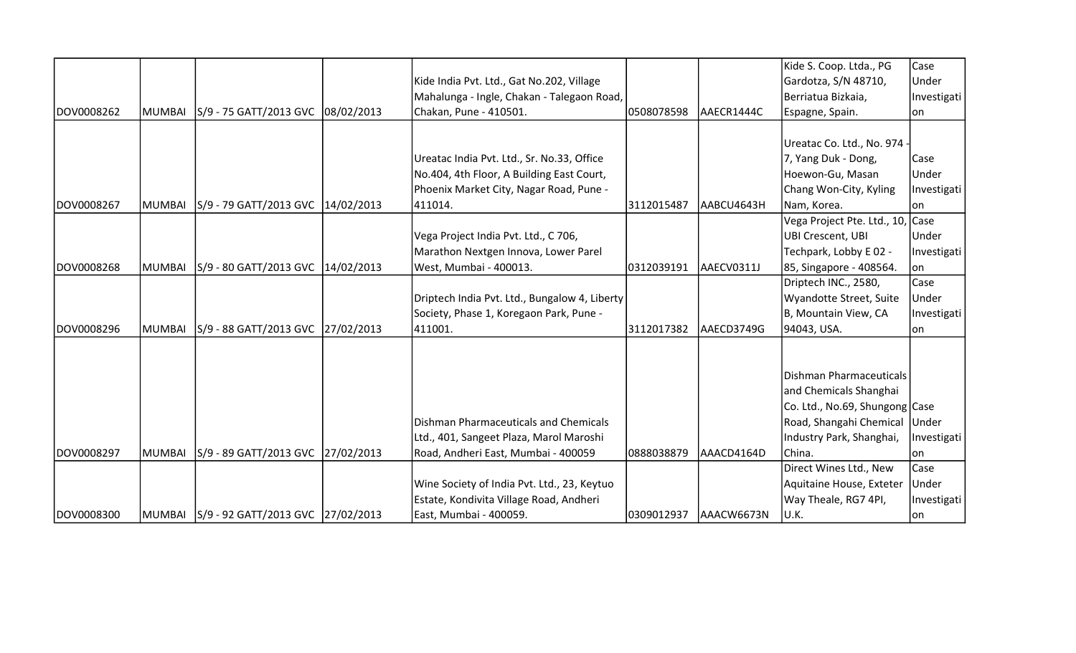|            |               |                                          |                                               |            |            | Kide S. Coop. Ltda., PG          | Case         |
|------------|---------------|------------------------------------------|-----------------------------------------------|------------|------------|----------------------------------|--------------|
|            |               |                                          | Kide India Pvt. Ltd., Gat No.202, Village     |            |            | Gardotza, S/N 48710,             | Under        |
|            |               |                                          | Mahalunga - Ingle, Chakan - Talegaon Road,    |            |            | Berriatua Bizkaia,               | Investigati  |
| DOV0008262 | MUMBAI        | S/9 - 75 GATT/2013 GVC 08/02/2013        | Chakan, Pune - 410501.                        | 0508078598 | AAECR1444C | Espagne, Spain.                  | lon          |
|            |               |                                          |                                               |            |            |                                  |              |
|            |               |                                          |                                               |            |            | Ureatac Co. Ltd., No. 974 -      |              |
|            |               |                                          | Ureatac India Pvt. Ltd., Sr. No.33, Office    |            |            | 7, Yang Duk - Dong,              | Case         |
|            |               |                                          | No.404, 4th Floor, A Building East Court,     |            |            | Hoewon-Gu, Masan                 | Under        |
|            |               |                                          | Phoenix Market City, Nagar Road, Pune -       |            |            | Chang Won-City, Kyling           | Investigati  |
| DOV0008267 | MUMBAI        | S/9 - 79 GATT/2013 GVC   14/02/2013      | 411014.                                       | 3112015487 | AABCU4643H | Nam, Korea.                      | lon          |
|            |               |                                          |                                               |            |            | Vega Project Pte. Ltd., 10, Case |              |
|            |               |                                          | Vega Project India Pvt. Ltd., C 706,          |            |            | UBI Crescent, UBI                | Under        |
|            |               |                                          | Marathon Nextgen Innova, Lower Parel          |            |            | Techpark, Lobby E 02 -           | Investigati  |
| DOV0008268 | MUMBAI        | S/9 - 80 GATT/2013 GVC 14/02/2013        | West, Mumbai - 400013.                        | 0312039191 | AAECV0311J | 85, Singapore - 408564.          | on           |
|            |               |                                          |                                               |            |            | Driptech INC., 2580,             | Case         |
|            |               |                                          | Driptech India Pvt. Ltd., Bungalow 4, Liberty |            |            | Wyandotte Street, Suite          | Under        |
|            |               |                                          | Society, Phase 1, Koregaon Park, Pune -       |            |            | B, Mountain View, CA             | Investigati  |
| DOV0008296 | <b>MUMBAI</b> | S/9 - 88 GATT/2013 GVC 27/02/2013        | 411001.                                       | 3112017382 | AAECD3749G | 94043, USA.                      | lon          |
|            |               |                                          |                                               |            |            |                                  |              |
|            |               |                                          |                                               |            |            |                                  |              |
|            |               |                                          |                                               |            |            | Dishman Pharmaceuticals          |              |
|            |               |                                          |                                               |            |            | and Chemicals Shanghai           |              |
|            |               |                                          |                                               |            |            | Co. Ltd., No.69, Shungong Case   |              |
|            |               |                                          | Dishman Pharmaceuticals and Chemicals         |            |            | Road, Shangahi Chemical Under    |              |
|            |               |                                          | Ltd., 401, Sangeet Plaza, Marol Maroshi       |            |            | Industry Park, Shanghai,         | Investigati  |
| DOV0008297 | MUMBAI        | S/9 - 89 GATT/2013 GVC 27/02/2013        | Road, Andheri East, Mumbai - 400059           | 0888038879 | AAACD4164D | China.                           | lon          |
|            |               |                                          |                                               |            |            | Direct Wines Ltd., New           | Case         |
|            |               |                                          | Wine Society of India Pvt. Ltd., 23, Keytuo   |            |            | Aquitaine House, Exteter         | <b>Under</b> |
|            |               |                                          | Estate, Kondivita Village Road, Andheri       |            |            | Way Theale, RG7 4PI,             | Investigati  |
| DOV0008300 |               | MUMBAI 5/9 - 92 GATT/2013 GVC 27/02/2013 | East, Mumbai - 400059.                        | 0309012937 | AAACW6673N | U.K.                             | on           |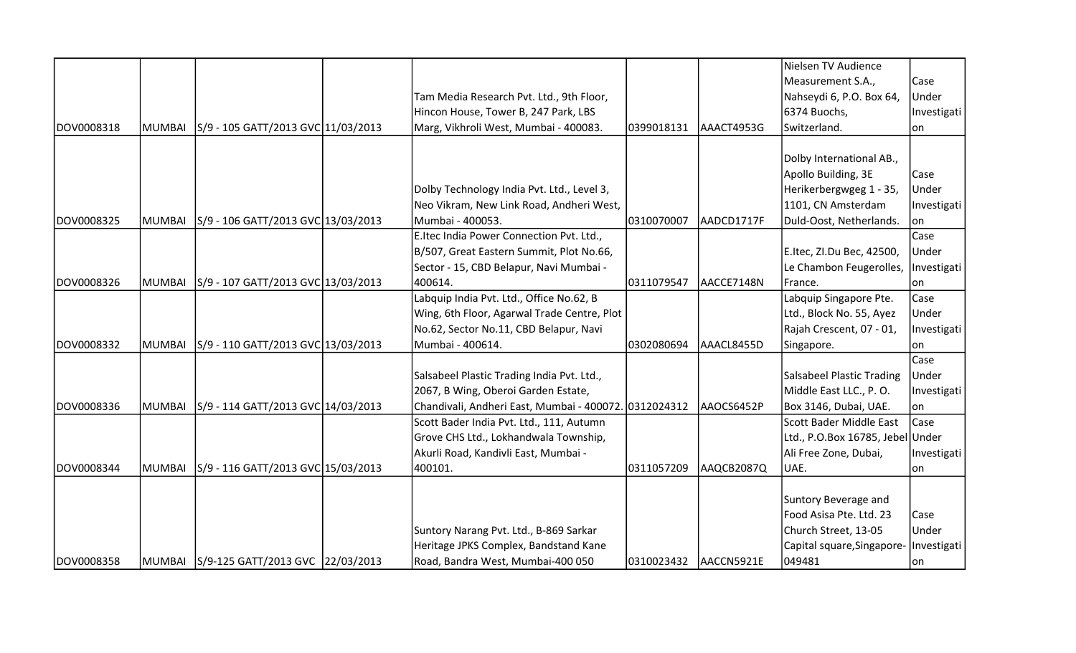|            |               |                                         |                                                       |            |            | Nielsen TV Audience              |             |
|------------|---------------|-----------------------------------------|-------------------------------------------------------|------------|------------|----------------------------------|-------------|
|            |               |                                         |                                                       |            |            | Measurement S.A.,                | Case        |
|            |               |                                         | Tam Media Research Pvt. Ltd., 9th Floor,              |            |            | Nahseydi 6, P.O. Box 64,         | Under       |
|            |               |                                         | Hincon House, Tower B, 247 Park, LBS                  |            |            | 6374 Buochs,                     | Investigati |
| DOV0008318 | MUMBAI        | S/9 - 105 GATT/2013 GVC 11/03/2013      | Marg, Vikhroli West, Mumbai - 400083.                 | 0399018131 | AAACT4953G | Switzerland.                     | lon         |
|            |               |                                         |                                                       |            |            |                                  |             |
|            |               |                                         |                                                       |            |            | Dolby International AB.,         |             |
|            |               |                                         |                                                       |            |            | Apollo Building, 3E              | Case        |
|            |               |                                         | Dolby Technology India Pvt. Ltd., Level 3,            |            |            | Herikerbergwgeg 1 - 35,          | Under       |
|            |               |                                         | Neo Vikram, New Link Road, Andheri West,              |            |            | 1101, CN Amsterdam               | Investigati |
| DOV0008325 | MUMBAI        | S/9 - 106 GATT/2013 GVC 13/03/2013      | Mumbai - 400053.                                      | 0310070007 | AADCD1717F | Duld-Oost, Netherlands.          | on          |
|            |               |                                         | E.Itec India Power Connection Pvt. Ltd.,              |            |            |                                  | Case        |
|            |               |                                         | B/507, Great Eastern Summit, Plot No.66,              |            |            | E.Itec, ZI.Du Bec, 42500,        | Under       |
|            |               |                                         | Sector - 15, CBD Belapur, Navi Mumbai -               |            |            | Le Chambon Feugerolles,          | Investigati |
| DOV0008326 | MUMBAI        | S/9 - 107 GATT/2013 GVC 13/03/2013      | 400614.                                               | 0311079547 | AACCE7148N | France.                          | lon         |
|            |               |                                         | Labquip India Pvt. Ltd., Office No.62, B              |            |            | Labquip Singapore Pte.           | Case        |
|            |               |                                         | Wing, 6th Floor, Agarwal Trade Centre, Plot           |            |            | Ltd., Block No. 55, Ayez         | Under       |
|            |               |                                         | No.62, Sector No.11, CBD Belapur, Navi                |            |            | Rajah Crescent, 07 - 01,         | Investigati |
| DOV0008332 | MUMBAI        | S/9 - 110 GATT/2013 GVC 13/03/2013      | Mumbai - 400614.                                      | 0302080694 | AAACL8455D | Singapore.                       | lon         |
|            |               |                                         |                                                       |            |            |                                  | Case        |
|            |               |                                         | Salsabeel Plastic Trading India Pvt. Ltd.,            |            |            | <b>Salsabeel Plastic Trading</b> | Under       |
|            |               |                                         | 2067, B Wing, Oberoi Garden Estate,                   |            |            | Middle East LLC., P.O.           | Investigati |
| DOV0008336 | <b>MUMBAI</b> | S/9 - 114 GATT/2013 GVC 14/03/2013      | Chandivali, Andheri East, Mumbai - 400072. 0312024312 |            | AAOCS6452P | Box 3146, Dubai, UAE.            | on          |
|            |               |                                         | Scott Bader India Pvt. Ltd., 111, Autumn              |            |            | Scott Bader Middle East          | Case        |
|            |               |                                         | Grove CHS Ltd., Lokhandwala Township,                 |            |            | Ltd., P.O.Box 16785, Jebel Under |             |
|            |               |                                         | Akurli Road, Kandivli East, Mumbai -                  |            |            | Ali Free Zone, Dubai,            | Investigati |
| DOV0008344 | <b>MUMBAI</b> | S/9 - 116 GATT/2013 GVC 15/03/2013      | 400101.                                               | 0311057209 | AAQCB2087Q | UAE.                             | lon         |
|            |               |                                         |                                                       |            |            |                                  |             |
|            |               |                                         |                                                       |            |            | Suntory Beverage and             |             |
|            |               |                                         |                                                       |            |            | Food Asisa Pte. Ltd. 23          | Case        |
|            |               |                                         | Suntory Narang Pvt. Ltd., B-869 Sarkar                |            |            | Church Street, 13-05             | Under       |
|            |               |                                         | Heritage JPKS Complex, Bandstand Kane                 |            |            | Capital square, Singapore-       | Investigati |
| DOV0008358 |               | MUMBAI S/9-125 GATT/2013 GVC 22/03/2013 | Road, Bandra West, Mumbai-400 050                     | 0310023432 | AACCN5921E | 049481                           | lon         |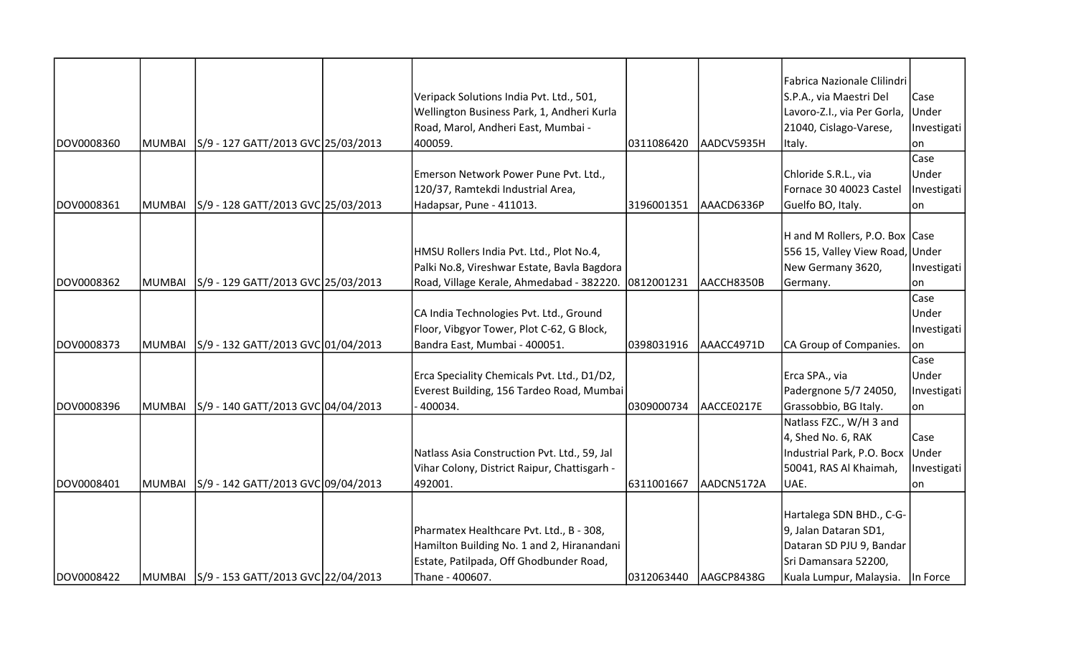|            |               |                                             |                                                      |            |            | Fabrica Nazionale Clilindri     |             |
|------------|---------------|---------------------------------------------|------------------------------------------------------|------------|------------|---------------------------------|-------------|
|            |               |                                             | Veripack Solutions India Pvt. Ltd., 501,             |            |            | S.P.A., via Maestri Del         | Case        |
|            |               |                                             | Wellington Business Park, 1, Andheri Kurla           |            |            | Lavoro-Z.I., via Per Gorla,     | Under       |
|            |               |                                             | Road, Marol, Andheri East, Mumbai -                  |            |            | 21040, Cislago-Varese,          | Investigati |
| DOV0008360 | <b>MUMBAI</b> | S/9 - 127 GATT/2013 GVC 25/03/2013          | 400059.                                              | 0311086420 | AADCV5935H | Italy.                          | on          |
|            |               |                                             |                                                      |            |            |                                 | Case        |
|            |               |                                             | Emerson Network Power Pune Pvt. Ltd.,                |            |            | Chloride S.R.L., via            | Under       |
|            |               |                                             | 120/37, Ramtekdi Industrial Area,                    |            |            | Fornace 30 40023 Castel         | Investigati |
| DOV0008361 | <b>MUMBAI</b> | S/9 - 128 GATT/2013 GVC 25/03/2013          | Hadapsar, Pune - 411013.                             | 3196001351 | AAACD6336P | Guelfo BO, Italy.               | on          |
|            |               |                                             |                                                      |            |            |                                 |             |
|            |               |                                             |                                                      |            |            | H and M Rollers, P.O. Box Case  |             |
|            |               |                                             | HMSU Rollers India Pvt. Ltd., Plot No.4,             |            |            | 556 15, Valley View Road, Under |             |
|            |               |                                             | Palki No.8, Vireshwar Estate, Bavla Bagdora          |            |            | New Germany 3620,               | Investigati |
| DOV0008362 | <b>MUMBAI</b> | S/9 - 129 GATT/2013 GVC 25/03/2013          | Road, Village Kerale, Ahmedabad - 382220. 0812001231 |            | AACCH8350B | Germany.                        | on          |
|            |               |                                             |                                                      |            |            |                                 | Case        |
|            |               |                                             | CA India Technologies Pvt. Ltd., Ground              |            |            |                                 | Under       |
|            |               |                                             | Floor, Vibgyor Tower, Plot C-62, G Block,            |            |            |                                 | Investigati |
| DOV0008373 | <b>MUMBAI</b> | S/9 - 132 GATT/2013 GVC 01/04/2013          | Bandra East, Mumbai - 400051.                        | 0398031916 | AAACC4971D | CA Group of Companies.          | on          |
|            |               |                                             |                                                      |            |            |                                 | Case        |
|            |               |                                             | Erca Speciality Chemicals Pvt. Ltd., D1/D2,          |            |            | Erca SPA., via                  | Under       |
|            |               |                                             | Everest Building, 156 Tardeo Road, Mumbai            |            |            | Padergnone 5/7 24050,           | Investigati |
| DOV0008396 | <b>MUMBAI</b> | S/9 - 140 GATT/2013 GVC 04/04/2013          | 400034.                                              | 0309000734 | AACCE0217E | Grassobbio, BG Italy.           | lon         |
|            |               |                                             |                                                      |            |            | Natlass FZC., W/H 3 and         |             |
|            |               |                                             |                                                      |            |            | 4, Shed No. 6, RAK              | Case        |
|            |               |                                             | Natlass Asia Construction Pvt. Ltd., 59, Jal         |            |            | Industrial Park, P.O. Bocx      | Under       |
|            |               |                                             | Vihar Colony, District Raipur, Chattisgarh -         |            |            | 50041, RAS Al Khaimah,          | Investigati |
| DOV0008401 | <b>MUMBAI</b> | S/9 - 142 GATT/2013 GVC 09/04/2013          | 492001.                                              | 6311001667 | AADCN5172A | UAE.                            | on          |
|            |               |                                             |                                                      |            |            |                                 |             |
|            |               |                                             |                                                      |            |            | Hartalega SDN BHD., C-G-        |             |
|            |               |                                             | Pharmatex Healthcare Pvt. Ltd., B - 308,             |            |            | 9, Jalan Dataran SD1,           |             |
|            |               |                                             | Hamilton Building No. 1 and 2, Hiranandani           |            |            | Dataran SD PJU 9, Bandar        |             |
|            |               |                                             | Estate, Patilpada, Off Ghodbunder Road,              |            |            | Sri Damansara 52200,            |             |
| DOV0008422 |               | MUMBAI   S/9 - 153 GATT/2013 GVC 22/04/2013 | Thane - 400607.                                      | 0312063440 | AAGCP8438G | Kuala Lumpur, Malaysia.         | In Force    |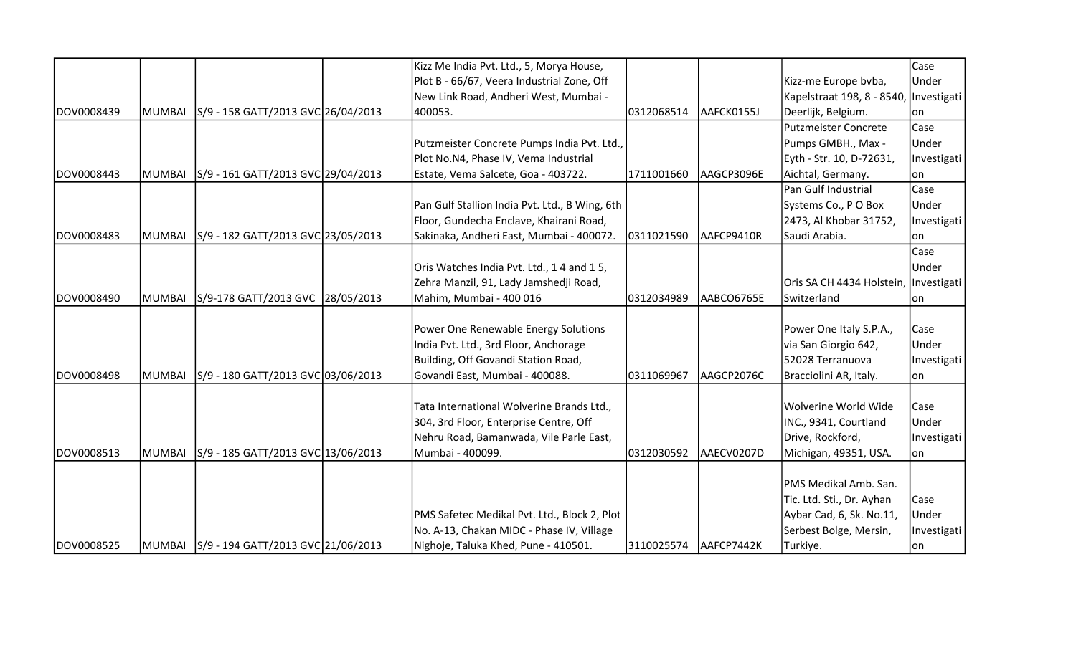|            |               |                                             | Kizz Me India Pvt. Ltd., 5, Morya House,       |            |            |                                        | Case        |
|------------|---------------|---------------------------------------------|------------------------------------------------|------------|------------|----------------------------------------|-------------|
|            |               |                                             | Plot B - 66/67, Veera Industrial Zone, Off     |            |            | Kizz-me Europe bvba,                   | Under       |
|            |               |                                             | New Link Road, Andheri West, Mumbai -          |            |            | Kapelstraat 198, 8 - 8540, Investigati |             |
| DOV0008439 | <b>MUMBAI</b> | S/9 - 158 GATT/2013 GVC 26/04/2013          | 400053.                                        | 0312068514 | AAFCK0155J | Deerlijk, Belgium.                     | lon.        |
|            |               |                                             |                                                |            |            | <b>Putzmeister Concrete</b>            | Case        |
|            |               |                                             | Putzmeister Concrete Pumps India Pvt. Ltd.,    |            |            | Pumps GMBH., Max -                     | Under       |
|            |               |                                             | Plot No.N4, Phase IV, Vema Industrial          |            |            | Eyth - Str. 10, D-72631,               | Investigati |
| DOV0008443 | <b>MUMBAI</b> | S/9 - 161 GATT/2013 GVC 29/04/2013          | Estate, Vema Salcete, Goa - 403722.            | 1711001660 | AAGCP3096E | Aichtal, Germany.                      | lon         |
|            |               |                                             |                                                |            |            | Pan Gulf Industrial                    | Case        |
|            |               |                                             | Pan Gulf Stallion India Pvt. Ltd., B Wing, 6th |            |            | Systems Co., PO Box                    | Under       |
|            |               |                                             | Floor, Gundecha Enclave, Khairani Road,        |            |            | 2473, Al Khobar 31752,                 | Investigati |
| DOV0008483 | <b>MUMBAI</b> | S/9 - 182 GATT/2013 GVC 23/05/2013          | Sakinaka, Andheri East, Mumbai - 400072.       | 0311021590 | AAFCP9410R | Saudi Arabia.                          | lon.        |
|            |               |                                             |                                                |            |            |                                        | Case        |
|            |               |                                             | Oris Watches India Pvt. Ltd., 14 and 15,       |            |            |                                        | Under       |
|            |               |                                             | Zehra Manzil, 91, Lady Jamshedji Road,         |            |            | Oris SA CH 4434 Holstein, Investigati  |             |
| DOV0008490 | <b>MUMBAI</b> | S/9-178 GATT/2013 GVC 28/05/2013            | Mahim, Mumbai - 400 016                        | 0312034989 | AABCO6765E | Switzerland                            | lon         |
|            |               |                                             |                                                |            |            |                                        |             |
|            |               |                                             | Power One Renewable Energy Solutions           |            |            | Power One Italy S.P.A.,                | Case        |
|            |               |                                             | India Pvt. Ltd., 3rd Floor, Anchorage          |            |            | via San Giorgio 642,                   | Under       |
|            |               |                                             | Building, Off Govandi Station Road,            |            |            | 52028 Terranuova                       | Investigati |
| DOV0008498 | <b>MUMBAI</b> | S/9 - 180 GATT/2013 GVC 03/06/2013          | Govandi East, Mumbai - 400088.                 | 0311069967 | AAGCP2076C | Bracciolini AR, Italy.                 | on          |
|            |               |                                             |                                                |            |            |                                        |             |
|            |               |                                             | Tata International Wolverine Brands Ltd.,      |            |            | Wolverine World Wide                   | Case        |
|            |               |                                             | 304, 3rd Floor, Enterprise Centre, Off         |            |            | INC., 9341, Courtland                  | Under       |
|            |               |                                             | Nehru Road, Bamanwada, Vile Parle East,        |            |            | Drive, Rockford,                       | Investigati |
| DOV0008513 | <b>MUMBAI</b> | S/9 - 185 GATT/2013 GVC 13/06/2013          | Mumbai - 400099.                               | 0312030592 | AAECV0207D | Michigan, 49351, USA.                  | on          |
|            |               |                                             |                                                |            |            |                                        |             |
|            |               |                                             |                                                |            |            | PMS Medikal Amb. San.                  |             |
|            |               |                                             |                                                |            |            | Tic. Ltd. Sti., Dr. Ayhan              | Case        |
|            |               |                                             | PMS Safetec Medikal Pvt. Ltd., Block 2, Plot   |            |            | Aybar Cad, 6, Sk. No.11,               | Under       |
|            |               |                                             | No. A-13, Chakan MIDC - Phase IV, Village      |            |            | Serbest Bolge, Mersin,                 | Investigati |
| DOV0008525 |               | MUMBAI   S/9 - 194 GATT/2013 GVC 21/06/2013 | Nighoje, Taluka Khed, Pune - 410501.           | 3110025574 | AAFCP7442K | Turkiye.                               | lon         |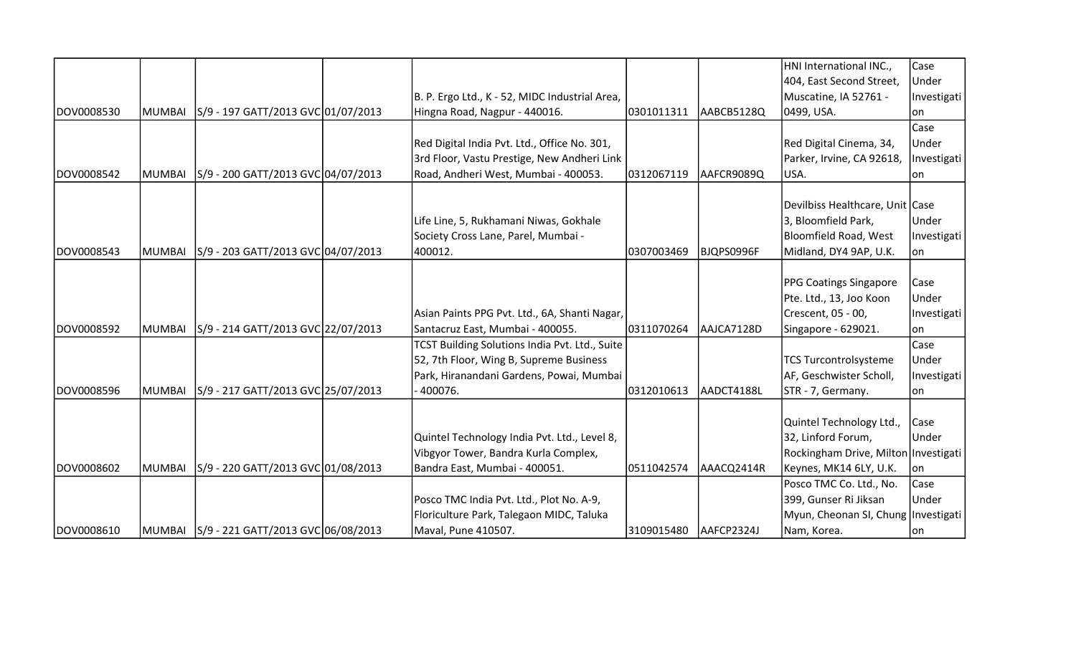|            |               |                                    |                                                |            |            | HNI International INC.,                | Case        |
|------------|---------------|------------------------------------|------------------------------------------------|------------|------------|----------------------------------------|-------------|
|            |               |                                    |                                                |            |            | 404, East Second Street,               | Under       |
|            |               |                                    | B. P. Ergo Ltd., K - 52, MIDC Industrial Area, |            |            | Muscatine, IA 52761 -                  | Investigati |
| DOV0008530 | <b>MUMBAI</b> | S/9 - 197 GATT/2013 GVC 01/07/2013 | Hingna Road, Nagpur - 440016.                  | 0301011311 | AABCB5128Q | 0499, USA.                             | on          |
|            |               |                                    |                                                |            |            |                                        | Case        |
|            |               |                                    | Red Digital India Pvt. Ltd., Office No. 301,   |            |            | Red Digital Cinema, 34,                | Under       |
|            |               |                                    | 3rd Floor, Vastu Prestige, New Andheri Link    |            |            | Parker, Irvine, CA 92618,              | Investigati |
| DOV0008542 | MUMBAI        | S/9 - 200 GATT/2013 GVC 04/07/2013 | Road, Andheri West, Mumbai - 400053.           | 0312067119 | AAFCR9089Q | USA.                                   | lon         |
|            |               |                                    |                                                |            |            |                                        |             |
|            |               |                                    |                                                |            |            | Devilbiss Healthcare, Unit Case        |             |
|            |               |                                    | Life Line, 5, Rukhamani Niwas, Gokhale         |            |            | 3, Bloomfield Park,                    | Under       |
|            |               |                                    | Society Cross Lane, Parel, Mumbai -            |            |            | Bloomfield Road, West                  | Investigati |
| DOV0008543 | MUMBAI        | S/9 - 203 GATT/2013 GVC 04/07/2013 | 400012.                                        | 0307003469 | BJQPS0996F | Midland, DY4 9AP, U.K.                 | on          |
|            |               |                                    |                                                |            |            |                                        |             |
|            |               |                                    |                                                |            |            | <b>PPG Coatings Singapore</b>          | Case        |
|            |               |                                    |                                                |            |            | Pte. Ltd., 13, Joo Koon                | Under       |
|            |               |                                    | Asian Paints PPG Pvt. Ltd., 6A, Shanti Nagar,  |            |            | Crescent, 05 - 00,                     | Investigati |
| DOV0008592 | MUMBAI        | S/9 - 214 GATT/2013 GVC 22/07/2013 | Santacruz East, Mumbai - 400055.               | 0311070264 | AAJCA7128D | Singapore - 629021.                    | on          |
|            |               |                                    | TCST Building Solutions India Pvt. Ltd., Suite |            |            |                                        | Case        |
|            |               |                                    | 52, 7th Floor, Wing B, Supreme Business        |            |            | <b>TCS Turcontrolsysteme</b>           | Under       |
|            |               |                                    | Park, Hiranandani Gardens, Powai, Mumbai       |            |            | AF, Geschwister Scholl,                | Investigati |
| DOV0008596 | MUMBAI        | S/9 - 217 GATT/2013 GVC 25/07/2013 | $-400076.$                                     | 0312010613 | AADCT4188L | STR - 7, Germany.                      | lon         |
|            |               |                                    |                                                |            |            |                                        |             |
|            |               |                                    |                                                |            |            | Quintel Technology Ltd.,               | Case        |
|            |               |                                    | Quintel Technology India Pvt. Ltd., Level 8,   |            |            | 32, Linford Forum,                     | Under       |
|            |               |                                    | Vibgyor Tower, Bandra Kurla Complex,           |            |            | Rockingham Drive, Milton   Investigati |             |
| DOV0008602 | MUMBAI        | S/9 - 220 GATT/2013 GVC 01/08/2013 | Bandra East, Mumbai - 400051.                  | 0511042574 | AAACQ2414R | Keynes, MK14 6LY, U.K.                 | on          |
|            |               |                                    |                                                |            |            | Posco TMC Co. Ltd., No.                | Case        |
|            |               |                                    | Posco TMC India Pvt. Ltd., Plot No. A-9,       |            |            | 399, Gunser Ri Jiksan                  | Under       |
|            |               |                                    | Floriculture Park, Talegaon MIDC, Taluka       |            |            | Myun, Cheonan SI, Chung   Investigati  |             |
| DOV0008610 |               |                                    | Maval, Pune 410507.                            | 3109015480 | AAFCP2324J | Nam, Korea.                            | on          |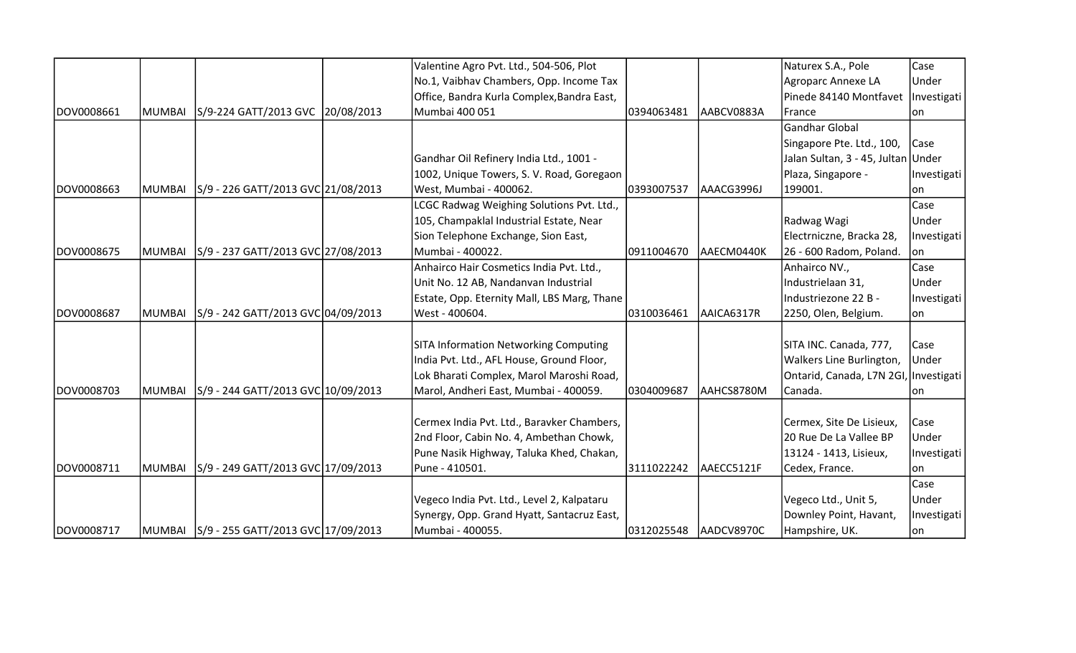|            |        |                                    | Valentine Agro Pvt. Ltd., 504-506, Plot      |            |            | Naturex S.A., Pole                    | Case        |
|------------|--------|------------------------------------|----------------------------------------------|------------|------------|---------------------------------------|-------------|
|            |        |                                    | No.1, Vaibhav Chambers, Opp. Income Tax      |            |            | Agroparc Annexe LA                    | Under       |
|            |        |                                    | Office, Bandra Kurla Complex, Bandra East,   |            |            | Pinede 84140 Montfavet                | Investigati |
| DOV0008661 | MUMBAI | S/9-224 GATT/2013 GVC 20/08/2013   | Mumbai 400 051                               | 0394063481 | AABCV0883A | France                                | on          |
|            |        |                                    |                                              |            |            | Gandhar Global                        |             |
|            |        |                                    |                                              |            |            | Singapore Pte. Ltd., 100,             | Case        |
|            |        |                                    | Gandhar Oil Refinery India Ltd., 1001 -      |            |            | Jalan Sultan, 3 - 45, Jultan Under    |             |
|            |        |                                    | 1002, Unique Towers, S. V. Road, Goregaon    |            |            | Plaza, Singapore -                    | Investigati |
| DOV0008663 | MUMBAI | S/9 - 226 GATT/2013 GVC 21/08/2013 | West, Mumbai - 400062.                       | 0393007537 | AAACG3996J | 199001.                               | on          |
|            |        |                                    | LCGC Radwag Weighing Solutions Pvt. Ltd.,    |            |            |                                       | Case        |
|            |        |                                    | 105, Champaklal Industrial Estate, Near      |            |            | Radwag Wagi                           | Under       |
|            |        |                                    | Sion Telephone Exchange, Sion East,          |            |            | Electrniczne, Bracka 28,              | Investigati |
| DOV0008675 | MUMBAI | S/9 - 237 GATT/2013 GVC 27/08/2013 | Mumbai - 400022.                             | 0911004670 | AAECM0440K | 26 - 600 Radom, Poland.               | lon.        |
|            |        |                                    | Anhairco Hair Cosmetics India Pvt. Ltd.,     |            |            | Anhairco NV.,                         | Case        |
|            |        |                                    | Unit No. 12 AB, Nandanvan Industrial         |            |            | Industrielaan 31,                     | Under       |
|            |        |                                    | Estate, Opp. Eternity Mall, LBS Marg, Thane  |            |            | Industriezone 22 B -                  | Investigati |
| DOV0008687 | MUMBAI | S/9 - 242 GATT/2013 GVC 04/09/2013 | West - 400604.                               | 0310036461 | AAICA6317R | 2250, Olen, Belgium.                  | lon.        |
|            |        |                                    |                                              |            |            |                                       |             |
|            |        |                                    | <b>SITA Information Networking Computing</b> |            |            | SITA INC. Canada, 777,                | Case        |
|            |        |                                    | India Pvt. Ltd., AFL House, Ground Floor,    |            |            | Walkers Line Burlington,              | Under       |
|            |        |                                    | Lok Bharati Complex, Marol Maroshi Road,     |            |            | Ontarid, Canada, L7N 2GI, Investigati |             |
| DOV0008703 | MUMBAI | S/9 - 244 GATT/2013 GVC 10/09/2013 | Marol, Andheri East, Mumbai - 400059.        | 0304009687 | AAHCS8780M | Canada.                               | on          |
|            |        |                                    |                                              |            |            |                                       |             |
|            |        |                                    | Cermex India Pvt. Ltd., Baravker Chambers,   |            |            | Cermex, Site De Lisieux,              | Case        |
|            |        |                                    | 2nd Floor, Cabin No. 4, Ambethan Chowk,      |            |            | 20 Rue De La Vallee BP                | Under       |
|            |        |                                    | Pune Nasik Highway, Taluka Khed, Chakan,     |            |            | 13124 - 1413, Lisieux,                | Investigati |
| DOV0008711 | MUMBAI | S/9 - 249 GATT/2013 GVC 17/09/2013 | Pune - 410501.                               | 3111022242 | AAECC5121F | Cedex, France.                        | on          |
|            |        |                                    |                                              |            |            |                                       | Case        |
|            |        |                                    | Vegeco India Pvt. Ltd., Level 2, Kalpataru   |            |            | Vegeco Ltd., Unit 5,                  | Under       |
|            |        |                                    | Synergy, Opp. Grand Hyatt, Santacruz East,   |            |            | Downley Point, Havant,                | Investigati |
| DOV0008717 |        |                                    | Mumbai - 400055.                             | 0312025548 | AADCV8970C | Hampshire, UK.                        | on          |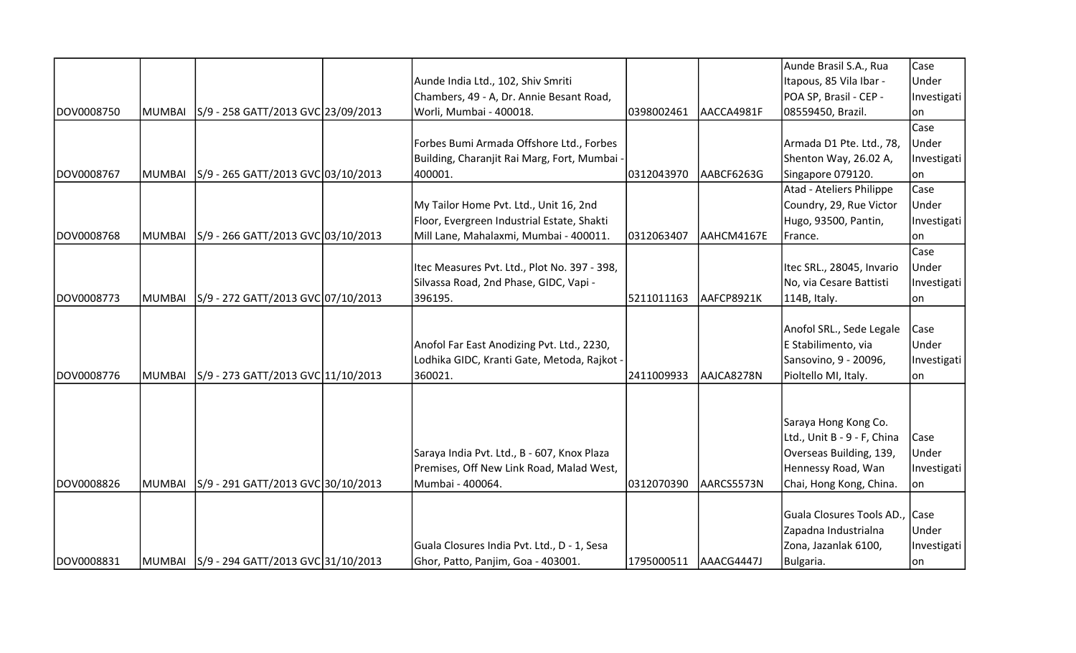|            |               |                                             |                                              |            |            | Aunde Brasil S.A., Rua         | Case        |
|------------|---------------|---------------------------------------------|----------------------------------------------|------------|------------|--------------------------------|-------------|
|            |               |                                             | Aunde India Ltd., 102, Shiv Smriti           |            |            | Itapous, 85 Vila Ibar -        | Under       |
|            |               |                                             | Chambers, 49 - A, Dr. Annie Besant Road,     |            |            | POA SP, Brasil - CEP -         | Investigati |
| DOV0008750 | MUMBAI        | S/9 - 258 GATT/2013 GVC 23/09/2013          | Worli, Mumbai - 400018.                      | 0398002461 | AACCA4981F | 08559450, Brazil.              | on          |
|            |               |                                             |                                              |            |            |                                | Case        |
|            |               |                                             | Forbes Bumi Armada Offshore Ltd., Forbes     |            |            | Armada D1 Pte. Ltd., 78,       | Under       |
|            |               |                                             | Building, Charanjit Rai Marg, Fort, Mumbai - |            |            | Shenton Way, 26.02 A,          | Investigati |
| DOV0008767 | <b>MUMBAI</b> | S/9 - 265 GATT/2013 GVC 03/10/2013          | 400001.                                      | 0312043970 | AABCF6263G | Singapore 079120.              | lon         |
|            |               |                                             |                                              |            |            | Atad - Ateliers Philippe       | Case        |
|            |               |                                             | My Tailor Home Pvt. Ltd., Unit 16, 2nd       |            |            | Coundry, 29, Rue Victor        | Under       |
|            |               |                                             | Floor, Evergreen Industrial Estate, Shakti   |            |            | Hugo, 93500, Pantin,           | Investigati |
| DOV0008768 | <b>MUMBAI</b> | S/9 - 266 GATT/2013 GVC 03/10/2013          | Mill Lane, Mahalaxmi, Mumbai - 400011.       | 0312063407 | AAHCM4167E | France.                        | on          |
|            |               |                                             |                                              |            |            |                                | Case        |
|            |               |                                             | Itec Measures Pvt. Ltd., Plot No. 397 - 398, |            |            | Itec SRL., 28045, Invario      | Under       |
|            |               |                                             | Silvassa Road, 2nd Phase, GIDC, Vapi -       |            |            | No, via Cesare Battisti        | Investigati |
| DOV0008773 | <b>MUMBAI</b> | S/9 - 272 GATT/2013 GVC 07/10/2013          | 396195.                                      | 5211011163 | AAFCP8921K | 114B, Italy.                   | lon         |
|            |               |                                             |                                              |            |            |                                |             |
|            |               |                                             |                                              |            |            | Anofol SRL., Sede Legale       | Case        |
|            |               |                                             | Anofol Far East Anodizing Pvt. Ltd., 2230,   |            |            | E Stabilimento, via            | Under       |
|            |               |                                             | Lodhika GIDC, Kranti Gate, Metoda, Rajkot -  |            |            | Sansovino, 9 - 20096,          | Investigati |
| DOV0008776 | <b>MUMBAI</b> | S/9 - 273 GATT/2013 GVC 11/10/2013          | 360021.                                      | 2411009933 | AAJCA8278N | Pioltello MI, Italy.           | on          |
|            |               |                                             |                                              |            |            |                                |             |
|            |               |                                             |                                              |            |            |                                |             |
|            |               |                                             |                                              |            |            | Saraya Hong Kong Co.           |             |
|            |               |                                             |                                              |            |            | Ltd., Unit B - 9 - F, China    | Case        |
|            |               |                                             | Saraya India Pvt. Ltd., B - 607, Knox Plaza  |            |            | Overseas Building, 139,        | Under       |
|            |               |                                             | Premises, Off New Link Road, Malad West,     |            |            | Hennessy Road, Wan             | Investigati |
| DOV0008826 | <b>MUMBAI</b> | S/9 - 291 GATT/2013 GVC 30/10/2013          | Mumbai - 400064.                             | 0312070390 | AARCS5573N | Chai, Hong Kong, China.        | on          |
|            |               |                                             |                                              |            |            |                                |             |
|            |               |                                             |                                              |            |            | Guala Closures Tools AD., Case |             |
|            |               |                                             |                                              |            |            | Zapadna Industrialna           | Under       |
|            |               |                                             | Guala Closures India Pvt. Ltd., D - 1, Sesa  |            |            | Zona, Jazanlak 6100,           | Investigati |
| DOV0008831 |               | MUMBAI   S/9 - 294 GATT/2013 GVC 31/10/2013 | Ghor, Patto, Panjim, Goa - 403001.           | 1795000511 | AAACG4447J | Bulgaria.                      | on          |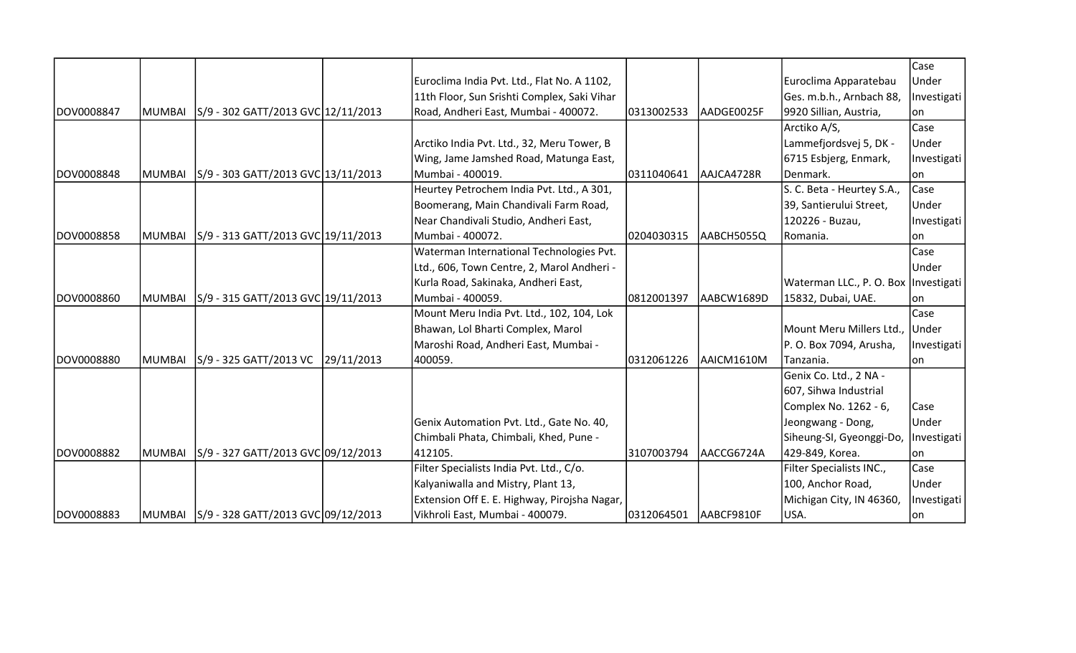|            |        |                                            |                                              |            |            |                                        | Case        |
|------------|--------|--------------------------------------------|----------------------------------------------|------------|------------|----------------------------------------|-------------|
|            |        |                                            | Euroclima India Pvt. Ltd., Flat No. A 1102,  |            |            | Euroclima Apparatebau                  | Under       |
|            |        |                                            | 11th Floor, Sun Srishti Complex, Saki Vihar  |            |            | Ges. m.b.h., Arnbach 88,               | Investigati |
| DOV0008847 | MUMBAI | S/9 - 302 GATT/2013 GVC 12/11/2013         | Road, Andheri East, Mumbai - 400072.         | 0313002533 | AADGE0025F | 9920 Sillian, Austria,                 | lon         |
|            |        |                                            |                                              |            |            | Arctiko A/S,                           | Case        |
|            |        |                                            | Arctiko India Pvt. Ltd., 32, Meru Tower, B   |            |            | Lammefjordsvej 5, DK -                 | Under       |
|            |        |                                            | Wing, Jame Jamshed Road, Matunga East,       |            |            | 6715 Esbjerg, Enmark,                  | Investigati |
| DOV0008848 | MUMBAI | S/9 - 303 GATT/2013 GVC 13/11/2013         | Mumbai - 400019.                             | 0311040641 | AAJCA4728R | Denmark.                               | on          |
|            |        |                                            | Heurtey Petrochem India Pvt. Ltd., A 301,    |            |            | S. C. Beta - Heurtey S.A.,             | Case        |
|            |        |                                            | Boomerang, Main Chandivali Farm Road,        |            |            | 39, Santierului Street,                | Under       |
|            |        |                                            | Near Chandivali Studio, Andheri East,        |            |            | 120226 - Buzau,                        | Investigati |
| DOV0008858 | MUMBAI | S/9 - 313 GATT/2013 GVC 19/11/2013         | Mumbai - 400072.                             | 0204030315 | AABCH5055Q | Romania.                               | lon         |
|            |        |                                            | Waterman International Technologies Pvt.     |            |            |                                        | Case        |
|            |        |                                            | Ltd., 606, Town Centre, 2, Marol Andheri -   |            |            |                                        | Under       |
|            |        |                                            | Kurla Road, Sakinaka, Andheri East,          |            |            | Waterman LLC., P. O. Box   Investigati |             |
| DOV0008860 | MUMBAI | S/9 - 315 GATT/2013 GVC 19/11/2013         | Mumbai - 400059.                             | 0812001397 | AABCW1689D | 15832, Dubai, UAE.                     | lon.        |
|            |        |                                            | Mount Meru India Pvt. Ltd., 102, 104, Lok    |            |            |                                        | Case        |
|            |        |                                            | Bhawan, Lol Bharti Complex, Marol            |            |            | Mount Meru Millers Ltd., Under         |             |
|            |        |                                            | Maroshi Road, Andheri East, Mumbai -         |            |            | P. O. Box 7094, Arusha,                | Investigati |
| DOV0008880 | MUMBAI | S/9 - 325 GATT/2013 VC 29/11/2013          | 400059.                                      | 0312061226 | AAICM1610M | Tanzania.                              | on          |
|            |        |                                            |                                              |            |            | Genix Co. Ltd., 2 NA -                 |             |
|            |        |                                            |                                              |            |            | 607, Sihwa Industrial                  |             |
|            |        |                                            |                                              |            |            | Complex No. 1262 - 6,                  | Case        |
|            |        |                                            | Genix Automation Pvt. Ltd., Gate No. 40,     |            |            | Jeongwang - Dong,                      | Under       |
|            |        |                                            | Chimbali Phata, Chimbali, Khed, Pune -       |            |            | Siheung-SI, Gyeonggi-Do,               | Investigati |
| DOV0008882 | MUMBAI | S/9 - 327 GATT/2013 GVC 09/12/2013         | 412105.                                      | 3107003794 | AACCG6724A | 429-849, Korea.                        | lon         |
|            |        |                                            | Filter Specialists India Pvt. Ltd., C/o.     |            |            | Filter Specialists INC.,               | Case        |
|            |        |                                            | Kalyaniwalla and Mistry, Plant 13,           |            |            | 100, Anchor Road,                      | Under       |
|            |        |                                            | Extension Off E. E. Highway, Pirojsha Nagar, |            |            | Michigan City, IN 46360,               | Investigati |
| DOV0008883 |        | MUMBAI  S/9 - 328 GATT/2013 GVC 09/12/2013 | Vikhroli East, Mumbai - 400079.              | 0312064501 | AABCF9810F | USA.                                   | on          |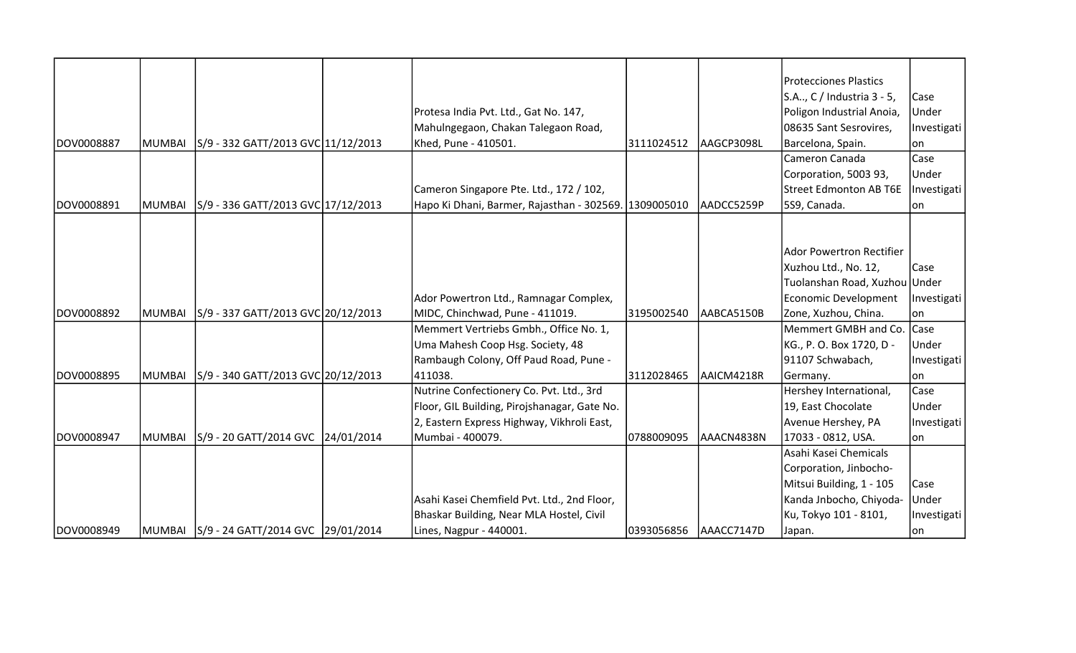|            |        |                                            |                                              |            |            | <b>Protecciones Plastics</b>    |             |
|------------|--------|--------------------------------------------|----------------------------------------------|------------|------------|---------------------------------|-------------|
|            |        |                                            |                                              |            |            | S.A, C / Industria 3 - 5,       | Case        |
|            |        |                                            | Protesa India Pvt. Ltd., Gat No. 147,        |            |            | Poligon Industrial Anoia,       | Under       |
|            |        |                                            | Mahulngegaon, Chakan Talegaon Road,          |            |            | 08635 Sant Sesrovires,          | Investigati |
| DOV0008887 | MUMBAI | S/9 - 332 GATT/2013 GVC 11/12/2013         | Khed, Pune - 410501.                         | 3111024512 | AAGCP3098L | Barcelona, Spain.               | lon         |
|            |        |                                            |                                              |            |            | Cameron Canada                  | Case        |
|            |        |                                            |                                              |            |            | Corporation, 5003 93,           | Under       |
|            |        |                                            | Cameron Singapore Pte. Ltd., 172 / 102,      |            |            | <b>Street Edmonton AB T6E</b>   | Investigati |
| DOV0008891 | MUMBAI | S/9 - 336 GATT/2013 GVC 17/12/2013         | Hapo Ki Dhani, Barmer, Rajasthan - 302569.   | 1309005010 | AADCC5259P | 5S9, Canada.                    | ∣on         |
|            |        |                                            |                                              |            |            |                                 |             |
|            |        |                                            |                                              |            |            |                                 |             |
|            |        |                                            |                                              |            |            | <b>Ador Powertron Rectifier</b> |             |
|            |        |                                            |                                              |            |            | Xuzhou Ltd., No. 12,            | Case        |
|            |        |                                            |                                              |            |            | Tuolanshan Road, Xuzhou Under   |             |
|            |        |                                            | Ador Powertron Ltd., Ramnagar Complex,       |            |            | Economic Development            | Investigati |
| DOV0008892 | MUMBAI | S/9 - 337 GATT/2013 GVC 20/12/2013         | MIDC, Chinchwad, Pune - 411019.              | 3195002540 | AABCA5150B | Zone, Xuzhou, China.            | lon         |
|            |        |                                            | Memmert Vertriebs Gmbh., Office No. 1,       |            |            | Memmert GMBH and Co.            | <b>Case</b> |
|            |        |                                            | Uma Mahesh Coop Hsg. Society, 48             |            |            | KG., P. O. Box 1720, D -        | Under       |
|            |        |                                            | Rambaugh Colony, Off Paud Road, Pune -       |            |            | 91107 Schwabach,                | Investigati |
| DOV0008895 | MUMBAI | S/9 - 340 GATT/2013 GVC 20/12/2013         | 411038.                                      | 3112028465 | AAICM4218R | Germany.                        | on          |
|            |        |                                            | Nutrine Confectionery Co. Pvt. Ltd., 3rd     |            |            | Hershey International,          | Case        |
|            |        |                                            | Floor, GIL Building, Pirojshanagar, Gate No. |            |            | 19, East Chocolate              | Under       |
|            |        |                                            | 2, Eastern Express Highway, Vikhroli East,   |            |            | Avenue Hershey, PA              | Investigati |
| DOV0008947 | MUMBAI | S/9 - 20 GATT/2014 GVC 24/01/2014          | Mumbai - 400079.                             | 0788009095 | AAACN4838N | 17033 - 0812, USA.              | lon.        |
|            |        |                                            |                                              |            |            | Asahi Kasei Chemicals           |             |
|            |        |                                            |                                              |            |            | Corporation, Jinbocho-          |             |
|            |        |                                            |                                              |            |            | Mitsui Building, 1 - 105        | Case        |
|            |        |                                            | Asahi Kasei Chemfield Pvt. Ltd., 2nd Floor,  |            |            | Kanda Jnbocho, Chiyoda-         | Under       |
|            |        |                                            | Bhaskar Building, Near MLA Hostel, Civil     |            |            | Ku, Tokyo 101 - 8101,           | Investigati |
| DOV0008949 |        | MUMBAI  S/9 - 24 GATT/2014 GVC  29/01/2014 | Lines, Nagpur - 440001.                      | 0393056856 | AAACC7147D | Japan.                          | lon         |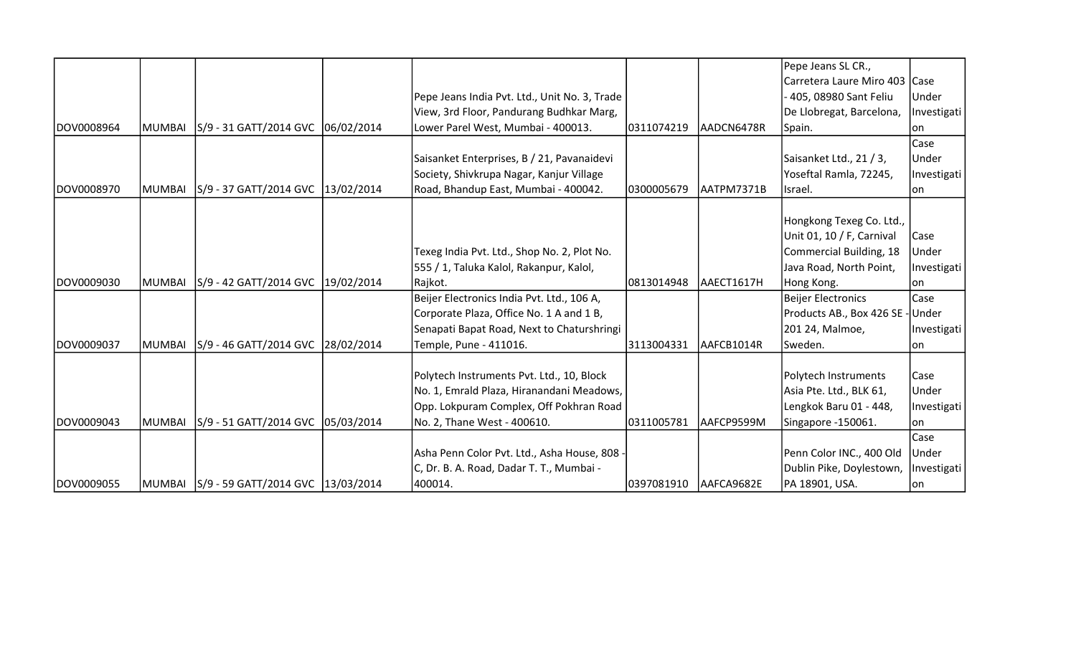|             |               |                                            |                                               |            |            | Pepe Jeans SL CR.,              |             |
|-------------|---------------|--------------------------------------------|-----------------------------------------------|------------|------------|---------------------------------|-------------|
|             |               |                                            |                                               |            |            | Carretera Laure Miro 403   Case |             |
|             |               |                                            | Pepe Jeans India Pvt. Ltd., Unit No. 3, Trade |            |            | 405, 08980 Sant Feliu           | Under       |
|             |               |                                            | View, 3rd Floor, Pandurang Budhkar Marg,      |            |            | De Llobregat, Barcelona,        | Investigati |
| DOV0008964  | <b>MUMBAI</b> | S/9 - 31 GATT/2014 GVC 06/02/2014          | Lower Parel West, Mumbai - 400013.            | 0311074219 | AADCN6478R | Spain.                          | lon         |
|             |               |                                            |                                               |            |            |                                 | Case        |
|             |               |                                            | Saisanket Enterprises, B / 21, Pavanaidevi    |            |            | Saisanket Ltd., 21 / 3,         | Under       |
|             |               |                                            | Society, Shivkrupa Nagar, Kanjur Village      |            |            | Yoseftal Ramla, 72245,          | Investigati |
| DOV0008970  | MUMBAI        | S/9 - 37 GATT/2014 GVC 13/02/2014          | Road, Bhandup East, Mumbai - 400042.          | 0300005679 | AATPM7371B | Israel.                         | on          |
|             |               |                                            |                                               |            |            |                                 |             |
|             |               |                                            |                                               |            |            | Hongkong Texeg Co. Ltd.,        |             |
|             |               |                                            |                                               |            |            | Unit 01, 10 / F, Carnival       | Case        |
|             |               |                                            | Texeg India Pvt. Ltd., Shop No. 2, Plot No.   |            |            | Commercial Building, 18         | Under       |
|             |               |                                            | 555 / 1, Taluka Kalol, Rakanpur, Kalol,       |            |            | Java Road, North Point,         | Investigati |
| DOV0009030  | MUMBAI        | S/9 - 42 GATT/2014 GVC   19/02/2014        | Rajkot.                                       | 0813014948 | AAECT1617H | Hong Kong.                      | lon         |
|             |               |                                            | Beijer Electronics India Pvt. Ltd., 106 A,    |            |            | <b>Beijer Electronics</b>       | Case        |
|             |               |                                            | Corporate Plaza, Office No. 1 A and 1 B,      |            |            | Products AB., Box 426 SE -      | Under       |
|             |               |                                            | Senapati Bapat Road, Next to Chaturshringi    |            |            | 201 24, Malmoe,                 | Investigati |
| DOV0009037  | MUMBAI        | S/9 - 46 GATT/2014 GVC 28/02/2014          | Temple, Pune - 411016.                        | 3113004331 | AAFCB1014R | Sweden.                         | lon         |
|             |               |                                            |                                               |            |            |                                 |             |
|             |               |                                            | Polytech Instruments Pvt. Ltd., 10, Block     |            |            | Polytech Instruments            | Case        |
|             |               |                                            | No. 1, Emrald Plaza, Hiranandani Meadows,     |            |            | Asia Pte. Ltd., BLK 61,         | Under       |
|             |               |                                            | Opp. Lokpuram Complex, Off Pokhran Road       |            |            | Lengkok Baru 01 - 448,          | Investigati |
| IDOV0009043 | MUMBAI        | S/9 - 51 GATT/2014 GVC 05/03/2014          | No. 2, Thane West - 400610.                   | 0311005781 | AAFCP9599M | Singapore -150061.              | lon         |
|             |               |                                            |                                               |            |            |                                 | Case        |
|             |               |                                            | Asha Penn Color Pvt. Ltd., Asha House, 808 -  |            |            | Penn Color INC., 400 Old        | Under       |
|             |               |                                            | C, Dr. B. A. Road, Dadar T. T., Mumbai -      |            |            | Dublin Pike, Doylestown,        | Investigati |
| DOV0009055  |               | MUMBAI  S/9 - 59 GATT/2014 GVC  13/03/2014 | 400014.                                       | 0397081910 | AAFCA9682E | PA 18901, USA.                  | on          |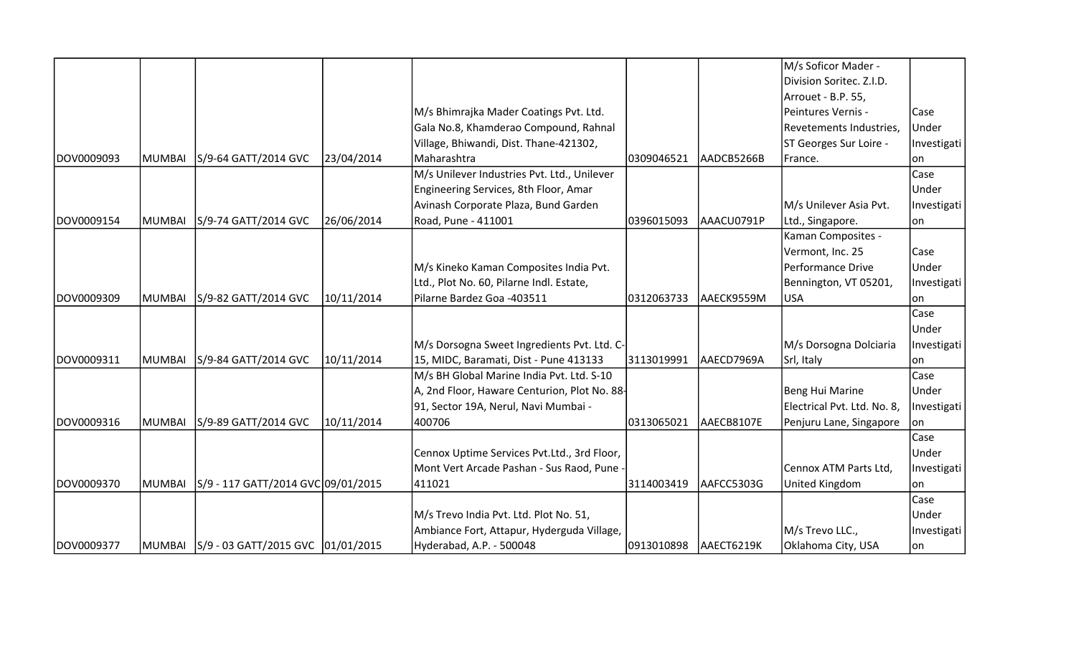|             |        |                                    |            |                                              |            |            | M/s Soficor Mader -         |             |
|-------------|--------|------------------------------------|------------|----------------------------------------------|------------|------------|-----------------------------|-------------|
|             |        |                                    |            |                                              |            |            | Division Soritec. Z.I.D.    |             |
|             |        |                                    |            |                                              |            |            | Arrouet - B.P. 55,          |             |
|             |        |                                    |            | M/s Bhimrajka Mader Coatings Pvt. Ltd.       |            |            | Peintures Vernis -          | Case        |
|             |        |                                    |            | Gala No.8, Khamderao Compound, Rahnal        |            |            | Revetements Industries,     | Under       |
|             |        |                                    |            | Village, Bhiwandi, Dist. Thane-421302,       |            |            | ST Georges Sur Loire -      | Investigati |
| DOV0009093  | MUMBAI | S/9-64 GATT/2014 GVC               | 23/04/2014 | Maharashtra                                  | 0309046521 | AADCB5266B | France.                     | lon.        |
|             |        |                                    |            | M/s Unilever Industries Pvt. Ltd., Unilever  |            |            |                             | Case        |
|             |        |                                    |            | Engineering Services, 8th Floor, Amar        |            |            |                             | Under       |
|             |        |                                    |            | Avinash Corporate Plaza, Bund Garden         |            |            | M/s Unilever Asia Pvt.      | Investigati |
| DOV0009154  | MUMBAI | S/9-74 GATT/2014 GVC               | 26/06/2014 | Road, Pune - 411001                          | 0396015093 | AAACU0791P | Ltd., Singapore.            | on          |
|             |        |                                    |            |                                              |            |            | Kaman Composites -          |             |
|             |        |                                    |            |                                              |            |            | Vermont, Inc. 25            | Case        |
|             |        |                                    |            | M/s Kineko Kaman Composites India Pvt.       |            |            | Performance Drive           | Under       |
|             |        |                                    |            | Ltd., Plot No. 60, Pilarne Indl. Estate,     |            |            | Bennington, VT 05201,       | Investigati |
| DOV0009309  | MUMBAI | S/9-82 GATT/2014 GVC               | 10/11/2014 | Pilarne Bardez Goa -403511                   | 0312063733 | AAECK9559M | USA                         | lon.        |
|             |        |                                    |            |                                              |            |            |                             | Case        |
|             |        |                                    |            |                                              |            |            |                             | Under       |
|             |        |                                    |            | M/s Dorsogna Sweet Ingredients Pvt. Ltd. C-  |            |            | M/s Dorsogna Dolciaria      | Investigati |
| DOV0009311  | MUMBAI | S/9-84 GATT/2014 GVC               | 10/11/2014 | 15, MIDC, Baramati, Dist - Pune 413133       | 3113019991 | AAECD7969A | Srl, Italy                  | on          |
|             |        |                                    |            | M/s BH Global Marine India Pvt. Ltd. S-10    |            |            |                             | Case        |
|             |        |                                    |            | A, 2nd Floor, Haware Centurion, Plot No. 88- |            |            | Beng Hui Marine             | Under       |
|             |        |                                    |            | 91, Sector 19A, Nerul, Navi Mumbai -         |            |            | Electrical Pvt. Ltd. No. 8, | Investigati |
| DOV0009316  | MUMBAI | S/9-89 GATT/2014 GVC               | 10/11/2014 | 400706                                       | 0313065021 | AAECB8107E | Penjuru Lane, Singapore     | lon.        |
|             |        |                                    |            |                                              |            |            |                             | Case        |
|             |        |                                    |            | Cennox Uptime Services Pvt.Ltd., 3rd Floor,  |            |            |                             | Under       |
|             |        |                                    |            | Mont Vert Arcade Pashan - Sus Raod, Pune -   |            |            | Cennox ATM Parts Ltd,       | Investigati |
| IDOV0009370 | MUMBAI | S/9 - 117 GATT/2014 GVC 09/01/2015 |            | 411021                                       | 3114003419 | AAFCC5303G | United Kingdom              | lon         |
|             |        |                                    |            |                                              |            |            |                             | Case        |
|             |        |                                    |            | M/s Trevo India Pvt. Ltd. Plot No. 51,       |            |            |                             | Under       |
|             |        |                                    |            | Ambiance Fort, Attapur, Hyderguda Village,   |            |            | M/s Trevo LLC.,             | Investigati |
| DOV0009377  | MUMBAI | S/9 - 03 GATT/2015 GVC 01/01/2015  |            | Hyderabad, A.P. - 500048                     | 0913010898 | AAECT6219K | Oklahoma City, USA          | on          |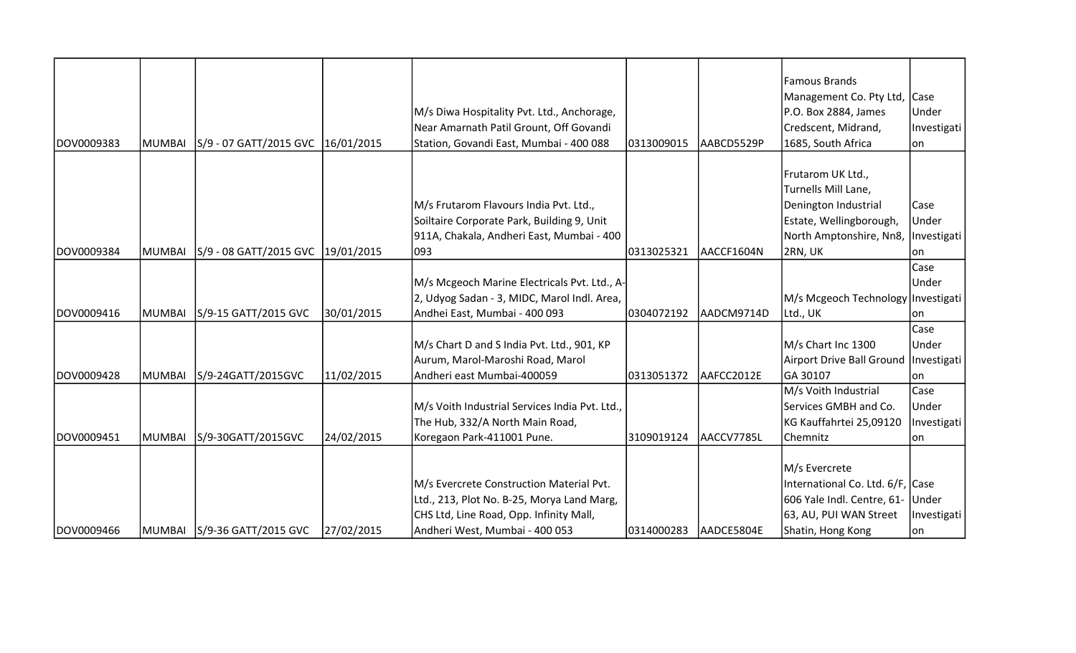|            |               |                                     |            |                                                |            |            | <b>Famous Brands</b>                 |             |
|------------|---------------|-------------------------------------|------------|------------------------------------------------|------------|------------|--------------------------------------|-------------|
|            |               |                                     |            |                                                |            |            | Management Co. Pty Ltd, Case         |             |
|            |               |                                     |            | M/s Diwa Hospitality Pvt. Ltd., Anchorage,     |            |            | P.O. Box 2884, James                 | Under       |
|            |               |                                     |            | Near Amarnath Patil Grount, Off Govandi        |            |            | Credscent, Midrand,                  | Investigati |
| DOV0009383 | MUMBAI        | S/9 - 07 GATT/2015 GVC   16/01/2015 |            | Station, Govandi East, Mumbai - 400 088        | 0313009015 | AABCD5529P | 1685, South Africa                   | lon.        |
|            |               |                                     |            |                                                |            |            | Frutarom UK Ltd.,                    |             |
|            |               |                                     |            |                                                |            |            | Turnells Mill Lane,                  |             |
|            |               |                                     |            | M/s Frutarom Flavours India Pvt. Ltd.,         |            |            | Denington Industrial                 | Case        |
|            |               |                                     |            | Soiltaire Corporate Park, Building 9, Unit     |            |            | Estate, Wellingborough,              | Under       |
|            |               |                                     |            | 911A, Chakala, Andheri East, Mumbai - 400      |            |            | North Amptonshire, Nn8,  Investigati |             |
| DOV0009384 | <b>MUMBAI</b> | S/9 - 08 GATT/2015 GVC 19/01/2015   |            | 093                                            | 0313025321 | AACCF1604N | 2RN, UK                              | lon.        |
|            |               |                                     |            |                                                |            |            |                                      | Case        |
|            |               |                                     |            | M/s Mcgeoch Marine Electricals Pvt. Ltd., A-   |            |            |                                      | Under       |
|            |               |                                     |            | 2, Udyog Sadan - 3, MIDC, Marol Indl. Area,    |            |            | M/s Mcgeoch Technology Investigati   |             |
| DOV0009416 | MUMBAI        | S/9-15 GATT/2015 GVC                | 30/01/2015 | Andhei East, Mumbai - 400 093                  | 0304072192 | AADCM9714D | Ltd., UK                             | on          |
|            |               |                                     |            |                                                |            |            |                                      | Case        |
|            |               |                                     |            | M/s Chart D and S India Pvt. Ltd., 901, KP     |            |            | M/s Chart Inc 1300                   | Under       |
|            |               |                                     |            | Aurum, Marol-Maroshi Road, Marol               |            |            | Airport Drive Ball Ground            | Investigati |
| DOV0009428 | MUMBAI        | S/9-24GATT/2015GVC                  | 11/02/2015 | Andheri east Mumbai-400059                     | 0313051372 | AAFCC2012E | GA 30107                             | on          |
|            |               |                                     |            |                                                |            |            | M/s Voith Industrial                 | Case        |
|            |               |                                     |            | M/s Voith Industrial Services India Pvt. Ltd., |            |            | Services GMBH and Co.                | Under       |
|            |               |                                     |            | The Hub, 332/A North Main Road,                |            |            | KG Kauffahrtei 25,09120              | Investigati |
| DOV0009451 | <b>MUMBAI</b> | S/9-30GATT/2015GVC                  | 24/02/2015 | Koregaon Park-411001 Pune.                     | 3109019124 | AACCV7785L | Chemnitz                             | on          |
|            |               |                                     |            |                                                |            |            |                                      |             |
|            |               |                                     |            |                                                |            |            | M/s Evercrete                        |             |
|            |               |                                     |            | M/s Evercrete Construction Material Pvt.       |            |            | International Co. Ltd. 6/F, Case     |             |
|            |               |                                     |            | Ltd., 213, Plot No. B-25, Morya Land Marg,     |            |            | 606 Yale Indl. Centre, 61- Under     |             |
|            |               |                                     |            | CHS Ltd, Line Road, Opp. Infinity Mall,        |            |            | 63, AU, PUI WAN Street               | Investigati |
| DOV0009466 |               | MUMBAI   S/9-36 GATT/2015 GVC       | 27/02/2015 | Andheri West, Mumbai - 400 053                 | 0314000283 | AADCE5804E | Shatin, Hong Kong                    | lon.        |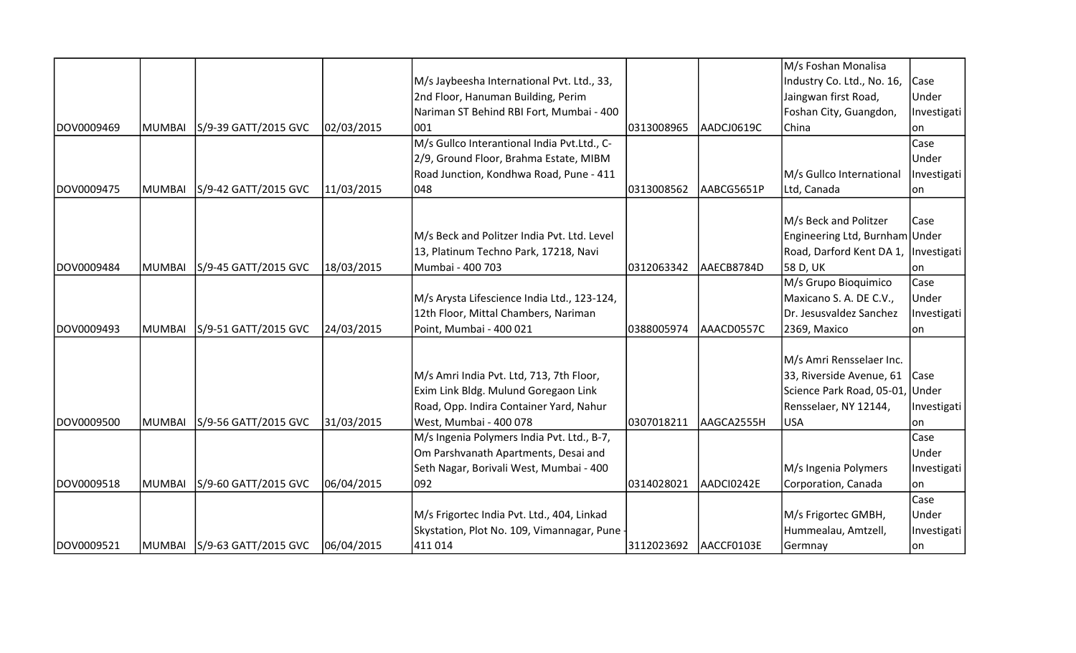|            |        |                             |            |                                              |            |            | M/s Foshan Monalisa                    |             |
|------------|--------|-----------------------------|------------|----------------------------------------------|------------|------------|----------------------------------------|-------------|
|            |        |                             |            | M/s Jaybeesha International Pvt. Ltd., 33,   |            |            | Industry Co. Ltd., No. 16,             | <b>Case</b> |
|            |        |                             |            | 2nd Floor, Hanuman Building, Perim           |            |            | Jaingwan first Road,                   | Under       |
|            |        |                             |            | Nariman ST Behind RBI Fort, Mumbai - 400     |            |            | Foshan City, Guangdon,                 | Investigati |
| DOV0009469 | MUMBAI | S/9-39 GATT/2015 GVC        | 02/03/2015 | 1001                                         | 0313008965 | AADCJ0619C | China                                  | lon         |
|            |        |                             |            | M/s Gullco Interantional India Pvt.Ltd., C-  |            |            |                                        | Case        |
|            |        |                             |            | 2/9, Ground Floor, Brahma Estate, MIBM       |            |            |                                        | Under       |
|            |        |                             |            | Road Junction, Kondhwa Road, Pune - 411      |            |            | M/s Gullco International               | Investigati |
| DOV0009475 | MUMBAI | S/9-42 GATT/2015 GVC        | 11/03/2015 | 048                                          | 0313008562 | AABCG5651P | Ltd, Canada                            | on          |
|            |        |                             |            |                                              |            |            |                                        |             |
|            |        |                             |            |                                              |            |            | M/s Beck and Politzer                  | Case        |
|            |        |                             |            | M/s Beck and Politzer India Pvt. Ltd. Level  |            |            | Engineering Ltd, Burnham Under         |             |
|            |        |                             |            | 13, Platinum Techno Park, 17218, Navi        |            |            | Road, Darford Kent DA 1,   Investigati |             |
| DOV0009484 | MUMBAI | S/9-45 GATT/2015 GVC        | 18/03/2015 | Mumbai - 400 703                             | 0312063342 | AAECB8784D | 58 D, UK                               | on          |
|            |        |                             |            |                                              |            |            | M/s Grupo Bioquimico                   | Case        |
|            |        |                             |            | M/s Arysta Lifescience India Ltd., 123-124,  |            |            | Maxicano S. A. DE C.V.,                | Under       |
|            |        |                             |            | 12th Floor, Mittal Chambers, Nariman         |            |            | Dr. Jesusvaldez Sanchez                | Investigati |
| DOV0009493 | MUMBAI | S/9-51 GATT/2015 GVC        | 24/03/2015 | Point, Mumbai - 400 021                      | 0388005974 | AAACD0557C | 2369, Maxico                           | on          |
|            |        |                             |            |                                              |            |            |                                        |             |
|            |        |                             |            |                                              |            |            | M/s Amri Rensselaer Inc.               |             |
|            |        |                             |            | M/s Amri India Pvt. Ltd, 713, 7th Floor,     |            |            | 33, Riverside Avenue, 61   Case        |             |
|            |        |                             |            | Exim Link Bldg. Mulund Goregaon Link         |            |            | Science Park Road, 05-01, Under        |             |
|            |        |                             |            | Road, Opp. Indira Container Yard, Nahur      |            |            | Rensselaer, NY 12144,                  | Investigati |
| DOV0009500 | MUMBAI | S/9-56 GATT/2015 GVC        | 31/03/2015 | West, Mumbai - 400 078                       | 0307018211 | AAGCA2555H | USA                                    | lon         |
|            |        |                             |            | M/s Ingenia Polymers India Pvt. Ltd., B-7,   |            |            |                                        | Case        |
|            |        |                             |            | Om Parshvanath Apartments, Desai and         |            |            |                                        | Under       |
|            |        |                             |            | Seth Nagar, Borivali West, Mumbai - 400      |            |            | M/s Ingenia Polymers                   | Investigati |
| DOV0009518 | MUMBAI | S/9-60 GATT/2015 GVC        | 06/04/2015 | 092                                          | 0314028021 | AADCI0242E | Corporation, Canada                    | on          |
|            |        |                             |            |                                              |            |            |                                        | Case        |
|            |        |                             |            | M/s Frigortec India Pvt. Ltd., 404, Linkad   |            |            | M/s Frigortec GMBH,                    | Under       |
|            |        |                             |            | Skystation, Plot No. 109, Vimannagar, Pune - |            |            | Hummealau, Amtzell,                    | Investigati |
| DOV0009521 |        | MUMBAI S/9-63 GATT/2015 GVC | 06/04/2015 | 411014                                       | 3112023692 | AACCF0103E | Germnay                                | on          |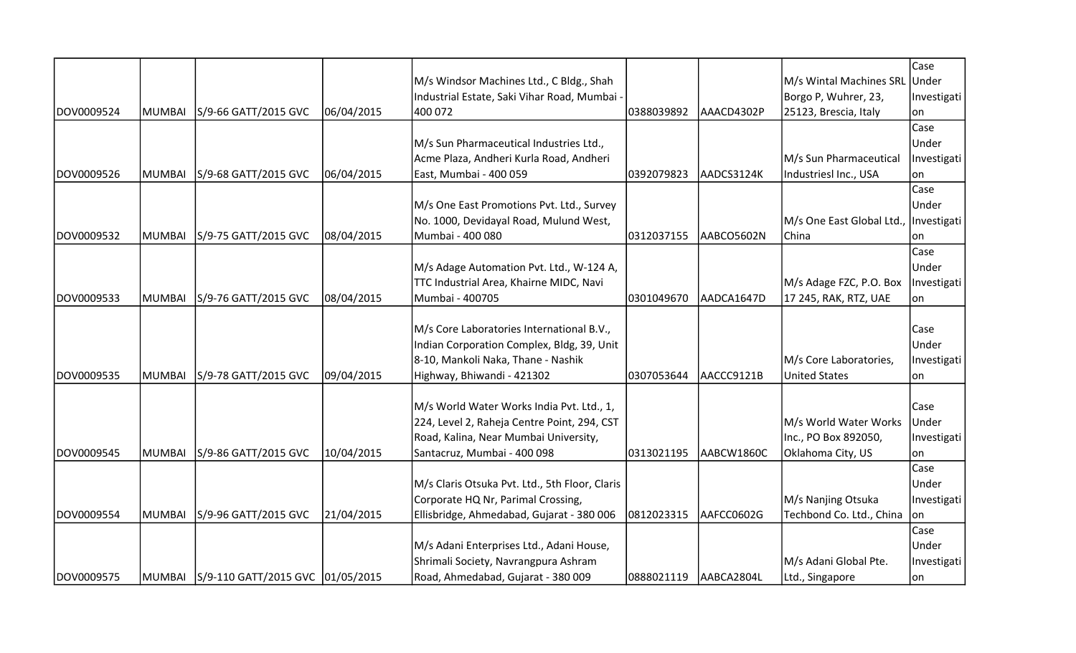|            |               |                                         |            |                                                |            |            |                                       | Case        |
|------------|---------------|-----------------------------------------|------------|------------------------------------------------|------------|------------|---------------------------------------|-------------|
|            |               |                                         |            | M/s Windsor Machines Ltd., C Bldg., Shah       |            |            | M/s Wintal Machines SRL               | Under       |
|            |               |                                         |            | Industrial Estate, Saki Vihar Road, Mumbai -   |            |            | Borgo P, Wuhrer, 23,                  | Investigati |
| DOV0009524 | <b>MUMBAI</b> | S/9-66 GATT/2015 GVC                    | 06/04/2015 | 400 072                                        | 0388039892 | AAACD4302P | 25123, Brescia, Italy                 | on          |
|            |               |                                         |            |                                                |            |            |                                       | Case        |
|            |               |                                         |            | M/s Sun Pharmaceutical Industries Ltd.,        |            |            |                                       | Under       |
|            |               |                                         |            | Acme Plaza, Andheri Kurla Road, Andheri        |            |            | M/s Sun Pharmaceutical                | Investigati |
| DOV0009526 | MUMBAI        | S/9-68 GATT/2015 GVC                    | 06/04/2015 | East, Mumbai - 400 059                         | 0392079823 | AADCS3124K | Industriesl Inc., USA                 | lon         |
|            |               |                                         |            |                                                |            |            |                                       | Case        |
|            |               |                                         |            | M/s One East Promotions Pvt. Ltd., Survey      |            |            |                                       | Under       |
|            |               |                                         |            | No. 1000, Devidayal Road, Mulund West,         |            |            | M/s One East Global Ltd., Investigati |             |
| DOV0009532 | MUMBAI        | S/9-75 GATT/2015 GVC                    | 08/04/2015 | Mumbai - 400 080                               | 0312037155 | AABCO5602N | China                                 | on          |
|            |               |                                         |            |                                                |            |            |                                       | Case        |
|            |               |                                         |            | M/s Adage Automation Pvt. Ltd., W-124 A,       |            |            |                                       | Under       |
|            |               |                                         |            | TTC Industrial Area, Khairne MIDC, Navi        |            |            | M/s Adage FZC, P.O. Box               | Investigati |
| DOV0009533 | <b>MUMBAI</b> | S/9-76 GATT/2015 GVC                    | 08/04/2015 | Mumbai - 400705                                | 0301049670 | AADCA1647D | 17 245, RAK, RTZ, UAE                 | lon         |
|            |               |                                         |            |                                                |            |            |                                       |             |
|            |               |                                         |            | M/s Core Laboratories International B.V.,      |            |            |                                       | Case        |
|            |               |                                         |            | Indian Corporation Complex, Bldg, 39, Unit     |            |            |                                       | Under       |
|            |               |                                         |            | 8-10, Mankoli Naka, Thane - Nashik             |            |            | M/s Core Laboratories,                | Investigati |
| DOV0009535 | <b>MUMBAI</b> | S/9-78 GATT/2015 GVC                    | 09/04/2015 | Highway, Bhiwandi - 421302                     | 0307053644 | AACCC9121B | <b>United States</b>                  | lon         |
|            |               |                                         |            | M/s World Water Works India Pvt. Ltd., 1,      |            |            |                                       | Case        |
|            |               |                                         |            | 224, Level 2, Raheja Centre Point, 294, CST    |            |            | M/s World Water Works                 | Under       |
|            |               |                                         |            | Road, Kalina, Near Mumbai University,          |            |            | Inc., PO Box 892050,                  | Investigati |
| DOV0009545 | <b>MUMBAI</b> | S/9-86 GATT/2015 GVC                    | 10/04/2015 | Santacruz, Mumbai - 400 098                    | 0313021195 | AABCW1860C | Oklahoma City, US                     | on          |
|            |               |                                         |            |                                                |            |            |                                       | Case        |
|            |               |                                         |            | M/s Claris Otsuka Pvt. Ltd., 5th Floor, Claris |            |            |                                       | Under       |
|            |               |                                         |            | Corporate HQ Nr, Parimal Crossing,             |            |            | M/s Nanjing Otsuka                    | Investigati |
| DOV0009554 | <b>MUMBAI</b> | S/9-96 GATT/2015 GVC                    | 21/04/2015 | Ellisbridge, Ahmedabad, Gujarat - 380 006      | 0812023315 | AAFCC0602G | Techbond Co. Ltd., China              | on          |
|            |               |                                         |            |                                                |            |            |                                       | Case        |
|            |               |                                         |            | M/s Adani Enterprises Ltd., Adani House,       |            |            |                                       | Under       |
|            |               |                                         |            | Shrimali Society, Navrangpura Ashram           |            |            | M/s Adani Global Pte.                 | Investigati |
| DOV0009575 |               | MUMBAI S/9-110 GATT/2015 GVC 01/05/2015 |            | Road, Ahmedabad, Gujarat - 380 009             | 0888021119 | AABCA2804L | Ltd., Singapore                       | on          |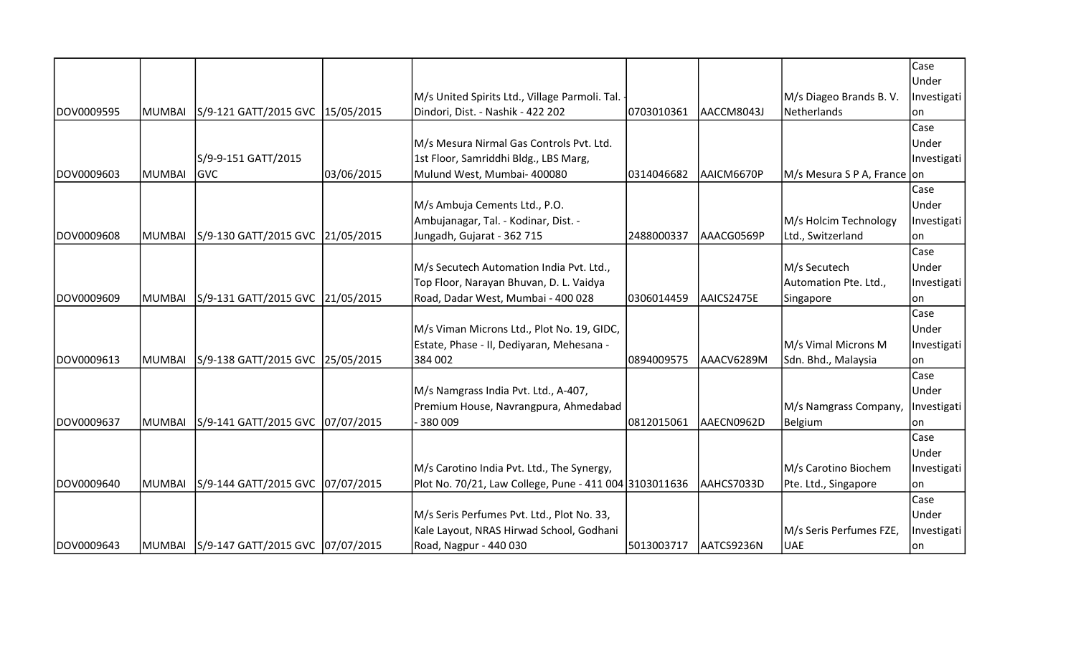|            |               |                                           |            |                                                        |            |            |                             | Case        |
|------------|---------------|-------------------------------------------|------------|--------------------------------------------------------|------------|------------|-----------------------------|-------------|
|            |               |                                           |            |                                                        |            |            |                             | Under       |
|            |               |                                           |            | M/s United Spirits Ltd., Village Parmoli. Tal. -       |            |            | M/s Diageo Brands B.V.      | Investigati |
| DOV0009595 | <b>MUMBAI</b> | S/9-121 GATT/2015 GVC 15/05/2015          |            | Dindori, Dist. - Nashik - 422 202                      | 0703010361 | AACCM8043J | Netherlands                 | lon         |
|            |               |                                           |            |                                                        |            |            |                             | Case        |
|            |               |                                           |            | M/s Mesura Nirmal Gas Controls Pvt. Ltd.               |            |            |                             | Under       |
|            |               | S/9-9-151 GATT/2015                       |            | 1st Floor, Samriddhi Bldg., LBS Marg,                  |            |            |                             | Investigati |
| DOV0009603 | <b>MUMBAI</b> | <b>GVC</b>                                | 03/06/2015 | Mulund West, Mumbai- 400080                            | 0314046682 | AAICM6670P | M/s Mesura S P A, France on |             |
|            |               |                                           |            |                                                        |            |            |                             | Case        |
|            |               |                                           |            | M/s Ambuja Cements Ltd., P.O.                          |            |            |                             | Under       |
|            |               |                                           |            | Ambujanagar, Tal. - Kodinar, Dist. -                   |            |            | M/s Holcim Technology       | Investigati |
| DOV0009608 | <b>MUMBAI</b> | S/9-130 GATT/2015 GVC 21/05/2015          |            | Jungadh, Gujarat - 362 715                             | 2488000337 | AAACG0569P | Ltd., Switzerland           | lon         |
|            |               |                                           |            |                                                        |            |            |                             | Case        |
|            |               |                                           |            | M/s Secutech Automation India Pvt. Ltd.,               |            |            | M/s Secutech                | Under       |
|            |               |                                           |            | Top Floor, Narayan Bhuvan, D. L. Vaidya                |            |            | Automation Pte. Ltd.,       | Investigati |
| DOV0009609 | <b>MUMBAI</b> | S/9-131 GATT/2015 GVC 21/05/2015          |            | Road, Dadar West, Mumbai - 400 028                     | 0306014459 | AAICS2475E | Singapore                   | lon         |
|            |               |                                           |            |                                                        |            |            |                             | Case        |
|            |               |                                           |            | M/s Viman Microns Ltd., Plot No. 19, GIDC,             |            |            |                             | Under       |
|            |               |                                           |            | Estate, Phase - II, Dediyaran, Mehesana -              |            |            | M/s Vimal Microns M         | Investigati |
| DOV0009613 | <b>MUMBAI</b> | S/9-138 GATT/2015 GVC 25/05/2015          |            | 384 002                                                | 0894009575 | AAACV6289M | Sdn. Bhd., Malaysia         | lon         |
|            |               |                                           |            |                                                        |            |            |                             | Case        |
|            |               |                                           |            | M/s Namgrass India Pvt. Ltd., A-407,                   |            |            |                             | Under       |
|            |               |                                           |            | Premium House, Navrangpura, Ahmedabad                  |            |            | M/s Namgrass Company,       | Investigati |
| DOV0009637 | <b>MUMBAI</b> | S/9-141 GATT/2015 GVC  07/07/2015         |            | 380 009                                                | 0812015061 | AAECN0962D | <b>Belgium</b>              | lon         |
|            |               |                                           |            |                                                        |            |            |                             | Case        |
|            |               |                                           |            |                                                        |            |            |                             | Under       |
|            |               |                                           |            | M/s Carotino India Pvt. Ltd., The Synergy,             |            |            | M/s Carotino Biochem        | Investigati |
| DOV0009640 | <b>MUMBAI</b> | S/9-144 GATT/2015 GVC 07/07/2015          |            | Plot No. 70/21, Law College, Pune - 411 004 3103011636 |            | AAHCS7033D | Pte. Ltd., Singapore        | lon         |
|            |               |                                           |            |                                                        |            |            |                             | Case        |
|            |               |                                           |            | M/s Seris Perfumes Pvt. Ltd., Plot No. 33,             |            |            |                             | Under       |
|            |               |                                           |            | Kale Layout, NRAS Hirwad School, Godhani               |            |            | M/s Seris Perfumes FZE,     | Investigati |
| DOV0009643 |               | MUMBAI  S/9-147 GATT/2015 GVC  07/07/2015 |            | Road, Nagpur - 440 030                                 | 5013003717 | AATCS9236N | <b>UAE</b>                  | on          |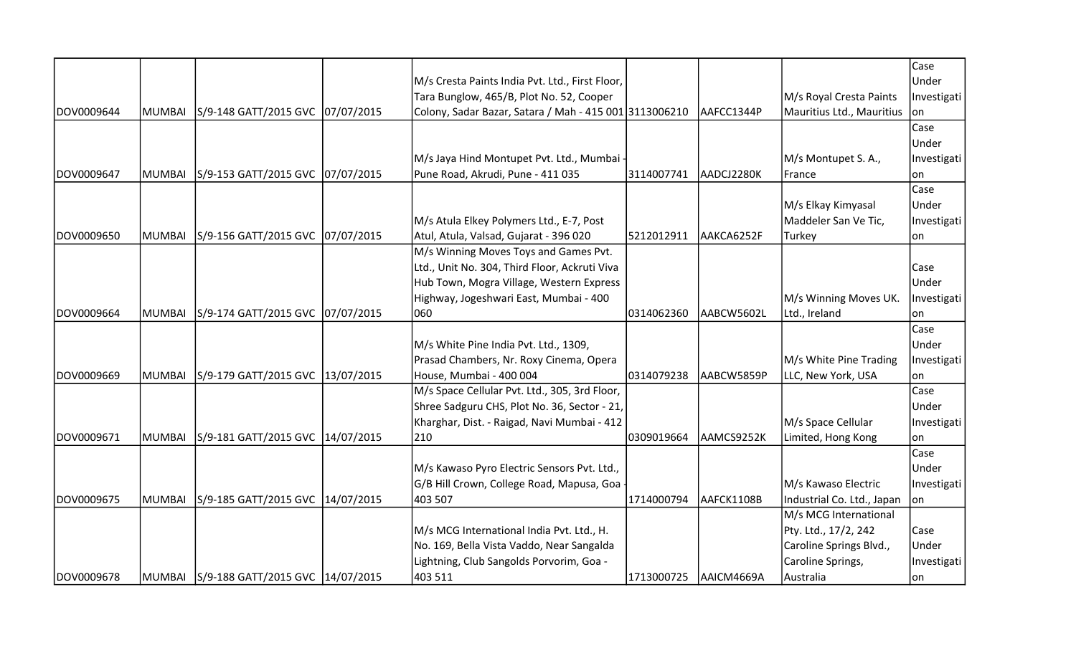|            |               |                                             |                                                        |            |             |                            | Case        |
|------------|---------------|---------------------------------------------|--------------------------------------------------------|------------|-------------|----------------------------|-------------|
|            |               |                                             | M/s Cresta Paints India Pvt. Ltd., First Floor,        |            |             |                            | Under       |
|            |               |                                             | Tara Bunglow, 465/B, Plot No. 52, Cooper               |            |             | M/s Royal Cresta Paints    | Investigati |
| DOV0009644 | MUMBAI        | S/9-148 GATT/2015 GVC 07/07/2015            | Colony, Sadar Bazar, Satara / Mah - 415 001 3113006210 |            | AAFCC1344P  | Mauritius Ltd., Mauritius  | lon.        |
|            |               |                                             |                                                        |            |             |                            | Case        |
|            |               |                                             |                                                        |            |             |                            | Under       |
|            |               |                                             | M/s Jaya Hind Montupet Pvt. Ltd., Mumbai -             |            |             | M/s Montupet S. A.,        | Investigati |
| DOV0009647 | <b>MUMBAI</b> | S/9-153 GATT/2015 GVC 07/07/2015            | Pune Road, Akrudi, Pune - 411 035                      | 3114007741 | AADCJ2280K  | France                     | on          |
|            |               |                                             |                                                        |            |             |                            | Case        |
|            |               |                                             |                                                        |            |             | M/s Elkay Kimyasal         | Under       |
|            |               |                                             | M/s Atula Elkey Polymers Ltd., E-7, Post               |            |             | Maddeler San Ve Tic,       | Investigati |
| DOV0009650 | MUMBAI        | S/9-156 GATT/2015 GVC 07/07/2015            | Atul, Atula, Valsad, Gujarat - 396 020                 | 5212012911 | AAKCA6252F  | Turkey                     | on          |
|            |               |                                             | M/s Winning Moves Toys and Games Pvt.                  |            |             |                            |             |
|            |               |                                             | Ltd., Unit No. 304, Third Floor, Ackruti Viva          |            |             |                            | Case        |
|            |               |                                             | Hub Town, Mogra Village, Western Express               |            |             |                            | Under       |
|            |               |                                             | Highway, Jogeshwari East, Mumbai - 400                 |            |             | M/s Winning Moves UK.      | Investigati |
| DOV0009664 | MUMBAI        | S/9-174 GATT/2015 GVC 07/07/2015            | 060                                                    | 0314062360 | AABCW5602L  | Ltd., Ireland              | on          |
|            |               |                                             |                                                        |            |             |                            | Case        |
|            |               |                                             | M/s White Pine India Pvt. Ltd., 1309,                  |            |             |                            | Under       |
|            |               |                                             | Prasad Chambers, Nr. Roxy Cinema, Opera                |            |             | M/s White Pine Trading     | Investigati |
| DOV0009669 | <b>MUMBAI</b> | S/9-179 GATT/2015 GVC  13/07/2015           | House, Mumbai - 400 004                                | 0314079238 | lAABCW5859P | LLC, New York, USA         | lon         |
|            |               |                                             | M/s Space Cellular Pvt. Ltd., 305, 3rd Floor,          |            |             |                            | Case        |
|            |               |                                             | Shree Sadguru CHS, Plot No. 36, Sector - 21,           |            |             |                            | Under       |
|            |               |                                             | Kharghar, Dist. - Raigad, Navi Mumbai - 412            |            |             | M/s Space Cellular         | Investigati |
| DOV0009671 | MUMBAI        | S/9-181 GATT/2015 GVC   14/07/2015          | 210                                                    | 0309019664 | AAMCS9252K  | Limited, Hong Kong         | on          |
|            |               |                                             |                                                        |            |             |                            | Case        |
|            |               |                                             | M/s Kawaso Pyro Electric Sensors Pvt. Ltd.,            |            |             |                            | Under       |
|            |               |                                             | G/B Hill Crown, College Road, Mapusa, Goa -            |            |             | M/s Kawaso Electric        | Investigati |
| DOV0009675 | <b>MUMBAI</b> | S/9-185 GATT/2015 GVC 14/07/2015            | 403 507                                                | 1714000794 | AAFCK1108B  | Industrial Co. Ltd., Japan | lon.        |
|            |               |                                             |                                                        |            |             | M/s MCG International      |             |
|            |               |                                             | M/s MCG International India Pvt. Ltd., H.              |            |             | Pty. Ltd., 17/2, 242       | Case        |
|            |               |                                             | No. 169, Bella Vista Vaddo, Near Sangalda              |            |             | Caroline Springs Blvd.,    | Under       |
|            |               |                                             | Lightning, Club Sangolds Porvorim, Goa -               |            |             | Caroline Springs,          | Investigati |
| DOV0009678 |               | MUMBAI   S/9-188 GATT/2015 GVC   14/07/2015 | 403 511                                                | 1713000725 | AAICM4669A  | Australia                  | lon         |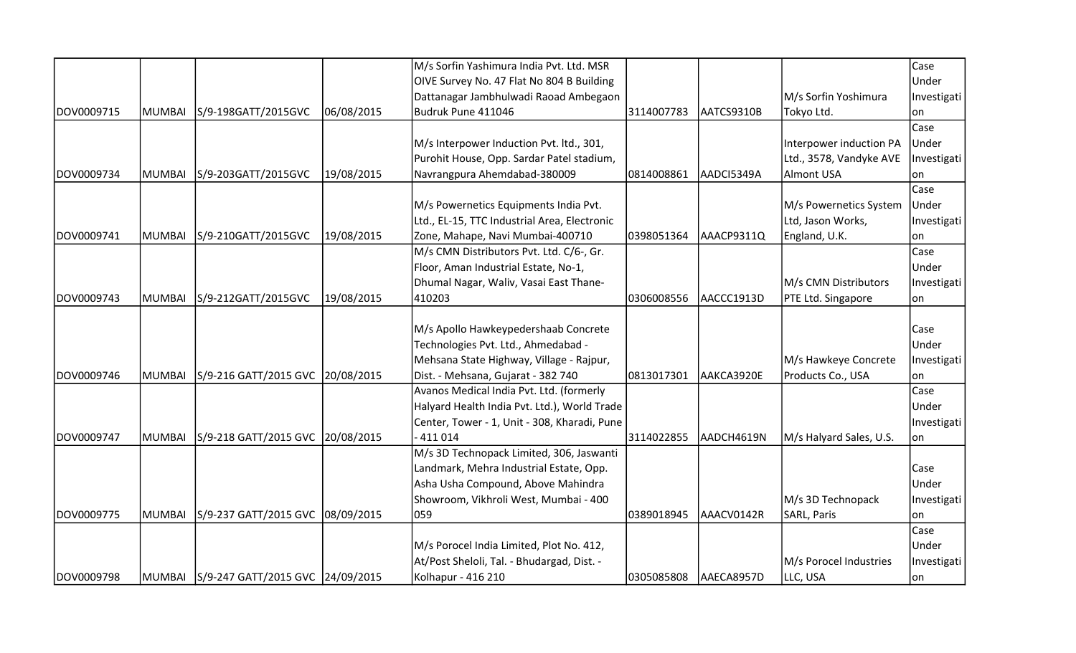|            |               |                                         |            | M/s Sorfin Yashimura India Pvt. Ltd. MSR     |            |            |                         | Case        |
|------------|---------------|-----------------------------------------|------------|----------------------------------------------|------------|------------|-------------------------|-------------|
|            |               |                                         |            | OIVE Survey No. 47 Flat No 804 B Building    |            |            |                         | Under       |
|            |               |                                         |            | Dattanagar Jambhulwadi Raoad Ambegaon        |            |            | M/s Sorfin Yoshimura    | Investigati |
| DOV0009715 | <b>MUMBAI</b> | S/9-198GATT/2015GVC                     | 06/08/2015 | Budruk Pune 411046                           | 3114007783 | AATCS9310B | Tokyo Ltd.              | on          |
|            |               |                                         |            |                                              |            |            |                         | Case        |
|            |               |                                         |            | M/s Interpower Induction Pvt. ltd., 301,     |            |            | Interpower induction PA | Under       |
|            |               |                                         |            | Purohit House, Opp. Sardar Patel stadium,    |            |            | Ltd., 3578, Vandyke AVE | Investigati |
| DOV0009734 | <b>MUMBAI</b> | S/9-203GATT/2015GVC                     | 19/08/2015 | Navrangpura Ahemdabad-380009                 | 0814008861 | AADCI5349A | Almont USA              | on          |
|            |               |                                         |            |                                              |            |            |                         | Case        |
|            |               |                                         |            | M/s Powernetics Equipments India Pvt.        |            |            | M/s Powernetics System  | Under       |
|            |               |                                         |            | Ltd., EL-15, TTC Industrial Area, Electronic |            |            | Ltd, Jason Works,       | Investigati |
| DOV0009741 | MUMBAI        | S/9-210GATT/2015GVC                     | 19/08/2015 | Zone, Mahape, Navi Mumbai-400710             | 0398051364 | AAACP9311Q | England, U.K.           | lon         |
|            |               |                                         |            | M/s CMN Distributors Pvt. Ltd. C/6-, Gr.     |            |            |                         | Case        |
|            |               |                                         |            | Floor, Aman Industrial Estate, No-1,         |            |            |                         | Under       |
|            |               |                                         |            | Dhumal Nagar, Waliv, Vasai East Thane-       |            |            | M/s CMN Distributors    | Investigati |
| DOV0009743 | <b>MUMBAI</b> | S/9-212GATT/2015GVC                     | 19/08/2015 | 410203                                       | 0306008556 | AACCC1913D | PTE Ltd. Singapore      | on          |
|            |               |                                         |            |                                              |            |            |                         |             |
|            |               |                                         |            | M/s Apollo Hawkeypedershaab Concrete         |            |            |                         | Case        |
|            |               |                                         |            | Technologies Pvt. Ltd., Ahmedabad -          |            |            |                         | Under       |
|            |               |                                         |            | Mehsana State Highway, Village - Rajpur,     |            |            | M/s Hawkeye Concrete    | Investigati |
| DOV0009746 | <b>MUMBAI</b> | S/9-216 GATT/2015 GVC 20/08/2015        |            | Dist. - Mehsana, Gujarat - 382 740           | 0813017301 | AAKCA3920E | Products Co., USA       | on          |
|            |               |                                         |            | Avanos Medical India Pvt. Ltd. (formerly     |            |            |                         | Case        |
|            |               |                                         |            | Halyard Health India Pvt. Ltd.), World Trade |            |            |                         | Under       |
|            |               |                                         |            | Center, Tower - 1, Unit - 308, Kharadi, Pune |            |            |                         | Investigati |
| DOV0009747 | MUMBAI        | S/9-218 GATT/2015 GVC                   | 20/08/2015 | $-411014$                                    | 3114022855 | AADCH4619N | M/s Halyard Sales, U.S. | lon         |
|            |               |                                         |            | M/s 3D Technopack Limited, 306, Jaswanti     |            |            |                         |             |
|            |               |                                         |            | Landmark, Mehra Industrial Estate, Opp.      |            |            |                         | Case        |
|            |               |                                         |            | Asha Usha Compound, Above Mahindra           |            |            |                         | Under       |
|            |               |                                         |            | Showroom, Vikhroli West, Mumbai - 400        |            |            | M/s 3D Technopack       | Investigati |
| DOV0009775 | <b>MUMBAI</b> | S/9-237 GATT/2015 GVC 08/09/2015        |            | 059                                          | 0389018945 | AAACV0142R | SARL, Paris             | on          |
|            |               |                                         |            |                                              |            |            |                         | Case        |
|            |               |                                         |            | M/s Porocel India Limited, Plot No. 412,     |            |            |                         | Under       |
|            |               |                                         |            | At/Post Sheloli, Tal. - Bhudargad, Dist. -   |            |            | M/s Porocel Industries  | Investigati |
| DOV0009798 |               | MUMBAI S/9-247 GATT/2015 GVC 24/09/2015 |            | Kolhapur - 416 210                           | 0305085808 | AAECA8957D | LLC, USA                | on          |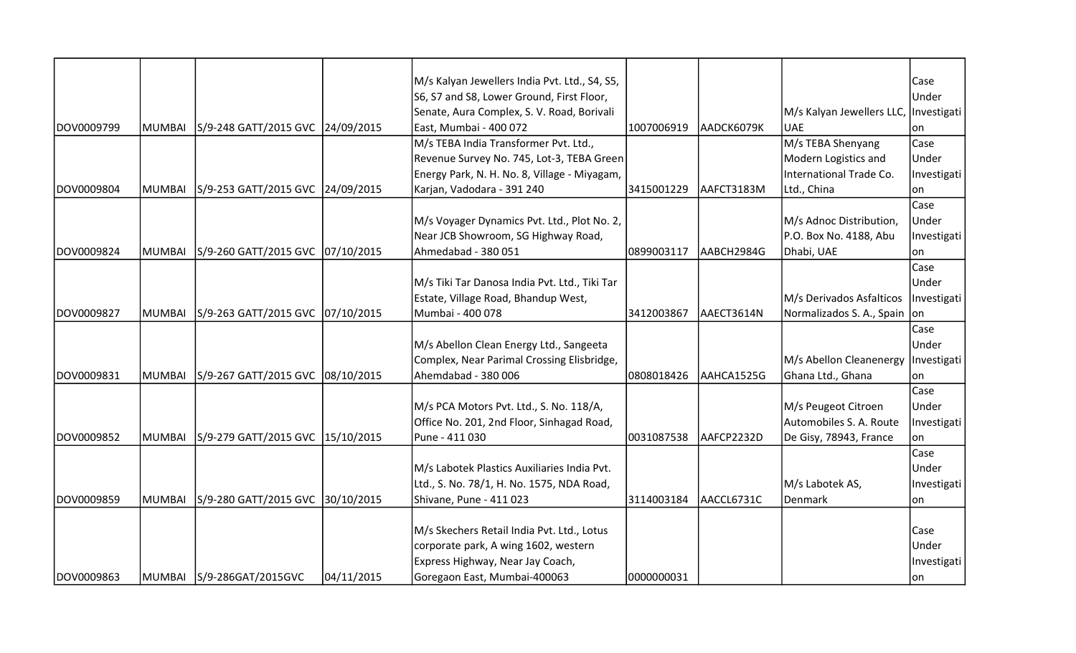|            |               |                                  |            | M/s Kalyan Jewellers India Pvt. Ltd., S4, S5, |            |            |                                       | Case        |
|------------|---------------|----------------------------------|------------|-----------------------------------------------|------------|------------|---------------------------------------|-------------|
|            |               |                                  |            | S6, S7 and S8, Lower Ground, First Floor,     |            |            |                                       | Under       |
|            |               |                                  |            | Senate, Aura Complex, S. V. Road, Borivali    |            |            | M/s Kalyan Jewellers LLC, Investigati |             |
| DOV0009799 | MUMBAI        | S/9-248 GATT/2015 GVC 24/09/2015 |            | East, Mumbai - 400 072                        | 1007006919 | AADCK6079K | <b>UAE</b>                            | on          |
|            |               |                                  |            | M/s TEBA India Transformer Pvt. Ltd.,         |            |            | M/s TEBA Shenyang                     | Case        |
|            |               |                                  |            | Revenue Survey No. 745, Lot-3, TEBA Green     |            |            | Modern Logistics and                  | Under       |
|            |               |                                  |            | Energy Park, N. H. No. 8, Village - Miyagam,  |            |            | International Trade Co.               | Investigati |
| DOV0009804 | <b>MUMBAI</b> | S/9-253 GATT/2015 GVC 24/09/2015 |            | Karjan, Vadodara - 391 240                    | 3415001229 | AAFCT3183M | Ltd., China                           | on          |
|            |               |                                  |            |                                               |            |            |                                       | Case        |
|            |               |                                  |            | M/s Voyager Dynamics Pvt. Ltd., Plot No. 2,   |            |            | M/s Adnoc Distribution,               | Under       |
|            |               |                                  |            | Near JCB Showroom, SG Highway Road,           |            |            | P.O. Box No. 4188, Abu                | Investigati |
| DOV0009824 | MUMBAI        | S/9-260 GATT/2015 GVC 07/10/2015 |            | Ahmedabad - 380 051                           | 0899003117 | AABCH2984G | Dhabi, UAE                            | lon         |
|            |               |                                  |            |                                               |            |            |                                       | Case        |
|            |               |                                  |            | M/s Tiki Tar Danosa India Pvt. Ltd., Tiki Tar |            |            |                                       | Under       |
|            |               |                                  |            | Estate, Village Road, Bhandup West,           |            |            | M/s Derivados Asfalticos              | Investigati |
| DOV0009827 | <b>MUMBAI</b> | S/9-263 GATT/2015 GVC 07/10/2015 |            | Mumbai - 400 078                              | 3412003867 | AAECT3614N | Normalizados S. A., Spain on          |             |
|            |               |                                  |            |                                               |            |            |                                       | Case        |
|            |               |                                  |            | M/s Abellon Clean Energy Ltd., Sangeeta       |            |            |                                       | Under       |
|            |               |                                  |            | Complex, Near Parimal Crossing Elisbridge,    |            |            | M/s Abellon Cleanenergy               | Investigati |
| DOV0009831 | <b>MUMBAI</b> | S/9-267 GATT/2015 GVC 08/10/2015 |            | Ahemdabad - 380 006                           | 0808018426 | AAHCA1525G | Ghana Ltd., Ghana                     | on          |
|            |               |                                  |            |                                               |            |            |                                       | Case        |
|            |               |                                  |            | M/s PCA Motors Pvt. Ltd., S. No. 118/A,       |            |            | M/s Peugeot Citroen                   | Under       |
|            |               |                                  |            | Office No. 201, 2nd Floor, Sinhagad Road,     |            |            | Automobiles S. A. Route               | Investigati |
| DOV0009852 | <b>MUMBAI</b> | S/9-279 GATT/2015 GVC 15/10/2015 |            | Pune - 411 030                                | 0031087538 | AAFCP2232D | De Gisy, 78943, France                | lon         |
|            |               |                                  |            |                                               |            |            |                                       | Case        |
|            |               |                                  |            | M/s Labotek Plastics Auxiliaries India Pvt.   |            |            |                                       | Under       |
|            |               |                                  |            | Ltd., S. No. 78/1, H. No. 1575, NDA Road,     |            |            | M/s Labotek AS,                       | Investigati |
| DOV0009859 | <b>MUMBAI</b> | S/9-280 GATT/2015 GVC 30/10/2015 |            | Shivane, Pune - 411 023                       | 3114003184 | AACCL6731C | Denmark                               | lon         |
|            |               |                                  |            |                                               |            |            |                                       |             |
|            |               |                                  |            | M/s Skechers Retail India Pvt. Ltd., Lotus    |            |            |                                       | Case        |
|            |               |                                  |            | corporate park, A wing 1602, western          |            |            |                                       | Under       |
|            |               |                                  |            | Express Highway, Near Jay Coach,              |            |            |                                       | Investigati |
| DOV0009863 |               | MUMBAI S/9-286GAT/2015GVC        | 04/11/2015 | Goregaon East, Mumbai-400063                  | 0000000031 |            |                                       | on          |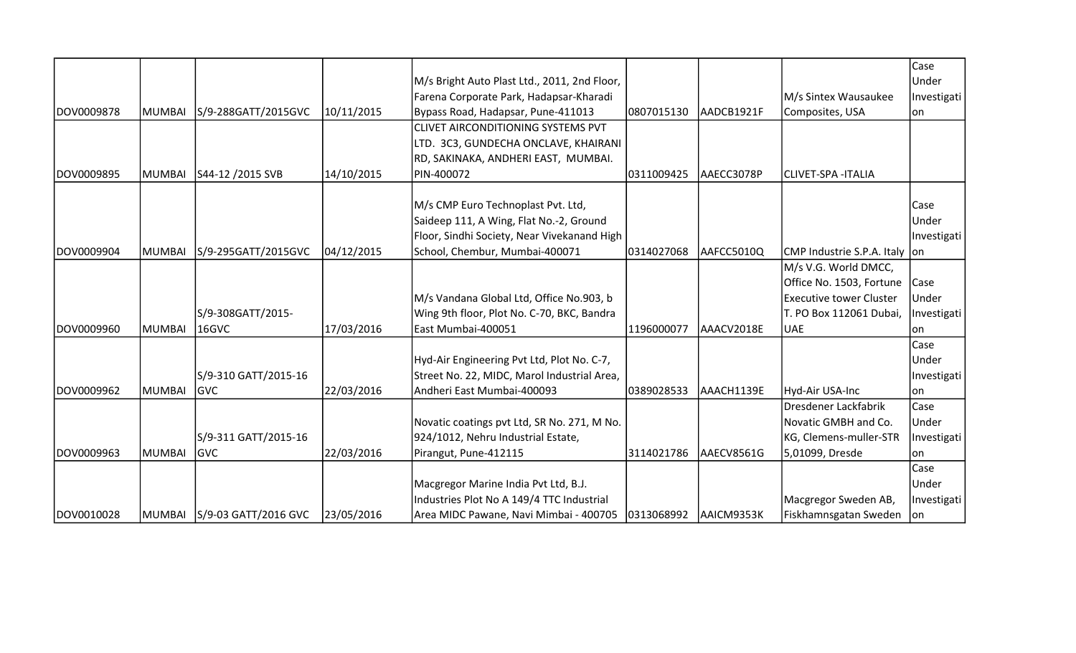|            |               |                               |            | M/s Bright Auto Plast Ltd., 2011, 2nd Floor, |            |            |                                 | Case<br>Under |
|------------|---------------|-------------------------------|------------|----------------------------------------------|------------|------------|---------------------------------|---------------|
|            |               |                               |            | Farena Corporate Park, Hadapsar-Kharadi      |            |            | M/s Sintex Wausaukee            | Investigati   |
| DOV0009878 | MUMBAI        | S/9-288GATT/2015GVC           | 10/11/2015 | Bypass Road, Hadapsar, Pune-411013           | 0807015130 | AADCB1921F | Composites, USA                 | lon           |
|            |               |                               |            | CLIVET AIRCONDITIONING SYSTEMS PVT           |            |            |                                 |               |
|            |               |                               |            | LTD. 3C3, GUNDECHA ONCLAVE, KHAIRANI         |            |            |                                 |               |
|            |               |                               |            | RD, SAKINAKA, ANDHERI EAST, MUMBAI.          |            |            |                                 |               |
| DOV0009895 | MUMBAI        | S44-12 /2015 SVB              | 14/10/2015 | PIN-400072                                   | 0311009425 | AAECC3078P | <b>CLIVET-SPA - ITALIA</b>      |               |
|            |               |                               |            | M/s CMP Euro Technoplast Pvt. Ltd,           |            |            |                                 | Case          |
|            |               |                               |            | Saideep 111, A Wing, Flat No.-2, Ground      |            |            |                                 | Under         |
|            |               |                               |            | Floor, Sindhi Society, Near Vivekanand High  |            |            |                                 | Investigati   |
| DOV0009904 | MUMBAI        | S/9-295GATT/2015GVC           | 04/12/2015 | School, Chembur, Mumbai-400071               | 0314027068 | AAFCC5010Q | CMP Industrie S.P.A. Italy   on |               |
|            |               |                               |            |                                              |            |            | M/s V.G. World DMCC,            |               |
|            |               |                               |            |                                              |            |            | Office No. 1503, Fortune        | Case          |
|            |               |                               |            | M/s Vandana Global Ltd, Office No.903, b     |            |            | <b>Executive tower Cluster</b>  | Under         |
|            |               | S/9-308GATT/2015-             |            | Wing 9th floor, Plot No. C-70, BKC, Bandra   |            |            | T. PO Box 112061 Dubai,         | Investigati   |
| DOV0009960 | MUMBAI        | 16GVC                         | 17/03/2016 | East Mumbai-400051                           | 1196000077 | AAACV2018E | <b>UAE</b>                      | on            |
|            |               |                               |            |                                              |            |            |                                 | Case          |
|            |               |                               |            | Hyd-Air Engineering Pvt Ltd, Plot No. C-7,   |            |            |                                 | Under         |
|            |               | S/9-310 GATT/2015-16          |            | Street No. 22, MIDC, Marol Industrial Area,  |            |            |                                 | Investigati   |
| DOV0009962 | MUMBAI        | lgvc                          | 22/03/2016 | Andheri East Mumbai-400093                   | 0389028533 | AAACH1139E | Hyd-Air USA-Inc                 | lon           |
|            |               |                               |            |                                              |            |            | Dresdener Lackfabrik            | Case          |
|            |               |                               |            | Novatic coatings pvt Ltd, SR No. 271, M No.  |            |            | Novatic GMBH and Co.            | Under         |
|            |               | S/9-311 GATT/2015-16          |            | 924/1012, Nehru Industrial Estate,           |            |            | KG, Clemens-muller-STR          | Investigati   |
| DOV0009963 | <b>MUMBAI</b> | lgvc                          | 22/03/2016 | Pirangut, Pune-412115                        | 3114021786 | AAECV8561G | 5,01099, Dresde                 | lon           |
|            |               |                               |            |                                              |            |            |                                 | Case          |
|            |               |                               |            | Macgregor Marine India Pvt Ltd, B.J.         |            |            |                                 | Under         |
|            |               |                               |            | Industries Plot No A 149/4 TTC Industrial    |            |            | Macgregor Sweden AB,            | Investigati   |
| DOV0010028 |               | MUMBAI   S/9-03 GATT/2016 GVC | 23/05/2016 | Area MIDC Pawane, Navi Mimbai - 400705       | 0313068992 | AAICM9353K | Fiskhamnsgatan Sweden           | -lon          |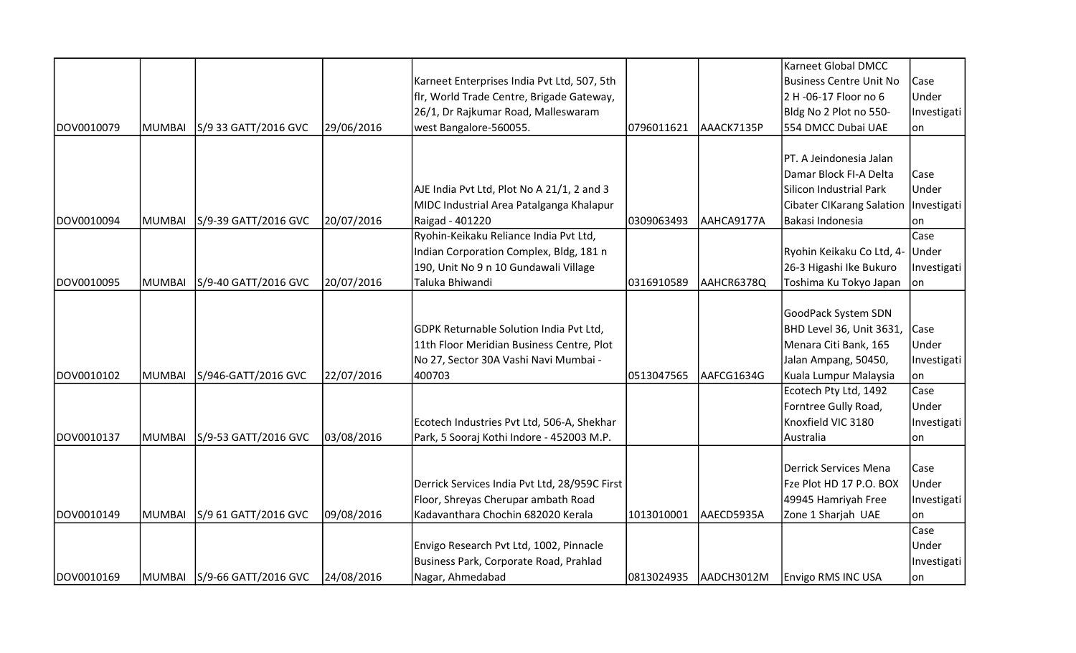|            |               |                             |            |                                               |            |            | Karneet Global DMCC                     |             |
|------------|---------------|-----------------------------|------------|-----------------------------------------------|------------|------------|-----------------------------------------|-------------|
|            |               |                             |            | Karneet Enterprises India Pvt Ltd, 507, 5th   |            |            | <b>Business Centre Unit No</b>          | Case        |
|            |               |                             |            | fir, World Trade Centre, Brigade Gateway,     |            |            | 2 H -06-17 Floor no 6                   | Under       |
|            |               |                             |            | 26/1, Dr Rajkumar Road, Malleswaram           |            |            | Bldg No 2 Plot no 550-                  | Investigati |
| DOV0010079 | MUMBAI        | S/9 33 GATT/2016 GVC        | 29/06/2016 | west Bangalore-560055.                        | 0796011621 | AAACK7135P | 554 DMCC Dubai UAE                      | on          |
|            |               |                             |            |                                               |            |            |                                         |             |
|            |               |                             |            |                                               |            |            | PT. A Jeindonesia Jalan                 |             |
|            |               |                             |            |                                               |            |            | Damar Block FI-A Delta                  | Case        |
|            |               |                             |            | AJE India Pvt Ltd, Plot No A 21/1, 2 and 3    |            |            | Silicon Industrial Park                 | Under       |
|            |               |                             |            | MIDC Industrial Area Patalganga Khalapur      |            |            | Cibater CIKarang Salation   Investigati |             |
| DOV0010094 | <b>MUMBAI</b> | S/9-39 GATT/2016 GVC        | 20/07/2016 | Raigad - 401220                               | 0309063493 | AAHCA9177A | Bakasi Indonesia                        | on          |
|            |               |                             |            | Ryohin-Keikaku Reliance India Pvt Ltd,        |            |            |                                         | Case        |
|            |               |                             |            | Indian Corporation Complex, Bldg, 181 n       |            |            | Ryohin Keikaku Co Ltd, 4-               | Under       |
|            |               |                             |            | 190, Unit No 9 n 10 Gundawali Village         |            |            | 26-3 Higashi Ike Bukuro                 | Investigati |
| DOV0010095 | <b>MUMBAI</b> | S/9-40 GATT/2016 GVC        | 20/07/2016 | Taluka Bhiwandi                               | 0316910589 | AAHCR6378Q | Toshima Ku Tokyo Japan                  | on          |
|            |               |                             |            |                                               |            |            |                                         |             |
|            |               |                             |            |                                               |            |            | GoodPack System SDN                     |             |
|            |               |                             |            | GDPK Returnable Solution India Pvt Ltd,       |            |            | BHD Level 36, Unit 3631,                | Case        |
|            |               |                             |            | 11th Floor Meridian Business Centre, Plot     |            |            | Menara Citi Bank, 165                   | Under       |
|            |               |                             |            | No 27, Sector 30A Vashi Navi Mumbai -         |            |            | Jalan Ampang, 50450,                    | Investigati |
| DOV0010102 | <b>MUMBAI</b> | S/946-GATT/2016 GVC         | 22/07/2016 | 400703                                        | 0513047565 | AAFCG1634G | Kuala Lumpur Malaysia                   | lon         |
|            |               |                             |            |                                               |            |            | Ecotech Pty Ltd, 1492                   | Case        |
|            |               |                             |            |                                               |            |            | Forntree Gully Road,                    | Under       |
|            |               |                             |            | Ecotech Industries Pvt Ltd, 506-A, Shekhar    |            |            | Knoxfield VIC 3180                      | Investigati |
| DOV0010137 | <b>MUMBAI</b> | S/9-53 GATT/2016 GVC        | 03/08/2016 | Park, 5 Sooraj Kothi Indore - 452003 M.P.     |            |            | Australia                               | lon         |
|            |               |                             |            |                                               |            |            | <b>Derrick Services Mena</b>            | Case        |
|            |               |                             |            | Derrick Services India Pvt Ltd, 28/959C First |            |            | Fze Plot HD 17 P.O. BOX                 | Under       |
|            |               |                             |            | Floor, Shreyas Cherupar ambath Road           |            |            | 49945 Hamriyah Free                     | Investigati |
| DOV0010149 | <b>MUMBAI</b> | S/9 61 GATT/2016 GVC        | 09/08/2016 | Kadavanthara Chochin 682020 Kerala            | 1013010001 | AAECD5935A | Zone 1 Sharjah UAE                      | lon         |
|            |               |                             |            |                                               |            |            |                                         | Case        |
|            |               |                             |            | Envigo Research Pvt Ltd, 1002, Pinnacle       |            |            |                                         | Under       |
|            |               |                             |            | Business Park, Corporate Road, Prahlad        |            |            |                                         | Investigati |
| DOV0010169 |               | MUMBAI S/9-66 GATT/2016 GVC | 24/08/2016 | Nagar, Ahmedabad                              | 0813024935 | AADCH3012M | <b>Envigo RMS INC USA</b>               | on          |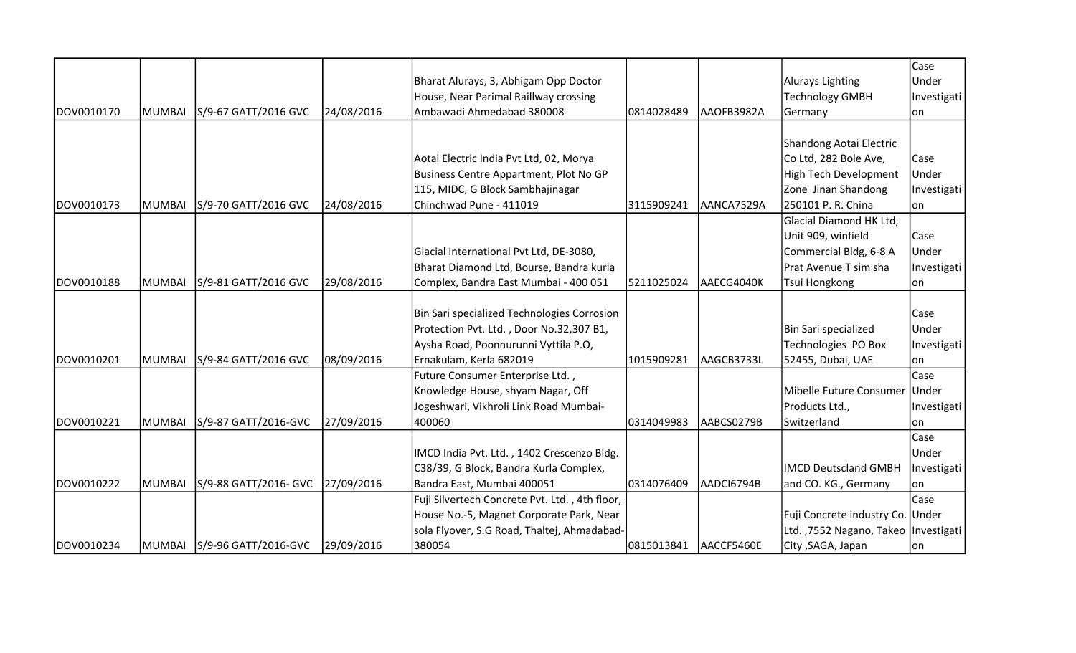|            |               |                                  |            |                                                |            |            |                                        | Case        |
|------------|---------------|----------------------------------|------------|------------------------------------------------|------------|------------|----------------------------------------|-------------|
|            |               |                                  |            | Bharat Alurays, 3, Abhigam Opp Doctor          |            |            | Alurays Lighting                       | Under       |
|            |               |                                  |            | House, Near Parimal Raillway crossing          |            |            | <b>Technology GMBH</b>                 | Investigati |
| DOV0010170 | MUMBAI        | S/9-67 GATT/2016 GVC             | 24/08/2016 | Ambawadi Ahmedabad 380008                      | 0814028489 | AAOFB3982A | Germany                                | on          |
|            |               |                                  |            |                                                |            |            |                                        |             |
|            |               |                                  |            |                                                |            |            | Shandong Aotai Electric                |             |
|            |               |                                  |            | Aotai Electric India Pvt Ltd, 02, Morya        |            |            | Co Ltd, 282 Bole Ave,                  | Case        |
|            |               |                                  |            | Business Centre Appartment, Plot No GP         |            |            | High Tech Development                  | Under       |
|            |               |                                  |            | 115, MIDC, G Block Sambhajinagar               |            |            | Zone Jinan Shandong                    | Investigati |
| DOV0010173 | <b>MUMBAI</b> | S/9-70 GATT/2016 GVC             | 24/08/2016 | Chinchwad Pune - 411019                        | 3115909241 | AANCA7529A | 250101 P. R. China                     | on          |
|            |               |                                  |            |                                                |            |            | Glacial Diamond HK Ltd,                |             |
|            |               |                                  |            |                                                |            |            | Unit 909, winfield                     | Case        |
|            |               |                                  |            | Glacial International Pvt Ltd, DE-3080,        |            |            | Commercial Bldg, 6-8 A                 | Under       |
|            |               |                                  |            | Bharat Diamond Ltd, Bourse, Bandra kurla       |            |            | Prat Avenue T sim sha                  | Investigati |
| DOV0010188 | MUMBAI        | S/9-81 GATT/2016 GVC             | 29/08/2016 | Complex, Bandra East Mumbai - 400 051          | 5211025024 | AAECG4040K | Tsui Hongkong                          | lon         |
|            |               |                                  |            | Bin Sari specialized Technologies Corrosion    |            |            |                                        | Case        |
|            |               |                                  |            | Protection Pvt. Ltd., Door No.32,307 B1,       |            |            | Bin Sari specialized                   | Under       |
|            |               |                                  |            | Aysha Road, Poonnurunni Vyttila P.O,           |            |            | Technologies PO Box                    | Investigati |
| DOV0010201 | MUMBAI        | S/9-84 GATT/2016 GVC             | 08/09/2016 | Ernakulam, Kerla 682019                        | 1015909281 | AAGCB3733L | 52455, Dubai, UAE                      | lon         |
|            |               |                                  |            | Future Consumer Enterprise Ltd.,               |            |            |                                        | Case        |
|            |               |                                  |            | Knowledge House, shyam Nagar, Off              |            |            | Mibelle Future Consumer                | Under       |
|            |               |                                  |            | Jogeshwari, Vikhroli Link Road Mumbai-         |            |            | Products Ltd.,                         | Investigati |
| DOV0010221 | MUMBAI        | S/9-87 GATT/2016-GVC             | 27/09/2016 | 400060                                         | 0314049983 | AABCS0279B | Switzerland                            | lon         |
|            |               |                                  |            |                                                |            |            |                                        | Case        |
|            |               |                                  |            | IMCD India Pvt. Ltd., 1402 Crescenzo Bldg.     |            |            |                                        | Under       |
|            |               |                                  |            | C38/39, G Block, Bandra Kurla Complex,         |            |            | <b>IMCD Deutscland GMBH</b>            | Investigati |
| DOV0010222 | MUMBAI        | S/9-88 GATT/2016- GVC 27/09/2016 |            | Bandra East, Mumbai 400051                     | 0314076409 | AADCI6794B | and CO. KG., Germany                   | lon         |
|            |               |                                  |            | Fuji Silvertech Concrete Pvt. Ltd., 4th floor, |            |            |                                        | Case        |
|            |               |                                  |            | House No.-5, Magnet Corporate Park, Near       |            |            | Fuji Concrete industry Co. Under       |             |
|            |               |                                  |            | sola Flyover, S.G Road, Thaltej, Ahmadabad-    |            |            | Ltd. ,7552 Nagano, Takeo   Investigati |             |
| DOV0010234 |               | MUMBAI  S/9-96 GATT/2016-GVC     | 29/09/2016 | 380054                                         | 0815013841 | AACCF5460E | City , SAGA, Japan                     | lon         |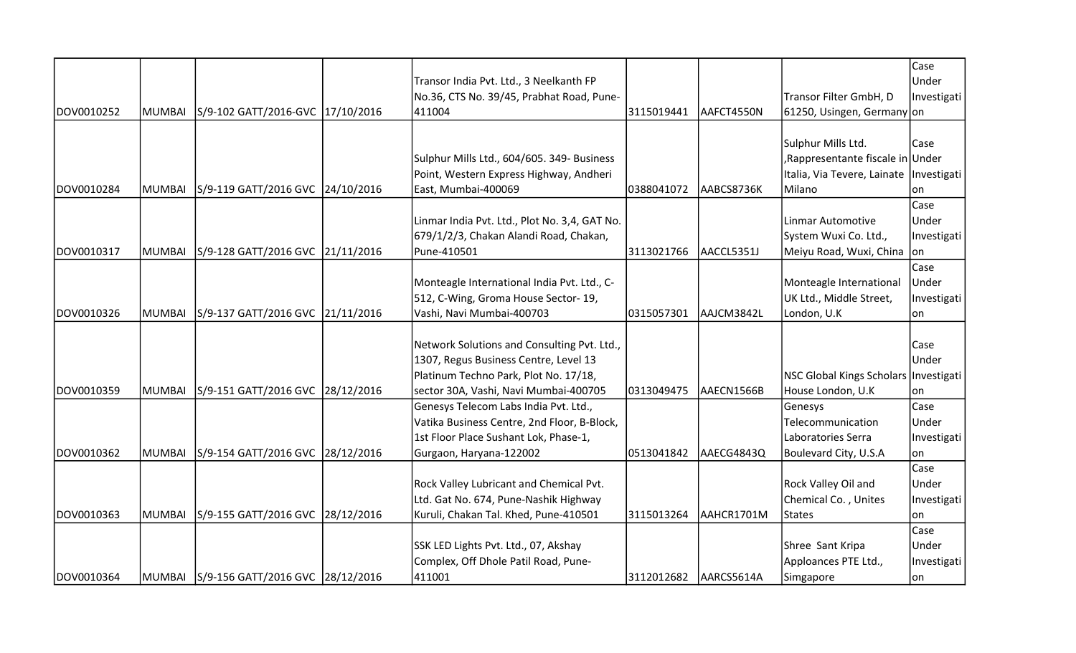|            |        |                                         |                                               |            |            |                                           | Case         |
|------------|--------|-----------------------------------------|-----------------------------------------------|------------|------------|-------------------------------------------|--------------|
|            |        |                                         | Transor India Pvt. Ltd., 3 Neelkanth FP       |            |            |                                           | <b>Under</b> |
|            |        |                                         | No.36, CTS No. 39/45, Prabhat Road, Pune-     |            |            | Transor Filter GmbH, D                    | Investigati  |
| DOV0010252 | MUMBAI | S/9-102 GATT/2016-GVC 17/10/2016        | 411004                                        | 3115019441 | AAFCT4550N | 61250, Usingen, Germany on                |              |
|            |        |                                         |                                               |            |            | Sulphur Mills Ltd.                        | Case         |
|            |        |                                         | Sulphur Mills Ltd., 604/605. 349- Business    |            |            | Rappresentante fiscale in Under           |              |
|            |        |                                         |                                               |            |            | Italia, Via Tevere, Lainate   Investigati |              |
| DOV0010284 |        |                                         | Point, Western Express Highway, Andheri       |            | AABCS8736K |                                           |              |
|            | MUMBAI | S/9-119 GATT/2016 GVC 24/10/2016        | East, Mumbai-400069                           | 0388041072 |            | Milano                                    | on           |
|            |        |                                         |                                               |            |            |                                           | Case         |
|            |        |                                         | Linmar India Pvt. Ltd., Plot No. 3,4, GAT No. |            |            | Linmar Automotive                         | Under        |
|            |        |                                         | 679/1/2/3, Chakan Alandi Road, Chakan,        |            |            | System Wuxi Co. Ltd.,                     | Investigati  |
| DOV0010317 | MUMBAI | S/9-128 GATT/2016 GVC 21/11/2016        | Pune-410501                                   | 3113021766 | AACCL5351J | Meiyu Road, Wuxi, China  on               |              |
|            |        |                                         |                                               |            |            |                                           | Case         |
|            |        |                                         | Monteagle International India Pvt. Ltd., C-   |            |            | Monteagle International                   | Under        |
|            |        |                                         | 512, C-Wing, Groma House Sector-19,           |            |            | UK Ltd., Middle Street,                   | Investigati  |
| DOV0010326 | MUMBAI | S/9-137 GATT/2016 GVC 21/11/2016        | Vashi, Navi Mumbai-400703                     | 0315057301 | AAJCM3842L | London, U.K                               | on           |
|            |        |                                         |                                               |            |            |                                           |              |
|            |        |                                         | Network Solutions and Consulting Pvt. Ltd.,   |            |            |                                           | Case         |
|            |        |                                         | 1307, Regus Business Centre, Level 13         |            |            |                                           | Under        |
|            |        |                                         | Platinum Techno Park, Plot No. 17/18,         |            |            | NSC Global Kings Scholars   Investigati   |              |
| DOV0010359 | MUMBAI | S/9-151 GATT/2016 GVC 28/12/2016        | sector 30A, Vashi, Navi Mumbai-400705         | 0313049475 | AAECN1566B | House London, U.K                         | lon          |
|            |        |                                         | Genesys Telecom Labs India Pvt. Ltd.,         |            |            | Genesys                                   | Case         |
|            |        |                                         | Vatika Business Centre, 2nd Floor, B-Block,   |            |            | Telecommunication                         | Under        |
|            |        |                                         | 1st Floor Place Sushant Lok, Phase-1,         |            |            | Laboratories Serra                        | Investigati  |
| DOV0010362 | MUMBAI | S/9-154 GATT/2016 GVC 28/12/2016        | Gurgaon, Haryana-122002                       | 0513041842 | AAECG4843Q | Boulevard City, U.S.A                     | on           |
|            |        |                                         |                                               |            |            |                                           | Case         |
|            |        |                                         | Rock Valley Lubricant and Chemical Pvt.       |            |            | Rock Valley Oil and                       | Under        |
|            |        |                                         | Ltd. Gat No. 674, Pune-Nashik Highway         |            |            | Chemical Co., Unites                      | Investigati  |
| DOV0010363 | MUMBAI | S/9-155 GATT/2016 GVC 28/12/2016        | Kuruli, Chakan Tal. Khed, Pune-410501         | 3115013264 | AAHCR1701M | States                                    | on           |
|            |        |                                         |                                               |            |            |                                           | Case         |
|            |        |                                         | SSK LED Lights Pvt. Ltd., 07, Akshay          |            |            | Shree Sant Kripa                          | Under        |
|            |        |                                         | Complex, Off Dhole Patil Road, Pune-          |            |            | Apploances PTE Ltd.,                      | Investigati  |
| DOV0010364 |        | MUMBAI S/9-156 GATT/2016 GVC 28/12/2016 | 411001                                        |            |            | Simgapore                                 | on           |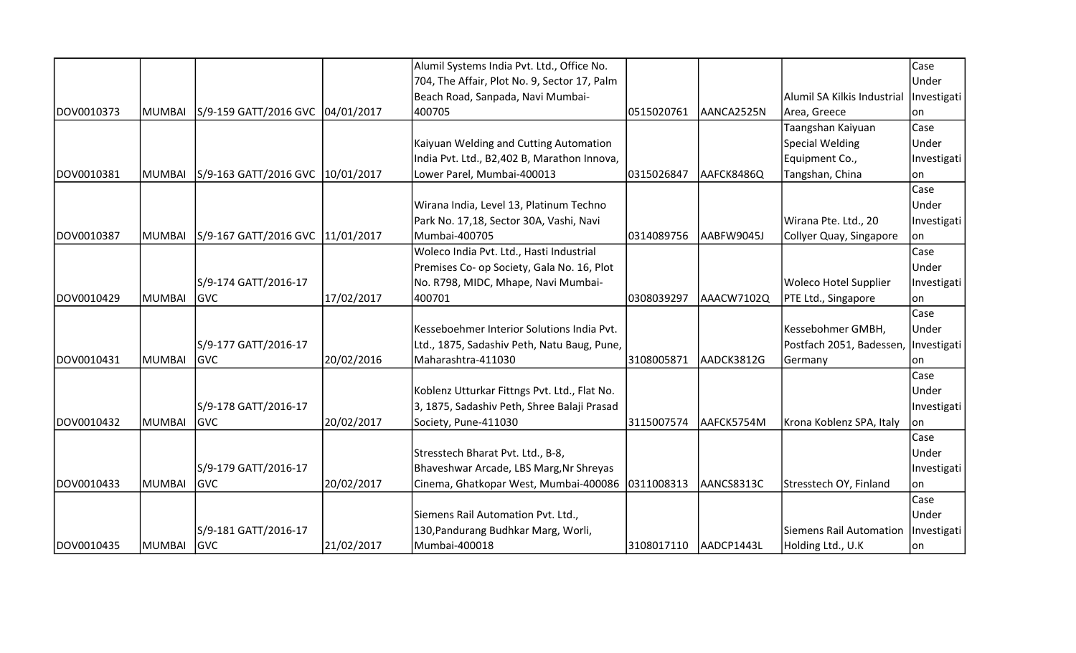|            |               |                                    |            | Alumil Systems India Pvt. Ltd., Office No.   |            |            |                                      | Case        |
|------------|---------------|------------------------------------|------------|----------------------------------------------|------------|------------|--------------------------------------|-------------|
|            |               |                                    |            | 704, The Affair, Plot No. 9, Sector 17, Palm |            |            |                                      | Under       |
|            |               |                                    |            | Beach Road, Sanpada, Navi Mumbai-            |            |            | Alumil SA Kilkis Industrial          | Investigati |
| DOV0010373 | MUMBAI        | S/9-159 GATT/2016 GVC 04/01/2017   |            | 400705                                       | 0515020761 | AANCA2525N | Area, Greece                         | lon         |
|            |               |                                    |            |                                              |            |            | Taangshan Kaiyuan                    | Case        |
|            |               |                                    |            | Kaiyuan Welding and Cutting Automation       |            |            | Special Welding                      | Under       |
|            |               |                                    |            | India Pvt. Ltd., B2,402 B, Marathon Innova,  |            |            | Equipment Co.,                       | Investigati |
| DOV0010381 | MUMBAI        | S/9-163 GATT/2016 GVC 10/01/2017   |            | Lower Parel, Mumbai-400013                   | 0315026847 | AAFCK8486Q | Tangshan, China                      | lon         |
|            |               |                                    |            |                                              |            |            |                                      | Case        |
|            |               |                                    |            | Wirana India, Level 13, Platinum Techno      |            |            |                                      | Under       |
|            |               |                                    |            | Park No. 17,18, Sector 30A, Vashi, Navi      |            |            | Wirana Pte. Ltd., 20                 | Investigati |
| DOV0010387 | MUMBAI        | S/9-167 GATT/2016 GVC   11/01/2017 |            | Mumbai-400705                                | 0314089756 | AABFW9045J | Collyer Quay, Singapore              | lon.        |
|            |               |                                    |            | Woleco India Pvt. Ltd., Hasti Industrial     |            |            |                                      | Case        |
|            |               |                                    |            | Premises Co- op Society, Gala No. 16, Plot   |            |            |                                      | Under       |
|            |               | S/9-174 GATT/2016-17               |            | No. R798, MIDC, Mhape, Navi Mumbai-          |            |            | Woleco Hotel Supplier                | Investigati |
| DOV0010429 | MUMBAI        | <b>GVC</b>                         | 17/02/2017 | 400701                                       | 0308039297 | AAACW7102Q | PTE Ltd., Singapore                  | lon.        |
|            |               |                                    |            |                                              |            |            |                                      | Case        |
|            |               |                                    |            | Kesseboehmer Interior Solutions India Pvt.   |            |            | Kessebohmer GMBH,                    | Under       |
|            |               | S/9-177 GATT/2016-17               |            | Ltd., 1875, Sadashiv Peth, Natu Baug, Pune,  |            |            | Postfach 2051, Badessen, Investigati |             |
| DOV0010431 | MUMBAI        | <b>GVC</b>                         | 20/02/2016 | Maharashtra-411030                           | 3108005871 | AADCK3812G | Germany                              | on          |
|            |               |                                    |            |                                              |            |            |                                      | Case        |
|            |               |                                    |            | Koblenz Utturkar Fittngs Pvt. Ltd., Flat No. |            |            |                                      | Under       |
|            |               | S/9-178 GATT/2016-17               |            | 3, 1875, Sadashiv Peth, Shree Balaji Prasad  |            |            |                                      | Investigati |
| DOV0010432 | <b>MUMBAI</b> | <b>IGVC</b>                        | 20/02/2017 | Society, Pune-411030                         | 3115007574 | AAFCK5754M | Krona Koblenz SPA, Italy             | lon.        |
|            |               |                                    |            |                                              |            |            |                                      | Case        |
|            |               |                                    |            | Stresstech Bharat Pvt. Ltd., B-8,            |            |            |                                      | Under       |
|            |               | S/9-179 GATT/2016-17               |            | Bhaveshwar Arcade, LBS Marg, Nr Shreyas      |            |            |                                      | Investigati |
| DOV0010433 | MUMBAI        | <b>GVC</b>                         | 20/02/2017 | Cinema, Ghatkopar West, Mumbai-400086        | 0311008313 | AANCS8313C | Stresstech OY, Finland               | lon         |
|            |               |                                    |            |                                              |            |            |                                      | Case        |
|            |               |                                    |            | Siemens Rail Automation Pvt. Ltd.,           |            |            |                                      | Under       |
|            |               | S/9-181 GATT/2016-17               |            | 130, Pandurang Budhkar Marg, Worli,          |            |            | Siemens Rail Automation              | Investigati |
| DOV0010435 | <b>MUMBAI</b> | <b>GVC</b>                         | 21/02/2017 | Mumbai-400018                                | 3108017110 | AADCP1443L | Holding Ltd., U.K                    | on          |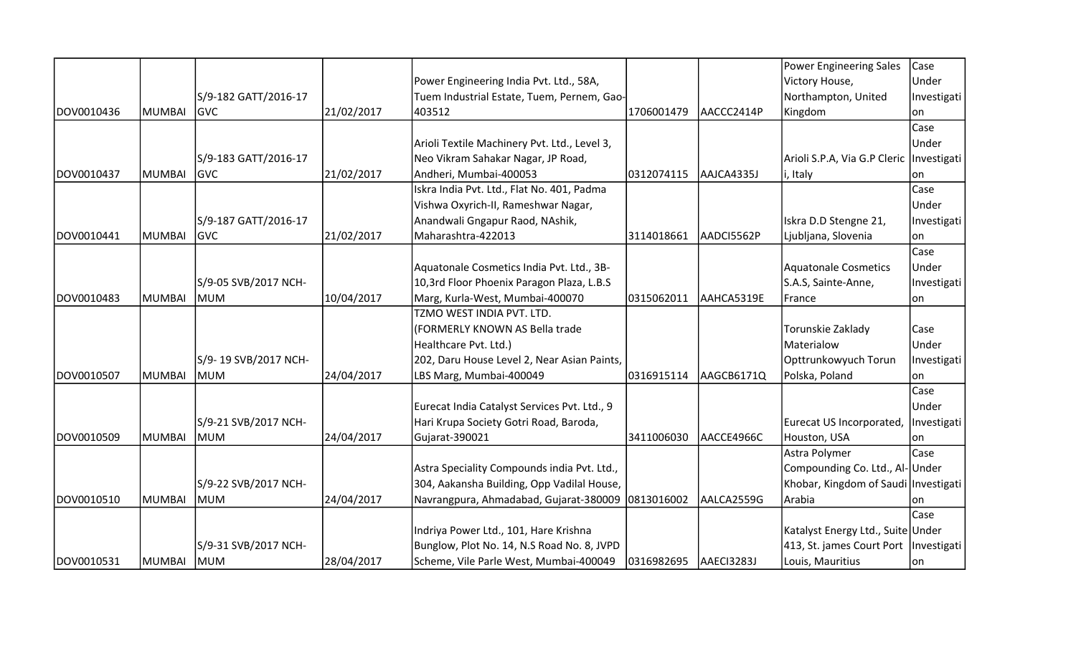|            |               |                      |            |                                                   |            |            | Power Engineering Sales                    | Case        |
|------------|---------------|----------------------|------------|---------------------------------------------------|------------|------------|--------------------------------------------|-------------|
|            |               |                      |            | Power Engineering India Pvt. Ltd., 58A,           |            |            | Victory House,                             | Under       |
|            |               | S/9-182 GATT/2016-17 |            | Tuem Industrial Estate, Tuem, Pernem, Gao-        |            |            | Northampton, United                        | Investigati |
| DOV0010436 | MUMBAI        | <b>GVC</b>           | 21/02/2017 | 403512                                            | 1706001479 | AACCC2414P | Kingdom                                    | on          |
|            |               |                      |            |                                                   |            |            |                                            | Case        |
|            |               |                      |            | Arioli Textile Machinery Pvt. Ltd., Level 3,      |            |            |                                            | Under       |
|            |               | S/9-183 GATT/2016-17 |            | Neo Vikram Sahakar Nagar, JP Road,                |            |            | Arioli S.P.A, Via G.P Cleric   Investigati |             |
| DOV0010437 | <b>MUMBAI</b> | <b>IGVC</b>          | 21/02/2017 | Andheri, Mumbai-400053                            | 0312074115 | AAJCA4335J | i, Italy                                   | on          |
|            |               |                      |            | Iskra India Pvt. Ltd., Flat No. 401, Padma        |            |            |                                            | Case        |
|            |               |                      |            | Vishwa Oxyrich-II, Rameshwar Nagar,               |            |            |                                            | Under       |
|            |               | S/9-187 GATT/2016-17 |            | Anandwali Gngapur Raod, NAshik,                   |            |            | Iskra D.D Stengne 21,                      | Investigati |
| DOV0010441 | <b>MUMBAI</b> | <b>GVC</b>           | 21/02/2017 | Maharashtra-422013                                | 3114018661 | AADCI5562P | Ljubljana, Slovenia                        | on          |
|            |               |                      |            |                                                   |            |            |                                            | Case        |
|            |               |                      |            | Aquatonale Cosmetics India Pvt. Ltd., 3B-         |            |            | Aquatonale Cosmetics                       | Under       |
|            |               | S/9-05 SVB/2017 NCH- |            | 10,3rd Floor Phoenix Paragon Plaza, L.B.S         |            |            | S.A.S, Sainte-Anne,                        | Investigati |
| DOV0010483 | <b>MUMBAI</b> | MUM                  | 10/04/2017 | Marg, Kurla-West, Mumbai-400070                   | 0315062011 | AAHCA5319E | France                                     | lon.        |
|            |               |                      |            | TZMO WEST INDIA PVT. LTD.                         |            |            |                                            |             |
|            |               |                      |            | (FORMERLY KNOWN AS Bella trade                    |            |            | Torunskie Zaklady                          | Case        |
|            |               |                      |            | Healthcare Pvt. Ltd.)                             |            |            | Materialow                                 | Under       |
|            |               | S/9-19 SVB/2017 NCH- |            | 202, Daru House Level 2, Near Asian Paints,       |            |            | Opttrunkowyuch Torun                       | Investigati |
| DOV0010507 | <b>MUMBAI</b> | lmum                 | 24/04/2017 | LBS Marg, Mumbai-400049                           | 0316915114 | AAGCB6171Q | Polska, Poland                             | lon         |
|            |               |                      |            |                                                   |            |            |                                            | Case        |
|            |               |                      |            | Eurecat India Catalyst Services Pvt. Ltd., 9      |            |            |                                            | Under       |
|            |               | S/9-21 SVB/2017 NCH- |            | Hari Krupa Society Gotri Road, Baroda,            |            |            | Eurecat US Incorporated,                   | Investigati |
| DOV0010509 | MUMBAI        | MUM                  | 24/04/2017 | Gujarat-390021                                    | 3411006030 | AACCE4966C | Houston, USA                               | lon         |
|            |               |                      |            |                                                   |            |            | Astra Polymer                              | Case        |
|            |               |                      |            | Astra Speciality Compounds india Pvt. Ltd.,       |            |            | Compounding Co. Ltd., Al-Under             |             |
|            |               | S/9-22 SVB/2017 NCH- |            | 304, Aakansha Building, Opp Vadilal House,        |            |            | Khobar, Kingdom of Saudi Investigati       |             |
| DOV0010510 | MUMBAI        | lmum                 | 24/04/2017 | Navrangpura, Ahmadabad, Gujarat-380009 0813016002 |            | AALCA2559G | Arabia                                     | on          |
|            |               |                      |            |                                                   |            |            |                                            | Case        |
|            |               |                      |            | Indriya Power Ltd., 101, Hare Krishna             |            |            | Katalyst Energy Ltd., Suite Under          |             |
|            |               | S/9-31 SVB/2017 NCH- |            | Bunglow, Plot No. 14, N.S Road No. 8, JVPD        |            |            | 413, St. james Court Port   Investigati    |             |
| DOV0010531 | <b>MUMBAI</b> | <b>MUM</b>           | 28/04/2017 | Scheme, Vile Parle West, Mumbai-400049            | 0316982695 | AAECI3283J | Louis, Mauritius                           | on          |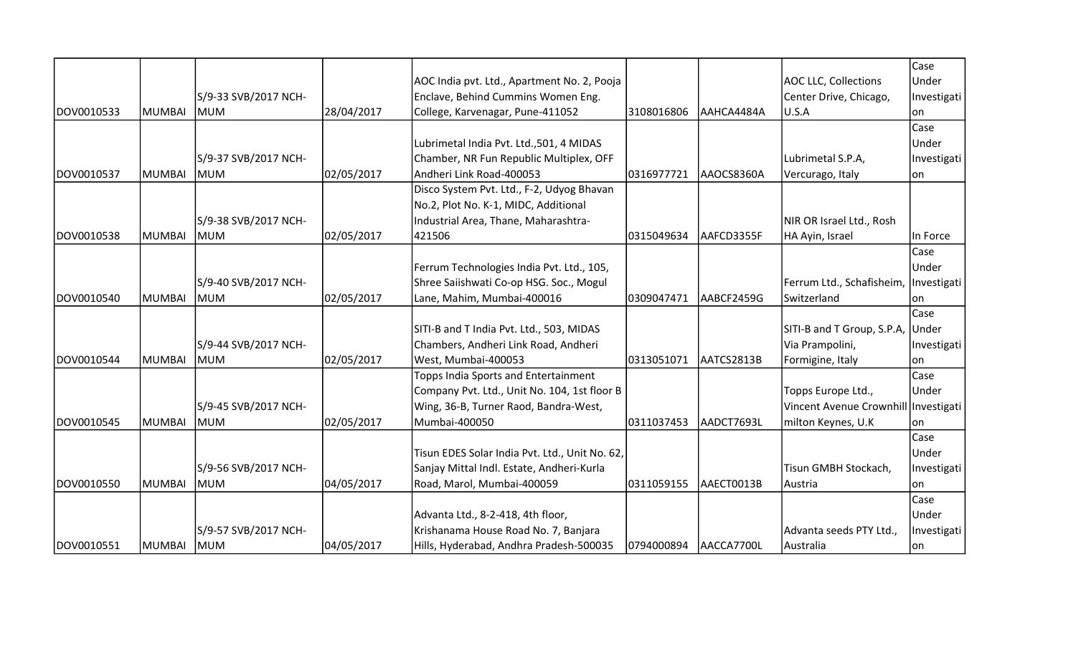|            |               |                      |            |                                                |            |            |                                       | Case        |
|------------|---------------|----------------------|------------|------------------------------------------------|------------|------------|---------------------------------------|-------------|
|            |               |                      |            | AOC India pvt. Ltd., Apartment No. 2, Pooja    |            |            | <b>AOC LLC, Collections</b>           | Under       |
|            |               | S/9-33 SVB/2017 NCH- |            | Enclave, Behind Cummins Women Eng.             |            |            | Center Drive, Chicago,                | Investigati |
| DOV0010533 | MUMBAI        | MUM                  | 28/04/2017 | College, Karvenagar, Pune-411052               | 3108016806 | AAHCA4484A | U.S.A                                 | lon         |
|            |               |                      |            |                                                |            |            |                                       | Case        |
|            |               |                      |            | Lubrimetal India Pvt. Ltd., 501, 4 MIDAS       |            |            |                                       | Under       |
|            |               | S/9-37 SVB/2017 NCH- |            | Chamber, NR Fun Republic Multiplex, OFF        |            |            | Lubrimetal S.P.A,                     | Investigati |
| DOV0010537 | <b>MUMBAI</b> | MUM                  | 02/05/2017 | Andheri Link Road-400053                       | 0316977721 | AAOCS8360A | Vercurago, Italy                      | on          |
|            |               |                      |            | Disco System Pvt. Ltd., F-2, Udyog Bhavan      |            |            |                                       |             |
|            |               |                      |            | No.2, Plot No. K-1, MIDC, Additional           |            |            |                                       |             |
|            |               | S/9-38 SVB/2017 NCH- |            | Industrial Area, Thane, Maharashtra-           |            |            | NIR OR Israel Ltd., Rosh              |             |
| DOV0010538 | <b>MUMBAI</b> | <b>MUM</b>           | 02/05/2017 | 421506                                         | 0315049634 | AAFCD3355F | HA Ayin, Israel                       | In Force    |
|            |               |                      |            |                                                |            |            |                                       | Case        |
|            |               |                      |            | Ferrum Technologies India Pvt. Ltd., 105,      |            |            |                                       | Under       |
|            |               | S/9-40 SVB/2017 NCH- |            | Shree Saiishwati Co-op HSG. Soc., Mogul        |            |            | Ferrum Ltd., Schafisheim, Investigati |             |
| DOV0010540 | MUMBAI        | MUM                  | 02/05/2017 | Lane, Mahim, Mumbai-400016                     | 0309047471 | AABCF2459G | Switzerland                           | lon         |
|            |               |                      |            |                                                |            |            |                                       | Case        |
|            |               |                      |            | SITI-B and T India Pvt. Ltd., 503, MIDAS       |            |            | SITI-B and T Group, S.P.A, Under      |             |
|            |               | S/9-44 SVB/2017 NCH- |            | Chambers, Andheri Link Road, Andheri           |            |            | Via Prampolini,                       | Investigati |
| DOV0010544 | MUMBAI        | lmum                 | 02/05/2017 | West, Mumbai-400053                            | 0313051071 | AATCS2813B | Formigine, Italy                      | lon         |
|            |               |                      |            | Topps India Sports and Entertainment           |            |            |                                       | Case        |
|            |               |                      |            | Company Pvt. Ltd., Unit No. 104, 1st floor B   |            |            | Topps Europe Ltd.,                    | Under       |
|            |               | S/9-45 SVB/2017 NCH- |            | Wing, 36-B, Turner Raod, Bandra-West,          |            |            | Vincent Avenue Crownhill Investigati  |             |
| DOV0010545 | <b>MUMBAI</b> | <b>MUM</b>           | 02/05/2017 | Mumbai-400050                                  | 0311037453 | AADCT7693L | milton Keynes, U.K                    | lon         |
|            |               |                      |            |                                                |            |            |                                       | Case        |
|            |               |                      |            | Tisun EDES Solar India Pvt. Ltd., Unit No. 62, |            |            |                                       | Under       |
|            |               | S/9-56 SVB/2017 NCH- |            | Sanjay Mittal Indl. Estate, Andheri-Kurla      |            |            | Tisun GMBH Stockach,                  | Investigati |
| DOV0010550 | MUMBAI        | MUM                  | 04/05/2017 | Road, Marol, Mumbai-400059                     | 0311059155 | AAECT0013B | Austria                               | lon         |
|            |               |                      |            |                                                |            |            |                                       | Case        |
|            |               |                      |            | Advanta Ltd., 8-2-418, 4th floor,              |            |            |                                       | Under       |
|            |               | S/9-57 SVB/2017 NCH- |            | Krishanama House Road No. 7, Banjara           |            |            | Advanta seeds PTY Ltd.,               | Investigati |
| DOV0010551 | <b>MUMBAI</b> | <b>MUM</b>           | 04/05/2017 | Hills, Hyderabad, Andhra Pradesh-500035        | 0794000894 | AACCA7700L | Australia                             | on          |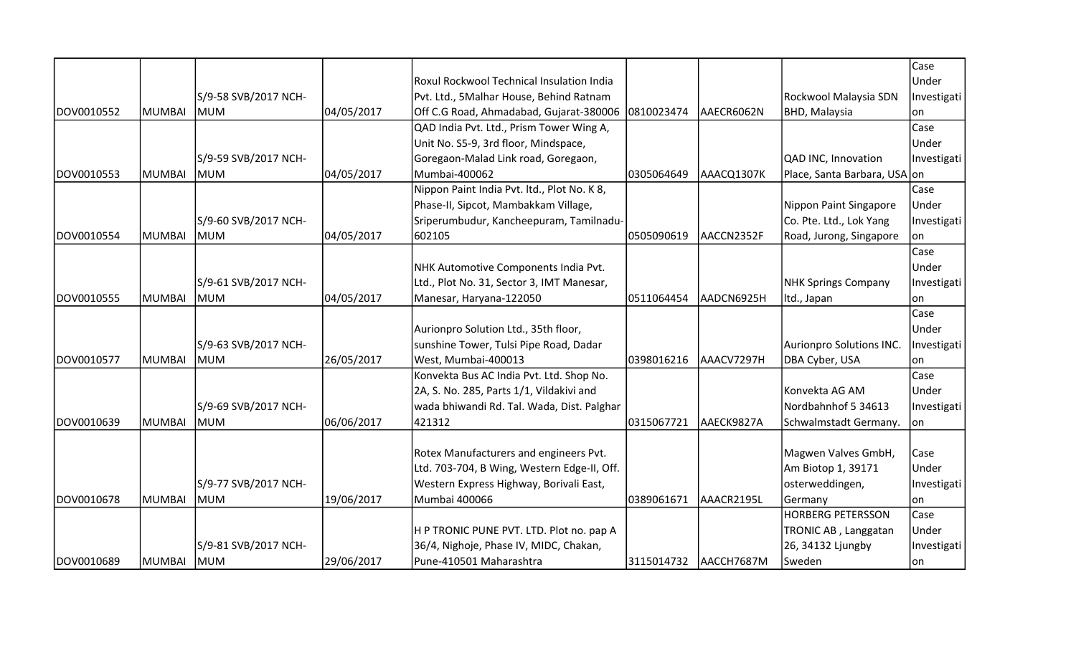|            |               |                      |            |                                               |            |            |                              | Case        |
|------------|---------------|----------------------|------------|-----------------------------------------------|------------|------------|------------------------------|-------------|
|            |               |                      |            | Roxul Rockwool Technical Insulation India     |            |            |                              | Under       |
|            |               | S/9-58 SVB/2017 NCH- |            | Pvt. Ltd., 5Malhar House, Behind Ratnam       |            |            | Rockwool Malaysia SDN        | Investigati |
| DOV0010552 | <b>MUMBAI</b> | lmum                 | 04/05/2017 | Off C.G Road, Ahmadabad, Gujarat-380006       | 0810023474 | AAECR6062N | <b>BHD, Malaysia</b>         | lon         |
|            |               |                      |            | QAD India Pvt. Ltd., Prism Tower Wing A,      |            |            |                              | Case        |
|            |               |                      |            | Unit No. S5-9, 3rd floor, Mindspace,          |            |            |                              | Under       |
|            |               | S/9-59 SVB/2017 NCH- |            | Goregaon-Malad Link road, Goregaon,           |            |            | QAD INC, Innovation          | Investigati |
| DOV0010553 | <b>MUMBAI</b> | <b>MUM</b>           | 04/05/2017 | Mumbai-400062                                 | 0305064649 | AAACQ1307K | Place, Santa Barbara, USA on |             |
|            |               |                      |            | Nippon Paint India Pvt. Itd., Plot No. K 8,   |            |            |                              | Case        |
|            |               |                      |            | Phase-II, Sipcot, Mambakkam Village,          |            |            | Nippon Paint Singapore       | Under       |
|            |               | S/9-60 SVB/2017 NCH- |            | Sriperumbudur, Kancheepuram, Tamilnadu-       |            |            | Co. Pte. Ltd., Lok Yang      | Investigati |
| DOV0010554 | <b>MUMBAI</b> | MUM                  | 04/05/2017 | 602105                                        | 0505090619 | AACCN2352F | Road, Jurong, Singapore      | on          |
|            |               |                      |            |                                               |            |            |                              | Case        |
|            |               |                      |            | NHK Automotive Components India Pvt.          |            |            |                              | Under       |
|            |               | S/9-61 SVB/2017 NCH- |            | Ltd., Plot No. 31, Sector 3, IMT Manesar,     |            |            | NHK Springs Company          | Investigati |
| DOV0010555 | <b>MUMBAI</b> | MUM                  | 04/05/2017 | Manesar, Haryana-122050                       | 0511064454 | AADCN6925H | Itd., Japan                  | on          |
|            |               |                      |            |                                               |            |            |                              | Case        |
|            |               |                      |            | Aurionpro Solution Ltd., 35th floor,          |            |            |                              | Under       |
|            |               | S/9-63 SVB/2017 NCH- |            | sunshine Tower, Tulsi Pipe Road, Dadar        |            |            | Aurionpro Solutions INC.     | Investigati |
| DOV0010577 | <b>MUMBAI</b> | MUM                  | 26/05/2017 | West, Mumbai-400013                           | 0398016216 | AAACV7297H | DBA Cyber, USA               | on          |
|            |               |                      |            | Konvekta Bus AC India Pvt. Ltd. Shop No.      |            |            |                              | Case        |
|            |               |                      |            | 2A, S. No. 285, Parts 1/1, Vildakivi and      |            |            | Konvekta AG AM               | Under       |
|            |               | S/9-69 SVB/2017 NCH- |            | wada bhiwandi Rd. Tal. Wada, Dist. Palghar    |            |            | Nordbahnhof 5 34613          | Investigati |
| DOV0010639 | <b>MUMBAI</b> | <b>MUM</b>           | 06/06/2017 | 421312                                        | 0315067721 | AAECK9827A | Schwalmstadt Germany.        | lon         |
|            |               |                      |            |                                               |            |            |                              |             |
|            |               |                      |            | <b>Rotex Manufacturers and engineers Pvt.</b> |            |            | Magwen Valves GmbH,          | Case        |
|            |               |                      |            | Ltd. 703-704, B Wing, Western Edge-II, Off.   |            |            | Am Biotop 1, 39171           | Under       |
|            |               | S/9-77 SVB/2017 NCH- |            | Western Express Highway, Borivali East,       |            |            | osterweddingen,              | Investigati |
| DOV0010678 | <b>MUMBAI</b> | MUM                  | 19/06/2017 | Mumbai 400066                                 | 0389061671 | AAACR2195L | Germany                      | lon         |
|            |               |                      |            |                                               |            |            | <b>HORBERG PETERSSON</b>     | Case        |
|            |               |                      |            | H P TRONIC PUNE PVT. LTD. Plot no. pap A      |            |            | TRONIC AB, Langgatan         | Under       |
|            |               | S/9-81 SVB/2017 NCH- |            | 36/4, Nighoje, Phase IV, MIDC, Chakan,        |            |            | 26, 34132 Ljungby            | Investigati |
| DOV0010689 | <b>MUMBAI</b> | MUM                  | 29/06/2017 | Pune-410501 Maharashtra                       | 3115014732 | AACCH7687M | Sweden                       | on          |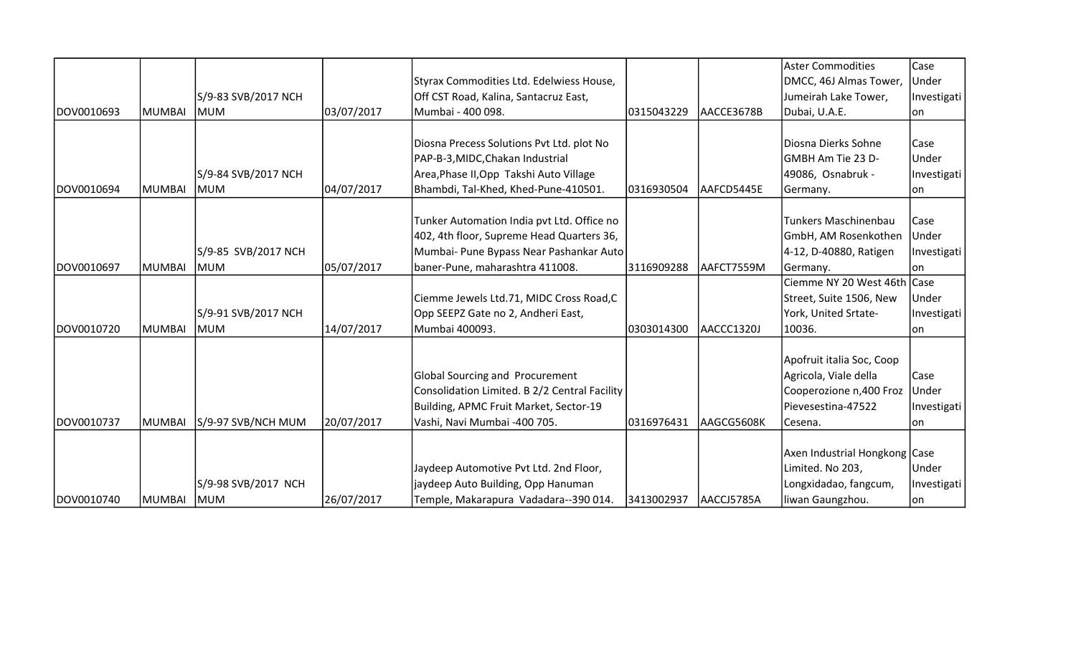|            |        |                     |            |                                               |            |            | Aster Commodities             | Case        |
|------------|--------|---------------------|------------|-----------------------------------------------|------------|------------|-------------------------------|-------------|
|            |        |                     |            | Styrax Commodities Ltd. Edelwiess House,      |            |            | DMCC, 46J Almas Tower,        | Under       |
|            |        | S/9-83 SVB/2017 NCH |            | Off CST Road, Kalina, Santacruz East,         |            |            | Jumeirah Lake Tower,          | Investigati |
| DOV0010693 | MUMBAI | <b>IMUM</b>         | 03/07/2017 | Mumbai - 400 098.                             | 0315043229 | AACCE3678B | Dubai, U.A.E.                 | lon         |
|            |        |                     |            |                                               |            |            |                               |             |
|            |        |                     |            | Diosna Precess Solutions Pvt Ltd. plot No     |            |            | Diosna Dierks Sohne           | Case        |
|            |        |                     |            | PAP-B-3, MIDC, Chakan Industrial              |            |            | GMBH Am Tie 23 D-             | Under       |
|            |        | S/9-84 SVB/2017 NCH |            | Area, Phase II, Opp Takshi Auto Village       |            |            | 49086, Osnabruk -             | Investigati |
| DOV0010694 | MUMBAI | <b>MUM</b>          | 04/07/2017 | Bhambdi, Tal-Khed, Khed-Pune-410501.          | 0316930504 | AAFCD5445E | Germany.                      | lon         |
|            |        |                     |            |                                               |            |            |                               |             |
|            |        |                     |            | Tunker Automation India pvt Ltd. Office no    |            |            | Tunkers Maschinenbau          | Case        |
|            |        |                     |            | 402, 4th floor, Supreme Head Quarters 36,     |            |            | GmbH, AM Rosenkothen          | Under       |
|            |        | S/9-85 SVB/2017 NCH |            | Mumbai- Pune Bypass Near Pashankar Auto       |            |            | 4-12, D-40880, Ratigen        | Investigati |
| DOV0010697 | MUMBAI | <b>MUM</b>          | 05/07/2017 | baner-Pune, maharashtra 411008.               | 3116909288 | AAFCT7559M | Germany.                      | lon         |
|            |        |                     |            |                                               |            |            | Ciemme NY 20 West 46th Case   |             |
|            |        |                     |            | Ciemme Jewels Ltd.71, MIDC Cross Road,C       |            |            | Street, Suite 1506, New       | Under       |
|            |        | S/9-91 SVB/2017 NCH |            | Opp SEEPZ Gate no 2, Andheri East,            |            |            | York, United Srtate-          | Investigati |
| DOV0010720 | MUMBAI | <b>MUM</b>          | 14/07/2017 | Mumbai 400093.                                | 0303014300 | AACCC1320J | 10036.                        | lon         |
|            |        |                     |            |                                               |            |            |                               |             |
|            |        |                     |            |                                               |            |            | Apofruit italia Soc, Coop     |             |
|            |        |                     |            | <b>Global Sourcing and Procurement</b>        |            |            | Agricola, Viale della         | Case        |
|            |        |                     |            | Consolidation Limited. B 2/2 Central Facility |            |            | Cooperozione n,400 Froz       | Under       |
|            |        |                     |            | Building, APMC Fruit Market, Sector-19        |            |            | Pievesestina-47522            | Investigati |
| DOV0010737 | MUMBAI | S/9-97 SVB/NCH MUM  | 20/07/2017 | Vashi, Navi Mumbai -400 705.                  | 0316976431 | AAGCG5608K | Cesena.                       | lon         |
|            |        |                     |            |                                               |            |            |                               |             |
|            |        |                     |            |                                               |            |            | Axen Industrial Hongkong Case |             |
|            |        |                     |            | Jaydeep Automotive Pvt Ltd. 2nd Floor,        |            |            | Limited. No 203,              | Under       |
|            |        | S/9-98 SVB/2017 NCH |            | jaydeep Auto Building, Opp Hanuman            |            |            | Longxidadao, fangcum,         | Investigati |
| DOV0010740 | MUMBAI | <b>MUM</b>          | 26/07/2017 | Temple, Makarapura Vadadara--390 014.         | 3413002937 | AACCJ5785A | liwan Gaungzhou.              | on          |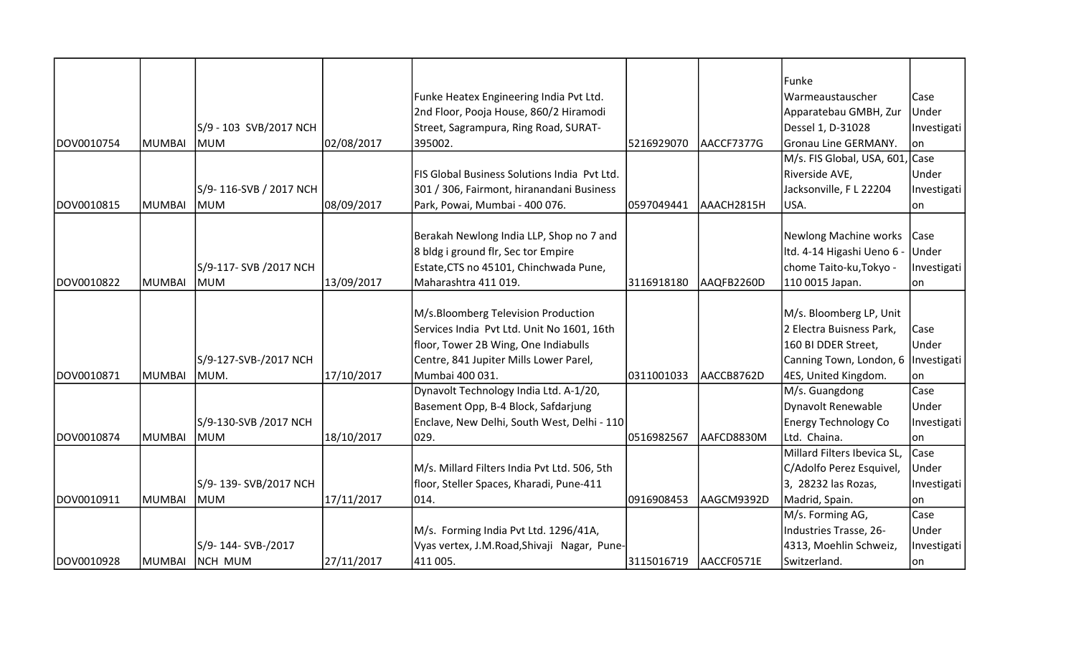|            |               |                        |            |                                              |            |            | Funke                           |             |
|------------|---------------|------------------------|------------|----------------------------------------------|------------|------------|---------------------------------|-------------|
|            |               |                        |            | Funke Heatex Engineering India Pvt Ltd.      |            |            | Warmeaustauscher                | Case        |
|            |               |                        |            | 2nd Floor, Pooja House, 860/2 Hiramodi       |            |            | Apparatebau GMBH, Zur           | Under       |
|            |               | S/9 - 103 SVB/2017 NCH |            | Street, Sagrampura, Ring Road, SURAT-        |            |            | Dessel 1, D-31028               | Investigati |
| DOV0010754 | MUMBAI        | <b>MUM</b>             | 02/08/2017 | 395002.                                      | 5216929070 | AACCF7377G | <b>Gronau Line GERMANY.</b>     | on          |
|            |               |                        |            |                                              |            |            | M/s. FIS Global, USA, 601, Case |             |
|            |               |                        |            | FIS Global Business Solutions India Pvt Ltd. |            |            | Riverside AVE,                  | Under       |
|            |               | S/9-116-SVB / 2017 NCH |            | 301 / 306, Fairmont, hiranandani Business    |            |            | Jacksonville, F L 22204         | Investigati |
| DOV0010815 | MUMBAI        | <b>MUM</b>             | 08/09/2017 | Park, Powai, Mumbai - 400 076.               | 0597049441 | AAACH2815H | USA.                            | on          |
|            |               |                        |            |                                              |            |            |                                 |             |
|            |               |                        |            | Berakah Newlong India LLP, Shop no 7 and     |            |            | Newlong Machine works   Case    |             |
|            |               |                        |            | 8 bldg i ground flr, Sec tor Empire          |            |            | Itd. 4-14 Higashi Ueno 6        | Under       |
|            |               | S/9-117- SVB /2017 NCH |            | Estate, CTS no 45101, Chinchwada Pune,       |            |            | chome Taito-ku, Tokyo -         | Investigati |
| DOV0010822 | <b>MUMBAI</b> | MUM                    | 13/09/2017 | Maharashtra 411 019.                         | 3116918180 | AAQFB2260D | 110 0015 Japan.                 | lon         |
|            |               |                        |            |                                              |            |            |                                 |             |
|            |               |                        |            | M/s.Bloomberg Television Production          |            |            | M/s. Bloomberg LP, Unit         |             |
|            |               |                        |            | Services India Pvt Ltd. Unit No 1601, 16th   |            |            | 2 Electra Buisness Park,        | Case        |
|            |               |                        |            | floor, Tower 2B Wing, One Indiabulls         |            |            | 160 BI DDER Street,             | Under       |
|            |               | S/9-127-SVB-/2017 NCH  |            | Centre, 841 Jupiter Mills Lower Parel,       |            |            | Canning Town, London, 6         | Investigati |
| DOV0010871 | MUMBAI        | MUM.                   | 17/10/2017 | Mumbai 400 031.                              | 0311001033 | AACCB8762D | 4ES, United Kingdom.            | on          |
|            |               |                        |            | Dynavolt Technology India Ltd. A-1/20,       |            |            | M/s. Guangdong                  | Case        |
|            |               |                        |            | Basement Opp, B-4 Block, Safdarjung          |            |            | Dynavolt Renewable              | Under       |
|            |               | S/9-130-SVB /2017 NCH  |            | Enclave, New Delhi, South West, Delhi - 110  |            |            | <b>Energy Technology Co</b>     | Investigati |
| DOV0010874 | MUMBAI        | MUM                    | 18/10/2017 | 029.                                         | 0516982567 | AAFCD8830M | Ltd. Chaina.                    | on          |
|            |               |                        |            |                                              |            |            | Millard Filters Ibevica SL,     | Case        |
|            |               |                        |            | M/s. Millard Filters India Pvt Ltd. 506, 5th |            |            | C/Adolfo Perez Esquivel,        | Under       |
|            |               | S/9-139-SVB/2017 NCH   |            | floor, Steller Spaces, Kharadi, Pune-411     |            |            | 3, 28232 las Rozas,             | Investigati |
| DOV0010911 | MUMBAI        | MUM                    | 17/11/2017 | 014.                                         | 0916908453 | AAGCM9392D | Madrid, Spain.                  | on          |
|            |               |                        |            |                                              |            |            | M/s. Forming AG,                | Case        |
|            |               |                        |            | M/s. Forming India Pvt Ltd. 1296/41A,        |            |            | Industries Trasse, 26-          | Under       |
|            |               | S/9-144-SVB-/2017      |            | Vyas vertex, J.M.Road, Shivaji Nagar, Pune-  |            |            | 4313, Moehlin Schweiz,          | Investigati |
| DOV0010928 | MUMBAI        | NCH MUM                | 27/11/2017 | 411 005.                                     | 3115016719 | AACCF0571E | Switzerland.                    | on          |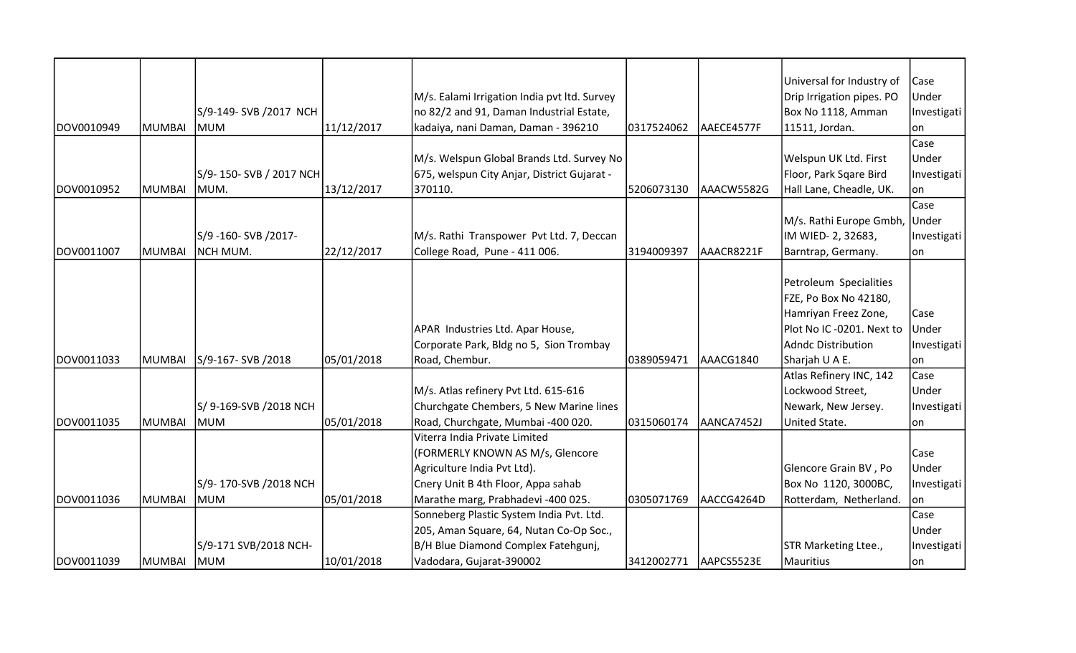|            |               |                        |            |                                              |            |            | Universal for Industry of | Case        |
|------------|---------------|------------------------|------------|----------------------------------------------|------------|------------|---------------------------|-------------|
|            |               |                        |            | M/s. Ealami Irrigation India pvt Itd. Survey |            |            | Drip Irrigation pipes. PO | Under       |
|            |               | S/9-149- SVB /2017 NCH |            | no 82/2 and 91, Daman Industrial Estate,     |            |            | Box No 1118, Amman        | Investigati |
| DOV0010949 | MUMBAI        | <b>MUM</b>             | 11/12/2017 | kadaiya, nani Daman, Daman - 396210          | 0317524062 | AAECE4577F | 11511, Jordan.            | lon         |
|            |               |                        |            |                                              |            |            |                           | Case        |
|            |               |                        |            | M/s. Welspun Global Brands Ltd. Survey No    |            |            | Welspun UK Ltd. First     | Under       |
|            |               | S/9-150-SVB / 2017 NCH |            | 675, welspun City Anjar, District Gujarat -  |            |            | Floor, Park Sqare Bird    | Investigati |
| DOV0010952 | <b>MUMBAI</b> | MUM.                   | 13/12/2017 | 370110.                                      | 5206073130 | AAACW5582G | Hall Lane, Cheadle, UK.   | lon         |
|            |               |                        |            |                                              |            |            |                           | Case        |
|            |               |                        |            |                                              |            |            | M/s. Rathi Europe Gmbh,   | Under       |
|            |               | S/9 -160- SVB /2017-   |            | M/s. Rathi Transpower Pvt Ltd. 7, Deccan     |            |            | IM WIED- 2, 32683,        | Investigati |
| DOV0011007 | MUMBAI        | NCH MUM.               | 22/12/2017 | College Road, Pune - 411 006.                | 3194009397 | AAACR8221F | Barntrap, Germany.        | on          |
|            |               |                        |            |                                              |            |            |                           |             |
|            |               |                        |            |                                              |            |            | Petroleum Specialities    |             |
|            |               |                        |            |                                              |            |            | FZE, Po Box No 42180,     |             |
|            |               |                        |            |                                              |            |            | Hamriyan Freez Zone,      | Case        |
|            |               |                        |            | APAR Industries Ltd. Apar House,             |            |            | Plot No IC -0201. Next to | Under       |
|            |               |                        |            | Corporate Park, Bldg no 5, Sion Trombay      |            |            | Adndc Distribution        | Investigati |
| DOV0011033 | MUMBAI        | S/9-167- SVB /2018     | 05/01/2018 | Road, Chembur.                               | 0389059471 | AAACG1840  | Sharjah U A E.            | lon         |
|            |               |                        |            |                                              |            |            | Atlas Refinery INC, 142   | Case        |
|            |               |                        |            | M/s. Atlas refinery Pvt Ltd. 615-616         |            |            | Lockwood Street,          | Under       |
|            |               | S/9-169-SVB /2018 NCH  |            | Churchgate Chembers, 5 New Marine lines      |            |            | Newark, New Jersey.       | Investigati |
| DOV0011035 | MUMBAI        | MUM                    | 05/01/2018 | Road, Churchgate, Mumbai -400 020.           | 0315060174 | AANCA7452J | United State.             | lon         |
|            |               |                        |            | Viterra India Private Limited                |            |            |                           |             |
|            |               |                        |            | (FORMERLY KNOWN AS M/s, Glencore             |            |            |                           | Case        |
|            |               |                        |            | Agriculture India Pvt Ltd).                  |            |            | Glencore Grain BV, Po     | Under       |
|            |               | S/9-170-SVB /2018 NCH  |            | Cnery Unit B 4th Floor, Appa sahab           |            |            | Box No 1120, 3000BC,      | Investigati |
| DOV0011036 | MUMBAI        | MUM                    | 05/01/2018 | Marathe marg, Prabhadevi -400 025.           | 0305071769 | AACCG4264D | Rotterdam, Netherland.    | lon         |
|            |               |                        |            | Sonneberg Plastic System India Pvt. Ltd.     |            |            |                           | Case        |
|            |               |                        |            | 205, Aman Square, 64, Nutan Co-Op Soc.,      |            |            |                           | Under       |
|            |               | S/9-171 SVB/2018 NCH-  |            | B/H Blue Diamond Complex Fatehgunj,          |            |            | STR Marketing Ltee.,      | Investigati |
| DOV0011039 | <b>MUMBAI</b> | MUM                    | 10/01/2018 | Vadodara, Gujarat-390002                     | 3412002771 | AAPCS5523E | Mauritius                 | on          |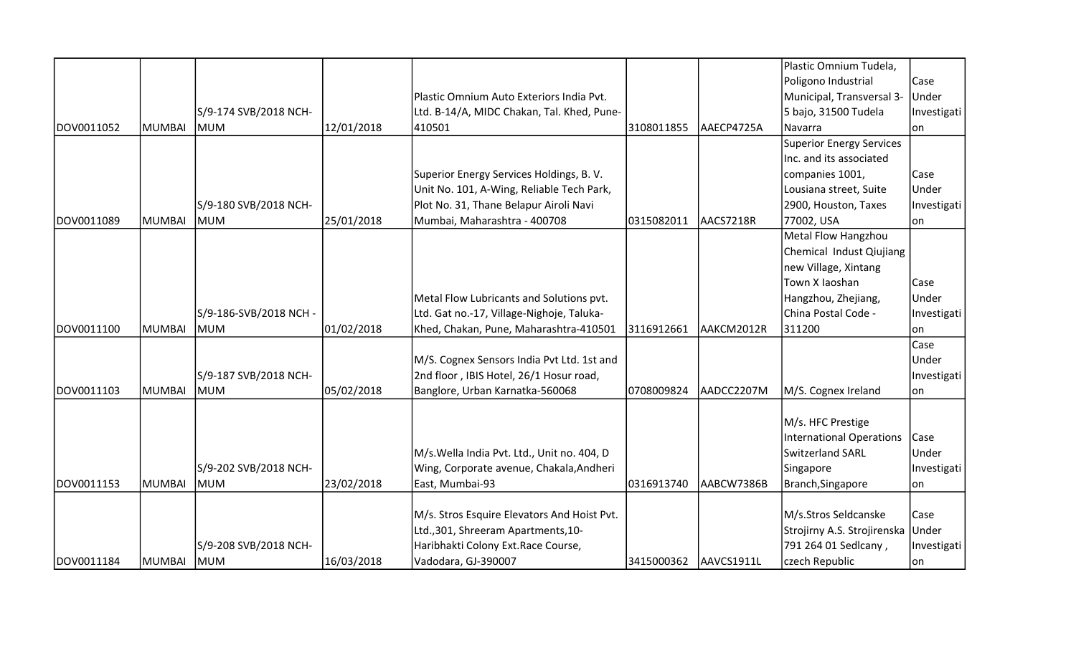|            |               |                        |            |                                             |            |             | Plastic Omnium Tudela,      |             |
|------------|---------------|------------------------|------------|---------------------------------------------|------------|-------------|-----------------------------|-------------|
|            |               |                        |            |                                             |            |             | Poligono Industrial         | Case        |
|            |               |                        |            | Plastic Omnium Auto Exteriors India Pvt.    |            |             | Municipal, Transversal 3-   | Under       |
|            |               | S/9-174 SVB/2018 NCH-  |            | Ltd. B-14/A, MIDC Chakan, Tal. Khed, Pune-  |            |             | 5 bajo, 31500 Tudela        | Investigati |
| DOV0011052 | MUMBAI        | <b>IMUM</b>            | 12/01/2018 | 410501                                      | 3108011855 | lAAECP4725A | Navarra                     | lon         |
|            |               |                        |            |                                             |            |             | Superior Energy Services    |             |
|            |               |                        |            |                                             |            |             | Inc. and its associated     |             |
|            |               |                        |            | Superior Energy Services Holdings, B.V.     |            |             | companies 1001,             | Case        |
|            |               |                        |            | Unit No. 101, A-Wing, Reliable Tech Park,   |            |             | Lousiana street, Suite      | Under       |
|            |               | S/9-180 SVB/2018 NCH-  |            | Plot No. 31, Thane Belapur Airoli Navi      |            |             | 2900, Houston, Taxes        | Investigati |
| DOV0011089 | MUMBAI        | <b>MUM</b>             | 25/01/2018 | Mumbai, Maharashtra - 400708                | 0315082011 | AACS7218R   | 77002, USA                  | lon         |
|            |               |                        |            |                                             |            |             | Metal Flow Hangzhou         |             |
|            |               |                        |            |                                             |            |             | Chemical Indust Qiujiang    |             |
|            |               |                        |            |                                             |            |             | new Village, Xintang        |             |
|            |               |                        |            |                                             |            |             | Town X laoshan              | Case        |
|            |               |                        |            | Metal Flow Lubricants and Solutions pvt.    |            |             | Hangzhou, Zhejiang,         | Under       |
|            |               | S/9-186-SVB/2018 NCH - |            | Ltd. Gat no.-17, Village-Nighoje, Taluka-   |            |             | China Postal Code -         | Investigati |
| DOV0011100 | <b>MUMBAI</b> | <b>MUM</b>             | 01/02/2018 | Khed, Chakan, Pune, Maharashtra-410501      | 3116912661 | AAKCM2012R  | 311200                      | lon         |
|            |               |                        |            |                                             |            |             |                             | Case        |
|            |               |                        |            | M/S. Cognex Sensors India Pvt Ltd. 1st and  |            |             |                             | Under       |
|            |               | S/9-187 SVB/2018 NCH-  |            | 2nd floor, IBIS Hotel, 26/1 Hosur road,     |            |             |                             | Investigati |
| DOV0011103 | <b>MUMBAI</b> | <b>MUM</b>             | 05/02/2018 | Banglore, Urban Karnatka-560068             | 0708009824 | AADCC2207M  | M/S. Cognex Ireland         | on          |
|            |               |                        |            |                                             |            |             |                             |             |
|            |               |                        |            |                                             |            |             | M/s. HFC Prestige           |             |
|            |               |                        |            |                                             |            |             | International Operations    | Case        |
|            |               |                        |            | M/s. Wella India Pvt. Ltd., Unit no. 404, D |            |             | <b>Switzerland SARL</b>     | Under       |
|            |               | S/9-202 SVB/2018 NCH-  |            | Wing, Corporate avenue, Chakala, Andheri    |            |             | Singapore                   | Investigati |
| DOV0011153 | MUMBAI        | <b>MUM</b>             | 23/02/2018 | East, Mumbai-93                             | 0316913740 | AABCW7386B  | Branch, Singapore           | on          |
|            |               |                        |            |                                             |            |             |                             |             |
|            |               |                        |            | M/s. Stros Esquire Elevators And Hoist Pvt. |            |             | M/s.Stros Seldcanske        | Case        |
|            |               |                        |            | Ltd., 301, Shreeram Apartments, 10-         |            |             | Strojirny A.S. Strojirenska | Under       |
|            |               | S/9-208 SVB/2018 NCH-  |            | Haribhakti Colony Ext.Race Course,          |            |             | 791 264 01 Sedlcany,        | Investigati |
| DOV0011184 | MUMBAI  MUM   |                        | 16/03/2018 | Vadodara, GJ-390007                         | 3415000362 | AAVCS1911L  | czech Republic              | on          |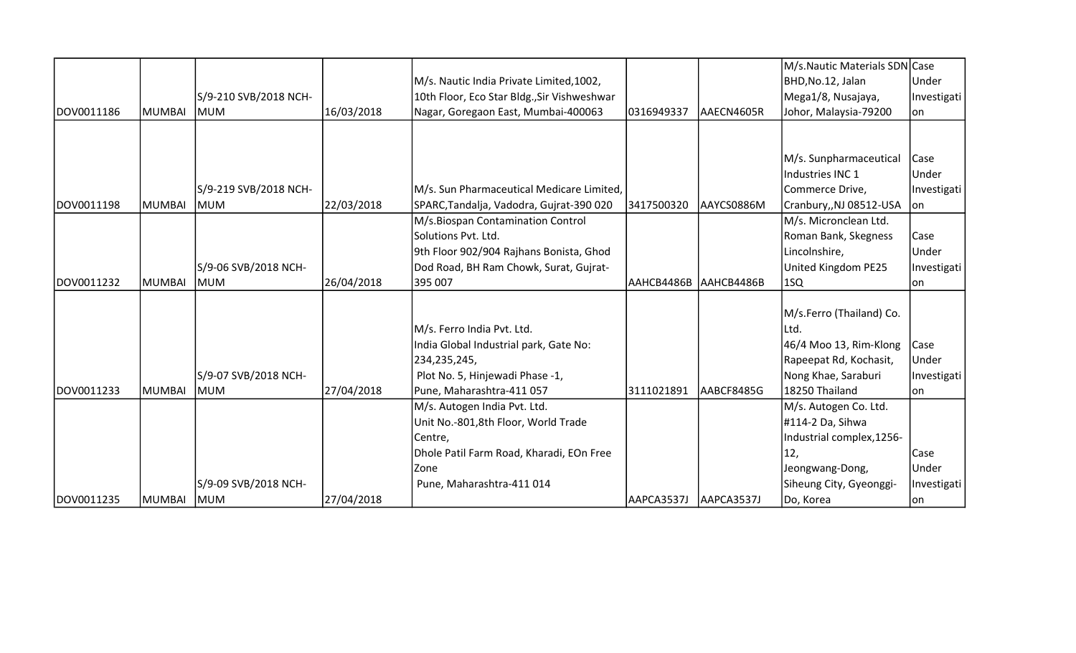|            |               |                       |            |                                             |                        |            | M/s.Nautic Materials SDN Case |             |
|------------|---------------|-----------------------|------------|---------------------------------------------|------------------------|------------|-------------------------------|-------------|
|            |               |                       |            | M/s. Nautic India Private Limited, 1002,    |                        |            | BHD, No.12, Jalan             | Under       |
|            |               | S/9-210 SVB/2018 NCH- |            | 10th Floor, Eco Star Bldg., Sir Vishweshwar |                        |            | Mega1/8, Nusajaya,            | Investigati |
| DOV0011186 | <b>MUMBAI</b> | <b>MUM</b>            | 16/03/2018 | Nagar, Goregaon East, Mumbai-400063         | 0316949337             | AAECN4605R | Johor, Malaysia-79200         | on          |
|            |               |                       |            |                                             |                        |            |                               |             |
|            |               |                       |            |                                             |                        |            |                               |             |
|            |               |                       |            |                                             |                        |            | M/s. Sunpharmaceutical        | Case        |
|            |               |                       |            |                                             |                        |            | Industries INC 1              | Under       |
|            |               | S/9-219 SVB/2018 NCH- |            | M/s. Sun Pharmaceutical Medicare Limited,   |                        |            | Commerce Drive,               | Investigati |
| DOV0011198 | <b>MUMBAI</b> | lmum                  | 22/03/2018 | SPARC, Tandalja, Vadodra, Gujrat-390 020    | 3417500320             | AAYCS0886M | Cranbury,,NJ 08512-USA        | on          |
|            |               |                       |            | M/s.Biospan Contamination Control           |                        |            | M/s. Micronclean Ltd.         |             |
|            |               |                       |            | Solutions Pvt. Ltd.                         |                        |            | Roman Bank, Skegness          | Case        |
|            |               |                       |            | 9th Floor 902/904 Rajhans Bonista, Ghod     |                        |            | Lincolnshire,                 | Under       |
|            |               | S/9-06 SVB/2018 NCH-  |            | Dod Road, BH Ram Chowk, Surat, Gujrat-      |                        |            | United Kingdom PE25           | Investigati |
| DOV0011232 | <b>MUMBAI</b> | MUM                   | 26/04/2018 | 395 007                                     | AAHCB4486B AAHCB4486B  |            | 1SQ                           | on          |
|            |               |                       |            |                                             |                        |            |                               |             |
|            |               |                       |            |                                             |                        |            | M/s.Ferro (Thailand) Co.      |             |
|            |               |                       |            | M/s. Ferro India Pvt. Ltd.                  |                        |            | Ltd.                          |             |
|            |               |                       |            | India Global Industrial park, Gate No:      |                        |            | 46/4 Moo 13, Rim-Klong        | <b>Case</b> |
|            |               |                       |            | 234,235,245,                                |                        |            | Rapeepat Rd, Kochasit,        | Under       |
|            |               | S/9-07 SVB/2018 NCH-  |            | Plot No. 5, Hinjewadi Phase -1,             |                        |            | Nong Khae, Saraburi           | Investigati |
| DOV0011233 | MUMBAI        | <b>MUM</b>            | 27/04/2018 | Pune, Maharashtra-411 057                   | 3111021891             | AABCF8485G | 18250 Thailand                | on          |
|            |               |                       |            | M/s. Autogen India Pvt. Ltd.                |                        |            | M/s. Autogen Co. Ltd.         |             |
|            |               |                       |            | Unit No.-801,8th Floor, World Trade         |                        |            | #114-2 Da, Sihwa              |             |
|            |               |                       |            | Centre,                                     |                        |            | Industrial complex, 1256-     |             |
|            |               |                       |            | Dhole Patil Farm Road, Kharadi, EOn Free    |                        |            | 12,                           | Case        |
|            |               |                       |            | Zone                                        |                        |            | Jeongwang-Dong,               | Under       |
|            |               | S/9-09 SVB/2018 NCH-  |            | Pune, Maharashtra-411 014                   |                        |            | Siheung City, Gyeonggi-       | Investigati |
| DOV0011235 | <b>MUMBAI</b> | MUM                   | 27/04/2018 |                                             | AAPCA3537J  AAPCA3537J |            | Do, Korea                     | on          |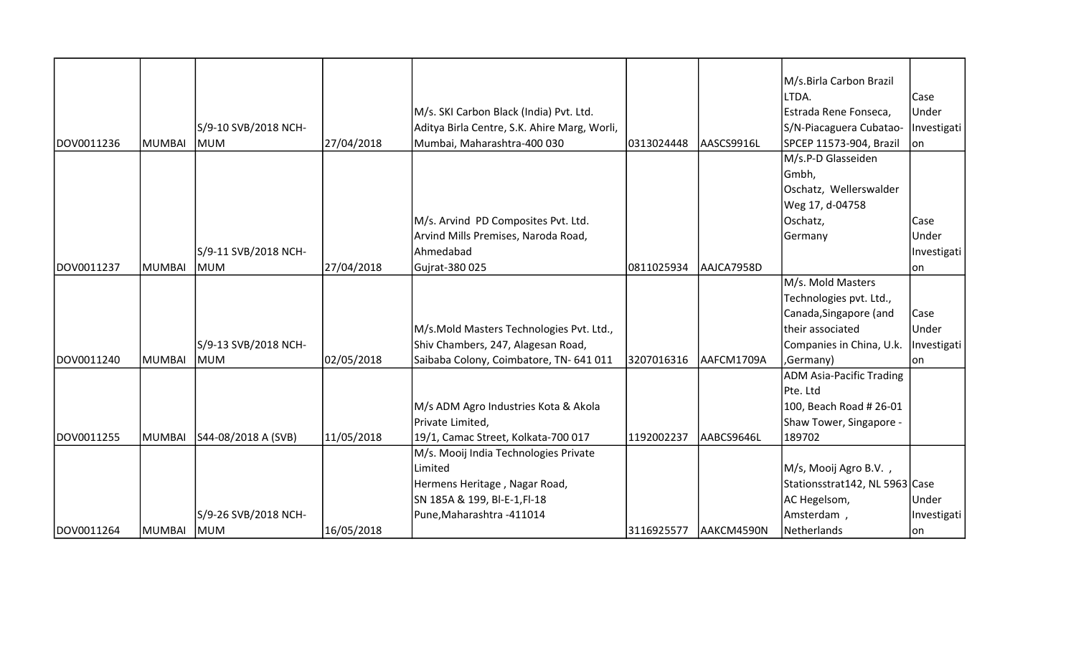|            |               |                      |            |                                              |            |            | M/s.Birla Carbon Brazil                |             |
|------------|---------------|----------------------|------------|----------------------------------------------|------------|------------|----------------------------------------|-------------|
|            |               |                      |            |                                              |            |            | LTDA.                                  | Case        |
|            |               |                      |            | M/s. SKI Carbon Black (India) Pvt. Ltd.      |            |            | Estrada Rene Fonseca,                  | Under       |
|            |               | S/9-10 SVB/2018 NCH- |            | Aditya Birla Centre, S.K. Ahire Marg, Worli, |            |            | S/N-Piacaguera Cubatao- Investigati    |             |
| DOV0011236 | MUMBAI        | MUM                  | 27/04/2018 | Mumbai, Maharashtra-400 030                  | 0313024448 | AASCS9916L | SPCEP 11573-904, Brazil                | lon         |
|            |               |                      |            |                                              |            |            | M/s.P-D Glasseiden                     |             |
|            |               |                      |            |                                              |            |            | Gmbh,                                  |             |
|            |               |                      |            |                                              |            |            | Oschatz, Wellerswalder                 |             |
|            |               |                      |            |                                              |            |            | Weg 17, d-04758                        |             |
|            |               |                      |            | M/s. Arvind PD Composites Pvt. Ltd.          |            |            | Oschatz,                               | Case        |
|            |               |                      |            | Arvind Mills Premises, Naroda Road,          |            |            | Germany                                | Under       |
|            |               | S/9-11 SVB/2018 NCH- |            | Ahmedabad                                    |            |            |                                        | Investigati |
| DOV0011237 | MUMBAI        | MUM                  | 27/04/2018 | Gujrat-380 025                               | 0811025934 | AAJCA7958D |                                        | on          |
|            |               |                      |            |                                              |            |            | M/s. Mold Masters                      |             |
|            |               |                      |            |                                              |            |            | Technologies pvt. Ltd.,                |             |
|            |               |                      |            |                                              |            |            | Canada, Singapore (and                 | Case        |
|            |               |                      |            | M/s.Mold Masters Technologies Pvt. Ltd.,     |            |            | their associated                       | Under       |
|            |               | S/9-13 SVB/2018 NCH- |            | Shiv Chambers, 247, Alagesan Road,           |            |            | Companies in China, U.k.   Investigati |             |
| DOV0011240 | <b>MUMBAI</b> | <b>MUM</b>           | 02/05/2018 | Saibaba Colony, Coimbatore, TN- 641 011      | 3207016316 | AAFCM1709A | ,Germany)                              | lon.        |
|            |               |                      |            |                                              |            |            | <b>ADM Asia-Pacific Trading</b>        |             |
|            |               |                      |            |                                              |            |            | Pte. Ltd                               |             |
|            |               |                      |            | M/s ADM Agro Industries Kota & Akola         |            |            | 100, Beach Road # 26-01                |             |
|            |               |                      |            | Private Limited,                             |            |            | Shaw Tower, Singapore -                |             |
| DOV0011255 | MUMBAI        | S44-08/2018 A (SVB)  | 11/05/2018 | 19/1, Camac Street, Kolkata-700 017          | 1192002237 | AABCS9646L | 189702                                 |             |
|            |               |                      |            | M/s. Mooij India Technologies Private        |            |            |                                        |             |
|            |               |                      |            | Limited                                      |            |            | M/s, Mooij Agro B.V.,                  |             |
|            |               |                      |            | Hermens Heritage, Nagar Road,                |            |            | Stationsstrat142, NL 5963 Case         |             |
|            |               |                      |            | SN 185A & 199, BI-E-1, FI-18                 |            |            | AC Hegelsom,                           | Under       |
|            |               | S/9-26 SVB/2018 NCH- |            | Pune, Maharashtra - 411014                   |            |            | Amsterdam,                             | Investigati |
| DOV0011264 | MUMBAI        | MUM                  | 16/05/2018 |                                              | 3116925577 | AAKCM4590N | Netherlands                            | on          |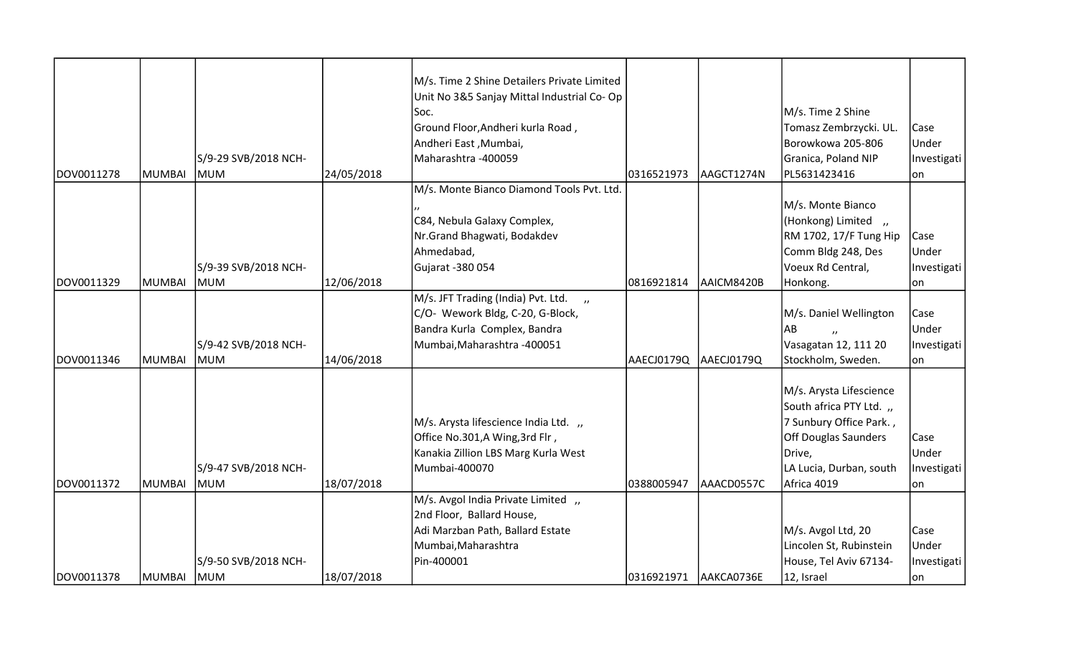|            |            |                      |            | M/s. Time 2 Shine Detailers Private Limited          |                        |            |                         |             |
|------------|------------|----------------------|------------|------------------------------------------------------|------------------------|------------|-------------------------|-------------|
|            |            |                      |            | Unit No 3&5 Sanjay Mittal Industrial Co-Op           |                        |            |                         |             |
|            |            |                      |            | Soc.                                                 |                        |            | M/s. Time 2 Shine       |             |
|            |            |                      |            | Ground Floor, Andheri kurla Road,                    |                        |            | Tomasz Zembrzycki. UL.  | Case        |
|            |            |                      |            | Andheri East, Mumbai,                                |                        |            | Borowkowa 205-806       | Under       |
|            |            | S/9-29 SVB/2018 NCH- |            | Maharashtra -400059                                  |                        |            | Granica, Poland NIP     | Investigati |
| DOV0011278 | MUMBAI     | <b>MUM</b>           | 24/05/2018 |                                                      | 0316521973             | AAGCT1274N | PL5631423416            | lon         |
|            |            |                      |            | M/s. Monte Bianco Diamond Tools Pvt. Ltd.            |                        |            |                         |             |
|            |            |                      |            |                                                      |                        |            | M/s. Monte Bianco       |             |
|            |            |                      |            | C84, Nebula Galaxy Complex,                          |                        |            | (Honkong) Limited,      |             |
|            |            |                      |            | Nr.Grand Bhagwati, Bodakdev                          |                        |            | RM 1702, 17/F Tung Hip  | Case        |
|            |            |                      |            | Ahmedabad,                                           |                        |            | Comm Bldg 248, Des      | Under       |
|            |            | S/9-39 SVB/2018 NCH- |            | Gujarat - 380 054                                    |                        |            | Voeux Rd Central,       | Investigati |
| DOV0011329 | MUMBAI     | <b>MUM</b>           | 12/06/2018 |                                                      | 0816921814             | AAICM8420B | Honkong.                | on          |
|            |            |                      |            | M/s. JFT Trading (India) Pvt. Ltd.<br>$\overline{u}$ |                        |            |                         |             |
|            |            |                      |            | C/O- Wework Bldg, C-20, G-Block,                     |                        |            | M/s. Daniel Wellington  | Case        |
|            |            |                      |            | Bandra Kurla Complex, Bandra                         |                        |            | AB                      | Under       |
|            |            | S/9-42 SVB/2018 NCH- |            | Mumbai, Maharashtra -400051                          |                        |            | Vasagatan 12, 111 20    | Investigati |
| DOV0011346 | MUMBAI     | <b>MUM</b>           | 14/06/2018 |                                                      | AAECJ0179Q             | AAECJ0179Q | Stockholm, Sweden.      | lon         |
|            |            |                      |            |                                                      |                        |            |                         |             |
|            |            |                      |            |                                                      |                        |            | M/s. Arysta Lifescience |             |
|            |            |                      |            |                                                      |                        |            | South africa PTY Ltd.,  |             |
|            |            |                      |            | M/s. Arysta lifescience India Ltd.,                  |                        |            | 7 Sunbury Office Park., |             |
|            |            |                      |            | Office No.301, A Wing, 3rd Flr,                      |                        |            | Off Douglas Saunders    | Case        |
|            |            |                      |            | Kanakia Zillion LBS Marg Kurla West                  |                        |            | Drive,                  | Under       |
|            |            | S/9-47 SVB/2018 NCH- |            | Mumbai-400070                                        |                        |            | LA Lucia, Durban, south | Investigati |
| DOV0011372 | MUMBAI     | <b>MUM</b>           | 18/07/2018 |                                                      | 0388005947             | AAACD0557C | Africa 4019             | lon         |
|            |            |                      |            | M/s. Avgol India Private Limited,                    |                        |            |                         |             |
|            |            |                      |            | 2nd Floor, Ballard House,                            |                        |            |                         |             |
|            |            |                      |            | Adi Marzban Path, Ballard Estate                     |                        |            | M/s. Avgol Ltd, 20      | Case        |
|            |            |                      |            | Mumbai, Maharashtra                                  |                        |            | Lincolen St, Rubinstein | Under       |
|            |            | S/9-50 SVB/2018 NCH- |            | Pin-400001                                           |                        |            | House, Tel Aviv 67134-  | Investigati |
| DOV0011378 | MUMBAI MUM |                      | 18/07/2018 |                                                      | 0316921971  AAKCA0736E |            | 12, Israel              | lon         |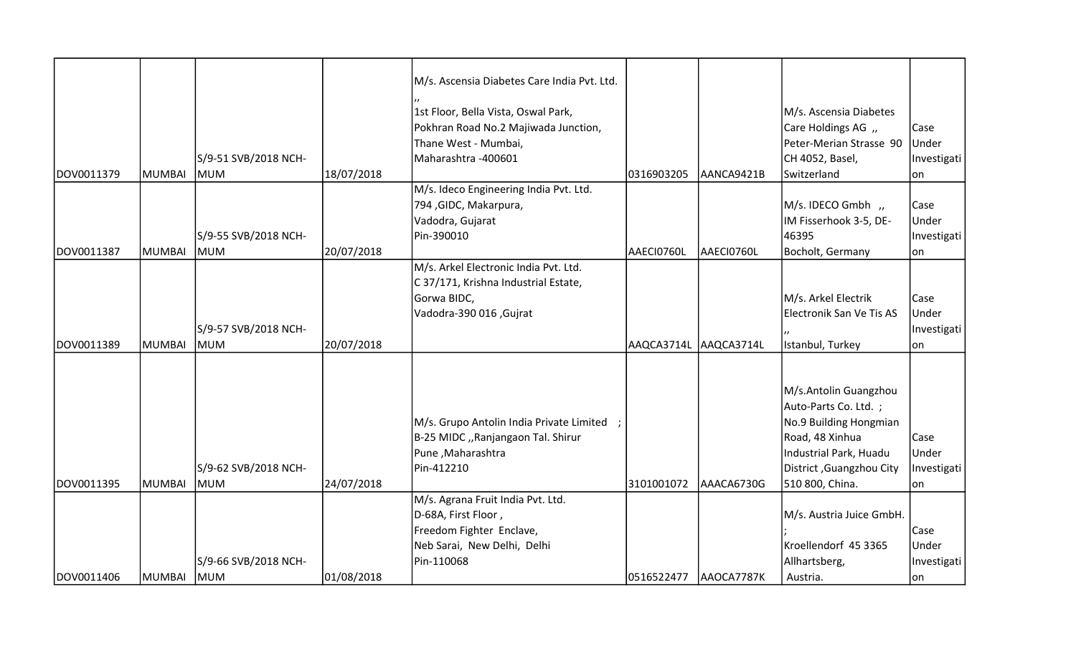|            |            |                                    |            | M/s. Ascensia Diabetes Care India Pvt. Ltd. |                        |            |                          |             |
|------------|------------|------------------------------------|------------|---------------------------------------------|------------------------|------------|--------------------------|-------------|
|            |            |                                    |            | 1st Floor, Bella Vista, Oswal Park,         |                        |            | M/s. Ascensia Diabetes   |             |
|            |            |                                    |            | Pokhran Road No.2 Majiwada Junction,        |                        |            | Care Holdings AG "       | Case        |
|            |            |                                    |            | Thane West - Mumbai,                        |                        |            | Peter-Merian Strasse 90  | Under       |
|            |            | S/9-51 SVB/2018 NCH-               |            | Maharashtra - 400601                        |                        |            | CH 4052, Basel,          | Investigati |
| DOV0011379 | MUMBAI     | <b>MUM</b>                         | 18/07/2018 |                                             | 0316903205             | AANCA9421B | Switzerland              | lon         |
|            |            |                                    |            | M/s. Ideco Engineering India Pvt. Ltd.      |                        |            |                          |             |
|            |            |                                    |            | 794, GIDC, Makarpura,                       |                        |            | M/s. IDECO Gmbh,         | Case        |
|            |            |                                    |            | Vadodra, Gujarat                            |                        |            | IM Fisserhook 3-5, DE-   | Under       |
|            |            | S/9-55 SVB/2018 NCH-               |            | Pin-390010                                  |                        |            | 46395                    | Investigati |
| DOV0011387 | MUMBAI     | <b>MUM</b>                         | 20/07/2018 |                                             | AAECI0760L             | AAECI0760L | Bocholt, Germany         | lon         |
|            |            |                                    |            | M/s. Arkel Electronic India Pvt. Ltd.       |                        |            |                          |             |
|            |            |                                    |            | C 37/171, Krishna Industrial Estate,        |                        |            |                          |             |
|            |            |                                    |            | Gorwa BIDC,                                 |                        |            | M/s. Arkel Electrik      | Case        |
|            |            |                                    |            | Vadodra-390 016, Gujrat                     |                        |            | Electronik San Ve Tis AS | Under       |
|            |            | S/9-57 SVB/2018 NCH-               |            |                                             |                        |            |                          | Investigati |
| DOV0011389 | MUMBAI     | <b>MUM</b>                         | 20/07/2018 |                                             | AAQCA3714L             | AAQCA3714L | Istanbul, Turkey         | on          |
|            |            |                                    |            |                                             |                        |            |                          |             |
|            |            |                                    |            |                                             |                        |            |                          |             |
|            |            |                                    |            |                                             |                        |            | M/s.Antolin Guangzhou    |             |
|            |            |                                    |            |                                             |                        |            | Auto-Parts Co. Ltd. ;    |             |
|            |            |                                    |            | M/s. Grupo Antolin India Private Limited    |                        |            | No.9 Building Hongmian   |             |
|            |            |                                    |            | B-25 MIDC "Ranjangaon Tal. Shirur           |                        |            | Road, 48 Xinhua          | Case        |
|            |            |                                    |            | Pune, Maharashtra                           |                        |            | Industrial Park, Huadu   | Under       |
|            |            |                                    |            | Pin-412210                                  |                        |            |                          |             |
| DOV0011395 | MUMBAI     | S/9-62 SVB/2018 NCH-<br><b>MUM</b> |            |                                             | 3101001072             |            | District, Guangzhou City | Investigati |
|            |            |                                    | 24/07/2018 | M/s. Agrana Fruit India Pvt. Ltd.           |                        | AAACA6730G | 510 800, China.          | lon         |
|            |            |                                    |            |                                             |                        |            |                          |             |
|            |            |                                    |            | D-68A, First Floor,                         |                        |            | M/s. Austria Juice GmbH. |             |
|            |            |                                    |            | Freedom Fighter Enclave,                    |                        |            | Kroellendorf 45 3365     | Case        |
|            |            |                                    |            | Neb Sarai, New Delhi, Delhi                 |                        |            |                          | Under       |
|            |            | S/9-66 SVB/2018 NCH-               |            | Pin-110068                                  |                        |            | Allhartsberg,            | Investigati |
| DOV0011406 | MUMBAI MUM |                                    | 01/08/2018 |                                             | 0516522477  AAOCA7787K |            | Austria.                 | on          |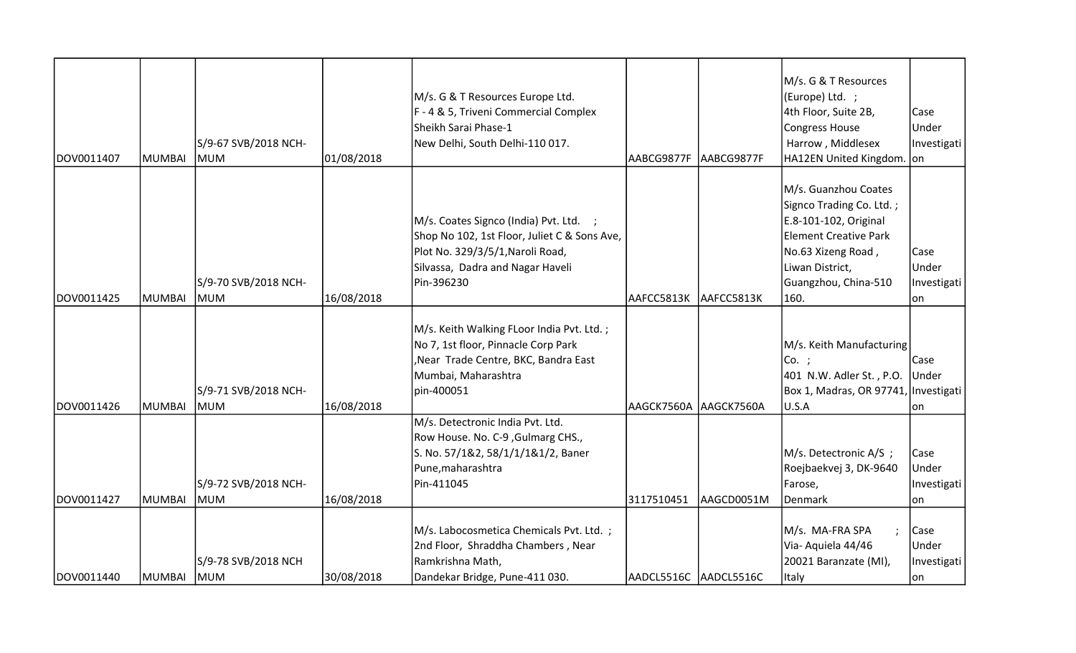| DOV0011407 | IMUMBAI    | S/9-67 SVB/2018 NCH-<br><b>IMUM</b> | 01/08/2018 | M/s. G & T Resources Europe Ltd.<br>F - 4 & 5, Triveni Commercial Complex<br>Sheikh Sarai Phase-1<br>New Delhi, South Delhi-110 017.                                         | lAABCG9877F           | AABCG9877F | M/s. G & T Resources<br>(Europe) Ltd. ;<br>4th Floor, Suite 2B,<br><b>Congress House</b><br>Harrow, Middlesex<br>HA12EN United Kingdom. on                                         | Case<br>Under<br>Investigati        |
|------------|------------|-------------------------------------|------------|------------------------------------------------------------------------------------------------------------------------------------------------------------------------------|-----------------------|------------|------------------------------------------------------------------------------------------------------------------------------------------------------------------------------------|-------------------------------------|
| DOV0011425 | MUMBAI     | S/9-70 SVB/2018 NCH-<br><b>MUM</b>  | 16/08/2018 | M/s. Coates Signco (India) Pvt. Ltd. ;<br>Shop No 102, 1st Floor, Juliet C & Sons Ave,<br>Plot No. 329/3/5/1, Naroli Road,<br>Silvassa, Dadra and Nagar Haveli<br>Pin-396230 | AAFCC5813K            | AAFCC5813K | M/s. Guanzhou Coates<br>Signco Trading Co. Ltd.;<br>E.8-101-102, Original<br><b>Element Creative Park</b><br>No.63 Xizeng Road,<br>Liwan District,<br>Guangzhou, China-510<br>160. | Case<br>Under<br>Investigati<br>lon |
| DOV0011426 | MUMBAI     | S/9-71 SVB/2018 NCH-<br><b>MUM</b>  | 16/08/2018 | M/s. Keith Walking FLoor India Pvt. Ltd.;<br>No 7, 1st floor, Pinnacle Corp Park<br>Near Trade Centre, BKC, Bandra East<br>Mumbai, Maharashtra<br>pin-400051                 | AAGCK7560A AAGCK7560A |            | M/s. Keith Manufacturing<br>Co. ;<br>401 N.W. Adler St., P.O. Under<br>Box 1, Madras, OR 97741, Investigati<br>U.S.A                                                               | Case<br>lon                         |
| DOV0011427 | MUMBAI     | S/9-72 SVB/2018 NCH-<br><b>MUM</b>  | 16/08/2018 | M/s. Detectronic India Pvt. Ltd.<br>Row House. No. C-9, Gulmarg CHS.,<br>S. No. 57/1&2, 58/1/1/1&1/2, Baner<br>Pune, maharashtra<br>Pin-411045                               | 3117510451            | AAGCD0051M | M/s. Detectronic A/S ;<br>Roejbaekvej 3, DK-9640<br>Farose,<br>Denmark                                                                                                             | Case<br>Under<br>Investigati<br>lon |
| DOV0011440 | MUMBAI MUM | S/9-78 SVB/2018 NCH                 | 30/08/2018 | M/s. Labocosmetica Chemicals Pvt. Ltd. ;<br>2nd Floor, Shraddha Chambers, Near<br>Ramkrishna Math,<br>Dandekar Bridge, Pune-411 030.                                         | AADCL5516C AADCL5516C |            | M/s. MA-FRA SPA<br>Via- Aquiela 44/46<br>20021 Baranzate (MI),<br>Italy                                                                                                            | Case<br>Under<br>Investigati<br>lon |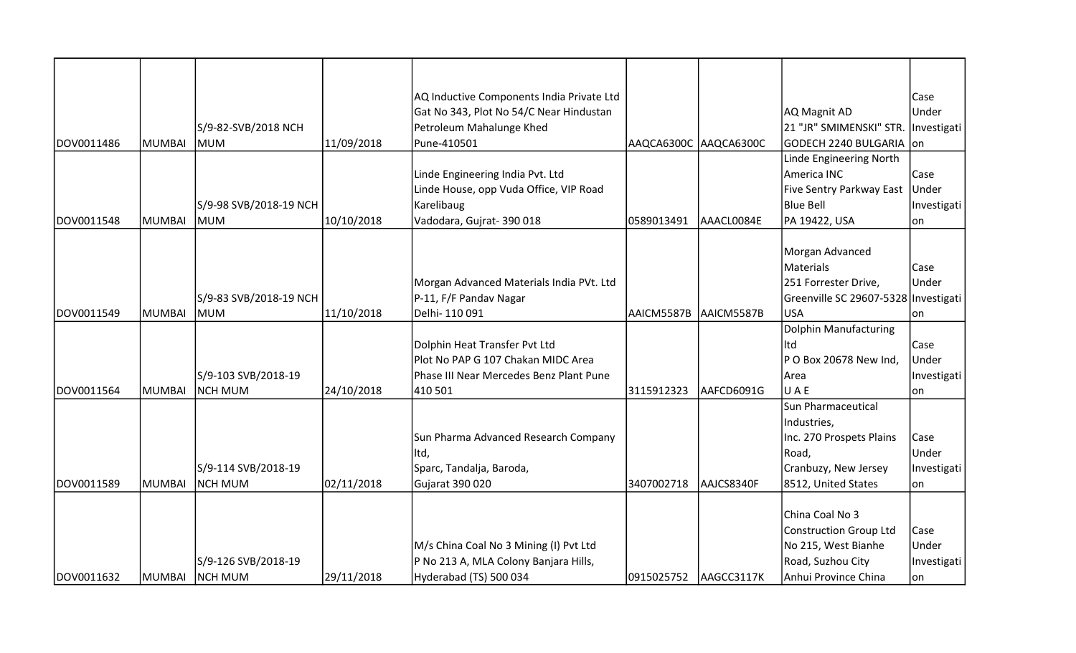|            |               |                        |            | AQ Inductive Components India Private Ltd |            |            |                                      | Case        |
|------------|---------------|------------------------|------------|-------------------------------------------|------------|------------|--------------------------------------|-------------|
|            |               |                        |            | Gat No 343, Plot No 54/C Near Hindustan   |            |            | AQ Magnit AD                         | Under       |
|            |               | S/9-82-SVB/2018 NCH    |            | Petroleum Mahalunge Khed                  |            |            | 21 "JR" SMIMENSKI" STR. Investigati  |             |
| DOV0011486 | MUMBAI        | lmum                   | 11/09/2018 | Pune-410501                               | AAQCA6300C | AAQCA6300C | GODECH 2240 BULGARIA on              |             |
|            |               |                        |            |                                           |            |            | Linde Engineering North              |             |
|            |               |                        |            | Linde Engineering India Pvt. Ltd          |            |            | America INC                          | Case        |
|            |               |                        |            | Linde House, opp Vuda Office, VIP Road    |            |            | Five Sentry Parkway East Under       |             |
|            |               | S/9-98 SVB/2018-19 NCH |            | Karelibaug                                |            |            | <b>Blue Bell</b>                     | Investigati |
| DOV0011548 | <b>MUMBAI</b> | MUM                    | 10/10/2018 | Vadodara, Gujrat-390018                   | 0589013491 | AAACL0084E | PA 19422, USA                        | lon         |
|            |               |                        |            |                                           |            |            |                                      |             |
|            |               |                        |            |                                           |            |            | Morgan Advanced                      |             |
|            |               |                        |            |                                           |            |            | <b>Materials</b>                     | Case        |
|            |               |                        |            | Morgan Advanced Materials India PVt. Ltd  |            |            | 251 Forrester Drive,                 | Under       |
|            |               | S/9-83 SVB/2018-19 NCH |            | P-11, F/F Pandav Nagar                    |            |            | Greenville SC 29607-5328 Investigati |             |
| DOV0011549 | MUMBAI        | lmum                   | 11/10/2018 | Delhi-110091                              | AAICM5587B | AAICM5587B | <b>USA</b>                           | lon         |
|            |               |                        |            |                                           |            |            | <b>Dolphin Manufacturing</b>         |             |
|            |               |                        |            | Dolphin Heat Transfer Pvt Ltd             |            |            | htl                                  | Case        |
|            |               |                        |            | Plot No PAP G 107 Chakan MIDC Area        |            |            | P O Box 20678 New Ind,               | Under       |
|            |               | S/9-103 SVB/2018-19    |            | Phase III Near Mercedes Benz Plant Pune   |            |            | Area                                 | Investigati |
| DOV0011564 | MUMBAI        | NCH MUM                | 24/10/2018 | 410 501                                   | 3115912323 | AAFCD6091G | UAE                                  | lon         |
|            |               |                        |            |                                           |            |            | Sun Pharmaceutical                   |             |
|            |               |                        |            |                                           |            |            | Industries,                          |             |
|            |               |                        |            | Sun Pharma Advanced Research Company      |            |            | Inc. 270 Prospets Plains             | Case        |
|            |               |                        |            | lltd,                                     |            |            | Road,                                | Under       |
|            |               | S/9-114 SVB/2018-19    |            | Sparc, Tandalja, Baroda,                  |            |            | Cranbuzy, New Jersey                 | Investigati |
| DOV0011589 | IMUMBAI       | NCH MUM                | 02/11/2018 | Gujarat 390 020                           | 3407002718 | AAJCS8340F | 8512, United States                  | lon         |
|            |               |                        |            |                                           |            |            |                                      |             |
|            |               |                        |            |                                           |            |            | China Coal No 3                      |             |
|            |               |                        |            |                                           |            |            | <b>Construction Group Ltd</b>        | Case        |
|            |               |                        |            | M/s China Coal No 3 Mining (I) Pvt Ltd    |            |            | No 215, West Bianhe                  | Under       |
|            |               | S/9-126 SVB/2018-19    |            | P No 213 A, MLA Colony Banjara Hills,     |            |            | Road, Suzhou City                    | Investigati |
| DOV0011632 | MUMBAI        | <b>NCH MUM</b>         | 29/11/2018 | Hyderabad (TS) 500 034                    | 0915025752 | AAGCC3117K | Anhui Province China                 | lon         |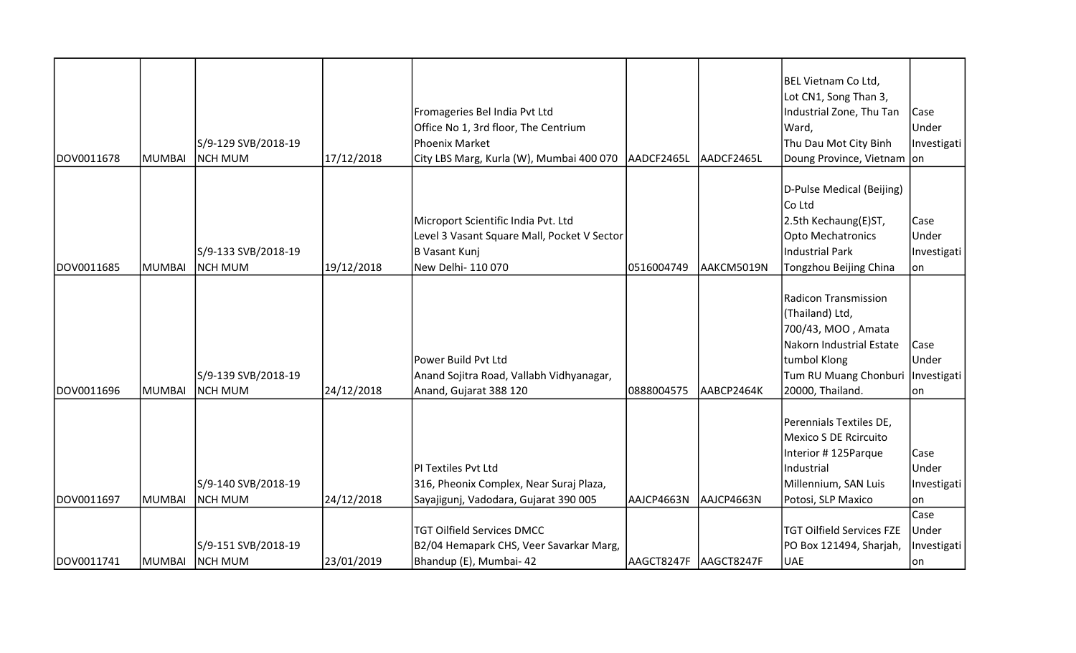| DOV0011678 | MUMBAI        | S/9-129 SVB/2018-19<br><b>NCH MUM</b> | 17/12/2018 | Fromageries Bel India Pvt Ltd<br>Office No 1, 3rd floor, The Centrium<br>Phoenix Market<br>City LBS Marg, Kurla (W), Mumbai 400 070 | AADCF2465L             | AADCF2465L | BEL Vietnam Co Ltd,<br>Lot CN1, Song Than 3,<br>Industrial Zone, Thu Tan<br>Ward,<br>Thu Dau Mot City Binh<br>Doung Province, Vietnam                  | Case<br>Under<br>Investigati<br>lon |
|------------|---------------|---------------------------------------|------------|-------------------------------------------------------------------------------------------------------------------------------------|------------------------|------------|--------------------------------------------------------------------------------------------------------------------------------------------------------|-------------------------------------|
| DOV0011685 | <b>MUMBAI</b> | S/9-133 SVB/2018-19<br><b>NCH MUM</b> | 19/12/2018 | Microport Scientific India Pvt. Ltd<br>Level 3 Vasant Square Mall, Pocket V Sector<br>B Vasant Kunj<br>New Delhi- 110 070           | 0516004749             | AAKCM5019N | D-Pulse Medical (Beijing)<br>Co Ltd<br>2.5th Kechaung(E)ST,<br><b>Opto Mechatronics</b><br>Industrial Park<br>Tongzhou Beijing China                   | Case<br>Under<br>Investigati<br>on  |
| DOV0011696 | MUMBAI        | S/9-139 SVB/2018-19<br><b>NCH MUM</b> | 24/12/2018 | Power Build Pvt Ltd<br>Anand Sojitra Road, Vallabh Vidhyanagar,<br>Anand, Gujarat 388 120                                           | 0888004575             | AABCP2464K | Radicon Transmission<br>(Thailand) Ltd,<br>700/43, MOO, Amata<br>Nakorn Industrial Estate<br>tumbol Klong<br>Tum RU Muang Chonburi<br>20000, Thailand. | Case<br>Under<br>Investigati<br>on  |
| DOV0011697 | MUMBAI        | S/9-140 SVB/2018-19<br><b>NCH MUM</b> | 24/12/2018 | PI Textiles Pvt Ltd<br>316, Pheonix Complex, Near Suraj Plaza,<br>Sayajigunj, Vadodara, Gujarat 390 005                             | AAJCP4663N             | AAJCP4663N | Perennials Textiles DE,<br>Mexico S DE Rcircuito<br>Interior #125Parque<br>Industrial<br>Millennium, SAN Luis<br>Potosi, SLP Maxico                    | Case<br>Under<br>Investigati<br>on  |
| DOV0011741 | MUMBAI        | S/9-151 SVB/2018-19<br>NCH MUM        | 23/01/2019 | <b>TGT Oilfield Services DMCC</b><br>B2/04 Hemapark CHS, Veer Savarkar Marg,<br>Bhandup (E), Mumbai- 42                             | AAGCT8247F  AAGCT8247F |            | <b>TGT Oilfield Services FZE</b><br>PO Box 121494, Sharjah,<br><b>UAE</b>                                                                              | Case<br>Under<br>Investigati<br> on |

T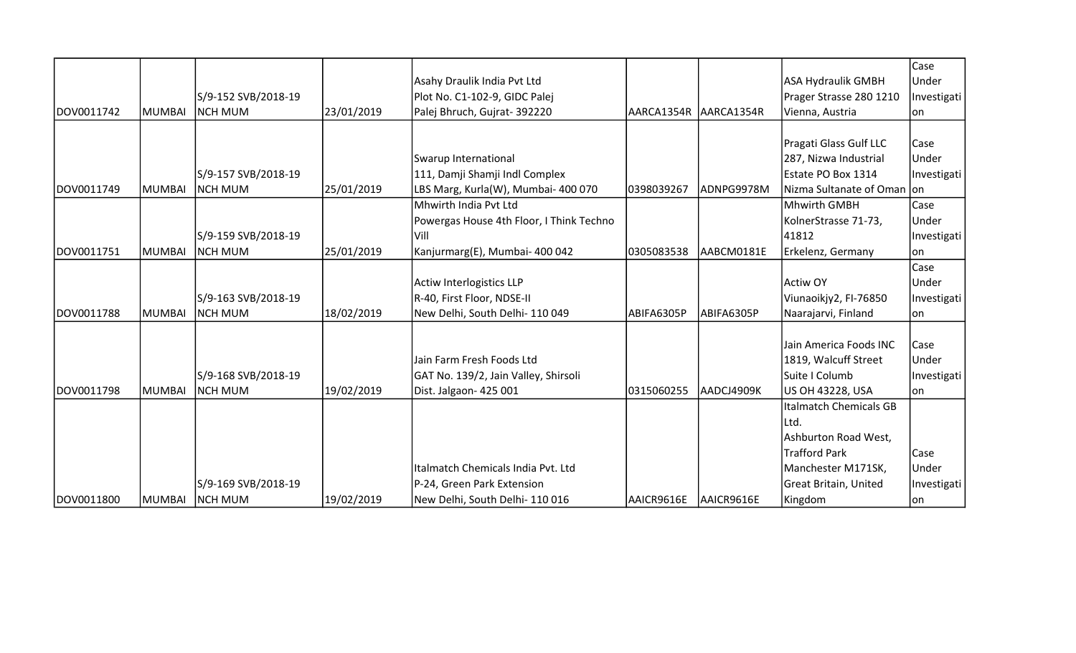|            |               |                     |            |                                          |            |            |                            | Case        |
|------------|---------------|---------------------|------------|------------------------------------------|------------|------------|----------------------------|-------------|
|            |               |                     |            | Asahy Draulik India Pvt Ltd              |            |            | ASA Hydraulik GMBH         | Under       |
|            |               | S/9-152 SVB/2018-19 |            | Plot No. C1-102-9, GIDC Palej            |            |            | Prager Strasse 280 1210    | Investigati |
| DOV0011742 | <b>MUMBAI</b> | Inch mum            | 23/01/2019 | Palej Bhruch, Gujrat- 392220             | AARCA1354R | AARCA1354R | Vienna, Austria            | lon.        |
|            |               |                     |            |                                          |            |            |                            |             |
|            |               |                     |            |                                          |            |            | Pragati Glass Gulf LLC     | Case        |
|            |               |                     |            | Swarup International                     |            |            | 287, Nizwa Industrial      | Under       |
|            |               | S/9-157 SVB/2018-19 |            | 111, Damji Shamji Indl Complex           |            |            | Estate PO Box 1314         | Investigati |
| DOV0011749 | MUMBAI        | NCH MUM             | 25/01/2019 | LBS Marg, Kurla(W), Mumbai- 400 070      | 0398039267 | ADNPG9978M | Nizma Sultanate of Oman on |             |
|            |               |                     |            | Mhwirth India Pvt Ltd                    |            |            | Mhwirth GMBH               | Case        |
|            |               |                     |            | Powergas House 4th Floor, I Think Techno |            |            | KolnerStrasse 71-73,       | Under       |
|            |               | S/9-159 SVB/2018-19 |            | Vill                                     |            |            | 41812                      | Investigati |
| DOV0011751 | MUMBAI        | NCH MUM             | 25/01/2019 | Kanjurmarg(E), Mumbai- 400 042           | 0305083538 | AABCM0181E | Erkelenz, Germany          | on          |
|            |               |                     |            |                                          |            |            |                            | Case        |
|            |               |                     |            | <b>Actiw Interlogistics LLP</b>          |            |            | <b>Actiw OY</b>            | Under       |
|            |               | S/9-163 SVB/2018-19 |            | R-40, First Floor, NDSE-II               |            |            | Viunaoikjy2, FI-76850      | Investigati |
| DOV0011788 | <b>MUMBAI</b> | NCH MUM             | 18/02/2019 | New Delhi, South Delhi- 110 049          | ABIFA6305P | ABIFA6305P | Naarajarvi, Finland        | lon         |
|            |               |                     |            |                                          |            |            | Jain America Foods INC     |             |
|            |               |                     |            |                                          |            |            |                            | <b>Case</b> |
|            |               |                     |            | Jain Farm Fresh Foods Ltd                |            |            | 1819, Walcuff Street       | Under       |
|            |               | S/9-168 SVB/2018-19 |            | GAT No. 139/2, Jain Valley, Shirsoli     |            |            | Suite I Columb             | Investigati |
| DOV0011798 | MUMBAI        | NCH MUM             | 19/02/2019 | Dist. Jalgaon- 425 001                   | 0315060255 | AADCJ4909K | US OH 43228, USA           | lon         |
|            |               |                     |            |                                          |            |            | Italmatch Chemicals GB     |             |
|            |               |                     |            |                                          |            |            | Ltd.                       |             |
|            |               |                     |            |                                          |            |            | Ashburton Road West,       |             |
|            |               |                     |            |                                          |            |            | Trafford Park              | Case        |
|            |               |                     |            | Italmatch Chemicals India Pvt. Ltd       |            |            | Manchester M171SK,         | Under       |
|            |               | S/9-169 SVB/2018-19 |            | P-24, Green Park Extension               |            |            | Great Britain, United      | Investigati |
| DOV0011800 | <b>MUMBAI</b> | <b>NCH MUM</b>      | 19/02/2019 | New Delhi, South Delhi-110016            | AAICR9616E | AAICR9616E | Kingdom                    | on          |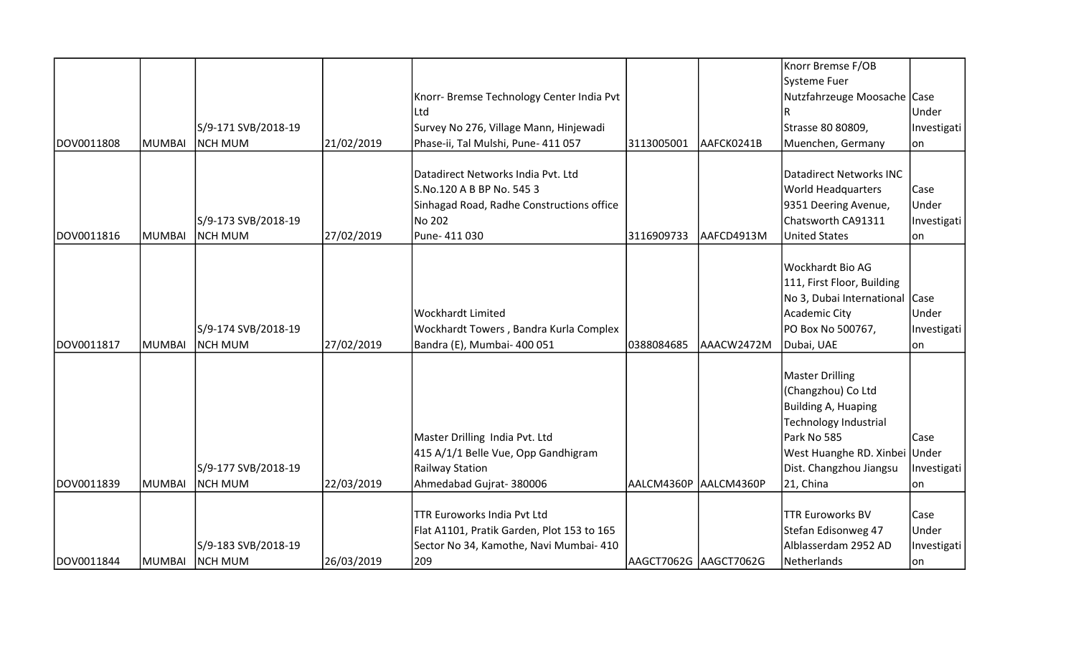|             |               |                     |            |                                            |                       |            | Knorr Bremse F/OB              |             |
|-------------|---------------|---------------------|------------|--------------------------------------------|-----------------------|------------|--------------------------------|-------------|
|             |               |                     |            |                                            |                       |            | Systeme Fuer                   |             |
|             |               |                     |            | Knorr- Bremse Technology Center India Pvt  |                       |            | Nutzfahrzeuge Moosache Case    |             |
|             |               |                     |            | Ltd                                        |                       |            |                                | Under       |
|             |               | S/9-171 SVB/2018-19 |            | Survey No 276, Village Mann, Hinjewadi     |                       |            | Strasse 80 80809,              | Investigati |
| DOV0011808  | <b>MUMBAI</b> | <b>NCH MUM</b>      | 21/02/2019 | Phase-ii, Tal Mulshi, Pune- 411 057        | 3113005001            | AAFCK0241B | Muenchen, Germany              | lon         |
|             |               |                     |            |                                            |                       |            |                                |             |
|             |               |                     |            | Datadirect Networks India Pvt. Ltd         |                       |            | <b>Datadirect Networks INC</b> |             |
|             |               |                     |            | S.No.120 A B BP No. 545 3                  |                       |            | <b>World Headquarters</b>      | Case        |
|             |               |                     |            | Sinhagad Road, Radhe Constructions office  |                       |            | 9351 Deering Avenue,           | Under       |
|             |               | S/9-173 SVB/2018-19 |            | No 202                                     |                       |            | Chatsworth CA91311             | Investigati |
| DOV0011816  | <b>MUMBAI</b> | <b>NCH MUM</b>      | 27/02/2019 | Pune- 411 030                              | 3116909733            | AAFCD4913M | <b>United States</b>           | lon         |
|             |               |                     |            |                                            |                       |            |                                |             |
|             |               |                     |            |                                            |                       |            | Wockhardt Bio AG               |             |
|             |               |                     |            |                                            |                       |            | 111, First Floor, Building     |             |
|             |               |                     |            |                                            |                       |            | No 3, Dubai International Case |             |
|             |               |                     |            | <b>Wockhardt Limited</b>                   |                       |            | Academic City                  | Under       |
|             |               | S/9-174 SVB/2018-19 |            | Wockhardt Towers, Bandra Kurla Complex     |                       |            | PO Box No 500767,              | Investigati |
| DOV0011817  | <b>MUMBAI</b> | <b>NCH MUM</b>      | 27/02/2019 | Bandra (E), Mumbai- 400 051                | 0388084685            | AAACW2472M | Dubai, UAE                     | lon         |
|             |               |                     |            |                                            |                       |            |                                |             |
|             |               |                     |            |                                            |                       |            | <b>Master Drilling</b>         |             |
|             |               |                     |            |                                            |                       |            | (Changzhou) Co Ltd             |             |
|             |               |                     |            |                                            |                       |            | Building A, Huaping            |             |
|             |               |                     |            |                                            |                       |            | Technology Industrial          |             |
|             |               |                     |            | Master Drilling India Pvt. Ltd             |                       |            | Park No 585                    | Case        |
|             |               |                     |            | 415 A/1/1 Belle Vue, Opp Gandhigram        |                       |            | West Huanghe RD. Xinbei Under  |             |
|             |               | S/9-177 SVB/2018-19 |            | Railway Station                            |                       |            | Dist. Changzhou Jiangsu        | Investigati |
| IDOV0011839 | <b>MUMBAI</b> | <b>NCH MUM</b>      | 22/03/2019 | Ahmedabad Gujrat-380006                    | AALCM4360P AALCM4360P |            | 21, China                      | lon         |
|             |               |                     |            |                                            |                       |            |                                |             |
|             |               |                     |            | TTR Euroworks India Pvt Ltd                |                       |            | <b>TTR Euroworks BV</b>        | Case        |
|             |               |                     |            | Flat A1101, Pratik Garden, Plot 153 to 165 |                       |            | Stefan Edisonweg 47            | Under       |
|             |               | S/9-183 SVB/2018-19 |            | Sector No 34, Kamothe, Navi Mumbai- 410    |                       |            | Alblasserdam 2952 AD           | Investigati |
| DOV0011844  | <b>MUMBAI</b> | NCH MUM             | 26/03/2019 | 209                                        | AAGCT7062G AAGCT7062G |            | Netherlands                    | on          |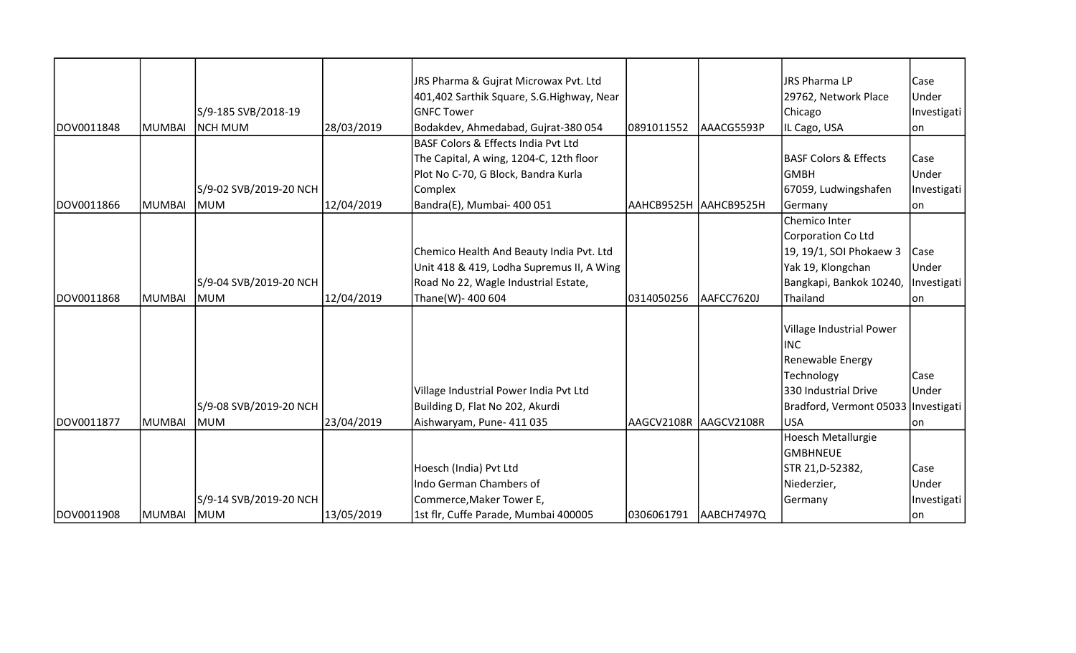|            |               |                        |            | JRS Pharma & Gujrat Microwax Pvt. Ltd     |                        |            | JRS Pharma LP                         | Case        |
|------------|---------------|------------------------|------------|-------------------------------------------|------------------------|------------|---------------------------------------|-------------|
|            |               |                        |            | 401,402 Sarthik Square, S.G.Highway, Near |                        |            | 29762, Network Place                  | Under       |
|            |               | S/9-185 SVB/2018-19    |            | <b>GNFC Tower</b>                         |                        |            | Chicago                               | Investigati |
| DOV0011848 | <b>MUMBAI</b> | <b>NCH MUM</b>         | 28/03/2019 | Bodakdev, Ahmedabad, Gujrat-380 054       | 0891011552             | AAACG5593P | IL Cago, USA                          | on          |
|            |               |                        |            | BASF Colors & Effects India Pvt Ltd       |                        |            |                                       |             |
|            |               |                        |            | The Capital, A wing, 1204-C, 12th floor   |                        |            | <b>BASF Colors &amp; Effects</b>      | Case        |
|            |               |                        |            | Plot No C-70, G Block, Bandra Kurla       |                        |            | <b>GMBH</b>                           | Under       |
|            |               | S/9-02 SVB/2019-20 NCH |            | Complex                                   |                        |            | 67059, Ludwingshafen                  | Investigati |
| DOV0011866 | MUMBAI        | MUM                    | 12/04/2019 | Bandra(E), Mumbai- 400 051                | ААНСВ9525Н  ААНСВ9525Н |            | Germany                               | lon         |
|            |               |                        |            |                                           |                        |            | Chemico Inter                         |             |
|            |               |                        |            |                                           |                        |            | Corporation Co Ltd                    |             |
|            |               |                        |            | Chemico Health And Beauty India Pvt. Ltd  |                        |            | 19, 19/1, SOI Phokaew 3               | Case        |
|            |               |                        |            | Unit 418 & 419, Lodha Supremus II, A Wing |                        |            | Yak 19, Klongchan                     | Under       |
|            |               | S/9-04 SVB/2019-20 NCH |            | Road No 22, Wagle Industrial Estate,      |                        |            | Bangkapi, Bankok 10240,               | Investigati |
| DOV0011868 | MUMBAI        | lmum                   | 12/04/2019 | Thane(W)- 400 604                         | 0314050256             | AAFCC7620J | Thailand                              | lon         |
|            |               |                        |            |                                           |                        |            |                                       |             |
|            |               |                        |            |                                           |                        |            | Village Industrial Power              |             |
|            |               |                        |            |                                           |                        |            | <b>IINC</b>                           |             |
|            |               |                        |            |                                           |                        |            | Renewable Energy                      |             |
|            |               |                        |            |                                           |                        |            | Technology                            | Case        |
|            |               |                        |            | Village Industrial Power India Pvt Ltd    |                        |            | 330 Industrial Drive                  | Under       |
|            |               | S/9-08 SVB/2019-20 NCH |            | Building D, Flat No 202, Akurdi           |                        |            | Bradford, Vermont 05033   Investigati |             |
| DOV0011877 | <b>MUMBAI</b> | lmum                   | 23/04/2019 | Aishwaryam, Pune- 411 035                 | AAGCV2108R AAGCV2108R  |            | USA                                   | lon         |
|            |               |                        |            |                                           |                        |            | Hoesch Metallurgie                    |             |
|            |               |                        |            |                                           |                        |            | <b>GMBHNEUE</b>                       |             |
|            |               |                        |            | Hoesch (India) Pvt Ltd                    |                        |            | STR 21, D-52382,                      | Case        |
|            |               |                        |            | Indo German Chambers of                   |                        |            | Niederzier,                           | Under       |
|            |               | S/9-14 SVB/2019-20 NCH |            | Commerce, Maker Tower E,                  |                        |            | Germany                               | Investigati |
| DOV0011908 | <b>MUMBAI</b> | <b>MUM</b>             | 13/05/2019 | 1st flr, Cuffe Parade, Mumbai 400005      | 0306061791             | AABCH7497Q |                                       | on          |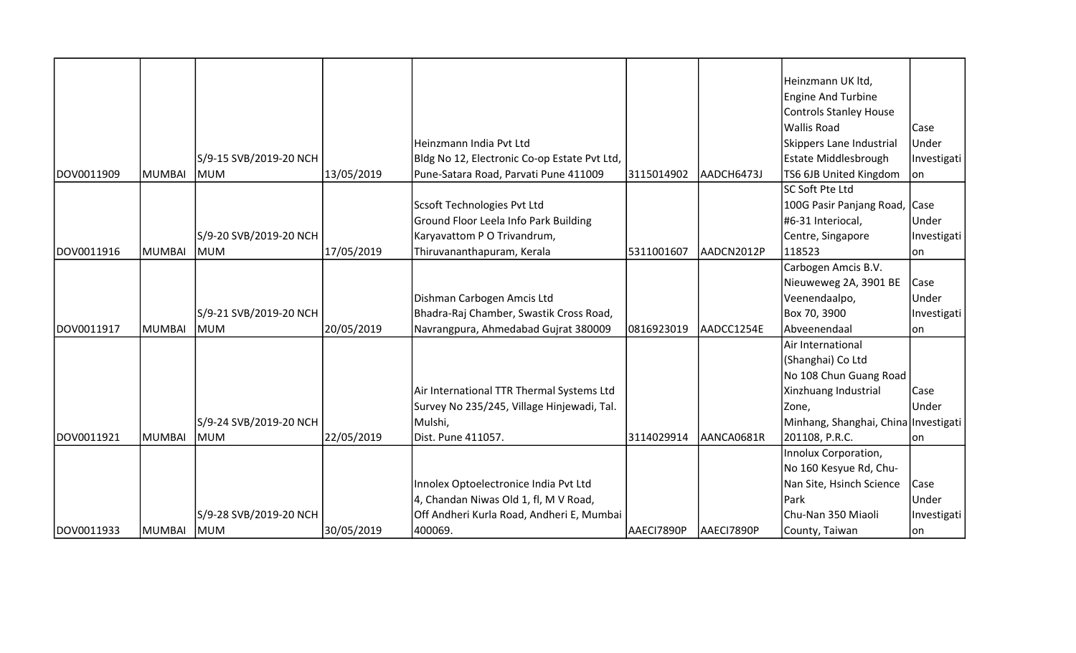|            |               |                        |            |                                              |            |            | Heinzmann UK ltd,                    |              |
|------------|---------------|------------------------|------------|----------------------------------------------|------------|------------|--------------------------------------|--------------|
|            |               |                        |            |                                              |            |            | <b>Engine And Turbine</b>            |              |
|            |               |                        |            |                                              |            |            | Controls Stanley House               |              |
|            |               |                        |            |                                              |            |            | Wallis Road                          | Case         |
|            |               |                        |            | Heinzmann India Pvt Ltd                      |            |            | Skippers Lane Industrial             | Under        |
|            |               | S/9-15 SVB/2019-20 NCH |            | Bldg No 12, Electronic Co-op Estate Pvt Ltd, |            |            | <b>Estate Middlesbrough</b>          | Investigati  |
| DOV0011909 | <b>MUMBAI</b> | <b>MUM</b>             | 13/05/2019 | Pune-Satara Road, Parvati Pune 411009        | 3115014902 | AADCH6473J | TS6 6JB United Kingdom               | lon          |
|            |               |                        |            |                                              |            |            | <b>SC Soft Pte Ltd</b>               |              |
|            |               |                        |            | Scsoft Technologies Pvt Ltd                  |            |            | 100G Pasir Panjang Road, Case        |              |
|            |               |                        |            | Ground Floor Leela Info Park Building        |            |            | #6-31 Interiocal,                    | Under        |
|            |               | S/9-20 SVB/2019-20 NCH |            | Karyavattom P O Trivandrum,                  |            |            | Centre, Singapore                    | Investigati  |
| DOV0011916 | MUMBAI        | <b>MUM</b>             | 17/05/2019 | Thiruvananthapuram, Kerala                   | 5311001607 | AADCN2012P | 118523                               | on           |
|            |               |                        |            |                                              |            |            | Carbogen Amcis B.V.                  |              |
|            |               |                        |            |                                              |            |            | Nieuweweg 2A, 3901 BE                | Case         |
|            |               |                        |            | Dishman Carbogen Amcis Ltd                   |            |            | Veenendaalpo,                        | Under        |
|            |               | S/9-21 SVB/2019-20 NCH |            | Bhadra-Raj Chamber, Swastik Cross Road,      |            |            | Box 70, 3900                         | Investigati  |
| DOV0011917 | <b>MUMBAI</b> | <b>IMUM</b>            | 20/05/2019 | Navrangpura, Ahmedabad Gujrat 380009         | 0816923019 | AADCC1254E | Abveenendaal                         | lon          |
|            |               |                        |            |                                              |            |            | Air International                    |              |
|            |               |                        |            |                                              |            |            | (Shanghai) Co Ltd                    |              |
|            |               |                        |            |                                              |            |            | No 108 Chun Guang Road               |              |
|            |               |                        |            | Air International TTR Thermal Systems Ltd    |            |            | Xinzhuang Industrial                 | Case         |
|            |               |                        |            | Survey No 235/245, Village Hinjewadi, Tal.   |            |            | Zone,                                | <b>Under</b> |
|            |               | S/9-24 SVB/2019-20 NCH |            | Mulshi,                                      |            |            | Minhang, Shanghai, China Investigati |              |
| DOV0011921 | MUMBAI        | <b>IMUM</b>            | 22/05/2019 | Dist. Pune 411057.                           | 3114029914 | AANCA0681R | 201108, P.R.C.                       | lon          |
|            |               |                        |            |                                              |            |            | Innolux Corporation,                 |              |
|            |               |                        |            |                                              |            |            | No 160 Kesyue Rd, Chu-               |              |
|            |               |                        |            | Innolex Optoelectronice India Pvt Ltd        |            |            | Nan Site, Hsinch Science             | Case         |
|            |               |                        |            | 4, Chandan Niwas Old 1, fl, M V Road,        |            |            | <b>Park</b>                          | Under        |
|            |               | S/9-28 SVB/2019-20 NCH |            | Off Andheri Kurla Road, Andheri E, Mumbai    |            |            | Chu-Nan 350 Miaoli                   | Investigati  |
| DOV0011933 | <b>MUMBAI</b> | <b>MUM</b>             | 30/05/2019 | 400069.                                      | AAECI7890P | AAECI7890P | County, Taiwan                       | on           |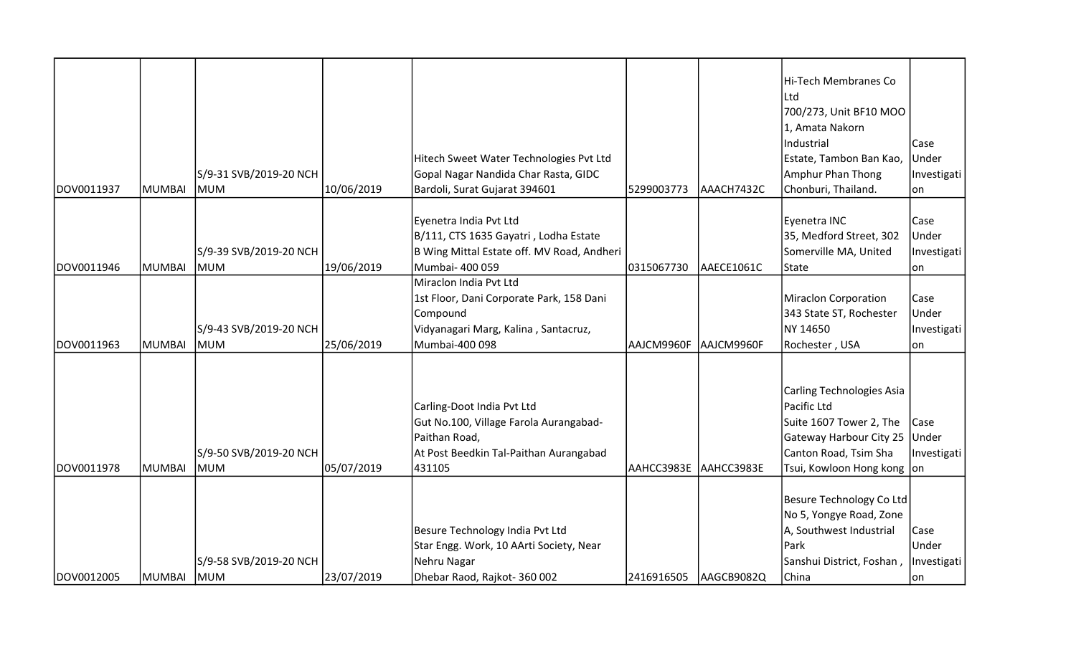|            |        |                        |            |                                            |            |            | Hi-Tech Membranes Co          |             |
|------------|--------|------------------------|------------|--------------------------------------------|------------|------------|-------------------------------|-------------|
|            |        |                        |            |                                            |            |            | Ltd                           |             |
|            |        |                        |            |                                            |            |            | 700/273, Unit BF10 MOO        |             |
|            |        |                        |            |                                            |            |            | 1, Amata Nakorn               |             |
|            |        |                        |            |                                            |            |            | Industrial                    | Case        |
|            |        |                        |            | Hitech Sweet Water Technologies Pvt Ltd    |            |            | Estate, Tambon Ban Kao,       | Under       |
|            |        | S/9-31 SVB/2019-20 NCH |            | Gopal Nagar Nandida Char Rasta, GIDC       |            |            | Amphur Phan Thong             | Investigati |
| DOV0011937 | MUMBAI | <b>MUM</b>             | 10/06/2019 | Bardoli, Surat Gujarat 394601              | 5299003773 | AAACH7432C | Chonburi, Thailand.           | on          |
|            |        |                        |            |                                            |            |            |                               |             |
|            |        |                        |            | Eyenetra India Pvt Ltd                     |            |            | Eyenetra INC                  | Case        |
|            |        |                        |            | B/111, CTS 1635 Gayatri, Lodha Estate      |            |            | 35, Medford Street, 302       | Under       |
|            |        | S/9-39 SVB/2019-20 NCH |            | B Wing Mittal Estate off. MV Road, Andheri |            |            | Somerville MA, United         | Investigati |
| DOV0011946 | MUMBAI | <b>MUM</b>             | 19/06/2019 | Mumbai- 400 059                            | 0315067730 | AAECE1061C | State                         | on          |
|            |        |                        |            | Miraclon India Pvt Ltd                     |            |            |                               |             |
|            |        |                        |            | 1st Floor, Dani Corporate Park, 158 Dani   |            |            | Miraclon Corporation          | Case        |
|            |        |                        |            | Compound                                   |            |            | 343 State ST, Rochester       | Under       |
|            |        | S/9-43 SVB/2019-20 NCH |            | Vidyanagari Marg, Kalina, Santacruz,       |            |            | NY 14650                      | Investigati |
| DOV0011963 | MUMBAI | <b>MUM</b>             | 25/06/2019 | Mumbai-400 098                             | AAJCM9960F | AAJCM9960F | Rochester, USA                | on          |
|            |        |                        |            |                                            |            |            |                               |             |
|            |        |                        |            |                                            |            |            |                               |             |
|            |        |                        |            |                                            |            |            | Carling Technologies Asia     |             |
|            |        |                        |            | Carling-Doot India Pvt Ltd                 |            |            | Pacific Ltd                   |             |
|            |        |                        |            | Gut No.100, Village Farola Aurangabad-     |            |            | Suite 1607 Tower 2, The       | Case        |
|            |        |                        |            | Paithan Road,                              |            |            | Gateway Harbour City 25 Under |             |
|            |        | S/9-50 SVB/2019-20 NCH |            | At Post Beedkin Tal-Paithan Aurangabad     |            |            | Canton Road, Tsim Sha         | Investigati |
| DOV0011978 | MUMBAI | <b>IMUM</b>            | 05/07/2019 | 431105                                     | AAHCC3983E | AAHCC3983E | Tsui, Kowloon Hong kong  on   |             |
|            |        |                        |            |                                            |            |            |                               |             |
|            |        |                        |            |                                            |            |            | Besure Technology Co Ltd      |             |
|            |        |                        |            |                                            |            |            | No 5, Yongye Road, Zone       |             |
|            |        |                        |            | Besure Technology India Pvt Ltd            |            |            | A, Southwest Industrial       | Case        |
|            |        |                        |            | Star Engg. Work, 10 AArti Society, Near    |            |            | Park                          | Under       |
|            |        | S/9-58 SVB/2019-20 NCH |            | Nehru Nagar                                |            |            | Sanshui District, Foshan,     | Investigati |
| DOV0012005 | MUMBAI | <b>MUM</b>             | 23/07/2019 | Dhebar Raod, Rajkot- 360 002               | 2416916505 | AAGCB9082Q | China                         | on          |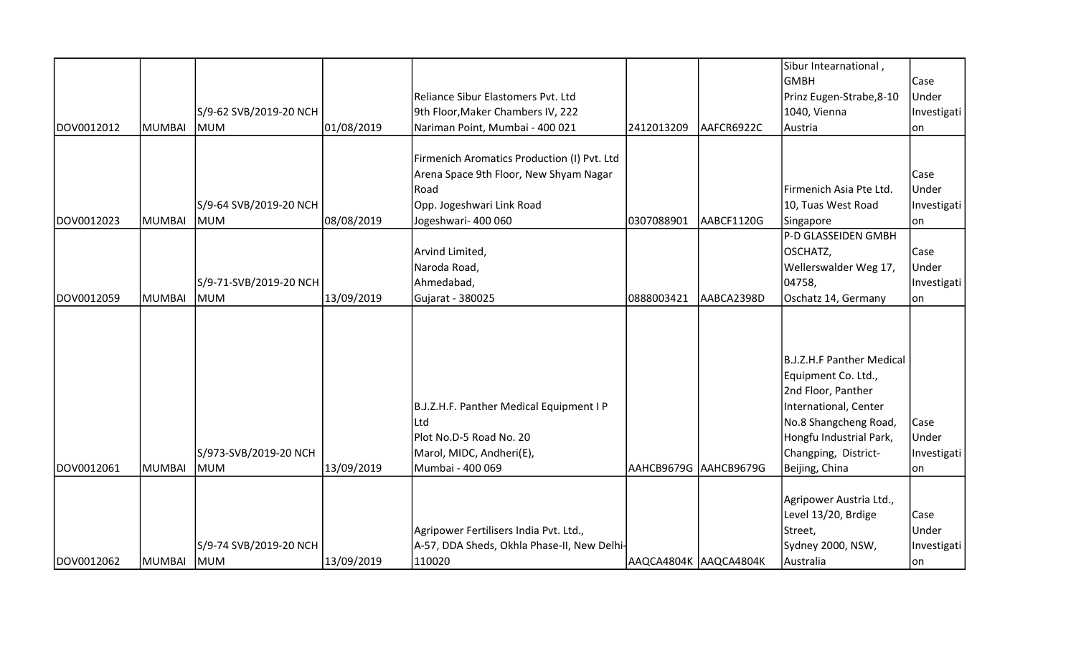|            |               |                        |            |                                             |                       |            | Sibur Intearnational,     |              |
|------------|---------------|------------------------|------------|---------------------------------------------|-----------------------|------------|---------------------------|--------------|
|            |               |                        |            |                                             |                       |            | lgmbh                     | Case         |
|            |               |                        |            | Reliance Sibur Elastomers Pvt. Ltd          |                       |            | Prinz Eugen-Strabe, 8-10  | Under        |
|            |               | S/9-62 SVB/2019-20 NCH |            | 9th Floor, Maker Chambers IV, 222           |                       |            | 1040, Vienna              | Investigati  |
| DOV0012012 | <b>MUMBAI</b> | IMUM                   | 01/08/2019 | Nariman Point, Mumbai - 400 021             | 2412013209            | AAFCR6922C | Austria                   | lon.         |
|            |               |                        |            |                                             |                       |            |                           |              |
|            |               |                        |            | Firmenich Aromatics Production (I) Pvt. Ltd |                       |            |                           |              |
|            |               |                        |            | Arena Space 9th Floor, New Shyam Nagar      |                       |            |                           | Case         |
|            |               |                        |            | Road                                        |                       |            | Firmenich Asia Pte Ltd.   | <b>Under</b> |
|            |               | S/9-64 SVB/2019-20 NCH |            | Opp. Jogeshwari Link Road                   |                       |            | 10, Tuas West Road        | Investigati  |
| DOV0012023 | <b>MUMBAI</b> | MUM                    | 08/08/2019 | Jogeshwari- 400 060                         | 0307088901            | AABCF1120G | Singapore                 | ∣on          |
|            |               |                        |            |                                             |                       |            | P-D GLASSEIDEN GMBH       |              |
|            |               |                        |            | Arvind Limited,                             |                       |            | OSCHATZ,                  | Case         |
|            |               |                        |            | Naroda Road,                                |                       |            | Wellerswalder Weg 17,     | Under        |
|            |               | S/9-71-SVB/2019-20 NCH |            | Ahmedabad,                                  |                       |            | 04758,                    | Investigati  |
| DOV0012059 | <b>MUMBAI</b> | <b>MUM</b>             | 13/09/2019 | Gujarat - 380025                            | 0888003421            | AABCA2398D | Oschatz 14, Germany       | on           |
|            |               |                        |            |                                             |                       |            |                           |              |
|            |               |                        |            |                                             |                       |            |                           |              |
|            |               |                        |            |                                             |                       |            | B.J.Z.H.F Panther Medical |              |
|            |               |                        |            |                                             |                       |            | Equipment Co. Ltd.,       |              |
|            |               |                        |            |                                             |                       |            | 2nd Floor, Panther        |              |
|            |               |                        |            | B.J.Z.H.F. Panther Medical Equipment I P    |                       |            | International, Center     |              |
|            |               |                        |            | Ltd                                         |                       |            | No.8 Shangcheng Road,     | Case         |
|            |               |                        |            | Plot No.D-5 Road No. 20                     |                       |            | Hongfu Industrial Park,   | Under        |
|            |               | S/973-SVB/2019-20 NCH  |            | Marol, MIDC, Andheri(E),                    |                       |            | Changping, District-      | Investigati  |
| DOV0012061 | MUMBAI        | MUM                    | 13/09/2019 | Mumbai - 400 069                            | AAHCB9679G AAHCB9679G |            | Beijing, China            | on           |
|            |               |                        |            |                                             |                       |            |                           |              |
|            |               |                        |            |                                             |                       |            | Agripower Austria Ltd.,   |              |
|            |               |                        |            |                                             |                       |            | Level 13/20, Brdige       | Case         |
|            |               |                        |            | Agripower Fertilisers India Pvt. Ltd.,      |                       |            | Street,                   | Under        |
|            |               | S/9-74 SVB/2019-20 NCH |            | A-57, DDA Sheds, Okhla Phase-II, New Delhi- |                       |            | Sydney 2000, NSW,         | Investigati  |
| DOV0012062 | <b>MUMBAI</b> | <b>MUM</b>             | 13/09/2019 | 110020                                      | AAQCA4804K AAQCA4804K |            | Australia                 | on           |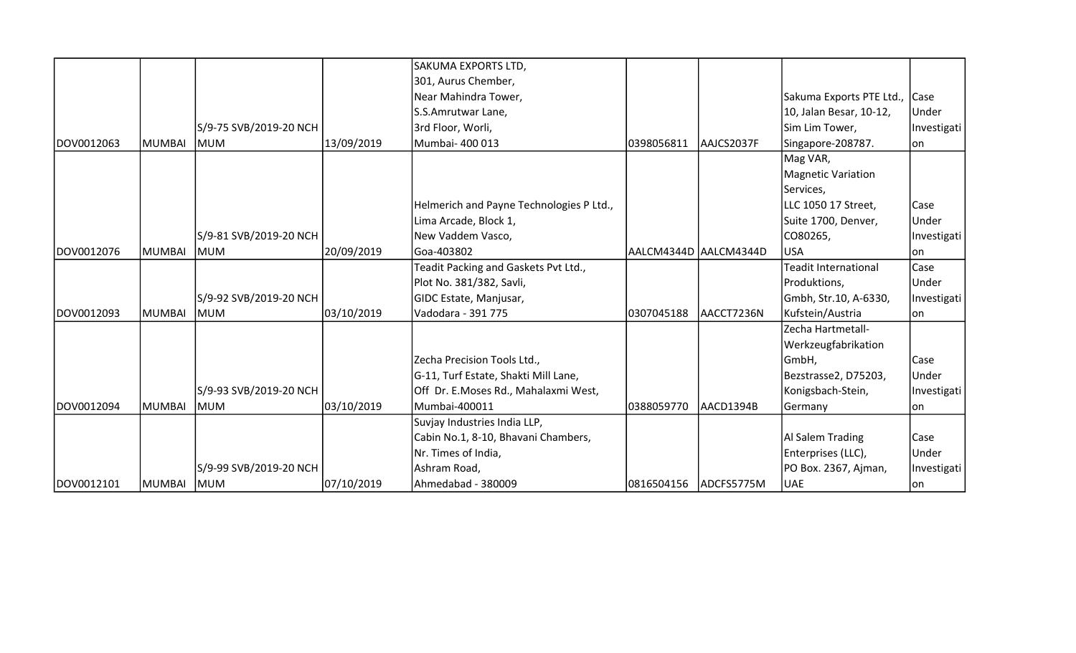|            |               |                        |            | SAKUMA EXPORTS LTD,                      |                       |            |                               |             |
|------------|---------------|------------------------|------------|------------------------------------------|-----------------------|------------|-------------------------------|-------------|
|            |               |                        |            | 301, Aurus Chember,                      |                       |            |                               |             |
|            |               |                        |            | Near Mahindra Tower,                     |                       |            | Sakuma Exports PTE Ltd., Case |             |
|            |               |                        |            | S.S.Amrutwar Lane,                       |                       |            | 10, Jalan Besar, 10-12,       | Under       |
|            |               | S/9-75 SVB/2019-20 NCH |            | 3rd Floor, Worli,                        |                       |            | Sim Lim Tower,                | Investigati |
| DOV0012063 | MUMBAI        | <b>MUM</b>             | 13/09/2019 | Mumbai- 400 013                          | 0398056811            | AAJCS2037F | Singapore-208787.             | lon.        |
|            |               |                        |            |                                          |                       |            | Mag VAR,                      |             |
|            |               |                        |            |                                          |                       |            | Magnetic Variation            |             |
|            |               |                        |            |                                          |                       |            | Services,                     |             |
|            |               |                        |            | Helmerich and Payne Technologies P Ltd., |                       |            | LLC 1050 17 Street,           | Case        |
|            |               |                        |            | Lima Arcade, Block 1,                    |                       |            | Suite 1700, Denver,           | Under       |
|            |               | S/9-81 SVB/2019-20 NCH |            | New Vaddem Vasco,                        |                       |            | CO80265,                      | Investigati |
| DOV0012076 | MUMBAI        | MUM                    | 20/09/2019 | Goa-403802                               | AALCM4344D AALCM4344D |            | <b>USA</b>                    | lon         |
|            |               |                        |            | Teadit Packing and Gaskets Pvt Ltd.,     |                       |            | <b>Teadit International</b>   | Case        |
|            |               |                        |            | Plot No. 381/382, Savli,                 |                       |            | Produktions,                  | Under       |
|            |               | S/9-92 SVB/2019-20 NCH |            | GIDC Estate, Manjusar,                   |                       |            | Gmbh, Str.10, A-6330,         | Investigati |
| DOV0012093 | <b>MUMBAI</b> | IMUM                   | 03/10/2019 | Vadodara - 391 775                       | 0307045188            | AACCT7236N | Kufstein/Austria              | lon         |
|            |               |                        |            |                                          |                       |            | Zecha Hartmetall-             |             |
|            |               |                        |            |                                          |                       |            | Werkzeugfabrikation           |             |
|            |               |                        |            | Zecha Precision Tools Ltd.,              |                       |            | GmbH,                         | Case        |
|            |               |                        |            | G-11, Turf Estate, Shakti Mill Lane,     |                       |            | Bezstrasse2, D75203,          | Under       |
|            |               | S/9-93 SVB/2019-20 NCH |            | Off Dr. E.Moses Rd., Mahalaxmi West,     |                       |            | Konigsbach-Stein,             | Investigati |
| DOV0012094 | MUMBAI        | lmum                   | 03/10/2019 | Mumbai-400011                            | 0388059770            | AACD1394B  | Germany                       | lon.        |
|            |               |                        |            | Suvjay Industries India LLP,             |                       |            |                               |             |
|            |               |                        |            | Cabin No.1, 8-10, Bhavani Chambers,      |                       |            | Al Salem Trading              | Case        |
|            |               |                        |            | Nr. Times of India,                      |                       |            | Enterprises (LLC),            | Under       |
|            |               | S/9-99 SVB/2019-20 NCH |            | Ashram Road,                             |                       |            | PO Box. 2367, Ajman,          | Investigati |
| DOV0012101 | <b>MUMBAI</b> | <b>IMUM</b>            | 07/10/2019 | Ahmedabad - 380009                       | 0816504156            | ADCFS5775M | <b>UAE</b>                    | lon         |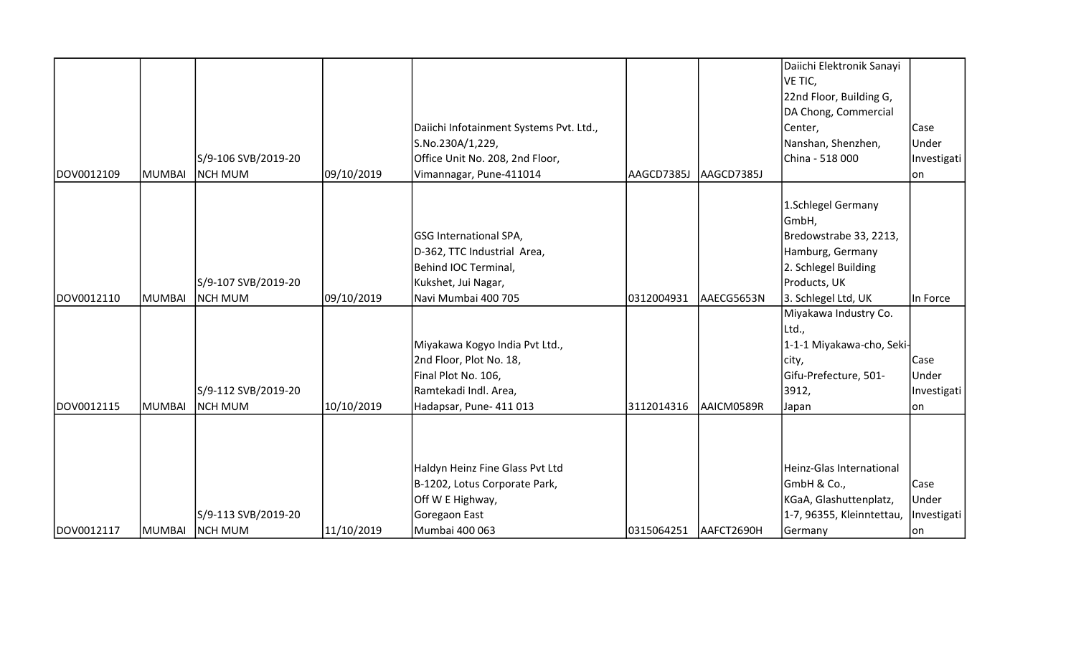|            |               |                     |            |                                         |            |            | Daiichi Elektronik Sanayi |             |
|------------|---------------|---------------------|------------|-----------------------------------------|------------|------------|---------------------------|-------------|
|            |               |                     |            |                                         |            |            | VE TIC,                   |             |
|            |               |                     |            |                                         |            |            | 22nd Floor, Building G,   |             |
|            |               |                     |            |                                         |            |            | DA Chong, Commercial      |             |
|            |               |                     |            | Daiichi Infotainment Systems Pvt. Ltd., |            |            | Center,                   | Case        |
|            |               |                     |            | S.No.230A/1,229,                        |            |            | Nanshan, Shenzhen,        | Under       |
|            |               | S/9-106 SVB/2019-20 |            | Office Unit No. 208, 2nd Floor,         |            |            | China - 518 000           | Investigati |
| DOV0012109 | <b>MUMBAI</b> | <b>NCH MUM</b>      | 09/10/2019 | Vimannagar, Pune-411014                 | AAGCD7385J | AAGCD7385J |                           | lon.        |
|            |               |                     |            |                                         |            |            | 1.Schlegel Germany        |             |
|            |               |                     |            |                                         |            |            | GmbH,                     |             |
|            |               |                     |            | GSG International SPA,                  |            |            | Bredowstrabe 33, 2213,    |             |
|            |               |                     |            | D-362, TTC Industrial Area,             |            |            | Hamburg, Germany          |             |
|            |               |                     |            | Behind IOC Terminal,                    |            |            | 2. Schlegel Building      |             |
|            |               | S/9-107 SVB/2019-20 |            | Kukshet, Jui Nagar,                     |            |            | Products, UK              |             |
| DOV0012110 | <b>MUMBAI</b> | <b>NCH MUM</b>      | 09/10/2019 | Navi Mumbai 400 705                     | 0312004931 | AAECG5653N | 3. Schlegel Ltd, UK       | In Force    |
|            |               |                     |            |                                         |            |            | Miyakawa Industry Co.     |             |
|            |               |                     |            |                                         |            |            | Ltd.,                     |             |
|            |               |                     |            | Miyakawa Kogyo India Pvt Ltd.,          |            |            | 1-1-1 Miyakawa-cho, Seki- |             |
|            |               |                     |            | 2nd Floor, Plot No. 18,                 |            |            | city,                     | Case        |
|            |               |                     |            | Final Plot No. 106,                     |            |            | Gifu-Prefecture, 501-     | Under       |
|            |               | S/9-112 SVB/2019-20 |            | Ramtekadi Indl. Area,                   |            |            | 3912,                     | Investigati |
| DOV0012115 | <b>MUMBAI</b> | Inch mum            | 10/10/2019 | Hadapsar, Pune- 411 013                 | 3112014316 | AAICM0589R | Japan                     | lon         |
|            |               |                     |            |                                         |            |            |                           |             |
|            |               |                     |            |                                         |            |            |                           |             |
|            |               |                     |            | Haldyn Heinz Fine Glass Pvt Ltd         |            |            | Heinz-Glas International  |             |
|            |               |                     |            | B-1202, Lotus Corporate Park,           |            |            | GmbH & Co.,               | Case        |
|            |               |                     |            | Off W E Highway,                        |            |            | KGaA, Glashuttenplatz,    | Under       |
|            |               | S/9-113 SVB/2019-20 |            | Goregaon East                           |            |            | 1-7, 96355, Kleinntettau, | Investigati |
| DOV0012117 | <b>MUMBAI</b> | <b>NCH MUM</b>      | 11/10/2019 | Mumbai 400 063                          | 0315064251 | AAFCT2690H | Germany                   | on          |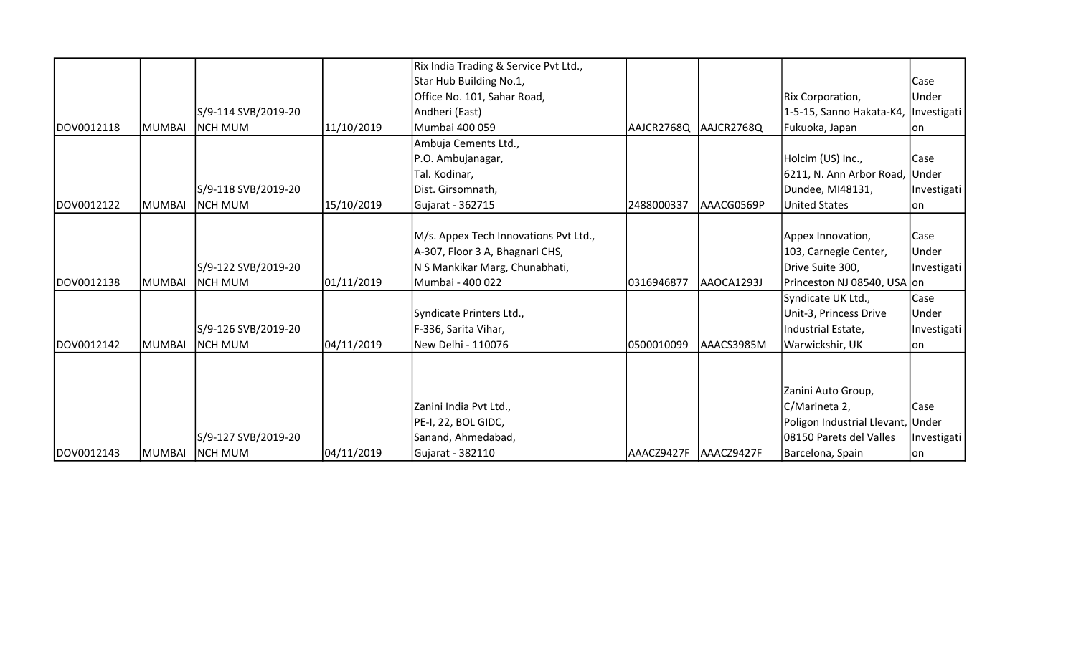|            |               |                     |            | Rix India Trading & Service Pvt Ltd., |            |            |                                      |             |
|------------|---------------|---------------------|------------|---------------------------------------|------------|------------|--------------------------------------|-------------|
|            |               |                     |            | Star Hub Building No.1,               |            |            |                                      | Case        |
|            |               |                     |            | Office No. 101, Sahar Road,           |            |            | Rix Corporation,                     | Under       |
|            |               | S/9-114 SVB/2019-20 |            | Andheri (East)                        |            |            | 1-5-15, Sanno Hakata-K4, Investigati |             |
| DOV0012118 | <b>MUMBAI</b> | <b>NCH MUM</b>      | 11/10/2019 | Mumbai 400 059                        | AAJCR2768Q | AAJCR2768Q | Fukuoka, Japan                       | lon         |
|            |               |                     |            | Ambuja Cements Ltd.,                  |            |            |                                      |             |
|            |               |                     |            | P.O. Ambujanagar,                     |            |            | Holcim (US) Inc.,                    | Case        |
|            |               |                     |            | Tal. Kodinar,                         |            |            | 6211, N. Ann Arbor Road, Under       |             |
|            |               | S/9-118 SVB/2019-20 |            | Dist. Girsomnath,                     |            |            | Dundee, MI48131,                     | Investigati |
| DOV0012122 | <b>MUMBAI</b> | <b>NCH MUM</b>      | 15/10/2019 | Gujarat - 362715                      | 2488000337 | AAACG0569P | <b>United States</b>                 | on          |
|            |               |                     |            |                                       |            |            |                                      |             |
|            |               |                     |            | M/s. Appex Tech Innovations Pvt Ltd., |            |            | Appex Innovation,                    | Case        |
|            |               |                     |            | A-307, Floor 3 A, Bhagnari CHS,       |            |            | 103, Carnegie Center,                | Under       |
|            |               | S/9-122 SVB/2019-20 |            | N S Mankikar Marg, Chunabhati,        |            |            | Drive Suite 300,                     | Investigati |
| DOV0012138 | <b>MUMBAI</b> | <b>NCH MUM</b>      | 01/11/2019 | Mumbai - 400 022                      | 0316946877 | AAOCA1293J | Princeston NJ 08540, USA on          |             |
|            |               |                     |            |                                       |            |            | Syndicate UK Ltd.,                   | Case        |
|            |               |                     |            | Syndicate Printers Ltd.,              |            |            | Unit-3, Princess Drive               | Under       |
|            |               | S/9-126 SVB/2019-20 |            | F-336, Sarita Vihar,                  |            |            | Industrial Estate,                   | Investigati |
| DOV0012142 | <b>MUMBAI</b> | <b>INCH MUM</b>     | 04/11/2019 | New Delhi - 110076                    | 0500010099 | AAACS3985M | Warwickshir, UK                      | lon         |
|            |               |                     |            |                                       |            |            |                                      |             |
|            |               |                     |            |                                       |            |            |                                      |             |
|            |               |                     |            |                                       |            |            | Zanini Auto Group,                   |             |
|            |               |                     |            | Zanini India Pvt Ltd.,                |            |            | C/Marineta 2,                        | Case        |
|            |               |                     |            | PE-I, 22, BOL GIDC,                   |            |            | Poligon Industrial Llevant, Under    |             |
|            |               | S/9-127 SVB/2019-20 |            | Sanand, Ahmedabad,                    |            |            | 08150 Parets del Valles              | Investigati |
| DOV0012143 | MUMBAI        | <b>NCH MUM</b>      | 04/11/2019 | Gujarat - 382110                      | AAACZ9427F | AAACZ9427F | Barcelona, Spain                     | lon         |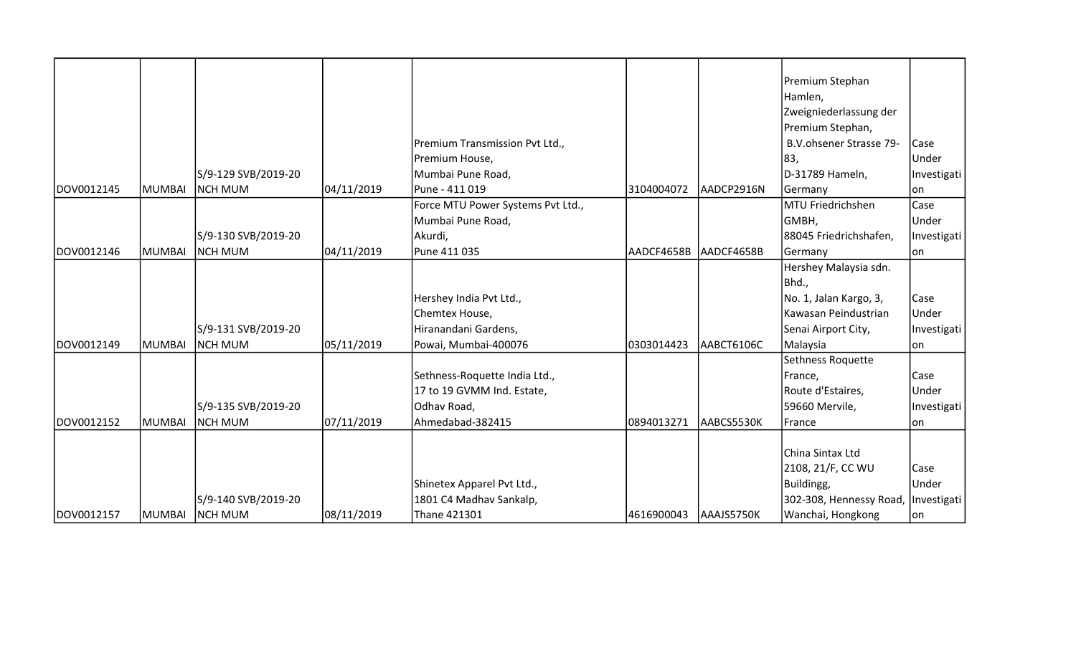|            |               |                     |            |                                   |                       |            | Premium Stephan         |             |
|------------|---------------|---------------------|------------|-----------------------------------|-----------------------|------------|-------------------------|-------------|
|            |               |                     |            |                                   |                       |            | Hamlen,                 |             |
|            |               |                     |            |                                   |                       |            | Zweigniederlassung der  |             |
|            |               |                     |            |                                   |                       |            | Premium Stephan,        |             |
|            |               |                     |            | Premium Transmission Pvt Ltd.,    |                       |            | B.V.ohsener Strasse 79- | Case        |
|            |               |                     |            | Premium House,                    |                       |            | 83,                     | Under       |
|            |               | S/9-129 SVB/2019-20 |            | Mumbai Pune Road,                 |                       |            | D-31789 Hameln,         | Investigati |
| DOV0012145 | <b>MUMBAI</b> | NCH MUM             | 04/11/2019 | Pune - 411 019                    | 3104004072            | AADCP2916N | Germany                 | lon         |
|            |               |                     |            | Force MTU Power Systems Pvt Ltd., |                       |            | MTU Friedrichshen       | Case        |
|            |               |                     |            | Mumbai Pune Road,                 |                       |            | GMBH,                   | Under       |
|            |               | S/9-130 SVB/2019-20 |            | Akurdi,                           |                       |            | 88045 Friedrichshafen,  | Investigati |
| DOV0012146 | <b>MUMBAI</b> | NCH MUM             | 04/11/2019 | Pune 411 035                      | AADCF4658B            | AADCF4658B | Germany                 | on          |
|            |               |                     |            |                                   |                       |            | Hershey Malaysia sdn.   |             |
|            |               |                     |            |                                   |                       |            | Bhd.,                   |             |
|            |               |                     |            | Hershey India Pvt Ltd.,           |                       |            | No. 1, Jalan Kargo, 3,  | Case        |
|            |               |                     |            | Chemtex House,                    |                       |            | Kawasan Peindustrian    | Under       |
|            |               | S/9-131 SVB/2019-20 |            | Hiranandani Gardens,              |                       |            | Senai Airport City,     | Investigati |
| DOV0012149 | <b>MUMBAI</b> | <b>NCH MUM</b>      | 05/11/2019 | Powai, Mumbai-400076              | 0303014423            | AABCT6106C | Malaysia                | on          |
|            |               |                     |            |                                   |                       |            | Sethness Roquette       |             |
|            |               |                     |            | Sethness-Roquette India Ltd.,     |                       |            | France,                 | Case        |
|            |               |                     |            | 17 to 19 GVMM Ind. Estate,        |                       |            | Route d'Estaires,       | Under       |
|            |               | S/9-135 SVB/2019-20 |            | Odhav Road,                       |                       |            | 59660 Mervile,          | Investigati |
| DOV0012152 | <b>MUMBAI</b> | Inch mum            | 07/11/2019 | Ahmedabad-382415                  | 0894013271            | AABCS5530K | France                  | on          |
|            |               |                     |            |                                   |                       |            |                         |             |
|            |               |                     |            |                                   |                       |            | China Sintax Ltd        |             |
|            |               |                     |            |                                   |                       |            | 2108, 21/F, CC WU       | Case        |
|            |               |                     |            | Shinetex Apparel Pvt Ltd.,        |                       |            | Buildingg,              | Under       |
|            |               | S/9-140 SVB/2019-20 |            | 1801 C4 Madhav Sankalp,           |                       |            | 302-308, Hennessy Road, | Investigati |
| DOV0012157 | <b>MUMBAI</b> | <b>NCH MUM</b>      | 08/11/2019 | Thane 421301                      | 4616900043 AAAJS5750K |            | Wanchai, Hongkong       | on          |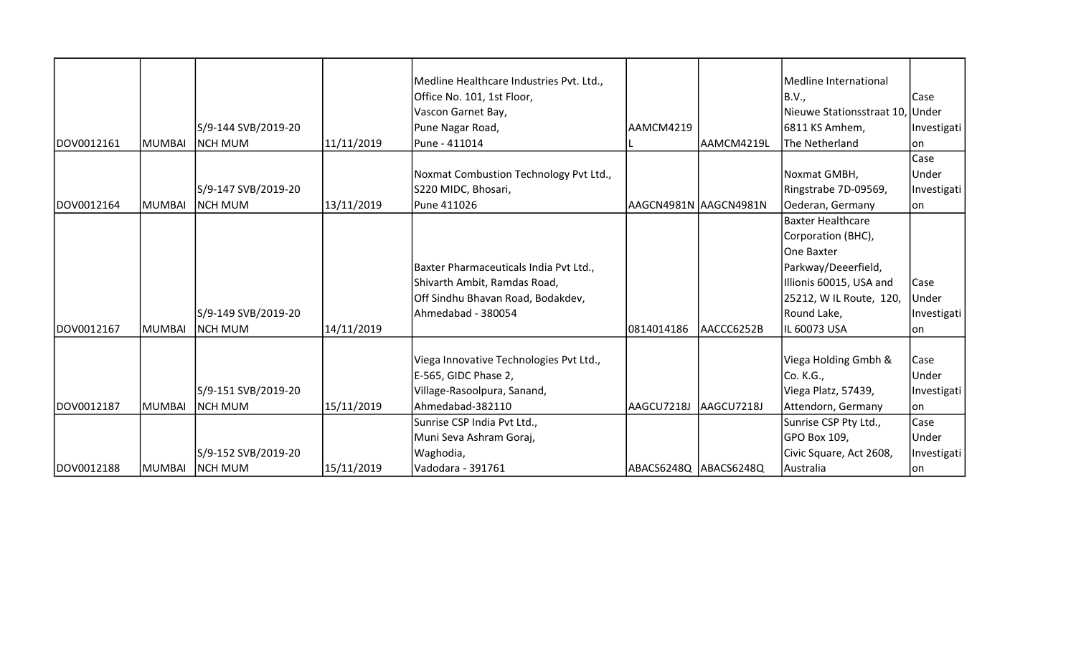|            |               |                     |            | Medline Healthcare Industries Pvt. Ltd., |                       |                       | Medline International           |              |
|------------|---------------|---------------------|------------|------------------------------------------|-----------------------|-----------------------|---------------------------------|--------------|
|            |               |                     |            | Office No. 101, 1st Floor,               |                       |                       | <b>B.V.,</b>                    | Case         |
|            |               |                     |            | Vascon Garnet Bay,                       |                       |                       | Nieuwe Stationsstraat 10, Under |              |
|            |               | S/9-144 SVB/2019-20 |            | Pune Nagar Road,                         | AAMCM4219             |                       | 6811 KS Amhem,                  | Investigati  |
| DOV0012161 | <b>MUMBAI</b> | <b>NCH MUM</b>      | 11/11/2019 | Pune - 411014                            |                       | AAMCM4219L            | The Netherland                  | lon          |
|            |               |                     |            |                                          |                       |                       |                                 | Case         |
|            |               |                     |            | Noxmat Combustion Technology Pvt Ltd.,   |                       |                       | Noxmat GMBH,                    | Under        |
|            |               | S/9-147 SVB/2019-20 |            | S220 MIDC, Bhosari,                      |                       |                       | Ringstrabe 7D-09569,            | Investigati  |
| DOV0012164 | <b>MUMBAI</b> | <b>INCH MUM</b>     | 13/11/2019 | Pune 411026                              |                       | AAGCN4981N AAGCN4981N | Oederan, Germany                | lon          |
|            |               |                     |            |                                          |                       |                       | <b>Baxter Healthcare</b>        |              |
|            |               |                     |            |                                          |                       |                       | Corporation (BHC),              |              |
|            |               |                     |            |                                          |                       |                       | One Baxter                      |              |
|            |               |                     |            | Baxter Pharmaceuticals India Pvt Ltd.,   |                       |                       | Parkway/Deeerfield,             |              |
|            |               |                     |            | Shivarth Ambit, Ramdas Road,             |                       |                       | Illionis 60015, USA and         | Case         |
|            |               |                     |            | Off Sindhu Bhavan Road, Bodakdev,        |                       |                       | 25212, W IL Route, 120,         | <b>Under</b> |
|            |               | S/9-149 SVB/2019-20 |            | Ahmedabad - 380054                       |                       |                       | Round Lake,                     | Investigati  |
| DOV0012167 | <b>MUMBAI</b> | Inch mum            | 14/11/2019 |                                          | 0814014186            | laaccc6252B           | IL 60073 USA                    | lon          |
|            |               |                     |            |                                          |                       |                       |                                 |              |
|            |               |                     |            | Viega Innovative Technologies Pvt Ltd.,  |                       |                       | Viega Holding Gmbh &            | Case         |
|            |               |                     |            | E-565, GIDC Phase 2,                     |                       |                       | Co. K.G.,                       | Under        |
|            |               | S/9-151 SVB/2019-20 |            | Village-Rasoolpura, Sanand,              |                       |                       | Viega Platz, 57439,             | Investigati  |
| DOV0012187 | <b>MUMBAI</b> | <b>INCH MUM</b>     | 15/11/2019 | Ahmedabad-382110                         | AAGCU7218J            | AAGCU7218J            | Attendorn, Germany              | lon          |
|            |               |                     |            | Sunrise CSP India Pvt Ltd.,              |                       |                       | Sunrise CSP Pty Ltd.,           | <b>Case</b>  |
|            |               |                     |            | Muni Seva Ashram Goraj,                  |                       |                       | GPO Box 109,                    | Under        |
|            |               | S/9-152 SVB/2019-20 |            | Waghodia,                                |                       |                       | Civic Square, Act 2608,         | Investigati  |
| DOV0012188 |               | MUMBAI NCH MUM      | 15/11/2019 | Vadodara - 391761                        | ABACS6248Q ABACS6248Q |                       | Australia                       | on           |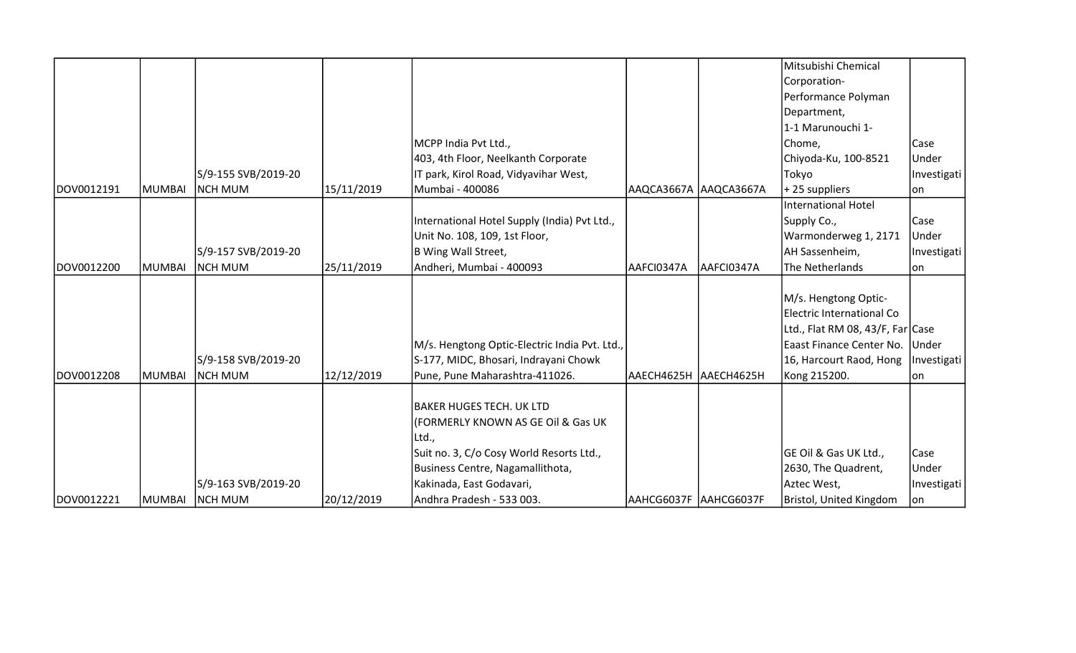|            |               |                     |            |                                               |                         |                       | Mitsubishi Chemical                   |             |
|------------|---------------|---------------------|------------|-----------------------------------------------|-------------------------|-----------------------|---------------------------------------|-------------|
|            |               |                     |            |                                               |                         |                       | Corporation-                          |             |
|            |               |                     |            |                                               |                         |                       | Performance Polyman                   |             |
|            |               |                     |            |                                               |                         |                       | Department,                           |             |
|            |               |                     |            |                                               |                         |                       | 1-1 Marunouchi 1-                     |             |
|            |               |                     |            | MCPP India Pvt Ltd.,                          |                         |                       | Chome,                                | Case        |
|            |               |                     |            | 403, 4th Floor, Neelkanth Corporate           |                         |                       | Chiyoda-Ku, 100-8521                  | Under       |
|            |               | S/9-155 SVB/2019-20 |            | IT park, Kirol Road, Vidyavihar West,         |                         |                       | Tokyo                                 | Investigati |
| DOV0012191 | <b>MUMBAI</b> | <b>NCH MUM</b>      | 15/11/2019 | Mumbai - 400086                               |                         | AAQCA3667A AAQCA3667A | +25 suppliers                         | lon         |
|            |               |                     |            |                                               |                         |                       | International Hotel                   |             |
|            |               |                     |            | International Hotel Supply (India) Pvt Ltd.,  |                         |                       | Supply Co.,                           | lCase       |
|            |               |                     |            | Unit No. 108, 109, 1st Floor,                 |                         |                       | Warmonderweg 1, 2171                  | Under       |
|            |               | S/9-157 SVB/2019-20 |            | B Wing Wall Street,                           |                         |                       | AH Sassenheim,                        | Investigati |
| DOV0012200 | MUMBAI        | <b>NCH MUM</b>      | 25/11/2019 | Andheri, Mumbai - 400093                      | AAFCI0347A              | AAFCI0347A            | The Netherlands                       | on          |
|            |               |                     |            |                                               |                         |                       |                                       |             |
|            |               |                     |            |                                               |                         |                       | M/s. Hengtong Optic-                  |             |
|            |               |                     |            |                                               |                         |                       | Electric International Co             |             |
|            |               |                     |            |                                               |                         |                       | Ltd., Flat RM 08, 43/F, Far Case      |             |
|            |               |                     |            | M/s. Hengtong Optic-Electric India Pvt. Ltd., |                         |                       | Eaast Finance Center No. Under        |             |
|            |               | S/9-158 SVB/2019-20 |            | S-177, MIDC, Bhosari, Indrayani Chowk         |                         |                       | 16, Harcourt Raod, Hong   Investigati |             |
| DOV0012208 | MUMBAI        | <b>NCH MUM</b>      | 12/12/2019 | Pune, Pune Maharashtra-411026.                | AAECH4625H   AAECH4625H |                       | Kong 215200.                          | on          |
|            |               |                     |            |                                               |                         |                       |                                       |             |
|            |               |                     |            | BAKER HUGES TECH. UK LTD                      |                         |                       |                                       |             |
|            |               |                     |            | (FORMERLY KNOWN AS GE OIl & Gas UK            |                         |                       |                                       |             |
|            |               |                     |            | Ltd.,                                         |                         |                       |                                       |             |
|            |               |                     |            | Suit no. 3, C/o Cosy World Resorts Ltd.,      |                         |                       | GE Oil & Gas UK Ltd.,                 | Case        |
|            |               |                     |            | Business Centre, Nagamallithota,              |                         |                       | 2630, The Quadrent,                   | Under       |
|            |               | S/9-163 SVB/2019-20 |            | Kakinada, East Godavari,                      |                         |                       | Aztec West,                           | Investigati |
| DOV0012221 | MUMBAI        | <b>NCH MUM</b>      | 20/12/2019 | Andhra Pradesh - 533 003.                     | AAHCG6037F AAHCG6037F   |                       | Bristol, United Kingdom               | on          |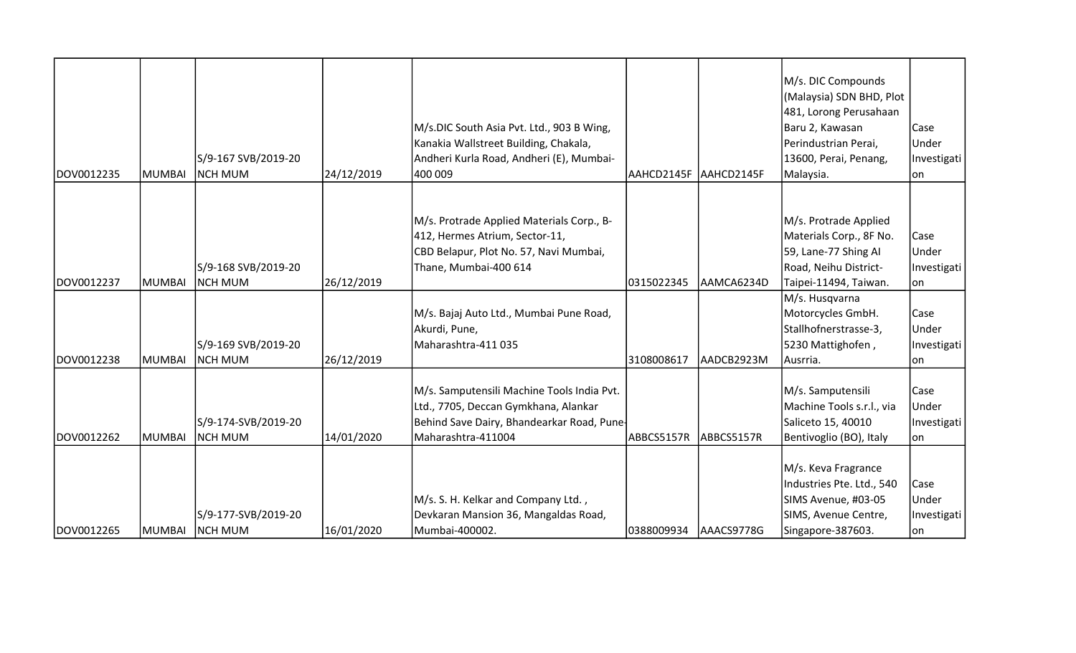| DOV0012235 | MUMBAI        | S/9-167 SVB/2019-20<br><b>NCH MUM</b> | 24/12/2019 | M/s.DIC South Asia Pvt. Ltd., 903 B Wing,<br>Kanakia Wallstreet Building, Chakala,<br>Andheri Kurla Road, Andheri (E), Mumbai-<br>400 009              | AAHCD2145F  AAHCD2145F |            | M/s. DIC Compounds<br>(Malaysia) SDN BHD, Plot<br>481, Lorong Perusahaan<br>Baru 2, Kawasan<br>Perindustrian Perai,<br>13600, Perai, Penang,<br>Malaysia. | Case<br>Under<br>Investigati<br>lon.        |
|------------|---------------|---------------------------------------|------------|--------------------------------------------------------------------------------------------------------------------------------------------------------|------------------------|------------|-----------------------------------------------------------------------------------------------------------------------------------------------------------|---------------------------------------------|
| DOV0012237 | <b>MUMBAI</b> | S/9-168 SVB/2019-20<br><b>NCH MUM</b> | 26/12/2019 | M/s. Protrade Applied Materials Corp., B-<br>412, Hermes Atrium, Sector-11,<br>CBD Belapur, Plot No. 57, Navi Mumbai,<br>Thane, Mumbai-400 614         | 0315022345             | AAMCA6234D | M/s. Protrade Applied<br>Materials Corp., 8F No.<br>59, Lane-77 Shing Al<br>Road, Neihu District-<br>Taipei-11494, Taiwan.                                | Case<br>Under<br>Investigati<br> on         |
| DOV0012238 | MUMBAI        | S/9-169 SVB/2019-20<br><b>NCH MUM</b> | 26/12/2019 | M/s. Bajaj Auto Ltd., Mumbai Pune Road,<br>Akurdi, Pune,<br>Maharashtra-411 035                                                                        | 3108008617             | AADCB2923M | M/s. Husqvarna<br>Motorcycles GmbH.<br>Stallhofnerstrasse-3,<br>5230 Mattighofen,<br>Ausrria.                                                             | <b>Case</b><br>Under<br>Investigati<br>lon. |
| DOV0012262 | MUMBAI        | S/9-174-SVB/2019-20<br><b>NCH MUM</b> | 14/01/2020 | M/s. Samputensili Machine Tools India Pvt.<br>Ltd., 7705, Deccan Gymkhana, Alankar<br>Behind Save Dairy, Bhandearkar Road, Pune-<br>Maharashtra-411004 | ABBCS5157R             | ABBCS5157R | M/s. Samputensili<br>Machine Tools s.r.l., via<br>Saliceto 15, 40010<br>Bentivoglio (BO), Italy                                                           | Case<br>Under<br>Investigati<br>lon.        |
| DOV0012265 | <b>MUMBAI</b> | S/9-177-SVB/2019-20<br><b>NCH MUM</b> | 16/01/2020 | M/s. S. H. Kelkar and Company Ltd.,<br>Devkaran Mansion 36, Mangaldas Road,<br>Mumbai-400002.                                                          | 0388009934             | AAACS9778G | M/s. Keva Fragrance<br>Industries Pte. Ltd., 540<br>SIMS Avenue, #03-05<br>SIMS, Avenue Centre,<br>Singapore-387603.                                      | Case<br>Under<br>Investigati<br>lon.        |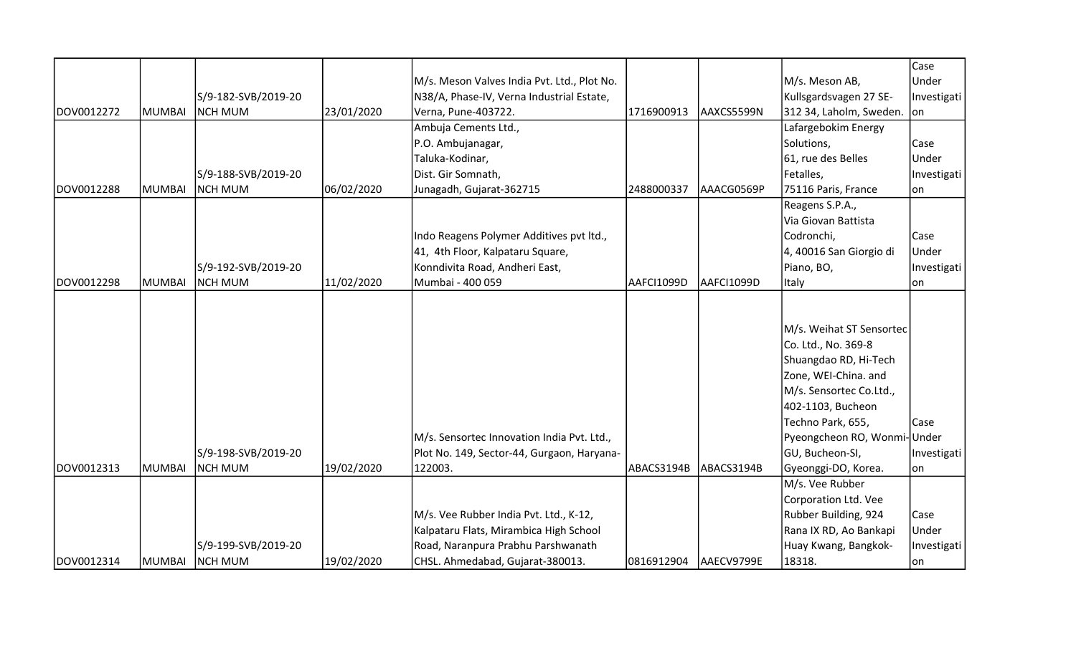|            |        |                     |            |                                             |            |            |                             | Case        |
|------------|--------|---------------------|------------|---------------------------------------------|------------|------------|-----------------------------|-------------|
|            |        |                     |            | M/s. Meson Valves India Pvt. Ltd., Plot No. |            |            | M/s. Meson AB,              | Under       |
|            |        | S/9-182-SVB/2019-20 |            | N38/A, Phase-IV, Verna Industrial Estate,   |            |            | Kullsgardsvagen 27 SE-      | Investigati |
| DOV0012272 | MUMBAI | NCH MUM             | 23/01/2020 | Verna, Pune-403722.                         | 1716900913 | AAXCS5599N | 312 34, Laholm, Sweden. on  |             |
|            |        |                     |            | Ambuja Cements Ltd.,                        |            |            | Lafargebokim Energy         |             |
|            |        |                     |            | P.O. Ambujanagar,                           |            |            | Solutions,                  | Case        |
|            |        |                     |            | Taluka-Kodinar,                             |            |            | 61, rue des Belles          | Under       |
|            |        | S/9-188-SVB/2019-20 |            | Dist. Gir Somnath,                          |            |            | Fetalles,                   | Investigati |
| DOV0012288 | MUMBAI | <b>NCH MUM</b>      | 06/02/2020 | Junagadh, Gujarat-362715                    | 2488000337 | AAACG0569P | 75116 Paris, France         | on          |
|            |        |                     |            |                                             |            |            | Reagens S.P.A.,             |             |
|            |        |                     |            |                                             |            |            | Via Giovan Battista         |             |
|            |        |                     |            | Indo Reagens Polymer Additives pvt ltd.,    |            |            | Codronchi,                  | Case        |
|            |        |                     |            | 41, 4th Floor, Kalpataru Square,            |            |            | 4, 40016 San Giorgio di     | Under       |
|            |        | S/9-192-SVB/2019-20 |            | Konndivita Road, Andheri East,              |            |            | Piano, BO,                  | Investigati |
| DOV0012298 | MUMBAI | Inch mum            | 11/02/2020 | Mumbai - 400 059                            | AAFCI1099D | AAFCI1099D | <b>Italy</b>                | lon         |
|            |        |                     |            |                                             |            |            |                             |             |
|            |        |                     |            |                                             |            |            |                             |             |
|            |        |                     |            |                                             |            |            | M/s. Weihat ST Sensortec    |             |
|            |        |                     |            |                                             |            |            | Co. Ltd., No. 369-8         |             |
|            |        |                     |            |                                             |            |            | Shuangdao RD, Hi-Tech       |             |
|            |        |                     |            |                                             |            |            | Zone, WEI-China. and        |             |
|            |        |                     |            |                                             |            |            | M/s. Sensortec Co.Ltd.,     |             |
|            |        |                     |            |                                             |            |            | 402-1103, Bucheon           |             |
|            |        |                     |            |                                             |            |            | Techno Park, 655,           | Case        |
|            |        |                     |            | M/s. Sensortec Innovation India Pvt. Ltd.,  |            |            | Pyeongcheon RO, Wonmi-Under |             |
|            |        | S/9-198-SVB/2019-20 |            | Plot No. 149, Sector-44, Gurgaon, Haryana-  |            |            | GU, Bucheon-SI,             | Investigati |
| DOV0012313 | MUMBAI | NCH MUM             | 19/02/2020 | 122003.                                     | ABACS3194B | ABACS3194B | Gyeonggi-DO, Korea.         | lon         |
|            |        |                     |            |                                             |            |            | M/s. Vee Rubber             |             |
|            |        |                     |            |                                             |            |            | Corporation Ltd. Vee        |             |
|            |        |                     |            | M/s. Vee Rubber India Pvt. Ltd., K-12,      |            |            | Rubber Building, 924        | Case        |
|            |        |                     |            | Kalpataru Flats, Mirambica High School      |            |            | Rana IX RD, Ao Bankapi      | Under       |
|            |        | S/9-199-SVB/2019-20 |            | Road, Naranpura Prabhu Parshwanath          |            |            | Huay Kwang, Bangkok-        | Investigati |
| DOV0012314 | MUMBAI | <b>NCH MUM</b>      | 19/02/2020 | CHSL. Ahmedabad, Gujarat-380013.            | 0816912904 | AAECV9799E | 18318.                      | on          |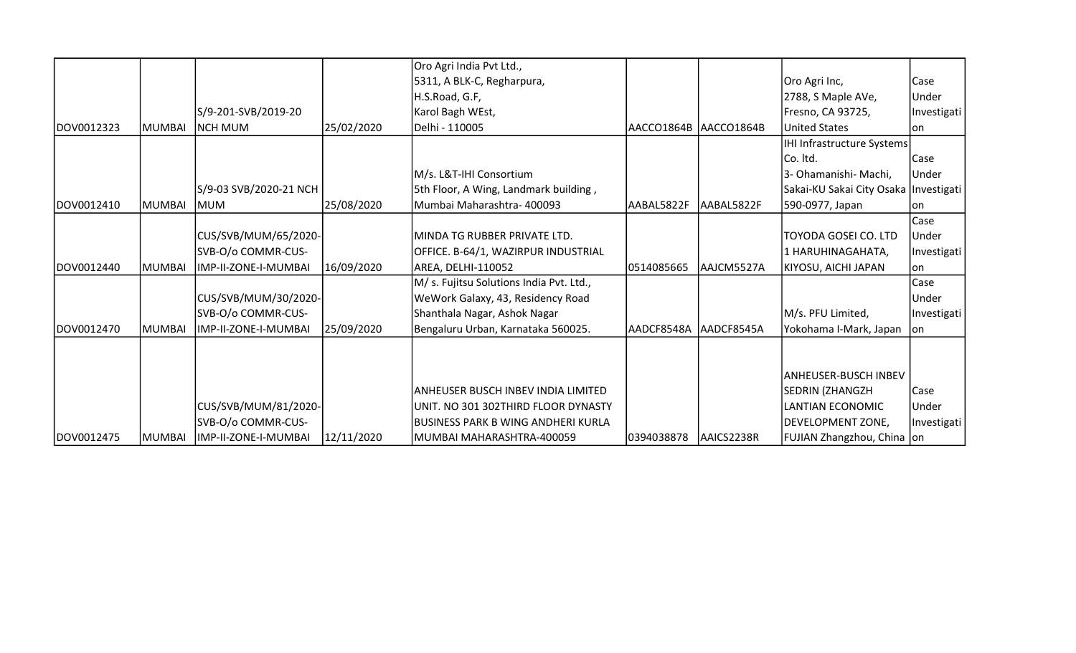|            |                |                              |            | Oro Agri India Pvt Ltd.,                  |                         |            |                                         |              |
|------------|----------------|------------------------------|------------|-------------------------------------------|-------------------------|------------|-----------------------------------------|--------------|
|            |                |                              |            | 5311, A BLK-C, Regharpura,                |                         |            | Oro Agri Inc,                           | Case         |
|            |                |                              |            | H.S.Road, G.F,                            |                         |            | 2788, S Maple AVe,                      | <b>Under</b> |
|            |                | S/9-201-SVB/2019-20          |            | Karol Bagh WEst,                          |                         |            | Fresno, CA 93725,                       | Investigati  |
| DOV0012323 | MUMBAI         | <b>NCH MUM</b>               | 25/02/2020 | Delhi - 110005                            | AACCO1864B   AACCO1864B |            | United States                           | lon          |
|            |                |                              |            |                                           |                         |            | IHI Infrastructure Systems              |              |
|            |                |                              |            |                                           |                         |            | Co. Itd.                                | Case         |
|            |                |                              |            | M/s. L&T-IHI Consortium                   |                         |            | 3- Ohamanishi- Machi,                   | <b>Under</b> |
|            |                | S/9-03 SVB/2020-21 NCH       |            | 5th Floor, A Wing, Landmark building,     |                         |            | Sakai-KU Sakai City Osaka   Investigati |              |
| DOV0012410 | <b>MUMBAI</b>  | <b>MUM</b>                   | 25/08/2020 | Mumbai Maharashtra- 400093                | AABAL5822F              | AABAL5822F | 590-0977, Japan                         | Ion          |
|            |                |                              |            |                                           |                         |            |                                         | Case         |
|            |                | CUS/SVB/MUM/65/2020-         |            | MINDA TG RUBBER PRIVATE LTD.              |                         |            | TOYODA GOSEI CO. LTD                    | <b>Under</b> |
|            |                | SVB-O/o COMMR-CUS-           |            | OFFICE. B-64/1, WAZIRPUR INDUSTRIAL       |                         |            | 1 HARUHINAGAHATA,                       | Investigati  |
| DOV0012440 | <b>IMUMBAI</b> | IMP-II-ZONE-I-MUMBAI         | 16/09/2020 | AREA, DELHI-110052                        | 0514085665              | AAJCM5527A | KIYOSU, AICHI JAPAN                     | lon          |
|            |                |                              |            | M/ s. Fujitsu Solutions India Pvt. Ltd.,  |                         |            |                                         | Case         |
|            |                | CUS/SVB/MUM/30/2020-         |            | WeWork Galaxy, 43, Residency Road         |                         |            |                                         | Under        |
|            |                | SVB-O/o COMMR-CUS-           |            | Shanthala Nagar, Ashok Nagar              |                         |            | M/s. PFU Limited,                       | Investigati  |
| DOV0012470 | <b>MUMBAI</b>  | IMP-II-ZONE-I-MUMBAI         | 25/09/2020 | Bengaluru Urban, Karnataka 560025.        | AADCF8548A              | AADCF8545A | Yokohama I-Mark, Japan                  | on           |
|            |                |                              |            |                                           |                         |            |                                         |              |
|            |                |                              |            |                                           |                         |            |                                         |              |
|            |                |                              |            |                                           |                         |            | ANHEUSER-BUSCH INBEV                    |              |
|            |                |                              |            | <b>ANHEUSER BUSCH INBEV INDIA LIMITED</b> |                         |            | SEDRIN (ZHANGZH                         | Case         |
|            |                | CUS/SVB/MUM/81/2020-         |            | UNIT. NO 301 302THIRD FLOOR DYNASTY       |                         |            | LANTIAN ECONOMIC                        | Under        |
|            |                | SVB-O/o COMMR-CUS-           |            | <b>BUSINESS PARK B WING ANDHERI KURLA</b> |                         |            | DEVELOPMENT ZONE,                       | Investigati  |
| DOV0012475 |                | MUMBAI  IMP-II-ZONE-I-MUMBAI | 12/11/2020 | MUMBAI MAHARASHTRA-400059                 | 0394038878              | AAICS2238R | FUJIAN Zhangzhou, China   on            |              |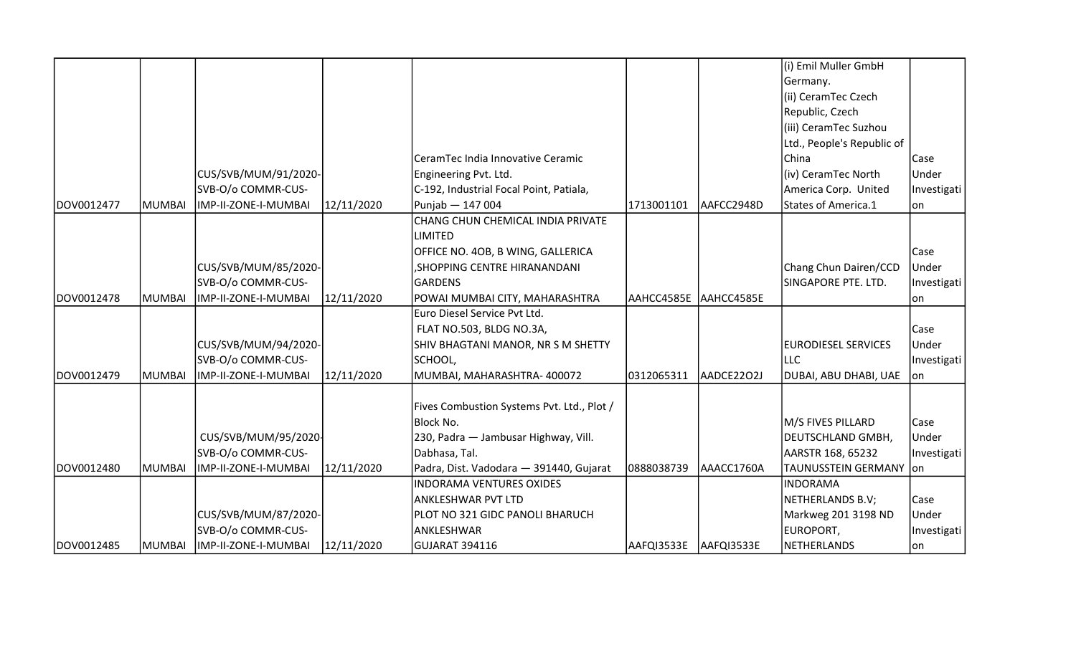|            |        |                      |            |                                            |                       |            | (i) Emil Muller GmbH       |             |
|------------|--------|----------------------|------------|--------------------------------------------|-----------------------|------------|----------------------------|-------------|
|            |        |                      |            |                                            |                       |            | Germany.                   |             |
|            |        |                      |            |                                            |                       |            | (ii) CeramTec Czech        |             |
|            |        |                      |            |                                            |                       |            | Republic, Czech            |             |
|            |        |                      |            |                                            |                       |            | (iii) CeramTec Suzhou      |             |
|            |        |                      |            |                                            |                       |            | Ltd., People's Republic of |             |
|            |        |                      |            | CeramTec India Innovative Ceramic          |                       |            | China                      | Case        |
|            |        | CUS/SVB/MUM/91/2020- |            | Engineering Pvt. Ltd.                      |                       |            | (iv) CeramTec North        | Under       |
|            |        | SVB-O/o COMMR-CUS-   |            | C-192, Industrial Focal Point, Patiala,    |                       |            | America Corp. United       | Investigati |
| DOV0012477 | MUMBAI | IMP-II-ZONE-I-MUMBAI | 12/11/2020 | Punjab - 147 004                           | 1713001101            | AAFCC2948D | States of America.1        | lon         |
|            |        |                      |            | CHANG CHUN CHEMICAL INDIA PRIVATE          |                       |            |                            |             |
|            |        |                      |            | LIMITED                                    |                       |            |                            |             |
|            |        |                      |            | OFFICE NO. 4OB, B WING, GALLERICA          |                       |            |                            | Case        |
|            |        | CUS/SVB/MUM/85/2020- |            | , SHOPPING CENTRE HIRANANDANI              |                       |            | Chang Chun Dairen/CCD      | Under       |
|            |        | SVB-O/o COMMR-CUS-   |            | GARDENS                                    |                       |            | SINGAPORE PTE. LTD.        | Investigati |
| DOV0012478 | MUMBAI | IMP-II-ZONE-I-MUMBAI | 12/11/2020 | POWAI MUMBAI CITY, MAHARASHTRA             | AAHCC4585E AAHCC4585E |            |                            | on          |
|            |        |                      |            | Euro Diesel Service Pvt Ltd.               |                       |            |                            |             |
|            |        |                      |            | FLAT NO.503, BLDG NO.3A,                   |                       |            |                            | Case        |
|            |        | CUS/SVB/MUM/94/2020- |            | SHIV BHAGTANI MANOR, NR S M SHETTY         |                       |            | <b>EURODIESEL SERVICES</b> | Under       |
|            |        | SVB-O/o COMMR-CUS-   |            | SCHOOL,                                    |                       |            | <b>LLC</b>                 | Investigati |
| DOV0012479 | MUMBAI | IMP-II-ZONE-I-MUMBAI | 12/11/2020 | MUMBAI, MAHARASHTRA-400072                 | 0312065311            | AADCE2202J | DUBAI, ABU DHABI, UAE      | on          |
|            |        |                      |            |                                            |                       |            |                            |             |
|            |        |                      |            | Fives Combustion Systems Pvt. Ltd., Plot / |                       |            |                            |             |
|            |        |                      |            | <b>Block No.</b>                           |                       |            | M/S FIVES PILLARD          | Case        |
|            |        | CUS/SVB/MUM/95/2020- |            | 230, Padra - Jambusar Highway, Vill.       |                       |            | <b>DEUTSCHLAND GMBH,</b>   | Under       |
|            |        | SVB-O/o COMMR-CUS-   |            | Dabhasa, Tal.                              |                       |            | AARSTR 168, 65232          | Investigati |
| DOV0012480 | MUMBAI | IMP-II-ZONE-I-MUMBAI | 12/11/2020 | Padra, Dist. Vadodara - 391440, Gujarat    | 0888038739            | AAACC1760A | TAUNUSSTEIN GERMANY   on   |             |
|            |        |                      |            | <b>INDORAMA VENTURES OXIDES</b>            |                       |            | <b>INDORAMA</b>            |             |
|            |        |                      |            | ANKLESHWAR PVT LTD                         |                       |            | NETHERLANDS B.V;           | Case        |
|            |        | CUS/SVB/MUM/87/2020- |            | PLOT NO 321 GIDC PANOLI BHARUCH            |                       |            | Markweg 201 3198 ND        | Under       |
|            |        | SVB-O/o COMMR-CUS-   |            | ANKLESHWAR                                 |                       |            | EUROPORT,                  | Investigati |
| DOV0012485 | MUMBAI | IMP-II-ZONE-I-MUMBAI | 12/11/2020 | GUJARAT 394116                             | AAFQI3533E            | AAFQI3533E | <b>NETHERLANDS</b>         | on          |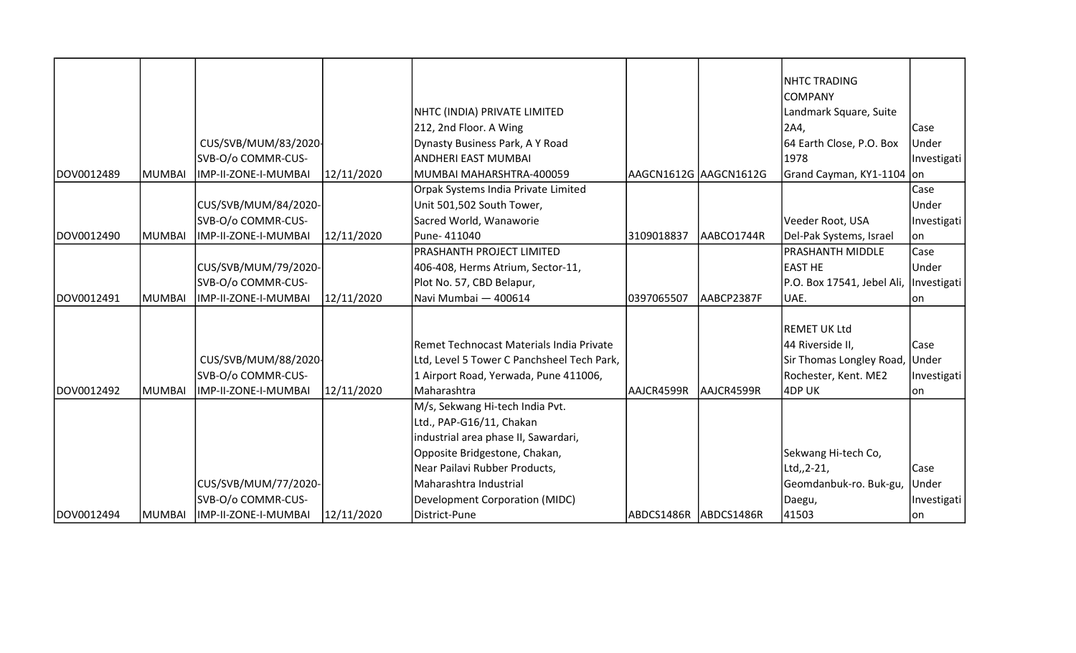|            |        |                      |            |                                            |                       |            | <b>NHTC TRADING</b>                    |             |
|------------|--------|----------------------|------------|--------------------------------------------|-----------------------|------------|----------------------------------------|-------------|
|            |        |                      |            |                                            |                       |            | <b>COMPANY</b>                         |             |
|            |        |                      |            | NHTC (INDIA) PRIVATE LIMITED               |                       |            | Landmark Square, Suite                 |             |
|            |        |                      |            | 212, 2nd Floor. A Wing                     |                       |            | 2A4,                                   | <b>Case</b> |
|            |        | CUS/SVB/MUM/83/2020- |            | Dynasty Business Park, A Y Road            |                       |            | 64 Earth Close, P.O. Box               | Under       |
|            |        | SVB-O/o COMMR-CUS-   |            | ANDHERI EAST MUMBAI                        |                       |            | 1978                                   | Investigati |
| DOV0012489 | MUMBAI | IMP-II-ZONE-I-MUMBAI | 12/11/2020 | MUMBAI MAHARSHTRA-400059                   | AAGCN1612G AAGCN1612G |            | Grand Cayman, KY1-1104 on              |             |
|            |        |                      |            | Orpak Systems India Private Limited        |                       |            |                                        | Case        |
|            |        | CUS/SVB/MUM/84/2020- |            | Unit 501,502 South Tower,                  |                       |            |                                        | Under       |
|            |        | SVB-O/o COMMR-CUS-   |            | Sacred World, Wanaworie                    |                       |            | Veeder Root, USA                       | Investigati |
| DOV0012490 | MUMBAI | IMP-II-ZONE-I-MUMBAI | 12/11/2020 | Pune-411040                                | 3109018837            | AABCO1744R | Del-Pak Systems, Israel                | lon         |
|            |        |                      |            | PRASHANTH PROJECT LIMITED                  |                       |            | PRASHANTH MIDDLE                       | Case        |
|            |        | CUS/SVB/MUM/79/2020- |            | 406-408, Herms Atrium, Sector-11,          |                       |            | <b>EAST HE</b>                         | Under       |
|            |        | SVB-O/o COMMR-CUS-   |            | Plot No. 57, CBD Belapur,                  |                       |            | P.O. Box 17541, Jebel Ali, Investigati |             |
| DOV0012491 | MUMBAI | IMP-II-ZONE-I-MUMBAI | 12/11/2020 | Navi Mumbai - 400614                       | 0397065507            | AABCP2387F | UAE.                                   | lon         |
|            |        |                      |            |                                            |                       |            |                                        |             |
|            |        |                      |            |                                            |                       |            | REMET UK Ltd                           |             |
|            |        |                      |            | Remet Technocast Materials India Private   |                       |            | 44 Riverside II,                       | Case        |
|            |        | CUS/SVB/MUM/88/2020- |            | Ltd, Level 5 Tower C Panchsheel Tech Park, |                       |            | Sir Thomas Longley Road, Under         |             |
|            |        | SVB-O/o COMMR-CUS-   |            | 1 Airport Road, Yerwada, Pune 411006,      |                       |            | Rochester, Kent. ME2                   | Investigati |
| DOV0012492 | MUMBAI | IMP-II-ZONE-I-MUMBAI | 12/11/2020 | Maharashtra                                | AAJCR4599R            | AAJCR4599R | 4DP UK                                 | lon         |
|            |        |                      |            | M/s, Sekwang Hi-tech India Pvt.            |                       |            |                                        |             |
|            |        |                      |            | Ltd., PAP-G16/11, Chakan                   |                       |            |                                        |             |
|            |        |                      |            | industrial area phase II, Sawardari,       |                       |            |                                        |             |
|            |        |                      |            | Opposite Bridgestone, Chakan,              |                       |            | Sekwang Hi-tech Co,                    |             |
|            |        |                      |            | Near Pailavi Rubber Products,              |                       |            | Ltd,,2-21,                             | <b>Case</b> |
|            |        | CUS/SVB/MUM/77/2020- |            | Maharashtra Industrial                     |                       |            | Geomdanbuk-ro. Buk-gu,                 | Under       |
|            |        | SVB-O/o COMMR-CUS-   |            | Development Corporation (MIDC)             |                       |            | Daegu,                                 | Investigati |
| DOV0012494 | MUMBAI | IMP-II-ZONE-I-MUMBAI | 12/11/2020 | District-Pune                              | ABDCS1486R ABDCS1486R |            | 41503                                  | on          |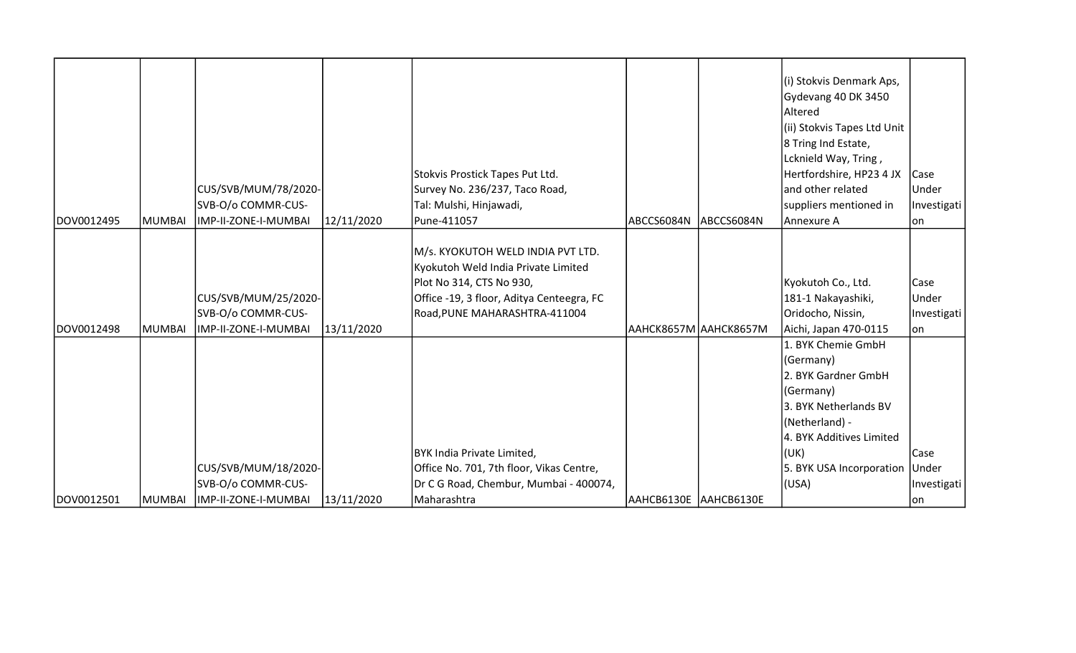| DOV0012495 | <b>MUMBAI</b> | CUS/SVB/MUM/78/2020-<br>SVB-O/o COMMR-CUS-<br>IMP-II-ZONE-I-MUMBAI | 12/11/2020 | Stokvis Prostick Tapes Put Ltd.<br>Survey No. 236/237, Taco Road,<br>Tal: Mulshi, Hinjawadi,<br>Pune-411057                                                                        | ABCCS6084N              | ABCCS6084N | (i) Stokvis Denmark Aps,<br>Gydevang 40 DK 3450<br>Altered<br>(ii) Stokvis Tapes Ltd Unit<br>8 Tring Ind Estate,<br>Lcknield Way, Tring,<br>Hertfordshire, HP23 4 JX<br>land other related<br>suppliers mentioned in<br>Annexure A | Case<br><b>Under</b><br>Investigati<br>lon |
|------------|---------------|--------------------------------------------------------------------|------------|------------------------------------------------------------------------------------------------------------------------------------------------------------------------------------|-------------------------|------------|------------------------------------------------------------------------------------------------------------------------------------------------------------------------------------------------------------------------------------|--------------------------------------------|
| DOV0012498 | MUMBAI        | CUS/SVB/MUM/25/2020-<br>SVB-O/o COMMR-CUS-<br>IMP-II-ZONE-I-MUMBAI | 13/11/2020 | M/s. KYOKUTOH WELD INDIA PVT LTD.<br>Kyokutoh Weld India Private Limited<br>Plot No 314, CTS No 930,<br>Office -19, 3 floor, Aditya Centeegra, FC<br>Road, PUNE MAHARASHTRA-411004 | ААНСК8657М   ААНСК8657М |            | Kyokutoh Co., Ltd.<br>181-1 Nakayashiki,<br>Oridocho, Nissin,<br>Aichi, Japan 470-0115                                                                                                                                             | Case<br>Under<br>Investigati<br>lon        |
|            |               |                                                                    |            | BYK India Private Limited,                                                                                                                                                         |                         |            | 1. BYK Chemie GmbH<br>(Germany)<br>2. BYK Gardner GmbH<br>(Germany)<br>3. BYK Netherlands BV<br>(Netherland) -<br>4. BYK Additives Limited<br>(UK)                                                                                 | Case                                       |
|            |               | CUS/SVB/MUM/18/2020-                                               |            | Office No. 701, 7th floor, Vikas Centre,                                                                                                                                           |                         |            | 5. BYK USA Incorporation Under                                                                                                                                                                                                     |                                            |
| DOV0012501 | MUMBAI        | SVB-O/o COMMR-CUS-<br>IMP-II-ZONE-I-MUMBAI                         | 13/11/2020 | Dr C G Road, Chembur, Mumbai - 400074,<br>Maharashtra                                                                                                                              | AAHCB6130E AAHCB6130E   |            | (USA)                                                                                                                                                                                                                              | Investigati<br> on                         |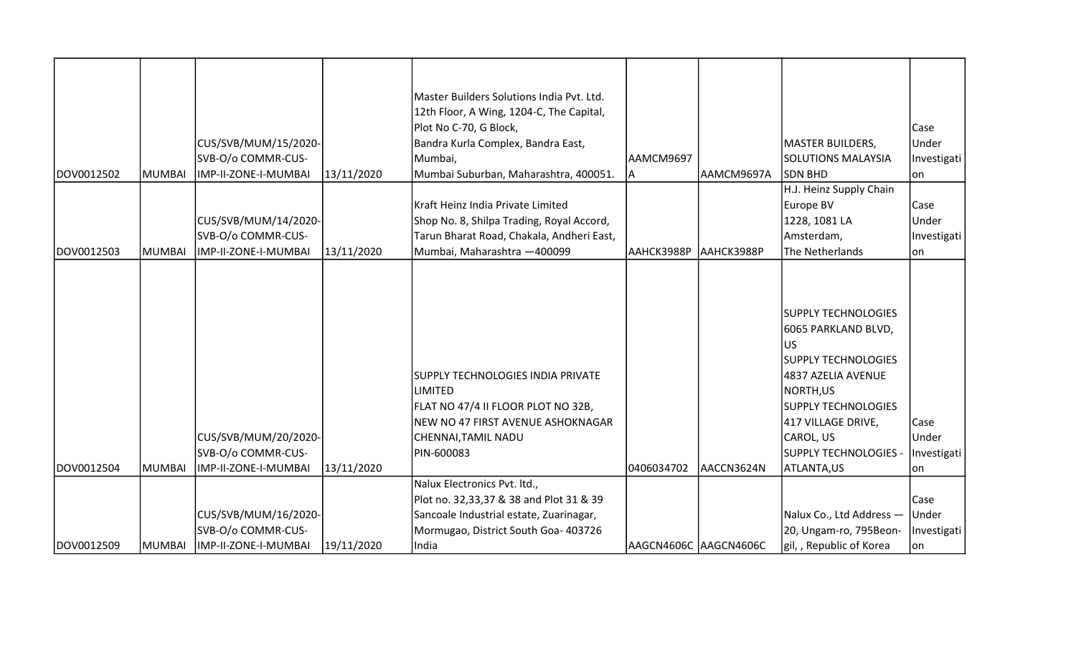| DOV0012502 | <b>MUMBAI</b> | CUS/SVB/MUM/15/2020-<br>SVB-O/o COMMR-CUS-<br>IMP-II-ZONE-I-MUMBAI | 13/11/2020 | Master Builders Solutions India Pvt. Ltd.<br>12th Floor, A Wing, 1204-C, The Capital,<br>Plot No C-70, G Block,<br>Bandra Kurla Complex, Bandra East,<br>Mumbai,<br>Mumbai Suburban, Maharashtra, 400051. | AAMCM9697<br>A | AAMCM9697A            | <b>MASTER BUILDERS,</b><br><b>SOLUTIONS MALAYSIA</b><br>ISDN BHD                                                                                                                                                                         | Case<br>Under<br>Investigati<br> on |
|------------|---------------|--------------------------------------------------------------------|------------|-----------------------------------------------------------------------------------------------------------------------------------------------------------------------------------------------------------|----------------|-----------------------|------------------------------------------------------------------------------------------------------------------------------------------------------------------------------------------------------------------------------------------|-------------------------------------|
| DOV0012503 | MUMBAI        | CUS/SVB/MUM/14/2020-<br>SVB-O/o COMMR-CUS-<br>IMP-II-ZONE-I-MUMBAI | 13/11/2020 | Kraft Heinz India Private Limited<br>Shop No. 8, Shilpa Trading, Royal Accord,<br>Tarun Bharat Road, Chakala, Andheri East,<br>Mumbai, Maharashtra - 400099                                               | AAHCK3988P     | AAHCK3988P            | H.J. Heinz Supply Chain<br>Europe BV<br>1228, 1081 LA<br>Amsterdam,<br>The Netherlands                                                                                                                                                   | Case<br>Under<br>Investigati<br>lon |
| DOV0012504 | MUMBAI        | CUS/SVB/MUM/20/2020-<br>SVB-O/o COMMR-CUS-<br>IMP-II-ZONE-I-MUMBAI | 13/11/2020 | <b>SUPPLY TECHNOLOGIES INDIA PRIVATE</b><br><b>LIMITED</b><br>FLAT NO 47/4 II FLOOR PLOT NO 32B,<br>NEW NO 47 FIRST AVENUE ASHOKNAGAR<br>CHENNAI,TAMIL NADU<br>PIN-600083                                 | 0406034702     | AACCN3624N            | <b>SUPPLY TECHNOLOGIES</b><br>6065 PARKLAND BLVD,<br><b>US</b><br><b>SUPPLY TECHNOLOGIES</b><br>4837 AZELIA AVENUE<br>NORTH, US<br><b>SUPPLY TECHNOLOGIES</b><br>417 VILLAGE DRIVE,<br>CAROL, US<br>SUPPLY TECHNOLOGIES -<br>ATLANTA, US | Case<br>Under<br>Investigati<br> on |
|            |               |                                                                    |            | Nalux Electronics Pvt. ltd.,                                                                                                                                                                              |                |                       |                                                                                                                                                                                                                                          |                                     |
|            |               |                                                                    |            | Plot no. 32,33,37 & 38 and Plot 31 & 39                                                                                                                                                                   |                |                       |                                                                                                                                                                                                                                          | Case                                |
|            |               | CUS/SVB/MUM/16/2020-                                               |            | Sancoale Industrial estate, Zuarinagar,                                                                                                                                                                   |                |                       | Nalux Co., Ltd Address - Under                                                                                                                                                                                                           |                                     |
|            |               | SVB-O/o COMMR-CUS-                                                 |            | Mormugao, District South Goa- 403726                                                                                                                                                                      |                |                       | 20, Ungam-ro, 795Beon-                                                                                                                                                                                                                   | Investigati                         |
| DOV0012509 | MUMBAI        | IMP-II-ZONE-I-MUMBAI                                               | 19/11/2020 | India                                                                                                                                                                                                     |                | AAGCN4606C AAGCN4606C | gil, , Republic of Korea                                                                                                                                                                                                                 | lon                                 |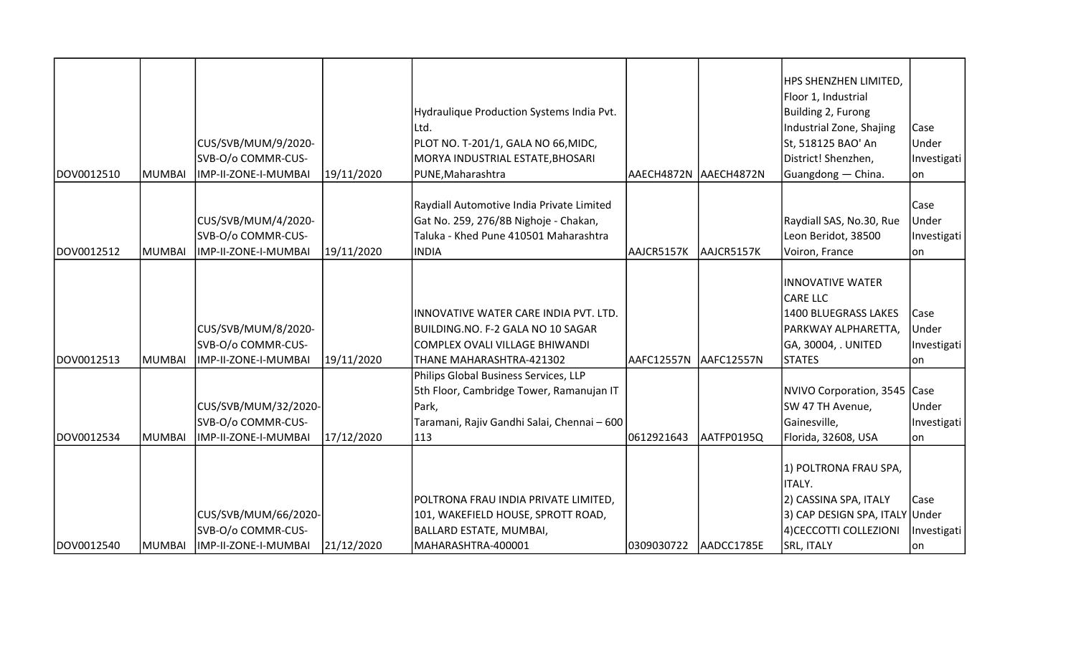| DOV0012510 | MUMBAI        | CUS/SVB/MUM/9/2020-<br>SVB-O/o COMMR-CUS-<br>IMP-II-ZONE-I-MUMBAI  | 19/11/2020 | Hydraulique Production Systems India Pvt.<br>Ltd.<br>PLOT NO. T-201/1, GALA NO 66, MIDC,<br>MORYA INDUSTRIAL ESTATE, BHOSARI<br>PUNE, Maharashtra | AAECH4872N AAECH4872N |            | HPS SHENZHEN LIMITED,<br>Floor 1, Industrial<br>Building 2, Furong<br>Industrial Zone, Shajing<br>St, 518125 BAO' An<br>District! Shenzhen,<br>Guangdong - China. | Case<br>Under<br>Investigati<br>lon. |
|------------|---------------|--------------------------------------------------------------------|------------|---------------------------------------------------------------------------------------------------------------------------------------------------|-----------------------|------------|-------------------------------------------------------------------------------------------------------------------------------------------------------------------|--------------------------------------|
| DOV0012512 | <b>MUMBAI</b> | CUS/SVB/MUM/4/2020-<br>SVB-O/o COMMR-CUS-<br>IMP-II-ZONE-I-MUMBAI  | 19/11/2020 | Raydiall Automotive India Private Limited<br>Gat No. 259, 276/8B Nighoje - Chakan,<br>Taluka - Khed Pune 410501 Maharashtra<br><b>INDIA</b>       | AAJCR5157K            | AAJCR5157K | Raydiall SAS, No.30, Rue<br>Leon Beridot, 38500<br>Voiron, France                                                                                                 | Case<br>Under<br>Investigati<br>lon  |
| DOV0012513 | MUMBAI        | CUS/SVB/MUM/8/2020-<br>SVB-O/o COMMR-CUS-<br>IMP-II-ZONE-I-MUMBAI  | 19/11/2020 | INNOVATIVE WATER CARE INDIA PVT. LTD.<br>BUILDING.NO. F-2 GALA NO 10 SAGAR<br>COMPLEX OVALI VILLAGE BHIWANDI<br>THANE MAHARASHTRA-421302          | AAFC12557N            | AAFC12557N | <b>INNOVATIVE WATER</b><br><b>CARE LLC</b><br><b>1400 BLUEGRASS LAKES</b><br>PARKWAY ALPHARETTA,<br>GA, 30004, . UNITED<br><b>STATES</b>                          | Case<br>Under<br>Investigati<br>lon  |
| DOV0012534 | <b>MUMBAI</b> | CUS/SVB/MUM/32/2020-<br>SVB-O/o COMMR-CUS-<br>IMP-II-ZONE-I-MUMBAI | 17/12/2020 | Philips Global Business Services, LLP<br>5th Floor, Cambridge Tower, Ramanujan IT<br>Park,<br>Taramani, Rajiv Gandhi Salai, Chennai - 600<br>113  | 0612921643            | AATFP0195Q | NVIVO Corporation, 3545 Case<br>SW 47 TH Avenue,<br>Gainesville,<br>Florida, 32608, USA                                                                           | Under<br>Investigati<br>lon.         |
| DOV0012540 | <b>MUMBAI</b> | CUS/SVB/MUM/66/2020-<br>SVB-O/o COMMR-CUS-<br>IMP-II-ZONE-I-MUMBAI | 21/12/2020 | POLTRONA FRAU INDIA PRIVATE LIMITED,<br>101, WAKEFIELD HOUSE, SPROTT ROAD,<br>BALLARD ESTATE, MUMBAI,<br>MAHARASHTRA-400001                       | 0309030722            | AADCC1785E | 1) POLTRONA FRAU SPA,<br>ITALY.<br>2) CASSINA SPA, ITALY<br>3) CAP DESIGN SPA, ITALY Under<br>4) CECCOTTI COLLEZIONI<br><b>SRL, ITALY</b>                         | Case<br>Investigati<br>lon           |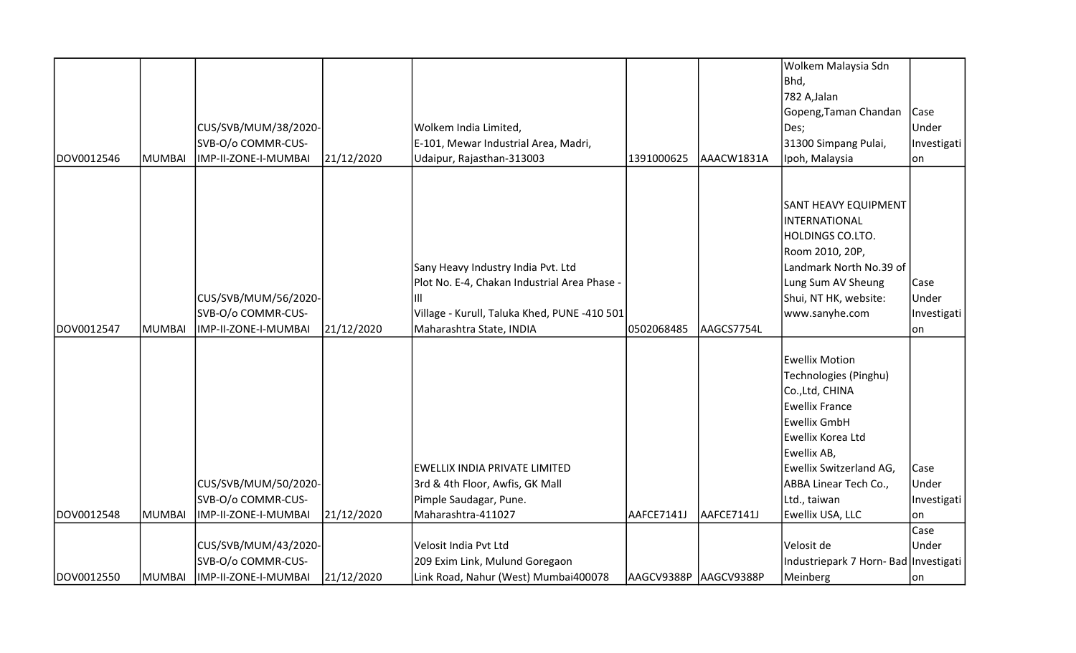|            |        |                      |            |                                              |                       |            | Wolkem Malaysia Sdn                   |               |
|------------|--------|----------------------|------------|----------------------------------------------|-----------------------|------------|---------------------------------------|---------------|
|            |        |                      |            |                                              |                       |            | Bhd,                                  |               |
|            |        |                      |            |                                              |                       |            | 782 A, Jalan                          |               |
|            |        |                      |            |                                              |                       |            | Gopeng, Taman Chandan                 | <b>Case</b>   |
|            |        | CUS/SVB/MUM/38/2020- |            | Wolkem India Limited,                        |                       |            | Des;                                  | Under         |
|            |        | SVB-O/o COMMR-CUS-   |            | E-101, Mewar Industrial Area, Madri,         |                       |            | 31300 Simpang Pulai,                  | Investigati   |
| DOV0012546 | MUMBAI | IMP-II-ZONE-I-MUMBAI | 21/12/2020 | Udaipur, Rajasthan-313003                    | 1391000625            | AAACW1831A | Ipoh, Malaysia                        | on            |
|            |        |                      |            |                                              |                       |            |                                       |               |
|            |        |                      |            |                                              |                       |            |                                       |               |
|            |        |                      |            |                                              |                       |            | <b>SANT HEAVY EQUIPMENT</b>           |               |
|            |        |                      |            |                                              |                       |            | INTERNATIONAL                         |               |
|            |        |                      |            |                                              |                       |            | <b>HOLDINGS CO.LTO.</b>               |               |
|            |        |                      |            |                                              |                       |            | Room 2010, 20P,                       |               |
|            |        |                      |            | Sany Heavy Industry India Pvt. Ltd           |                       |            | Landmark North No.39 of               |               |
|            |        |                      |            | Plot No. E-4, Chakan Industrial Area Phase   |                       |            | Lung Sum AV Sheung                    | Case          |
|            |        | CUS/SVB/MUM/56/2020- |            | ШI                                           |                       |            | Shui, NT HK, website:                 | Under         |
|            |        | SVB-O/o COMMR-CUS-   |            | Village - Kurull, Taluka Khed, PUNE -410 501 |                       |            | www.sanyhe.com                        | Investigati   |
| DOV0012547 | MUMBAI | IMP-II-ZONE-I-MUMBAI | 21/12/2020 | Maharashtra State, INDIA                     | 0502068485            | AAGCS7754L |                                       | on            |
|            |        |                      |            |                                              |                       |            |                                       |               |
|            |        |                      |            |                                              |                       |            | <b>Ewellix Motion</b>                 |               |
|            |        |                      |            |                                              |                       |            | Technologies (Pinghu)                 |               |
|            |        |                      |            |                                              |                       |            | Co., Ltd, CHINA                       |               |
|            |        |                      |            |                                              |                       |            | <b>Ewellix France</b>                 |               |
|            |        |                      |            |                                              |                       |            | <b>Ewellix GmbH</b>                   |               |
|            |        |                      |            |                                              |                       |            | Ewellix Korea Ltd                     |               |
|            |        |                      |            |                                              |                       |            | Ewellix AB,                           |               |
|            |        |                      |            | EWELLIX INDIA PRIVATE LIMITED                |                       |            | Ewellix Switzerland AG,               | Case          |
|            |        | CUS/SVB/MUM/50/2020- |            | 3rd & 4th Floor, Awfis, GK Mall              |                       |            | ABBA Linear Tech Co.,                 | Under         |
|            |        | SVB-O/o COMMR-CUS-   |            | Pimple Saudagar, Pune.                       |                       |            | Ltd., taiwan                          | Investigati   |
| DOV0012548 | MUMBAI | IMP-II-ZONE-I-MUMBAI | 21/12/2020 | Maharashtra-411027                           | AAFCE7141J            | AAFCE7141J | Ewellix USA, LLC                      | lon           |
|            |        |                      |            |                                              |                       |            |                                       | Case<br>Under |
|            |        | CUS/SVB/MUM/43/2020- |            | Velosit India Pvt Ltd                        |                       |            | Velosit de                            |               |
|            |        | SVB-O/o COMMR-CUS-   |            | 209 Exim Link, Mulund Goregaon               |                       |            | Industriepark 7 Horn- Bad Investigati |               |
| DOV0012550 | MUMBAI | IMP-II-ZONE-I-MUMBAI | 21/12/2020 | Link Road, Nahur (West) Mumbai400078         | AAGCV9388P AAGCV9388P |            | Meinberg                              | on            |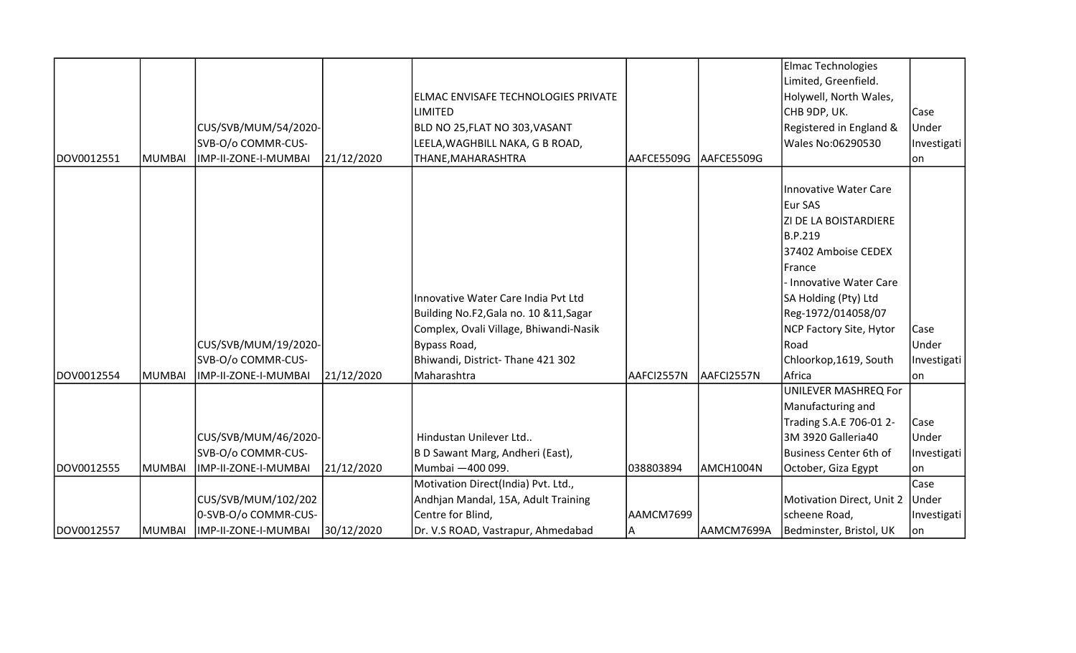|            |               |                                            |            |                                                                                                                                                                              |            |            | Elmac Technologies                                                                                                                                                                                                                                         |                              |
|------------|---------------|--------------------------------------------|------------|------------------------------------------------------------------------------------------------------------------------------------------------------------------------------|------------|------------|------------------------------------------------------------------------------------------------------------------------------------------------------------------------------------------------------------------------------------------------------------|------------------------------|
|            |               |                                            |            |                                                                                                                                                                              |            |            | Limited, Greenfield.                                                                                                                                                                                                                                       |                              |
|            |               |                                            |            | ELMAC ENVISAFE TECHNOLOGIES PRIVATE                                                                                                                                          |            |            | Holywell, North Wales,                                                                                                                                                                                                                                     |                              |
|            |               |                                            |            | LIMITED                                                                                                                                                                      |            |            | CHB 9DP, UK.                                                                                                                                                                                                                                               | Case                         |
|            |               | CUS/SVB/MUM/54/2020-                       |            | BLD NO 25, FLAT NO 303, VASANT                                                                                                                                               |            |            | Registered in England &                                                                                                                                                                                                                                    | Under                        |
|            |               | SVB-O/o COMMR-CUS-                         |            | LEELA, WAGHBILL NAKA, G B ROAD,                                                                                                                                              |            |            | <b>Wales No:06290530</b>                                                                                                                                                                                                                                   | Investigati                  |
| DOV0012551 | <b>MUMBAI</b> | IMP-II-ZONE-I-MUMBAI                       | 21/12/2020 | THANE, MAHARASHTRA                                                                                                                                                           | AAFCE5509G | AAFCE5509G |                                                                                                                                                                                                                                                            | lon                          |
|            |               | CUS/SVB/MUM/19/2020-<br>SVB-O/o COMMR-CUS- |            | Innovative Water Care India Pvt Ltd<br>Building No.F2, Gala no. 10 & 11, Sagar<br>Complex, Ovali Village, Bhiwandi-Nasik<br>Bypass Road,<br>Bhiwandi, District-Thane 421 302 |            |            | Innovative Water Care<br>Eur SAS<br><b>ZI DE LA BOISTARDIERE</b><br>B.P.219<br>37402 Amboise CEDEX<br><b>IFrance</b><br>- Innovative Water Care<br>SA Holding (Pty) Ltd<br>Reg-1972/014058/07<br>NCP Factory Site, Hytor<br>Road<br>Chloorkop, 1619, South | Case<br>Under<br>Investigati |
| DOV0012554 | <b>MUMBAI</b> | IMP-II-ZONE-I-MUMBAI                       | 21/12/2020 | Maharashtra                                                                                                                                                                  | AAFCI2557N | AAFCI2557N | Africa                                                                                                                                                                                                                                                     | lon                          |
|            |               |                                            |            |                                                                                                                                                                              |            |            | UNILEVER MASHREQ For                                                                                                                                                                                                                                       |                              |
|            |               |                                            |            |                                                                                                                                                                              |            |            | Manufacturing and                                                                                                                                                                                                                                          |                              |
|            |               |                                            |            |                                                                                                                                                                              |            |            | Trading S.A.E 706-01 2-                                                                                                                                                                                                                                    | Case                         |
|            |               | CUS/SVB/MUM/46/2020-                       |            | Hindustan Unilever Ltd                                                                                                                                                       |            |            | 3M 3920 Galleria40                                                                                                                                                                                                                                         | Under                        |
|            |               | SVB-O/o COMMR-CUS-                         |            | B D Sawant Marg, Andheri (East),                                                                                                                                             |            |            | Business Center 6th of                                                                                                                                                                                                                                     | Investigati                  |
| DOV0012555 | <b>MUMBAI</b> | IMP-II-ZONE-I-MUMBAI                       | 21/12/2020 | Mumbai -400 099.                                                                                                                                                             | 038803894  | AMCH1004N  | October, Giza Egypt                                                                                                                                                                                                                                        | lon                          |
|            |               |                                            |            | Motivation Direct(India) Pvt. Ltd.,                                                                                                                                          |            |            |                                                                                                                                                                                                                                                            | Case                         |
|            |               | CUS/SVB/MUM/102/202                        |            | Andhjan Mandal, 15A, Adult Training                                                                                                                                          |            |            | Motivation Direct, Unit 2                                                                                                                                                                                                                                  | Under                        |
|            |               | 0-SVB-O/o COMMR-CUS-                       |            | Centre for Blind,                                                                                                                                                            | AAMCM7699  |            | scheene Road,                                                                                                                                                                                                                                              | Investigati                  |
| DOV0012557 | <b>MUMBAI</b> | IMP-II-ZONE-I-MUMBAI                       | 30/12/2020 | Dr. V.S ROAD, Vastrapur, Ahmedabad                                                                                                                                           | A          | AAMCM7699A | Bedminster, Bristol, UK                                                                                                                                                                                                                                    | on                           |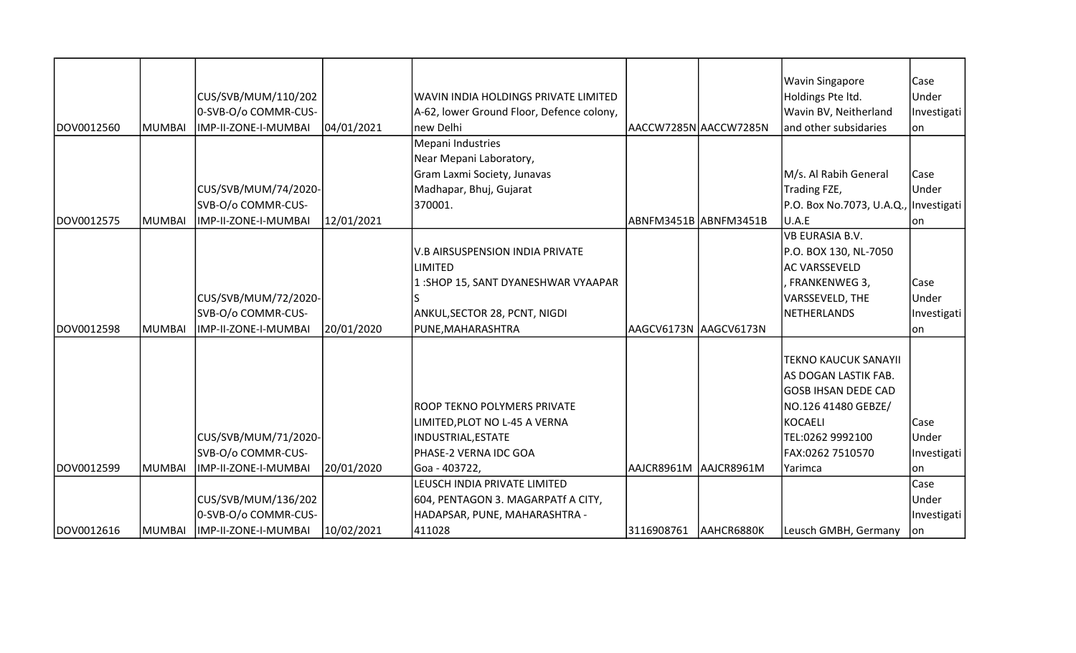|            |        |                      |            |                                           |                       |                       | <b>Wavin Singapore</b>                | Case        |
|------------|--------|----------------------|------------|-------------------------------------------|-----------------------|-----------------------|---------------------------------------|-------------|
|            |        | CUS/SVB/MUM/110/202  |            | WAVIN INDIA HOLDINGS PRIVATE LIMITED      |                       |                       | Holdings Pte Itd.                     | Under       |
|            |        | 0-SVB-O/o COMMR-CUS- |            | A-62, lower Ground Floor, Defence colony, |                       |                       | Wavin BV, Neitherland                 | Investigati |
| DOV0012560 | MUMBAI | IMP-II-ZONE-I-MUMBAI | 04/01/2021 | new Delhi                                 |                       | AACCW7285N AACCW7285N | and other subsidaries                 | on          |
|            |        |                      |            | Mepani Industries                         |                       |                       |                                       |             |
|            |        |                      |            | Near Mepani Laboratory,                   |                       |                       |                                       |             |
|            |        |                      |            | Gram Laxmi Society, Junavas               |                       |                       | M/s. Al Rabih General                 | Case        |
|            |        | CUS/SVB/MUM/74/2020- |            | Madhapar, Bhuj, Gujarat                   |                       |                       | Trading FZE,                          | Under       |
|            |        | SVB-O/o COMMR-CUS-   |            | 370001.                                   |                       |                       | P.O. Box No.7073, U.A.Q., Investigati |             |
| DOV0012575 | MUMBAI | IMP-II-ZONE-I-MUMBAI | 12/01/2021 |                                           | ABNFM3451B ABNFM3451B |                       | U.A.E                                 | lon         |
|            |        |                      |            |                                           |                       |                       | <b>VB EURASIA B.V.</b>                |             |
|            |        |                      |            | <b>V.B AIRSUSPENSION INDIA PRIVATE</b>    |                       |                       | P.O. BOX 130, NL-7050                 |             |
|            |        |                      |            | <b>LIMITED</b>                            |                       |                       | <b>AC VARSSEVELD</b>                  |             |
|            |        |                      |            | 1: SHOP 15, SANT DYANESHWAR VYAAPAR       |                       |                       | FRANKENWEG 3,                         | Case        |
|            |        | CUS/SVB/MUM/72/2020- |            |                                           |                       |                       | VARSSEVELD, THE                       | Under       |
|            |        | SVB-O/o COMMR-CUS-   |            | ANKUL, SECTOR 28, PCNT, NIGDI             |                       |                       | NETHERLANDS                           | Investigati |
| DOV0012598 | MUMBAI | IMP-II-ZONE-I-MUMBAI | 20/01/2020 | PUNE, MAHARASHTRA                         | AAGCV6173N AAGCV6173N |                       |                                       | on          |
|            |        |                      |            |                                           |                       |                       |                                       |             |
|            |        |                      |            |                                           |                       |                       | <b>TEKNO KAUCUK SANAYII</b>           |             |
|            |        |                      |            |                                           |                       |                       | AS DOGAN LASTIK FAB.                  |             |
|            |        |                      |            |                                           |                       |                       | <b>GOSB IHSAN DEDE CAD</b>            |             |
|            |        |                      |            | ROOP TEKNO POLYMERS PRIVATE               |                       |                       | NO.126 41480 GEBZE/                   |             |
|            |        |                      |            | LIMITED, PLOT NO L-45 A VERNA             |                       |                       | KOCAELI                               | Case        |
|            |        | CUS/SVB/MUM/71/2020- |            | <b>INDUSTRIAL, ESTATE</b>                 |                       |                       | TEL:0262 9992100                      | Under       |
|            |        | SVB-O/o COMMR-CUS-   |            | PHASE-2 VERNA IDC GOA                     |                       |                       | FAX:0262 7510570                      | Investigati |
| DOV0012599 | MUMBAI | IMP-II-ZONE-I-MUMBAI | 20/01/2020 | Goa - 403722,                             | AAJCR8961M AAJCR8961M |                       | Yarimca                               | on          |
|            |        |                      |            | LEUSCH INDIA PRIVATE LIMITED              |                       |                       |                                       | Case        |
|            |        | CUS/SVB/MUM/136/202  |            | 604, PENTAGON 3. MAGARPATf A CITY,        |                       |                       |                                       | Under       |
|            |        | 0-SVB-O/o COMMR-CUS- |            | HADAPSAR, PUNE, MAHARASHTRA -             |                       |                       |                                       | Investigati |
| DOV0012616 | MUMBAI | IMP-II-ZONE-I-MUMBAI | 10/02/2021 | 411028                                    | 3116908761 AAHCR6880K |                       | Leusch GMBH, Germany                  | on          |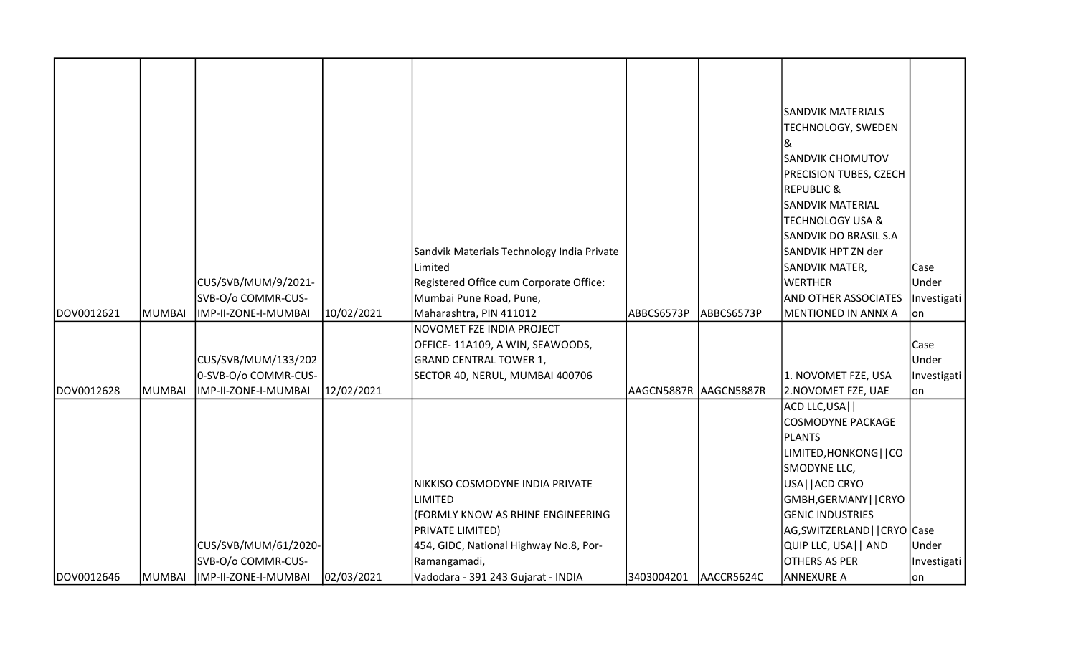|            |        |                      |            |                                            |                       |            | <b>SANDVIK MATERIALS</b>     |             |
|------------|--------|----------------------|------------|--------------------------------------------|-----------------------|------------|------------------------------|-------------|
|            |        |                      |            |                                            |                       |            | TECHNOLOGY, SWEDEN           |             |
|            |        |                      |            |                                            |                       |            | &                            |             |
|            |        |                      |            |                                            |                       |            | <b>SANDVIK CHOMUTOV</b>      |             |
|            |        |                      |            |                                            |                       |            | PRECISION TUBES, CZECH       |             |
|            |        |                      |            |                                            |                       |            | <b>REPUBLIC &amp;</b>        |             |
|            |        |                      |            |                                            |                       |            | <b>SANDVIK MATERIAL</b>      |             |
|            |        |                      |            |                                            |                       |            | <b>TECHNOLOGY USA &amp;</b>  |             |
|            |        |                      |            |                                            |                       |            | <b>SANDVIK DO BRASIL S.A</b> |             |
|            |        |                      |            | Sandvik Materials Technology India Private |                       |            | SANDVIK HPT ZN der           |             |
|            |        |                      |            | Limited                                    |                       |            | SANDVIK MATER,               | Case        |
|            |        | CUS/SVB/MUM/9/2021-  |            | Registered Office cum Corporate Office:    |                       |            | <b>WERTHER</b>               | Under       |
|            |        | SVB-O/o COMMR-CUS-   |            | Mumbai Pune Road, Pune,                    |                       |            | <b>AND OTHER ASSOCIATES</b>  | Investigati |
| DOV0012621 | MUMBAI | IMP-II-ZONE-I-MUMBAI | 10/02/2021 | Maharashtra, PIN 411012                    | ABBCS6573P            | ABBCS6573P | <b>MENTIONED IN ANNX A</b>   | lon         |
|            |        |                      |            | NOVOMET FZE INDIA PROJECT                  |                       |            |                              |             |
|            |        |                      |            | OFFICE-11A109, A WIN, SEAWOODS,            |                       |            |                              | Case        |
|            |        | CUS/SVB/MUM/133/202  |            | <b>GRAND CENTRAL TOWER 1,</b>              |                       |            |                              | Under       |
|            |        | 0-SVB-O/o COMMR-CUS- |            | SECTOR 40, NERUL, MUMBAI 400706            |                       |            | 1. NOVOMET FZE, USA          | Investigati |
| DOV0012628 | MUMBAI | IMP-II-ZONE-I-MUMBAI | 12/02/2021 |                                            | AAGCN5887R AAGCN5887R |            | 2.NOVOMET FZE, UAE           | lon         |
|            |        |                      |            |                                            |                       |            | ACD LLC, USA                 |             |
|            |        |                      |            |                                            |                       |            | <b>COSMODYNE PACKAGE</b>     |             |
|            |        |                      |            |                                            |                       |            | PLANTS                       |             |
|            |        |                      |            |                                            |                       |            | LIMITED, HONKONG     CO      |             |
|            |        |                      |            |                                            |                       |            | SMODYNE LLC,                 |             |
|            |        |                      |            | NIKKISO COSMODYNE INDIA PRIVATE            |                       |            | USA    ACD CRYO              |             |
|            |        |                      |            | <b>LIMITED</b>                             |                       |            | GMBH, GERMANY     CRYO       |             |
|            |        |                      |            | (FORMLY KNOW AS RHINE ENGINEERING          |                       |            | <b>GENIC INDUSTRIES</b>      |             |
|            |        |                      |            | PRIVATE LIMITED)                           |                       |            | AG,SWITZERLAND  CRYO Case    |             |
|            |        | CUS/SVB/MUM/61/2020- |            | 454, GIDC, National Highway No.8, Por-     |                       |            | QUIP LLC, USA   AND          | Under       |
|            |        | SVB-O/o COMMR-CUS-   |            | Ramangamadi,                               |                       |            | OTHERS AS PER                | Investigati |
| DOV0012646 | MUMBAI | IMP-II-ZONE-I-MUMBAI | 02/03/2021 | Vadodara - 391 243 Gujarat - INDIA         | 3403004201            | AACCR5624C | <b>ANNEXURE A</b>            | lon         |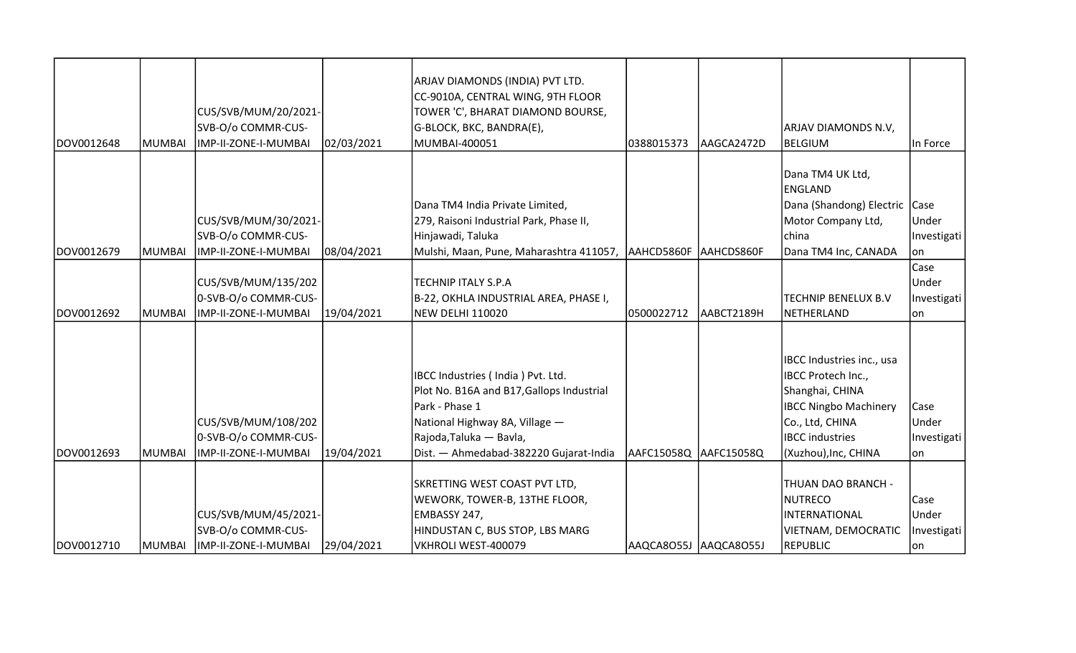| DOV0012648 | MUMBAI        | CUS/SVB/MUM/20/2021-<br>SVB-O/o COMMR-CUS-<br>IMP-II-ZONE-I-MUMBAI  | 02/03/2021 | ARJAV DIAMONDS (INDIA) PVT LTD.<br>CC-9010A, CENTRAL WING, 9TH FLOOR<br>TOWER 'C', BHARAT DIAMOND BOURSE,<br>G-BLOCK, BKC, BANDRA(E),<br>MUMBAI-400051                                                  | 0388015373            | AAGCA2472D | ARJAV DIAMONDS N.V,<br><b>BELGIUM</b>                                                                                                                                   | In Force                             |
|------------|---------------|---------------------------------------------------------------------|------------|---------------------------------------------------------------------------------------------------------------------------------------------------------------------------------------------------------|-----------------------|------------|-------------------------------------------------------------------------------------------------------------------------------------------------------------------------|--------------------------------------|
| DOV0012679 | MUMBAI        | CUS/SVB/MUM/30/2021-<br>SVB-O/o COMMR-CUS-<br>IMP-II-ZONE-I-MUMBAI  | 08/04/2021 | Dana TM4 India Private Limited,<br>279, Raisoni Industrial Park, Phase II,<br>Hinjawadi, Taluka<br>Mulshi, Maan, Pune, Maharashtra 411057, AAHCD5860F AAHCDS860F                                        |                       |            | Dana TM4 UK Ltd,<br><b>ENGLAND</b><br>Dana (Shandong) Electric<br>Motor Company Ltd,<br>china<br>Dana TM4 Inc, CANADA                                                   | Case<br>Under<br>Investigati<br>on   |
| DOV0012692 | IMUMBAI       | CUS/SVB/MUM/135/202<br>0-SVB-O/o COMMR-CUS-<br>IMP-II-ZONE-I-MUMBAI | 19/04/2021 | <b>TECHNIP ITALY S.P.A</b><br>B-22, OKHLA INDUSTRIAL AREA, PHASE I,<br><b>NEW DELHI 110020</b>                                                                                                          | 0500022712            | AABCT2189H | <b>TECHNIP BENELUX B.V</b><br>NETHERLAND                                                                                                                                | Case<br>Under<br>Investigati<br>lon. |
| DOV0012693 | <b>MUMBAI</b> | CUS/SVB/MUM/108/202<br>0-SVB-O/o COMMR-CUS-<br>IMP-II-ZONE-I-MUMBAI | 19/04/2021 | IBCC Industries (India) Pvt. Ltd.<br>Plot No. B16A and B17, Gallops Industrial<br>Park - Phase 1<br>National Highway 8A, Village -<br>Rajoda, Taluka — Bavla,<br>Dist. - Ahmedabad-382220 Gujarat-India | AAFC15058Q AAFC15058Q |            | IBCC Industries inc., usa<br>IBCC Protech Inc.,<br>Shanghai, CHINA<br><b>IBCC Ningbo Machinery</b><br>Co., Ltd, CHINA<br><b>IBCC</b> industries<br>(Xuzhou), Inc, CHINA | Case<br>Under<br>Investigati<br>lon  |
| DOV0012710 | MUMBAI        | CUS/SVB/MUM/45/2021-<br>SVB-O/o COMMR-CUS-<br>IMP-II-ZONE-I-MUMBAI  | 29/04/2021 | SKRETTING WEST COAST PVT LTD,<br>WEWORK, TOWER-B, 13THE FLOOR,<br>EMBASSY 247,<br>HINDUSTAN C, BUS STOP, LBS MARG<br>VKHROLI WEST-400079                                                                | AAQCA8O55J AAQCA8O55J |            | THUAN DAO BRANCH -<br><b>NUTRECO</b><br><b>INTERNATIONAL</b><br>VIETNAM, DEMOCRATIC<br><b>REPUBLIC</b>                                                                  | Case<br>Under<br>Investigati<br> on  |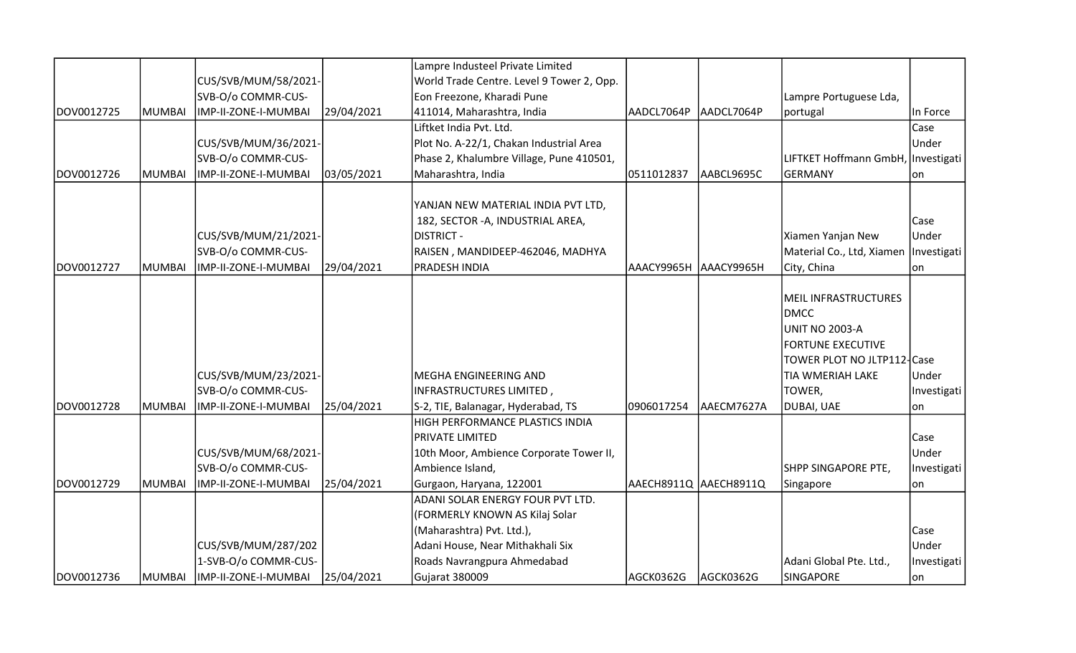|            |         |                      |            | Lampre Industeel Private Limited          |                       |            |                                         |             |
|------------|---------|----------------------|------------|-------------------------------------------|-----------------------|------------|-----------------------------------------|-------------|
|            |         | CUS/SVB/MUM/58/2021- |            | World Trade Centre. Level 9 Tower 2, Opp. |                       |            |                                         |             |
|            |         | SVB-O/o COMMR-CUS-   |            | Eon Freezone, Kharadi Pune                |                       |            | Lampre Portuguese Lda,                  |             |
| DOV0012725 | MUMBAI  | IMP-II-ZONE-I-MUMBAI | 29/04/2021 | 411014, Maharashtra, India                | AADCL7064P            | AADCL7064P | portugal                                | In Force    |
|            |         |                      |            | Liftket India Pvt. Ltd.                   |                       |            |                                         | Case        |
|            |         | CUS/SVB/MUM/36/2021- |            | Plot No. A-22/1, Chakan Industrial Area   |                       |            |                                         | Under       |
|            |         | SVB-O/o COMMR-CUS-   |            | Phase 2, Khalumbre Village, Pune 410501,  |                       |            | LIFTKET Hoffmann GmbH,   Investigati    |             |
| DOV0012726 | IMUMBAI | IMP-II-ZONE-I-MUMBAI | 03/05/2021 | Maharashtra, India                        | 0511012837            | AABCL9695C | <b>GERMANY</b>                          | lon         |
|            |         |                      |            |                                           |                       |            |                                         |             |
|            |         |                      |            | YANJAN NEW MATERIAL INDIA PVT LTD,        |                       |            |                                         |             |
|            |         |                      |            | 182, SECTOR - A, INDUSTRIAL AREA,         |                       |            |                                         | Case        |
|            |         | CUS/SVB/MUM/21/2021- |            | <b>DISTRICT -</b>                         |                       |            | Xiamen Yanjan New                       | Under       |
|            |         | SVB-O/o COMMR-CUS-   |            | RAISEN, MANDIDEEP-462046, MADHYA          |                       |            | Material Co., Ltd, Xiamen   Investigati |             |
| DOV0012727 | MUMBAI  | IMP-II-ZONE-I-MUMBAI | 29/04/2021 | <b>PRADESH INDIA</b>                      | AAACY9965H AAACY9965H |            | City, China                             | lon.        |
|            |         |                      |            |                                           |                       |            |                                         |             |
|            |         |                      |            |                                           |                       |            | MEIL INFRASTRUCTURES                    |             |
|            |         |                      |            |                                           |                       |            | <b>DMCC</b>                             |             |
|            |         |                      |            |                                           |                       |            | <b>UNIT NO 2003-A</b>                   |             |
|            |         |                      |            |                                           |                       |            | <b>FORTUNE EXECUTIVE</b>                |             |
|            |         |                      |            |                                           |                       |            | TOWER PLOT NO JLTP112-Case              |             |
|            |         | CUS/SVB/MUM/23/2021- |            | MEGHA ENGINEERING AND                     |                       |            | TIA WMERIAH LAKE                        | Under       |
|            |         | SVB-O/o COMMR-CUS-   |            | INFRASTRUCTURES LIMITED,                  |                       |            | TOWER,                                  | Investigati |
| DOV0012728 | MUMBAI  | IMP-II-ZONE-I-MUMBAI | 25/04/2021 | S-2, TIE, Balanagar, Hyderabad, TS        | 0906017254            | AAECM7627A | DUBAI, UAE                              | lon         |
|            |         |                      |            | HIGH PERFORMANCE PLASTICS INDIA           |                       |            |                                         |             |
|            |         |                      |            | PRIVATE LIMITED                           |                       |            |                                         | Case        |
|            |         | CUS/SVB/MUM/68/2021- |            | 10th Moor, Ambience Corporate Tower II,   |                       |            |                                         | Under       |
|            |         | SVB-O/o COMMR-CUS-   |            | Ambience Island,                          |                       |            | SHPP SINGAPORE PTE,                     | Investigati |
| DOV0012729 | MUMBAI  | IMP-II-ZONE-I-MUMBAI | 25/04/2021 | Gurgaon, Haryana, 122001                  | AAECH8911Q AAECH8911Q |            | Singapore                               | lon         |
|            |         |                      |            | ADANI SOLAR ENERGY FOUR PVT LTD.          |                       |            |                                         |             |
|            |         |                      |            | (FORMERLY KNOWN AS Kilaj Solar            |                       |            |                                         |             |
|            |         |                      |            | (Maharashtra) Pvt. Ltd.),                 |                       |            |                                         | Case        |
|            |         | CUS/SVB/MUM/287/202  |            | Adani House, Near Mithakhali Six          |                       |            |                                         | Under       |
|            |         | 1-SVB-O/o COMMR-CUS- |            | Roads Navrangpura Ahmedabad               |                       |            | Adani Global Pte. Ltd.,                 | Investigati |
| DOV0012736 | MUMBAI  | IMP-II-ZONE-I-MUMBAI | 25/04/2021 | Gujarat 380009                            | AGCK0362G             | AGCK0362G  | <b>SINGAPORE</b>                        | on          |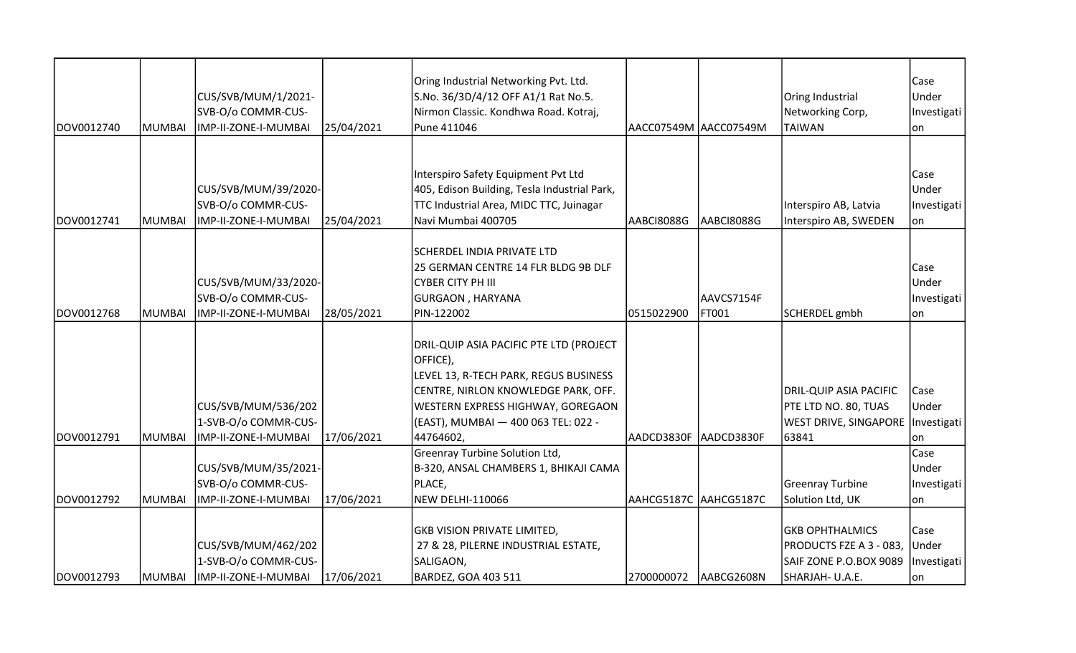| DOV0012740 | MUMBAI  | CUS/SVB/MUM/1/2021-<br>SVB-O/o COMMR-CUS-<br>IMP-II-ZONE-I-MUMBAI   | 25/04/2021 | Oring Industrial Networking Pvt. Ltd.<br>S.No. 36/3D/4/12 OFF A1/1 Rat No.5.<br>Nirmon Classic. Kondhwa Road. Kotraj,<br>Pune 411046                                                                            |            | AACC07549M AACC07549M | Oring Industrial<br>Networking Corp,<br><b>TAIWAN</b>                                          | Case<br>Under<br>Investigati<br>lon  |
|------------|---------|---------------------------------------------------------------------|------------|-----------------------------------------------------------------------------------------------------------------------------------------------------------------------------------------------------------------|------------|-----------------------|------------------------------------------------------------------------------------------------|--------------------------------------|
|            |         |                                                                     |            |                                                                                                                                                                                                                 |            |                       |                                                                                                |                                      |
| DOV0012741 | MUMBAI  | CUS/SVB/MUM/39/2020-<br>SVB-O/o COMMR-CUS-<br>IMP-II-ZONE-I-MUMBAI  | 25/04/2021 | Interspiro Safety Equipment Pvt Ltd<br>405, Edison Building, Tesla Industrial Park,<br>TTC Industrial Area, MIDC TTC, Juinagar<br>Navi Mumbai 400705                                                            | AABCI8088G | AABCI8088G            | Interspiro AB, Latvia<br>Interspiro AB, SWEDEN                                                 | Case<br>Under<br>Investigati<br>lon  |
| DOV0012768 | IMUMBAI | CUS/SVB/MUM/33/2020-<br>SVB-O/o COMMR-CUS-<br>IMP-II-ZONE-I-MUMBAI  | 28/05/2021 | <b>SCHERDEL INDIA PRIVATE LTD</b><br>25 GERMAN CENTRE 14 FLR BLDG 9B DLF<br><b>CYBER CITY PH III</b><br>GURGAON, HARYANA<br>PIN-122002                                                                          | 0515022900 | AAVCS7154F<br>FT001   | SCHERDEL gmbh                                                                                  | Case<br>Under<br>Investigati<br>lon. |
|            |         | CUS/SVB/MUM/536/202<br>1-SVB-O/o COMMR-CUS-                         |            | DRIL-QUIP ASIA PACIFIC PTE LTD (PROJECT<br>OFFICE),<br>LEVEL 13, R-TECH PARK, REGUS BUSINESS<br>CENTRE, NIRLON KNOWLEDGE PARK, OFF.<br>WESTERN EXPRESS HIGHWAY, GOREGAON<br>(EAST), MUMBAI — 400 063 TEL: 022 - |            |                       | DRIL-QUIP ASIA PACIFIC<br>PTE LTD NO. 80, TUAS<br>WEST DRIVE, SINGAPORE   Investigati          | Case<br>Under                        |
| DOV0012791 | MUMBAI  | IMP-II-ZONE-I-MUMBAI                                                | 17/06/2021 | 44764602,<br>Greenray Turbine Solution Ltd,                                                                                                                                                                     | AADCD3830F | AADCD3830F            | 63841                                                                                          | lon<br>Case                          |
| DOV0012792 | MUMBAI  | CUS/SVB/MUM/35/2021-<br>SVB-O/o COMMR-CUS-<br>IMP-II-ZONE-I-MUMBAI  | 17/06/2021 | B-320, ANSAL CHAMBERS 1, BHIKAJI CAMA<br>PLACE,<br>NEW DELHI-110066                                                                                                                                             |            | AAHCG5187C AAHCG5187C | Greenray Turbine<br>Solution Ltd, UK                                                           | Under<br>Investigati<br>lon          |
| DOV0012793 | MUMBAI  | CUS/SVB/MUM/462/202<br>1-SVB-O/o COMMR-CUS-<br>IMP-II-ZONE-I-MUMBAI | 17/06/2021 | <b>GKB VISION PRIVATE LIMITED,</b><br>27 & 28, PILERNE INDUSTRIAL ESTATE,<br>SALIGAON,<br>BARDEZ, GOA 403 511                                                                                                   | 2700000072 | AABCG2608N            | <b>GKB OPHTHALMICS</b><br>PRODUCTS FZE A 3 - 083,<br>SAIF ZONE P.O.BOX 9089<br>SHARJAH- U.A.E. | Case<br>Under<br>Investigati<br> on  |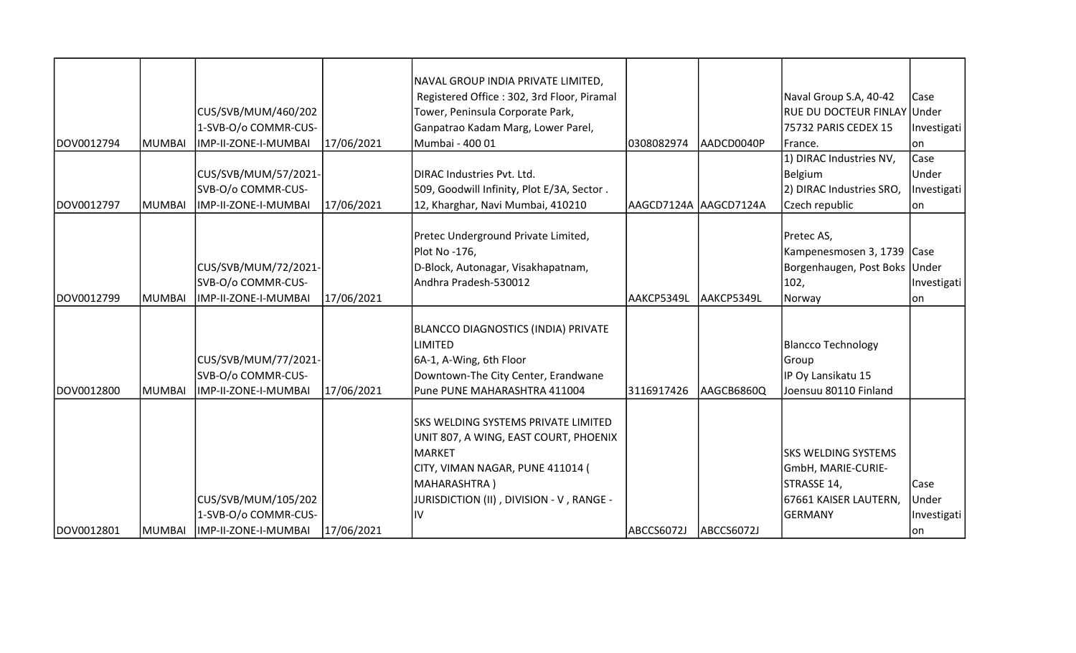|            |               |                      |            | NAVAL GROUP INDIA PRIVATE LIMITED,         |                        |             |                               |             |
|------------|---------------|----------------------|------------|--------------------------------------------|------------------------|-------------|-------------------------------|-------------|
|            |               |                      |            | Registered Office: 302, 3rd Floor, Piramal |                        |             | Naval Group S.A, 40-42        | <b>Case</b> |
|            |               | CUS/SVB/MUM/460/202  |            | Tower, Peninsula Corporate Park,           |                        |             | RUE DU DOCTEUR FINLAY Under   |             |
|            |               | 1-SVB-O/o COMMR-CUS- |            | Ganpatrao Kadam Marg, Lower Parel,         |                        |             | 75732 PARIS CEDEX 15          | Investigati |
| DOV0012794 | <b>MUMBAI</b> | IMP-II-ZONE-I-MUMBAI | 17/06/2021 | Mumbai - 400 01                            | 0308082974             | laadcd0040P | France.                       | lon         |
|            |               |                      |            |                                            |                        |             | 1) DIRAC Industries NV,       | Case        |
|            |               | CUS/SVB/MUM/57/2021- |            | DIRAC Industries Pvt. Ltd.                 |                        |             | <b>Belgium</b>                | Under       |
|            |               | SVB-O/o COMMR-CUS-   |            | 509, Goodwill Infinity, Plot E/3A, Sector. |                        |             | 2) DIRAC Industries SRO,      | Investigati |
| DOV0012797 | <b>MUMBAI</b> | IMP-II-ZONE-I-MUMBAI | 17/06/2021 | 12, Kharghar, Navi Mumbai, 410210          | AAGCD7124A  AAGCD7124A |             | Czech republic                | lon         |
|            |               |                      |            |                                            |                        |             |                               |             |
|            |               |                      |            | Pretec Underground Private Limited,        |                        |             | Pretec AS,                    |             |
|            |               |                      |            | Plot No -176,                              |                        |             | Kampenesmosen 3, 1739 Case    |             |
|            |               | CUS/SVB/MUM/72/2021- |            | D-Block, Autonagar, Visakhapatnam,         |                        |             | Borgenhaugen, Post Boks Under |             |
|            |               | SVB-O/o COMMR-CUS-   |            | Andhra Pradesh-530012                      |                        |             | 102,                          | Investigati |
| DOV0012799 | <b>MUMBAI</b> | IMP-II-ZONE-I-MUMBAI | 17/06/2021 |                                            | AAKCP5349L             | lAAKCP5349L | Norway                        | lon         |
|            |               |                      |            |                                            |                        |             |                               |             |
|            |               |                      |            | BLANCCO DIAGNOSTICS (INDIA) PRIVATE        |                        |             |                               |             |
|            |               |                      |            | <b>LIMITED</b>                             |                        |             | <b>Blancco Technology</b>     |             |
|            |               | CUS/SVB/MUM/77/2021- |            | 6A-1, A-Wing, 6th Floor                    |                        |             | Group                         |             |
|            |               | SVB-O/o COMMR-CUS-   |            | Downtown-The City Center, Erandwane        |                        |             | IP Oy Lansikatu 15            |             |
| DOV0012800 | <b>MUMBAI</b> | IMP-II-ZONE-I-MUMBAI | 17/06/2021 | Pune PUNE MAHARASHTRA 411004               | 3116917426             | AAGCB6860Q  | Joensuu 80110 Finland         |             |
|            |               |                      |            |                                            |                        |             |                               |             |
|            |               |                      |            | SKS WELDING SYSTEMS PRIVATE LIMITED        |                        |             |                               |             |
|            |               |                      |            | UNIT 807, A WING, EAST COURT, PHOENIX      |                        |             |                               |             |
|            |               |                      |            | MARKET                                     |                        |             | SKS WELDING SYSTEMS           |             |
|            |               |                      |            | CITY, VIMAN NAGAR, PUNE 411014 (           |                        |             | GmbH, MARIE-CURIE-            |             |
|            |               |                      |            | MAHARASHTRA)                               |                        |             | STRASSE 14,                   | <b>Case</b> |
|            |               | CUS/SVB/MUM/105/202  |            | JURISDICTION (II) , DIVISION - V , RANGE - |                        |             | 67661 KAISER LAUTERN,         | Under       |
|            |               | 1-SVB-O/o COMMR-CUS- |            | İ١٧                                        |                        |             | GERMANY                       | Investigati |
| DOV0012801 | MUMBAI        | IMP-II-ZONE-I-MUMBAI | 17/06/2021 |                                            | ABCCS6072J             | ABCCS6072J  |                               | on          |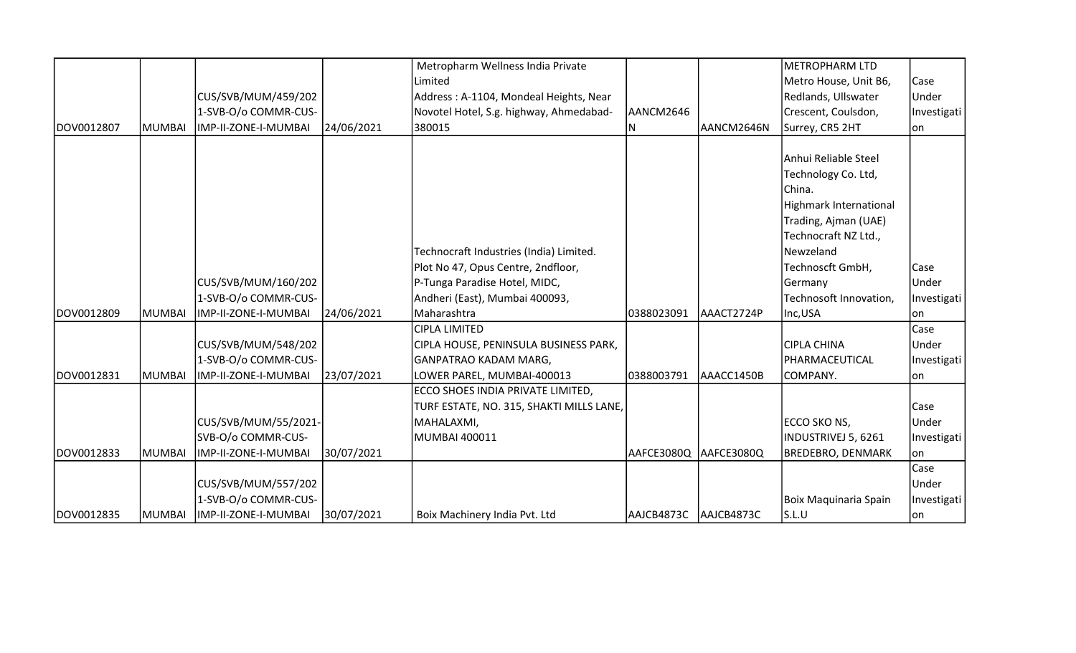|            |               |                      |            | Metropharm Wellness India Private        |            |            | <b>METROPHARM LTD</b>    |             |
|------------|---------------|----------------------|------------|------------------------------------------|------------|------------|--------------------------|-------------|
|            |               |                      |            | Limited                                  |            |            | Metro House, Unit B6,    | Case        |
|            |               | CUS/SVB/MUM/459/202  |            | Address: A-1104, Mondeal Heights, Near   |            |            | Redlands, Ullswater      | Under       |
|            |               | 1-SVB-O/o COMMR-CUS- |            | Novotel Hotel, S.g. highway, Ahmedabad-  | AANCM2646  |            | Crescent, Coulsdon,      | Investigati |
| DOV0012807 | MUMBAI        | IMP-II-ZONE-I-MUMBAI | 24/06/2021 | 380015                                   | ΙN         | AANCM2646N | Surrey, CR5 2HT          | on          |
|            |               |                      |            |                                          |            |            |                          |             |
|            |               |                      |            |                                          |            |            | Anhui Reliable Steel     |             |
|            |               |                      |            |                                          |            |            | Technology Co. Ltd,      |             |
|            |               |                      |            |                                          |            |            | China.                   |             |
|            |               |                      |            |                                          |            |            | Highmark International   |             |
|            |               |                      |            |                                          |            |            | Trading, Ajman (UAE)     |             |
|            |               |                      |            |                                          |            |            | Technocraft NZ Ltd.,     |             |
|            |               |                      |            | Technocraft Industries (India) Limited.  |            |            | Newzeland                |             |
|            |               |                      |            | Plot No 47, Opus Centre, 2ndfloor,       |            |            | Technoscft GmbH,         | Case        |
|            |               | CUS/SVB/MUM/160/202  |            | P-Tunga Paradise Hotel, MIDC,            |            |            | Germany                  | Under       |
|            |               | 1-SVB-O/o COMMR-CUS- |            | Andheri (East), Mumbai 400093,           |            |            | Technosoft Innovation,   | Investigati |
| DOV0012809 | <b>MUMBAI</b> | IMP-II-ZONE-I-MUMBAI | 24/06/2021 | Maharashtra                              | 0388023091 | AAACT2724P | Inc,USA                  | lon         |
|            |               |                      |            | <b>CIPLA LIMITED</b>                     |            |            |                          | Case        |
|            |               | CUS/SVB/MUM/548/202  |            | CIPLA HOUSE, PENINSULA BUSINESS PARK,    |            |            | <b>CIPLA CHINA</b>       | Under       |
|            |               | 1-SVB-O/o COMMR-CUS- |            | GANPATRAO KADAM MARG,                    |            |            | PHARMACEUTICAL           | Investigati |
| DOV0012831 | <b>MUMBAI</b> | IMP-II-ZONE-I-MUMBAI | 23/07/2021 | LOWER PAREL, MUMBAI-400013               | 0388003791 | AAACC1450B | COMPANY.                 | lon         |
|            |               |                      |            | ECCO SHOES INDIA PRIVATE LIMITED,        |            |            |                          |             |
|            |               |                      |            | TURF ESTATE, NO. 315, SHAKTI MILLS LANE, |            |            |                          | Case        |
|            |               | CUS/SVB/MUM/55/2021- |            | MAHALAXMI,                               |            |            | ECCO SKO NS,             | Under       |
|            |               | SVB-O/o COMMR-CUS-   |            | MUMBAI 400011                            |            |            | INDUSTRIVEJ 5, 6261      | Investigati |
| DOV0012833 | <b>MUMBAI</b> | IMP-II-ZONE-I-MUMBAI | 30/07/2021 |                                          | AAFCE3080Q | AAFCE3080Q | <b>BREDEBRO, DENMARK</b> | lon         |
|            |               |                      |            |                                          |            |            |                          | Case        |
|            |               | CUS/SVB/MUM/557/202  |            |                                          |            |            |                          | Under       |
|            |               | 1-SVB-O/o COMMR-CUS- |            |                                          |            |            | Boix Maquinaria Spain    | Investigati |
| DOV0012835 | <b>MUMBAI</b> | IMP-II-ZONE-I-MUMBAI | 30/07/2021 | Boix Machinery India Pvt. Ltd            | AAJCB4873C | AAJCB4873C | S.L.U                    | on          |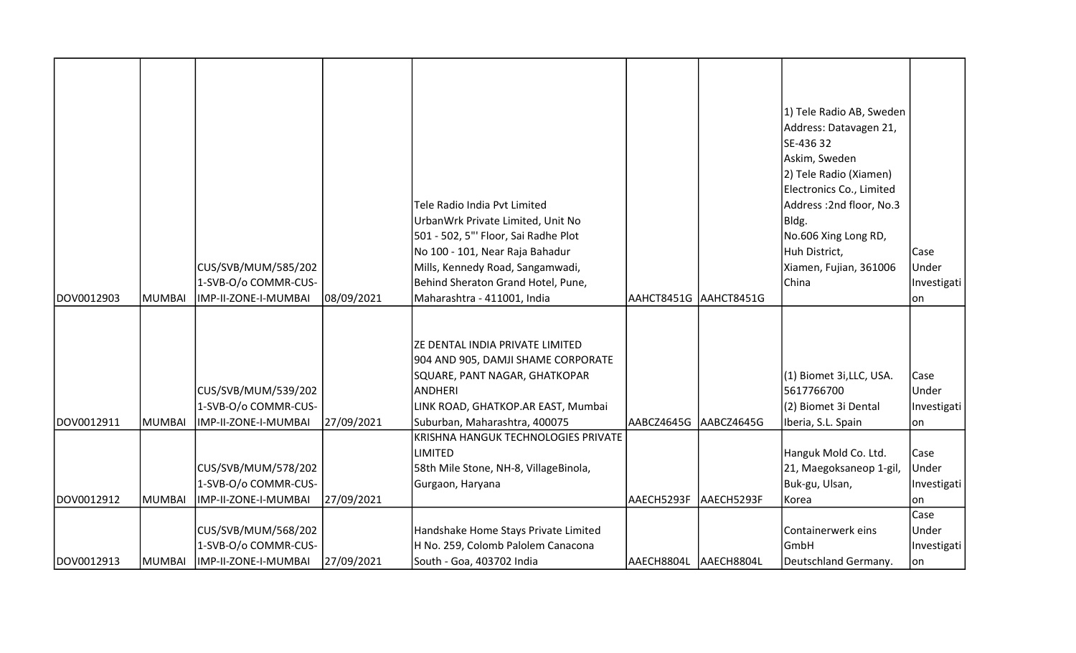| DOV0012903 | <b>MUMBAI</b> | CUS/SVB/MUM/585/202<br>1-SVB-O/o COMMR-CUS-<br>IMP-II-ZONE-I-MUMBAI | 08/09/2021 | Tele Radio India Pvt Limited<br>UrbanWrk Private Limited, Unit No<br>501 - 502, 5"' Floor, Sai Radhe Plot<br>No 100 - 101, Near Raja Bahadur<br>Mills, Kennedy Road, Sangamwadi,<br>Behind Sheraton Grand Hotel, Pune,<br>Maharashtra - 411001, India | AAHCT8451G AAHCT8451G  |            | 1) Tele Radio AB, Sweden<br>Address: Datavagen 21,<br>SE-436 32<br>Askim, Sweden<br>2) Tele Radio (Xiamen)<br>Electronics Co., Limited<br>Address: 2nd floor, No.3<br>Bldg.<br>No.606 Xing Long RD,<br>Huh District,<br>Xiamen, Fujian, 361006<br>China | Case<br>Under<br>Investigati<br>lon |
|------------|---------------|---------------------------------------------------------------------|------------|-------------------------------------------------------------------------------------------------------------------------------------------------------------------------------------------------------------------------------------------------------|------------------------|------------|---------------------------------------------------------------------------------------------------------------------------------------------------------------------------------------------------------------------------------------------------------|-------------------------------------|
| DOV0012911 | <b>MUMBAI</b> | CUS/SVB/MUM/539/202<br>1-SVB-O/o COMMR-CUS-<br>IMP-II-ZONE-I-MUMBAI | 27/09/2021 | ZE DENTAL INDIA PRIVATE LIMITED<br>904 AND 905, DAMJI SHAME CORPORATE<br>SQUARE, PANT NAGAR, GHATKOPAR<br>ANDHERI<br>LINK ROAD, GHATKOP.AR EAST, Mumbai<br>Suburban, Maharashtra, 400075                                                              | AABCZ4645G             | AABCZ4645G | (1) Biomet 3i, LLC, USA.<br>5617766700<br>(2) Biomet 3i Dental<br>Iberia, S.L. Spain                                                                                                                                                                    | Case<br>Under<br>Investigati<br>lon |
| DOV0012912 | <b>MUMBAI</b> | CUS/SVB/MUM/578/202<br>1-SVB-O/o COMMR-CUS-<br>IMP-II-ZONE-I-MUMBAI | 27/09/2021 | KRISHNA HANGUK TECHNOLOGIES PRIVATE<br><b>LIMITED</b><br>58th Mile Stone, NH-8, VillageBinola,<br>Gurgaon, Haryana                                                                                                                                    | AAECH5293F             | AAECH5293F | Hanguk Mold Co. Ltd.<br>21, Maegoksaneop 1-gil,<br>Buk-gu, Ulsan,<br>Korea                                                                                                                                                                              | Case<br>Under<br>Investigati<br>lon |
| DOV0012913 | <b>MUMBAI</b> | CUS/SVB/MUM/568/202<br>1-SVB-O/o COMMR-CUS-<br>IMP-II-ZONE-I-MUMBAI | 27/09/2021 | Handshake Home Stays Private Limited<br>H No. 259, Colomb Palolem Canacona<br>South - Goa, 403702 India                                                                                                                                               | AAECH8804L  AAECH8804L |            | Containerwerk eins<br><b>GmbH</b><br>Deutschland Germany.                                                                                                                                                                                               | Case<br>Under<br>Investigati<br> on |

T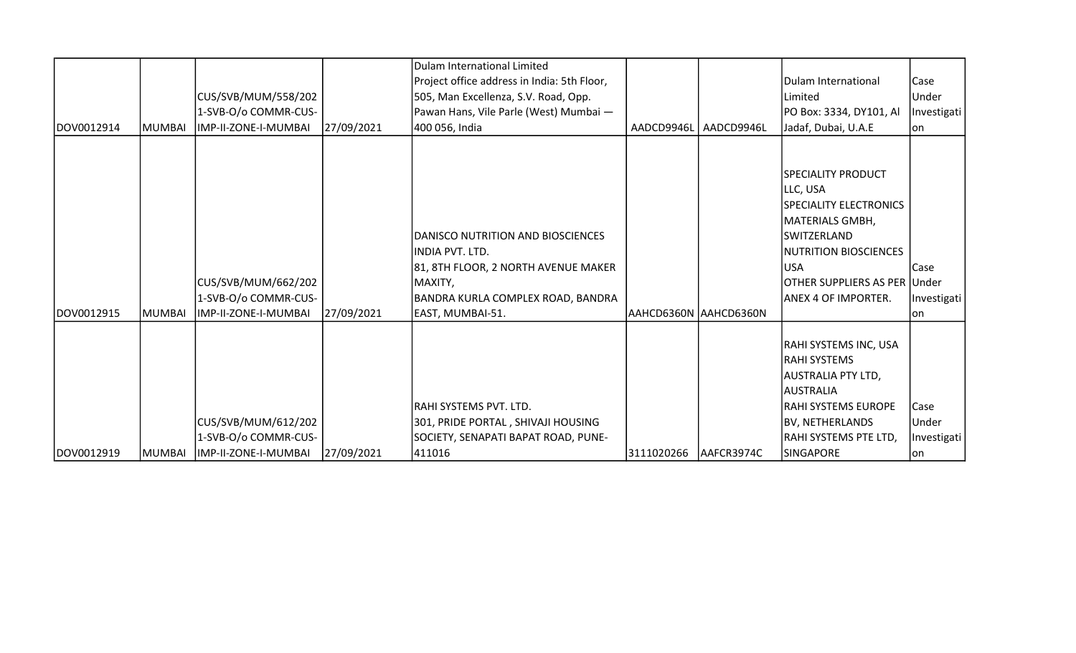| DOV0012914 | <b>MUMBAI</b> | CUS/SVB/MUM/558/202<br>1-SVB-O/o COMMR-CUS-<br>IMP-II-ZONE-I-MUMBAI                      | 27/09/2021 | Dulam International Limited<br>Project office address in India: 5th Floor,<br>505, Man Excellenza, S.V. Road, Opp.<br>Pawan Hans, Vile Parle (West) Mumbai -<br>400 056, India | AADCD9946L            | AADCD9946L | Dulam International<br>Limited<br>PO Box: 3334, DY101, Al<br>Jadaf, Dubai, U.A.E                                                                                                                 | Case<br>Under<br>Investigati<br>lon |
|------------|---------------|------------------------------------------------------------------------------------------|------------|--------------------------------------------------------------------------------------------------------------------------------------------------------------------------------|-----------------------|------------|--------------------------------------------------------------------------------------------------------------------------------------------------------------------------------------------------|-------------------------------------|
| DOV0012915 | <b>MUMBAI</b> | CUS/SVB/MUM/662/202<br>1-SVB-O/o COMMR-CUS-<br>IMP-II-ZONE-I-MUMBAI                      | 27/09/2021 | DANISCO NUTRITION AND BIOSCIENCES<br>INDIA PVT. LTD.<br>81, 8TH FLOOR, 2 NORTH AVENUE MAKER<br>MAXITY,<br>BANDRA KURLA COMPLEX ROAD, BANDRA<br>EAST, MUMBAI-51.                | AAHCD6360N AAHCD6360N |            | <b>SPECIALITY PRODUCT</b><br>LLC, USA<br>SPECIALITY ELECTRONICS<br>MATERIALS GMBH,<br> SWITZERLAND<br>NUTRITION BIOSCIENCES<br><b>USA</b><br>OTHER SUPPLIERS AS PER Under<br>ANEX 4 OF IMPORTER. | Case<br>Investigati<br>lon          |
| DOV0012919 |               | CUS/SVB/MUM/612/202<br>1-SVB-O/o COMMR-CUS-<br> MUMBAI  IMP-II-ZONE-I-MUMBAI  27/09/2021 |            | RAHI SYSTEMS PVT. LTD.<br>301, PRIDE PORTAL, SHIVAJI HOUSING<br>SOCIETY, SENAPATI BAPAT ROAD, PUNE-<br>411016                                                                  | 3111020266            | AAFCR3974C | RAHI SYSTEMS INC, USA<br>RAHI SYSTEMS<br>AUSTRALIA PTY LTD,<br>AUSTRALIA<br>RAHI SYSTEMS EUROPE<br><b>BV, NETHERLANDS</b><br> RAHI SYSTEMS PTE LTD,<br>SINGAPORE                                 | Case<br>Under<br>Investigati<br> on |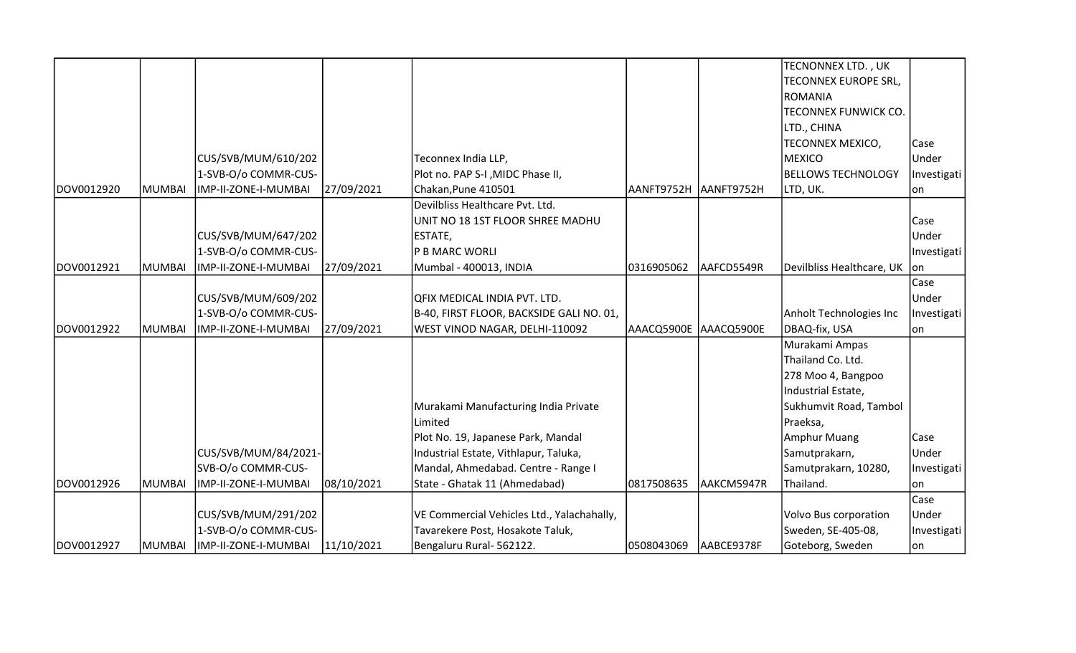|            |        |                      |            |                                            |                       |            | TECNONNEX LTD., UK          |             |
|------------|--------|----------------------|------------|--------------------------------------------|-----------------------|------------|-----------------------------|-------------|
|            |        |                      |            |                                            |                       |            | <b>TECONNEX EUROPE SRL,</b> |             |
|            |        |                      |            |                                            |                       |            | ROMANIA                     |             |
|            |        |                      |            |                                            |                       |            | <b>TECONNEX FUNWICK CO.</b> |             |
|            |        |                      |            |                                            |                       |            | LTD., CHINA                 |             |
|            |        |                      |            |                                            |                       |            | TECONNEX MEXICO,            | Case        |
|            |        | CUS/SVB/MUM/610/202  |            | Teconnex India LLP,                        |                       |            | MEXICO                      | Under       |
|            |        | 1-SVB-O/o COMMR-CUS- |            | Plot no. PAP S-I , MIDC Phase II,          |                       |            | <b>BELLOWS TECHNOLOGY</b>   | Investigati |
| DOV0012920 | MUMBAI | IMP-II-ZONE-I-MUMBAI | 27/09/2021 | Chakan, Pune 410501                        | AANFT9752H            | AANFT9752H | LTD, UK.                    | on          |
|            |        |                      |            | Devilbliss Healthcare Pvt. Ltd.            |                       |            |                             |             |
|            |        |                      |            | UNIT NO 18 1ST FLOOR SHREE MADHU           |                       |            |                             | Case        |
|            |        | CUS/SVB/MUM/647/202  |            | ESTATE,                                    |                       |            |                             | Under       |
|            |        | 1-SVB-O/o COMMR-CUS- |            | P B MARC WORLI                             |                       |            |                             | Investigati |
| DOV0012921 | MUMBAI | IMP-II-ZONE-I-MUMBAI | 27/09/2021 | Mumbal - 400013, INDIA                     | 0316905062            | AAFCD5549R | Devilbliss Healthcare, UK   | on          |
|            |        |                      |            |                                            |                       |            |                             | Case        |
|            |        | CUS/SVB/MUM/609/202  |            | QFIX MEDICAL INDIA PVT. LTD.               |                       |            |                             | Under       |
|            |        | 1-SVB-O/o COMMR-CUS- |            | B-40, FIRST FLOOR, BACKSIDE GALI NO. 01,   |                       |            | Anholt Technologies Inc     | Investigati |
| DOV0012922 | MUMBAI | IMP-II-ZONE-I-MUMBAI | 27/09/2021 | WEST VINOD NAGAR, DELHI-110092             | AAACQ5900E AAACQ5900E |            | DBAQ-fix, USA               | on          |
|            |        |                      |            |                                            |                       |            | Murakami Ampas              |             |
|            |        |                      |            |                                            |                       |            | Thailand Co. Ltd.           |             |
|            |        |                      |            |                                            |                       |            | 278 Moo 4, Bangpoo          |             |
|            |        |                      |            |                                            |                       |            | Industrial Estate,          |             |
|            |        |                      |            | Murakami Manufacturing India Private       |                       |            | Sukhumvit Road, Tambol      |             |
|            |        |                      |            | Limited                                    |                       |            | Praeksa,                    |             |
|            |        |                      |            | Plot No. 19, Japanese Park, Mandal         |                       |            | <b>Amphur Muang</b>         | Case        |
|            |        | CUS/SVB/MUM/84/2021- |            | Industrial Estate, Vithlapur, Taluka,      |                       |            | Samutprakarn,               | Under       |
|            |        | SVB-O/o COMMR-CUS-   |            | Mandal, Ahmedabad. Centre - Range I        |                       |            | Samutprakarn, 10280,        | Investigati |
| DOV0012926 | MUMBAI | IMP-II-ZONE-I-MUMBAI | 08/10/2021 | State - Ghatak 11 (Ahmedabad)              | 0817508635            | AAKCM5947R | Thailand.                   | lon         |
|            |        |                      |            |                                            |                       |            |                             | Case        |
|            |        | CUS/SVB/MUM/291/202  |            | VE Commercial Vehicles Ltd., Yalachahally, |                       |            | Volvo Bus corporation       | Under       |
|            |        | 1-SVB-O/o COMMR-CUS- |            | Tavarekere Post, Hosakote Taluk,           |                       |            | Sweden, SE-405-08,          | Investigati |
| DOV0012927 | MUMBAI | IMP-II-ZONE-I-MUMBAI | 11/10/2021 | Bengaluru Rural- 562122.                   | 0508043069            | AABCE9378F | Goteborg, Sweden            | lon         |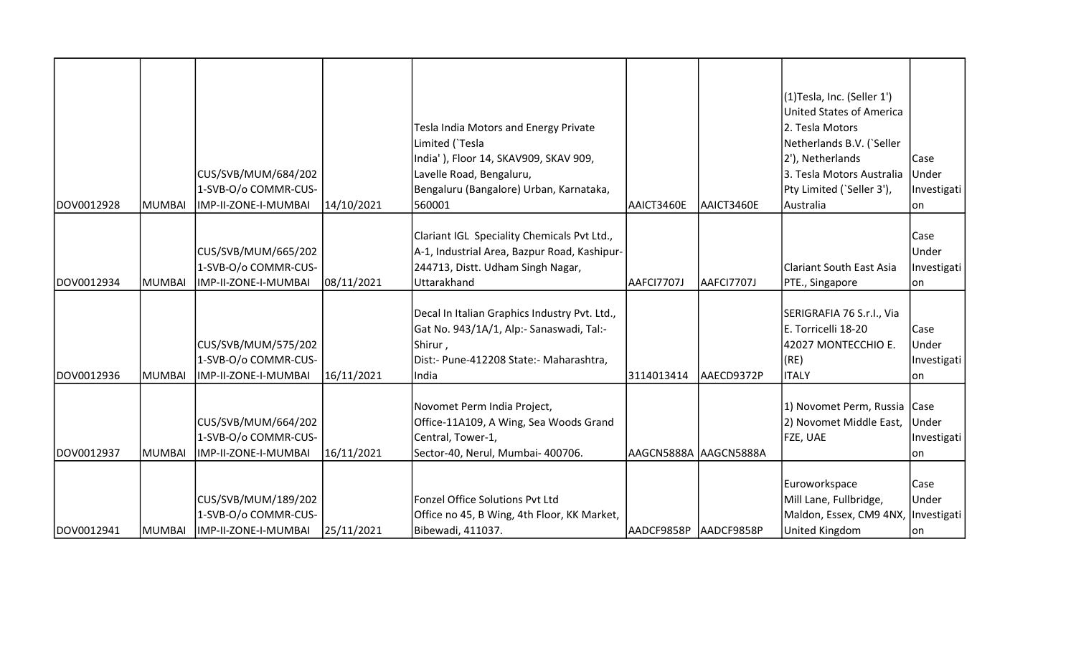| DOV0012928 | MUMBAI | CUS/SVB/MUM/684/202<br>1-SVB-O/o COMMR-CUS-<br>IMP-II-ZONE-I-MUMBAI                     | 14/10/2021 | Tesla India Motors and Energy Private<br>Limited (`Tesla<br>India'), Floor 14, SKAV909, SKAV 909,<br>Lavelle Road, Bengaluru,<br>Bengaluru (Bangalore) Urban, Karnataka,<br>560001 | AAICT3460E             | AAICT3460E | (1)Tesla, Inc. (Seller 1')<br><b>United States of America</b><br>2. Tesla Motors<br>Netherlands B.V. ('Seller<br>2'), Netherlands<br>3. Tesla Motors Australia<br>Pty Limited (`Seller 3'),<br>Australia | Case<br>Under<br>Investigati<br>lon  |
|------------|--------|-----------------------------------------------------------------------------------------|------------|------------------------------------------------------------------------------------------------------------------------------------------------------------------------------------|------------------------|------------|----------------------------------------------------------------------------------------------------------------------------------------------------------------------------------------------------------|--------------------------------------|
| DOV0012934 | MUMBAI | CUS/SVB/MUM/665/202<br>1-SVB-O/o COMMR-CUS-<br>IMP-II-ZONE-I-MUMBAI                     | 08/11/2021 | Clariant IGL Speciality Chemicals Pvt Ltd.,<br>A-1, Industrial Area, Bazpur Road, Kashipur-<br>244713, Distt. Udham Singh Nagar,<br>Uttarakhand                                    | AAFCI7707J             | AAFCI7707J | Clariant South East Asia<br>PTE., Singapore                                                                                                                                                              | Case<br>Under<br>Investigati<br>lon  |
| DOV0012936 | MUMBAI | CUS/SVB/MUM/575/202<br>1-SVB-O/o COMMR-CUS-<br>IMP-II-ZONE-I-MUMBAI                     | 16/11/2021 | Decal In Italian Graphics Industry Pvt. Ltd.,<br>Gat No. 943/1A/1, Alp:- Sanaswadi, Tal:-<br>Shirur,<br>Dist:- Pune-412208 State:- Maharashtra,<br>India                           | 3114013414             | AAECD9372P | SERIGRAFIA 76 S.r.l., Via<br>E. Torricelli 18-20<br>42027 MONTECCHIO E.<br>(RE)<br><b>ITALY</b>                                                                                                          | Case<br>Under<br>Investigati<br>lon. |
| DOV0012937 | MUMBAI | CUS/SVB/MUM/664/202<br>1-SVB-O/o COMMR-CUS-<br>IMP-II-ZONE-I-MUMBAI                     | 16/11/2021 | Novomet Perm India Project,<br>Office-11A109, A Wing, Sea Woods Grand<br>Central, Tower-1,<br>Sector-40, Nerul, Mumbai- 400706.                                                    | AAGCN5888A  AAGCN5888A |            | 1) Novomet Perm, Russia Case<br>2) Novomet Middle East,<br>FZE, UAE                                                                                                                                      | Under<br>Investigati<br>lon          |
| DOV0012941 |        | CUS/SVB/MUM/189/202<br>1-SVB-O/o COMMR-CUS-<br>MUMBAI  IMP-II-ZONE-I-MUMBAI  25/11/2021 |            | Fonzel Office Solutions Pvt Ltd<br>Office no 45, B Wing, 4th Floor, KK Market,<br>Bibewadi, 411037.                                                                                | AADCF9858P AADCF9858P  |            | Euroworkspace<br>Mill Lane, Fullbridge,<br>Maldon, Essex, CM9 4NX,   Investigati<br><b>United Kingdom</b>                                                                                                | Case<br>Under<br>lon                 |